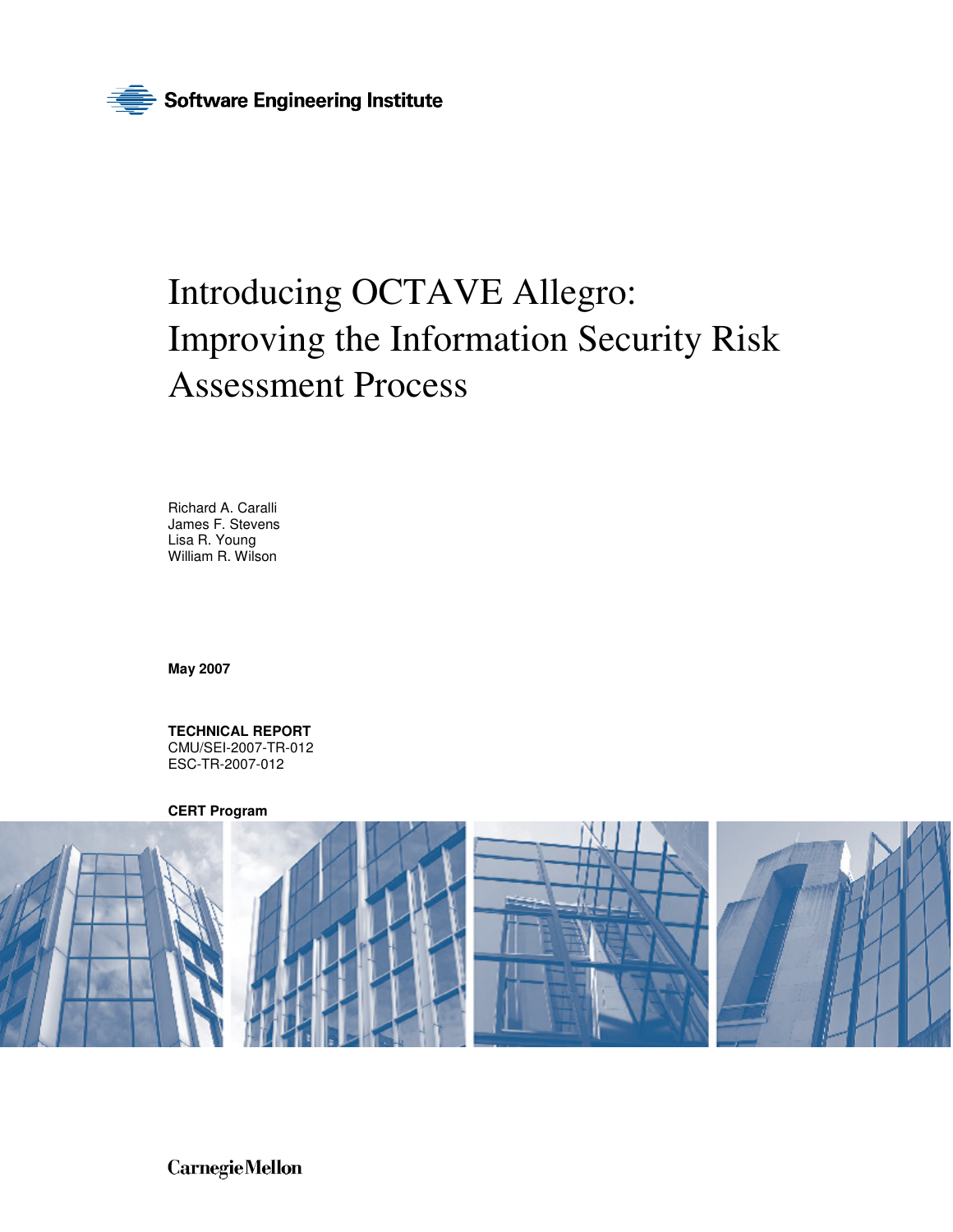

Software Engineering Institute

# Introducing OCTAVE Allegro: Improving the Information Security Risk Assessment Process

Richard A. Caralli James F. Stevens Lisa R. Young William R. Wilson

**May 2007** 

**TECHNICAL REPORT**  CMU/SEI-2007-TR-012 ESC-TR-2007-012

**CERT Program** 

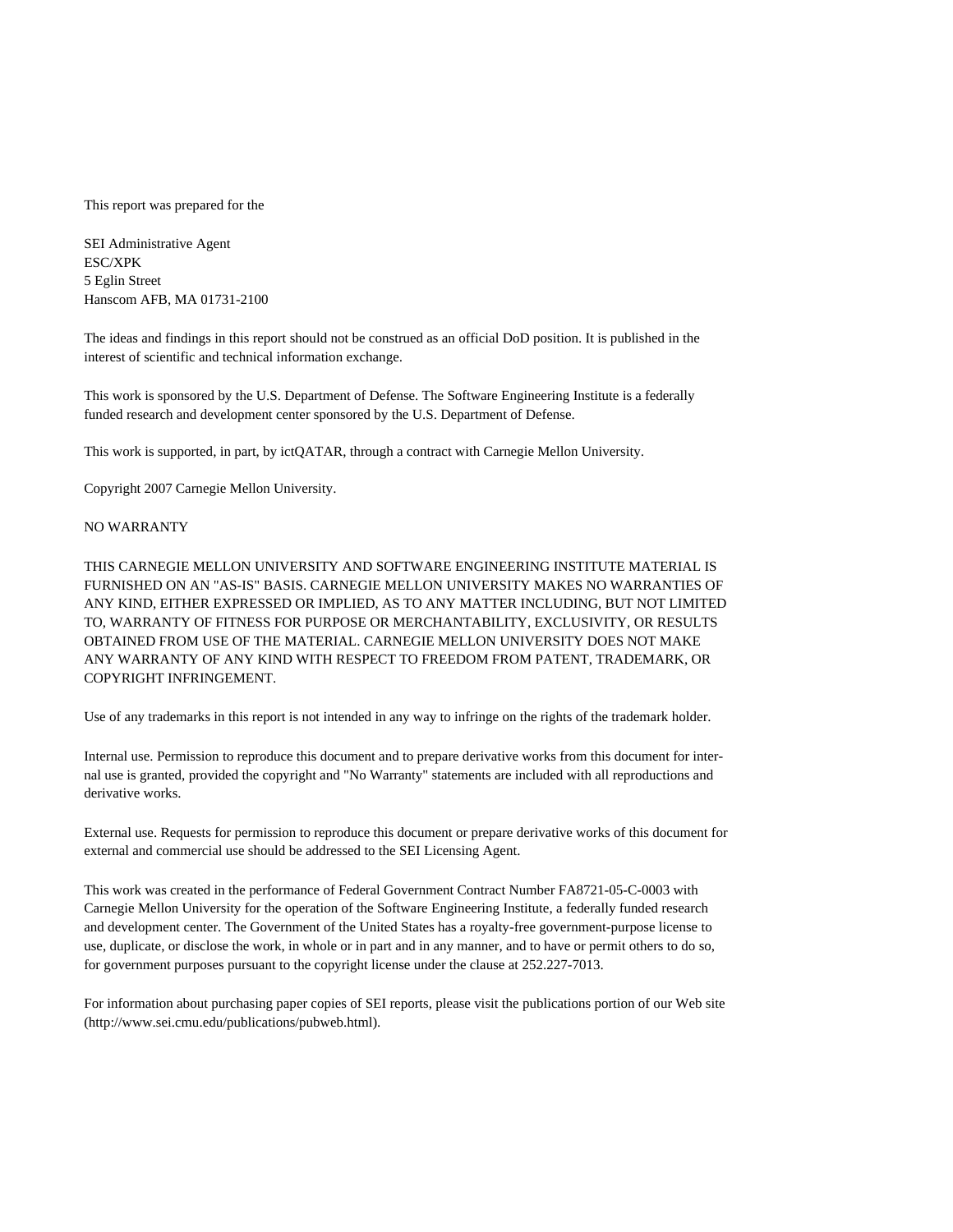This report was prepared for the

SEI Administrative Agent ESC/XPK 5 Eglin Street Hanscom AFB, MA 01731-2100

The ideas and findings in this report should not be construed as an official DoD position. It is published in the interest of scientific and technical information exchange.

This work is sponsored by the U.S. Department of Defense. The Software Engineering Institute is a federally funded research and development center sponsored by the U.S. Department of Defense.

This work is supported, in part, by ictQATAR, through a contract with Carnegie Mellon University.

Copyright 2007 Carnegie Mellon University.

#### NO WARRANTY

THIS CARNEGIE MELLON UNIVERSITY AND SOFTWARE ENGINEERING INSTITUTE MATERIAL IS FURNISHED ON AN "AS-IS" BASIS. CARNEGIE MELLON UNIVERSITY MAKES NO WARRANTIES OF ANY KIND, EITHER EXPRESSED OR IMPLIED, AS TO ANY MATTER INCLUDING, BUT NOT LIMITED TO, WARRANTY OF FITNESS FOR PURPOSE OR MERCHANTABILITY, EXCLUSIVITY, OR RESULTS OBTAINED FROM USE OF THE MATERIAL. CARNEGIE MELLON UNIVERSITY DOES NOT MAKE ANY WARRANTY OF ANY KIND WITH RESPECT TO FREEDOM FROM PATENT, TRADEMARK, OR COPYRIGHT INFRINGEMENT.

Use of any trademarks in this report is not intended in any way to infringe on the rights of the trademark holder.

Internal use. Permission to reproduce this document and to prepare derivative works from this document for internal use is granted, provided the copyright and "No Warranty" statements are included with all reproductions and derivative works.

External use. Requests for permission to reproduce this document or prepare derivative works of this document for external and commercial use should be addressed to the SEI Licensing Agent.

This work was created in the performance of Federal Government Contract Number FA8721-05-C-0003 with Carnegie Mellon University for the operation of the Software Engineering Institute, a federally funded research and development center. The Government of the United States has a royalty-free government-purpose license to use, duplicate, or disclose the work, in whole or in part and in any manner, and to have or permit others to do so, for government purposes pursuant to the copyright license under the clause at 252.227-7013.

For information about purchasing paper copies of SEI reports, please visit the publications portion of our Web site [\(http://www.sei.cmu.edu/publications/pubweb.html\).](http://www.sei.cmu.edu/publications/pubweb.html)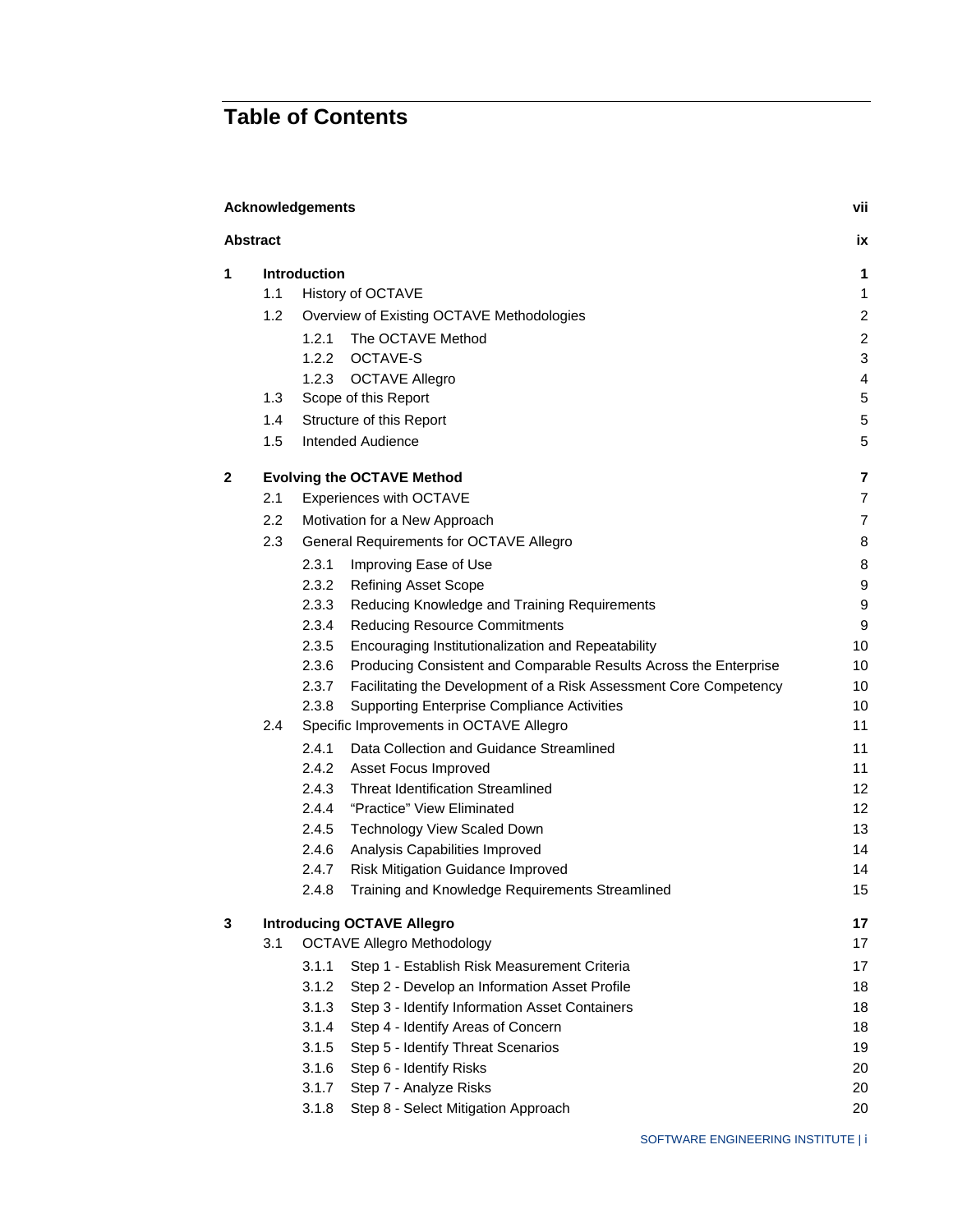## **Table of Contents**

| <b>Acknowledgements</b> |                                   | vii            |                                                                   |                |
|-------------------------|-----------------------------------|----------------|-------------------------------------------------------------------|----------------|
|                         | <b>Abstract</b>                   |                |                                                                   | iх             |
| 1                       |                                   | Introduction   |                                                                   | 1              |
|                         | 1.1                               |                | History of OCTAVE                                                 | 1              |
|                         | 1.2                               |                | Overview of Existing OCTAVE Methodologies                         | $\overline{c}$ |
|                         |                                   | 1.2.1          | The OCTAVE Method                                                 | $\overline{c}$ |
|                         |                                   | 1.2.2          | OCTAVE-S                                                          | 3              |
|                         |                                   | 1.2.3          | <b>OCTAVE Allegro</b>                                             | 4              |
|                         | 1.3                               |                | Scope of this Report                                              | 5              |
|                         | 1.4                               |                | Structure of this Report                                          | 5              |
|                         | 1.5                               |                | Intended Audience                                                 | 5              |
| $\mathbf{2}$            | <b>Evolving the OCTAVE Method</b> |                | 7                                                                 |                |
|                         | 2.1                               |                | Experiences with OCTAVE                                           | $\overline{7}$ |
|                         | $2.2\phantom{0}$                  |                | Motivation for a New Approach                                     | 7              |
|                         | 2.3                               |                | General Requirements for OCTAVE Allegro                           | 8              |
|                         |                                   | 2.3.1          | Improving Ease of Use                                             | 8              |
|                         |                                   | 2.3.2          | <b>Refining Asset Scope</b>                                       | 9              |
|                         |                                   | 2.3.3          | Reducing Knowledge and Training Requirements                      | 9              |
|                         |                                   | 2.3.4          | <b>Reducing Resource Commitments</b>                              | 9              |
|                         |                                   | 2.3.5          | Encouraging Institutionalization and Repeatability                | 10             |
|                         |                                   | 2.3.6          | Producing Consistent and Comparable Results Across the Enterprise | 10             |
|                         |                                   | 2.3.7          | Facilitating the Development of a Risk Assessment Core Competency | 10             |
|                         |                                   | 2.3.8          | <b>Supporting Enterprise Compliance Activities</b>                | 10             |
|                         | 2.4                               |                | Specific Improvements in OCTAVE Allegro                           | 11             |
|                         |                                   | 2.4.1          | Data Collection and Guidance Streamlined                          | 11             |
|                         |                                   | 2.4.2          | Asset Focus Improved                                              | 11             |
|                         |                                   | 2.4.3          | <b>Threat Identification Streamlined</b>                          | 12             |
|                         |                                   | 2.4.4          | "Practice" View Eliminated                                        | 12             |
|                         |                                   | 2.4.5          | Technology View Scaled Down                                       | 13             |
|                         |                                   | 2.4.6          | Analysis Capabilities Improved                                    | 14             |
|                         |                                   | 2.4.7          | Risk Mitigation Guidance Improved                                 | 14             |
|                         |                                   | 2.4.8          | Training and Knowledge Requirements Streamlined                   | 15             |
| 3                       |                                   |                | <b>Introducing OCTAVE Allegro</b>                                 | 17             |
|                         | 3.1                               |                | <b>OCTAVE Allegro Methodology</b>                                 | 17             |
|                         |                                   | 3.1.1          | Step 1 - Establish Risk Measurement Criteria                      | 17             |
|                         |                                   | 3.1.2          | Step 2 - Develop an Information Asset Profile                     | 18             |
|                         |                                   | 3.1.3          | Step 3 - Identify Information Asset Containers                    | 18             |
|                         |                                   | 3.1.4          | Step 4 - Identify Areas of Concern                                | 18             |
|                         |                                   | 3.1.5          | Step 5 - Identify Threat Scenarios                                | 19             |
|                         |                                   | 3.1.6<br>3.1.7 | Step 6 - Identify Risks<br>Step 7 - Analyze Risks                 | 20             |
|                         |                                   |                |                                                                   | 20             |
|                         |                                   | 3.1.8          | Step 8 - Select Mitigation Approach                               | 20             |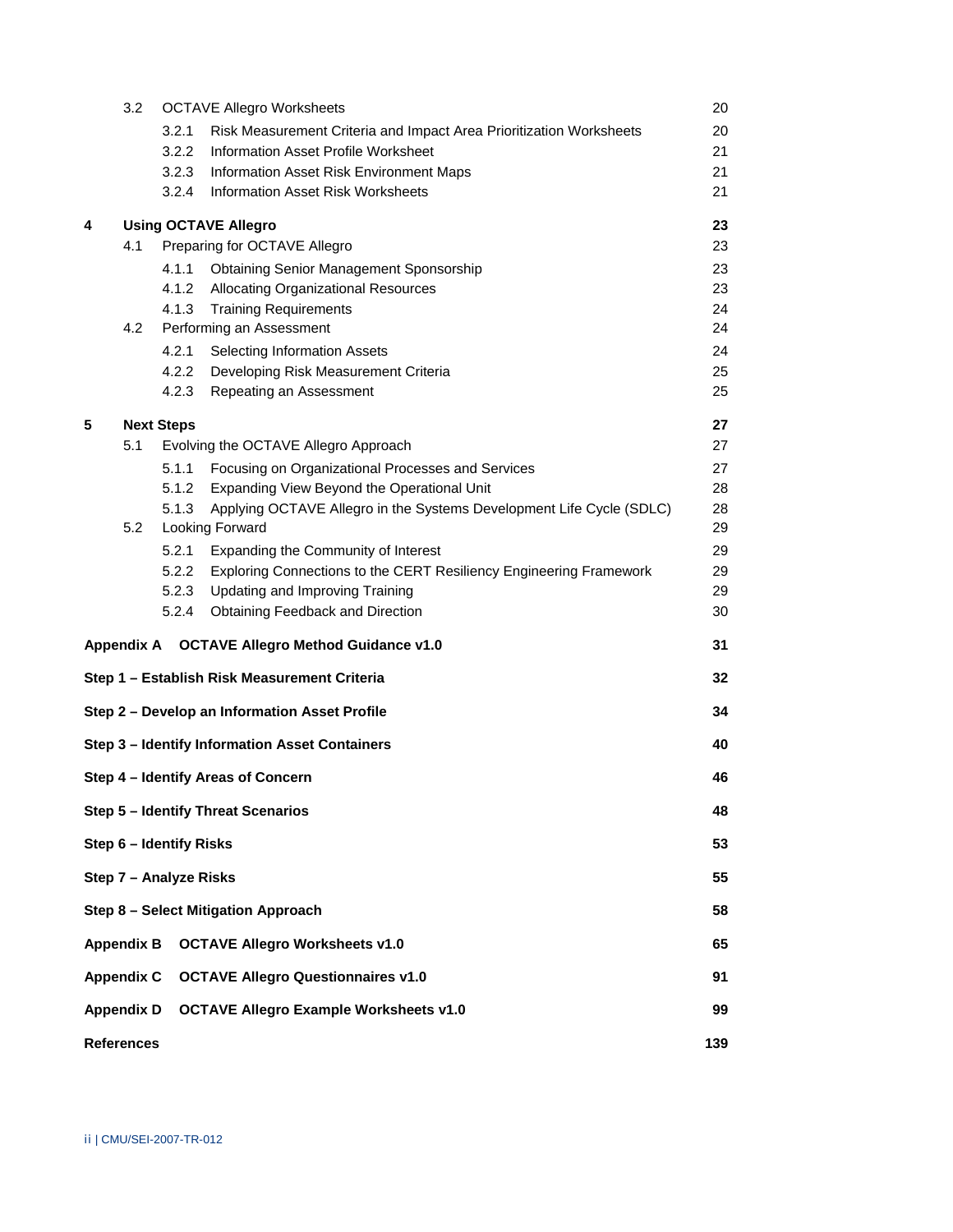|   | 3.2               |                         | <b>OCTAVE Allegro Worksheets</b>                                         | 20  |
|---|-------------------|-------------------------|--------------------------------------------------------------------------|-----|
|   |                   | 3.2.1                   | Risk Measurement Criteria and Impact Area Prioritization Worksheets      | 20  |
|   |                   | 3.2.2                   | Information Asset Profile Worksheet                                      | 21  |
|   |                   | 3.2.3                   | Information Asset Risk Environment Maps                                  | 21  |
|   |                   | 3.2.4                   | <b>Information Asset Risk Worksheets</b>                                 | 21  |
| 4 |                   |                         | <b>Using OCTAVE Allegro</b>                                              | 23  |
|   | 4.1               |                         | Preparing for OCTAVE Allegro                                             | 23  |
|   |                   | 4.1.1                   | <b>Obtaining Senior Management Sponsorship</b>                           | 23  |
|   |                   | 4.1.2                   | <b>Allocating Organizational Resources</b>                               | 23  |
|   |                   | 4.1.3                   | <b>Training Requirements</b>                                             | 24  |
|   | 4.2               |                         | Performing an Assessment                                                 | 24  |
|   |                   | 4.2.1                   | Selecting Information Assets                                             | 24  |
|   |                   | 4.2.2                   | Developing Risk Measurement Criteria                                     | 25  |
|   |                   | 4.2.3                   | Repeating an Assessment                                                  | 25  |
| 5 |                   | <b>Next Steps</b>       |                                                                          | 27  |
|   | 5.1               |                         | Evolving the OCTAVE Allegro Approach                                     | 27  |
|   |                   | 5.1.1                   | Focusing on Organizational Processes and Services                        | 27  |
|   |                   | 5.1.2                   | Expanding View Beyond the Operational Unit                               | 28  |
|   |                   | 5.1.3                   | Applying OCTAVE Allegro in the Systems Development Life Cycle (SDLC)     | 28  |
|   | 5.2               |                         | Looking Forward                                                          | 29  |
|   |                   | 5.2.1                   | Expanding the Community of Interest                                      | 29  |
|   |                   |                         | 5.2.2 Exploring Connections to the CERT Resiliency Engineering Framework | 29  |
|   |                   | 5.2.3                   | Updating and Improving Training                                          | 29  |
|   |                   | 5.2.4                   | Obtaining Feedback and Direction                                         | 30  |
|   |                   |                         | Appendix A OCTAVE Allegro Method Guidance v1.0                           | 31  |
|   |                   |                         | Step 1 - Establish Risk Measurement Criteria                             | 32  |
|   |                   |                         | Step 2 - Develop an Information Asset Profile                            | 34  |
|   |                   |                         | Step 3 - Identify Information Asset Containers                           | 40  |
|   |                   |                         | Step 4 - Identify Areas of Concern                                       | 46  |
|   |                   |                         | Step 5 - Identify Threat Scenarios                                       | 48  |
|   |                   | Step 6 - Identify Risks |                                                                          | 53  |
|   |                   | Step 7 - Analyze Risks  |                                                                          | 55  |
|   |                   |                         | Step 8 - Select Mitigation Approach                                      | 58  |
|   | <b>Appendix B</b> |                         | <b>OCTAVE Allegro Worksheets v1.0</b>                                    | 65  |
|   | <b>Appendix C</b> |                         | <b>OCTAVE Allegro Questionnaires v1.0</b>                                | 91  |
|   | <b>Appendix D</b> |                         | <b>OCTAVE Allegro Example Worksheets v1.0</b>                            | 99  |
|   | <b>References</b> |                         |                                                                          | 139 |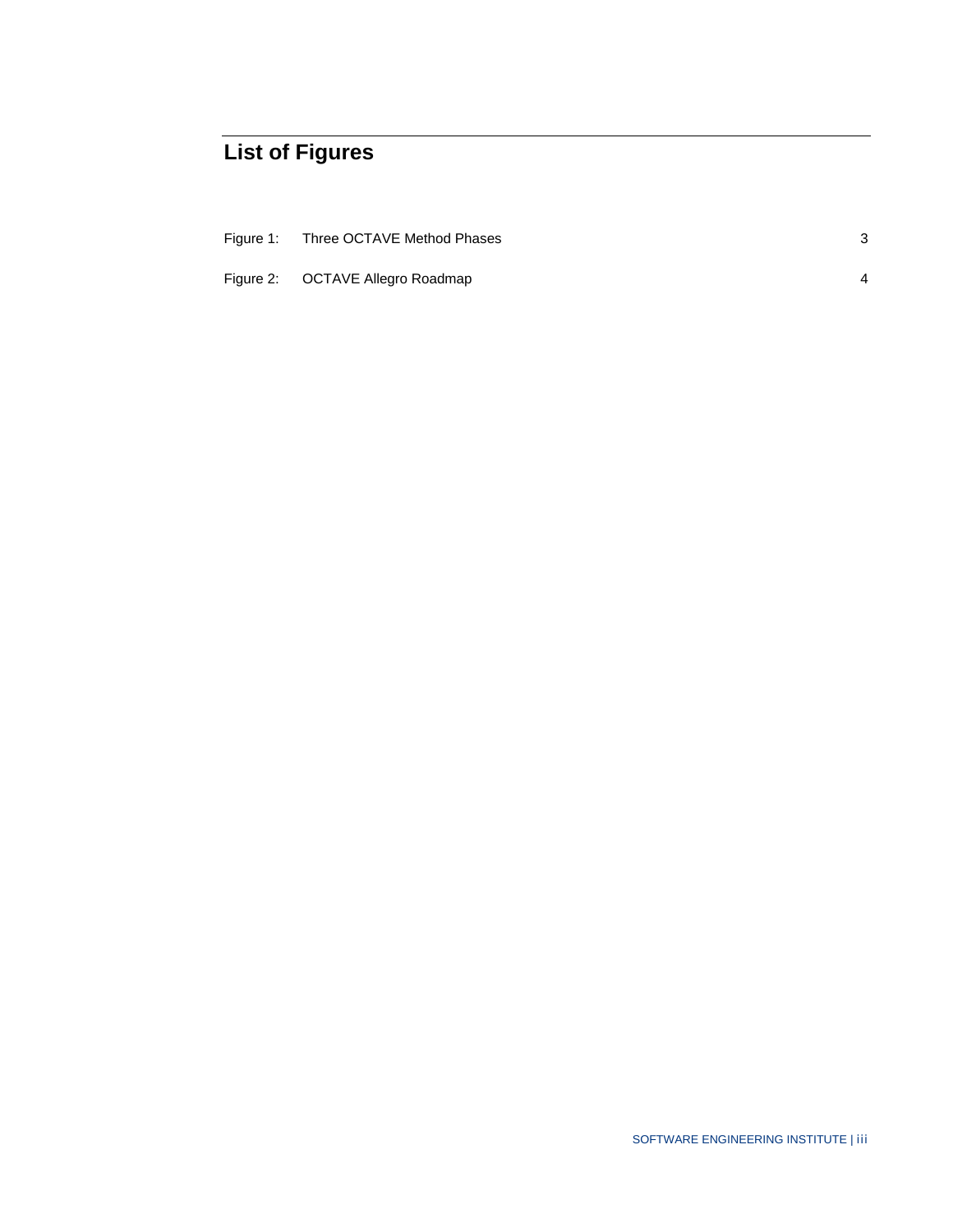## **List of Figures**

| Figure 1: Three OCTAVE Method Phases |  |
|--------------------------------------|--|
| Figure 2: OCTAVE Allegro Roadmap     |  |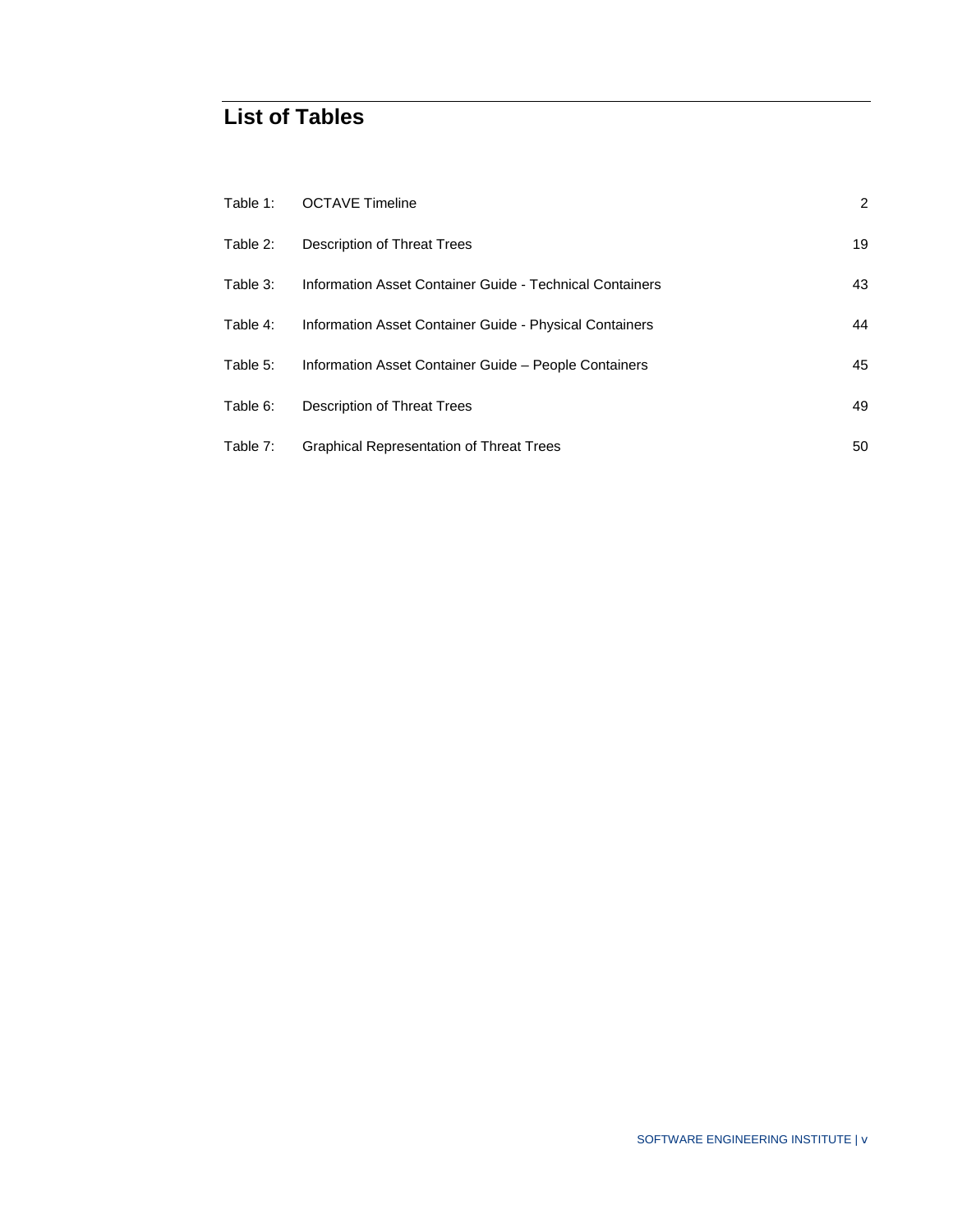## **List of Tables**

| Table 1: | <b>OCTAVE Timeline</b>                                   | $\overline{2}$ |
|----------|----------------------------------------------------------|----------------|
| Table 2: | Description of Threat Trees                              | 19             |
| Table 3: | Information Asset Container Guide - Technical Containers | 43             |
| Table 4: | Information Asset Container Guide - Physical Containers  | 44             |
| Table 5: | Information Asset Container Guide - People Containers    | 45             |
| Table 6: | <b>Description of Threat Trees</b>                       | 49             |
| Table 7: | <b>Graphical Representation of Threat Trees</b>          | 50             |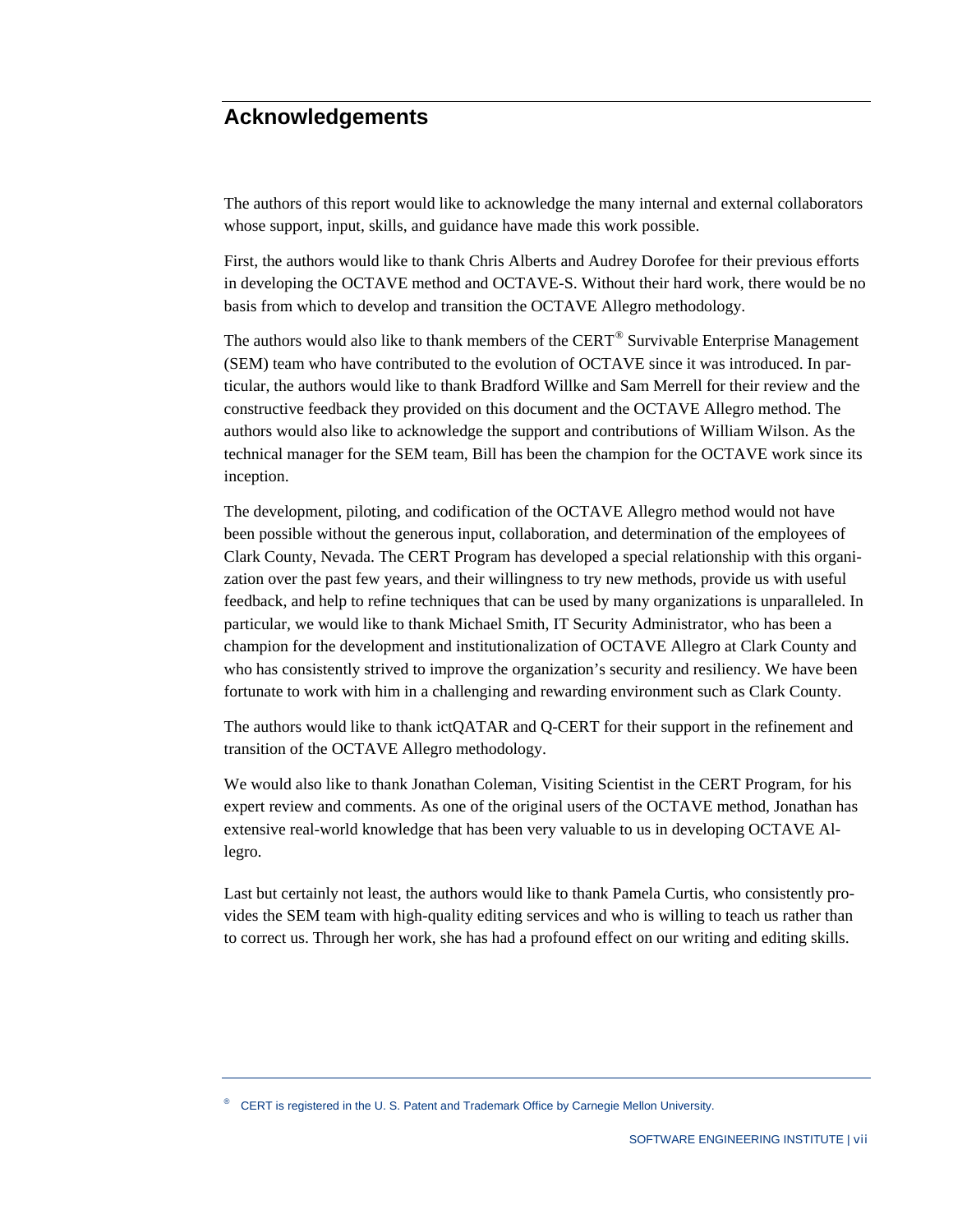## <span id="page-8-1"></span><span id="page-8-0"></span>**Acknowledgements**

The authors of this report would like to acknowledge the many internal and external collaborators whose support, input, skills, and guidance have made this work possible.

First, the authors would like to thank Chris Alberts and Audrey Dorofee for their previous efforts in developing the OCTAVE method and OCTAVE-S. Without their hard work, there would be no basis from which to develop and transition the OCTAVE Allegro methodology.

The authors would also like to thank members of the  $CERT^{\circledast}$  Survivable Enterprise Management (SEM) team who have contributed to the evolution of OCTAVE since it was introduced. In particular, the authors would like to thank Bradford Willke and Sam Merrell for their review and the constructive feedback they provided on this document and the OCTAVE Allegro method. The authors would also like to acknowledge the support and contributions of William Wilson. As the technical manager for the SEM team, Bill has been the champion for the OCTAVE work since its inception.

The development, piloting, and codification of the OCTAVE Allegro method would not have been possible without the generous input, collaboration, and determination of the employees of Clark County, Nevada. The CERT Program has developed a special relationship with this organization over the past few years, and their willingness to try new methods, provide us with useful feedback, and help to refine techniques that can be used by many organizations is unparalleled. In particular, we would like to thank Michael Smith, IT Security Administrator, who has been a champion for the development and institutionalization of OCTAVE Allegro at Clark County and who has consistently strived to improve the organization's security and resiliency. We have been fortunate to work with him in a challenging and rewarding environment such as Clark County.

The authors would like to thank ictQATAR and Q-CERT for their support in the refinement and transition of the OCTAVE Allegro methodology.

We would also like to thank Jonathan Coleman, Visiting Scientist in the CERT Program, for his expert review and comments. As one of the original users of the OCTAVE method, Jonathan has extensive real-world knowledge that has been very valuable to us in developing OCTAVE Allegro.

Last but certainly not least, the authors would like to thank Pamela Curtis, who consistently provides the SEM team with high-quality editing services and who is willing to teach us rather than to correct us. Through her work, she has had a profound effect on our writing and editing skills.

<span id="page-8-2"></span><sup>®</sup> CERT is registered in the U. S. Patent and Trademark Office by Carnegie Mellon University.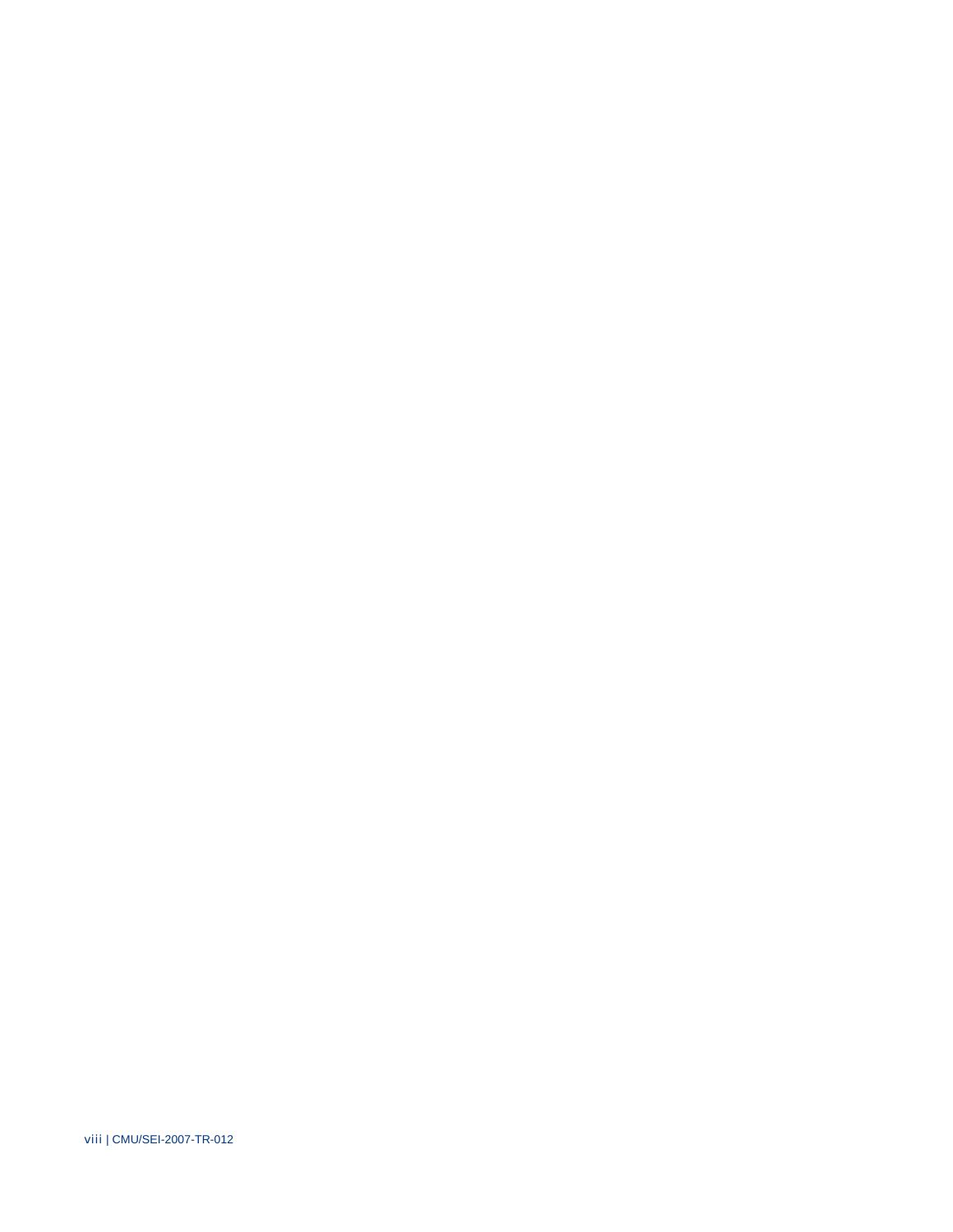viii | CMU/SEI-2007-TR-012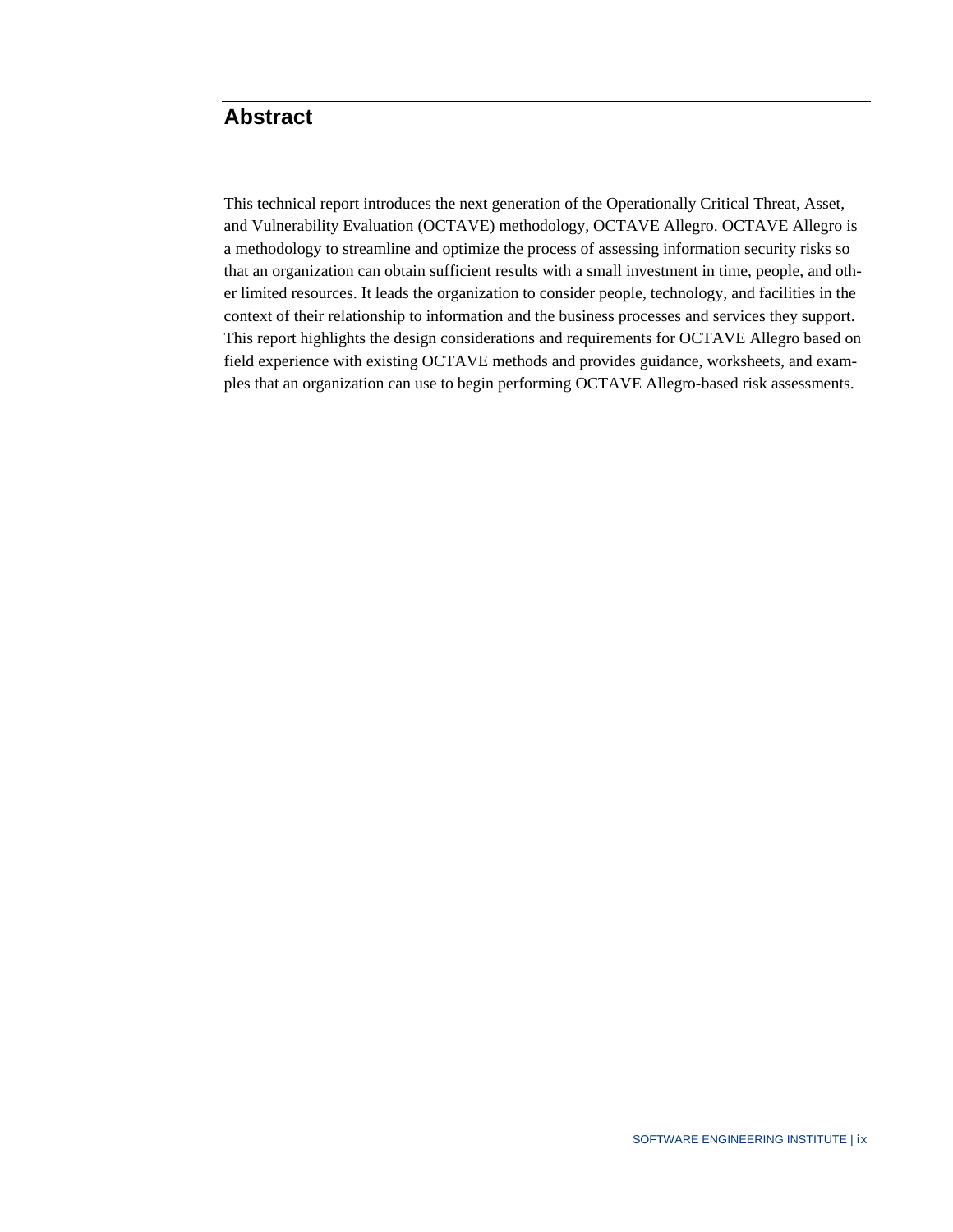### <span id="page-10-1"></span><span id="page-10-0"></span>**Abstract**

This technical report introduces the next generation of the Operationally Critical Threat, Asset, and Vulnerability Evaluation (OCTAVE) methodology, OCTAVE Allegro. OCTAVE Allegro is a methodology to streamline and optimize the process of assessing information security risks so that an organization can obtain sufficient results with a small investment in time, people, and other limited resources. It leads the organization to consider people, technology, and facilities in the context of their relationship to information and the business processes and services they support. This report highlights the design considerations and requirements for OCTAVE Allegro based on field experience with existing OCTAVE methods and provides guidance, worksheets, and examples that an organization can use to begin performing OCTAVE Allegro-based risk assessments.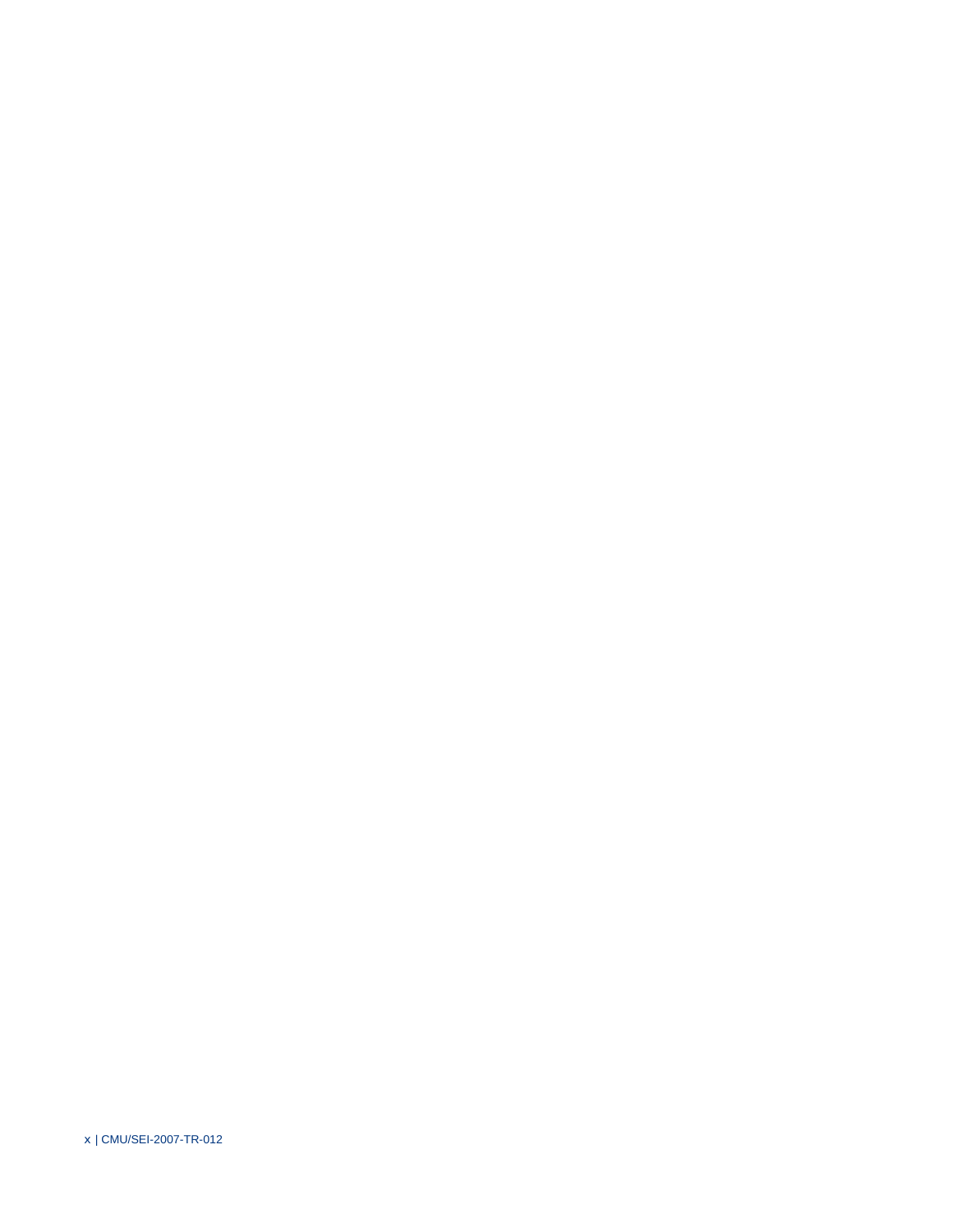x | CMU/SEI-2007-TR-012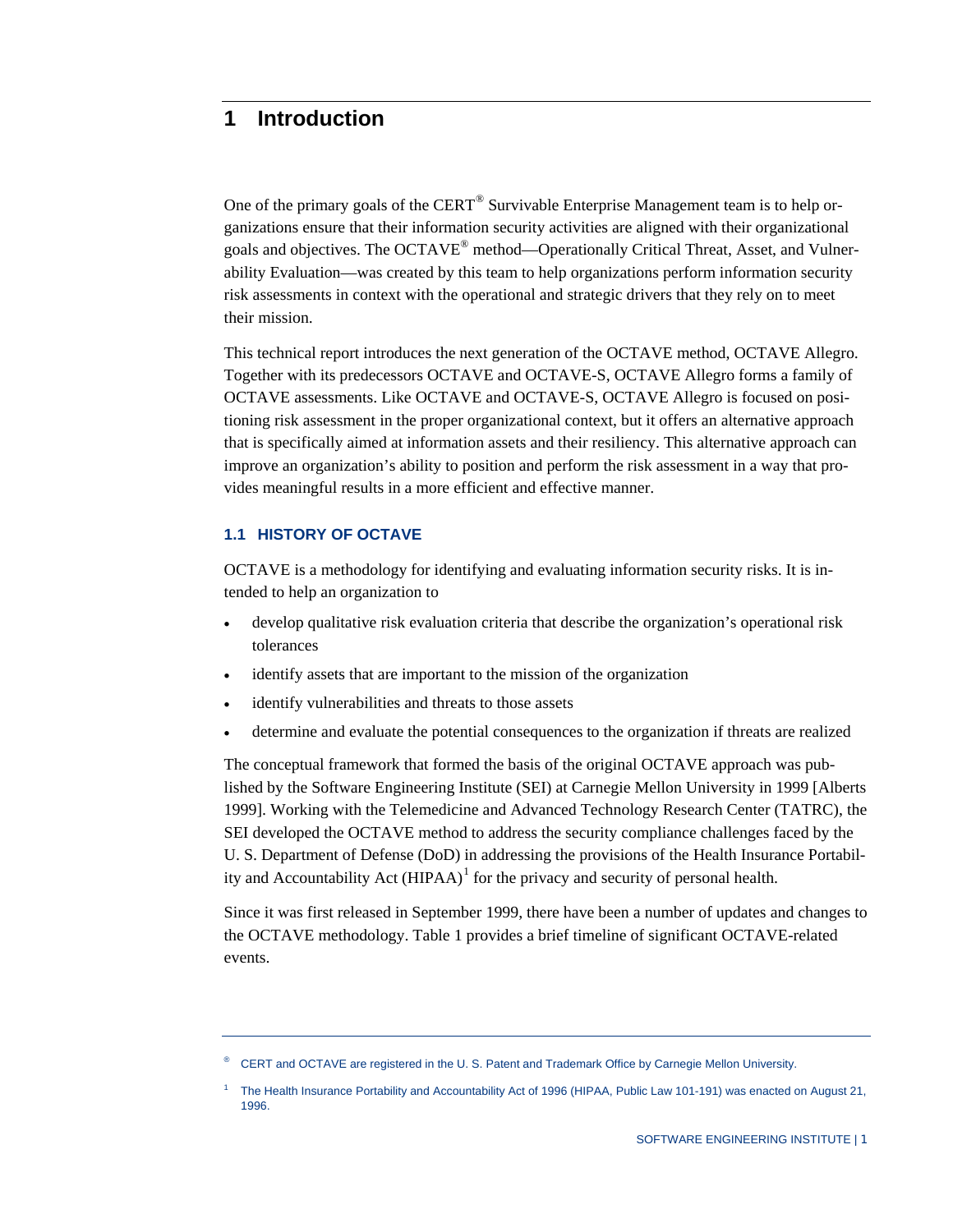### <span id="page-12-1"></span><span id="page-12-0"></span>**1 Introduction**

One of the primary goals of the  $CERT^{\circledR}$  Survivable Enterprise Management team is to help organizations ensure that their information security activities are aligned with their organizational goals and objectives. The OCTAVE<sup>®</sup> method—Operationally Critical Threat, Asset, and Vulnerability Evaluation—was created by this team to help organizations perform information security risk assessments in context with the operational and strategic drivers that they rely on to meet their mission.

This technical report introduces the next generation of the OCTAVE method, OCTAVE Allegro. Together with its predecessors OCTAVE and OCTAVE-S, OCTAVE Allegro forms a family of OCTAVE assessments. Like OCTAVE and OCTAVE-S, OCTAVE Allegro is focused on positioning risk assessment in the proper organizational context, but it offers an alternative approach that is specifically aimed at information assets and their resiliency. This alternative approach can improve an organization's ability to position and perform the risk assessment in a way that provides meaningful results in a more efficient and effective manner.

#### <span id="page-12-2"></span>**1.1 HISTORY OF OCTAVE**

OCTAVE is a methodology for identifying and evaluating information security risks. It is intended to help an organization to

- develop qualitative risk evaluation criteria that describe the organization's operational risk tolerances
- identify assets that are important to the mission of the organization
- identify vulnerabilities and threats to those assets
- determine and evaluate the potential consequences to the organization if threats are realized

The conceptual framework that formed the basis of the original OCTAVE approach was published by the Software Engineering Institute (SEI) at Carnegie Mellon University in 1999 [Alberts 1999]. Working with the Telemedicine and Advanced Technology Research Center (TATRC), the SEI developed the OCTAVE method to address the security compliance challenges faced by the U. S. Department of Defense (DoD) in addressing the provisions of the Health Insurance Portability and Accountability Act  $(HIPAA)^1$  $(HIPAA)^1$  for the privacy and security of personal health.

Since it was first released in September 1999, there have been a number of updates and changes to the OCTAVE methodology. [Table 1](#page-13-3) provides a brief timeline of significant OCTAVE-related events.

<span id="page-12-4"></span><span id="page-12-3"></span><sup>®</sup> CERT and OCTAVE are registered in the U. S. Patent and Trademark Office by Carnegie Mellon University.

<sup>1</sup> The Health Insurance Portability and Accountability Act of 1996 (HIPAA, Public Law 101-191) was enacted on August 21, 1996.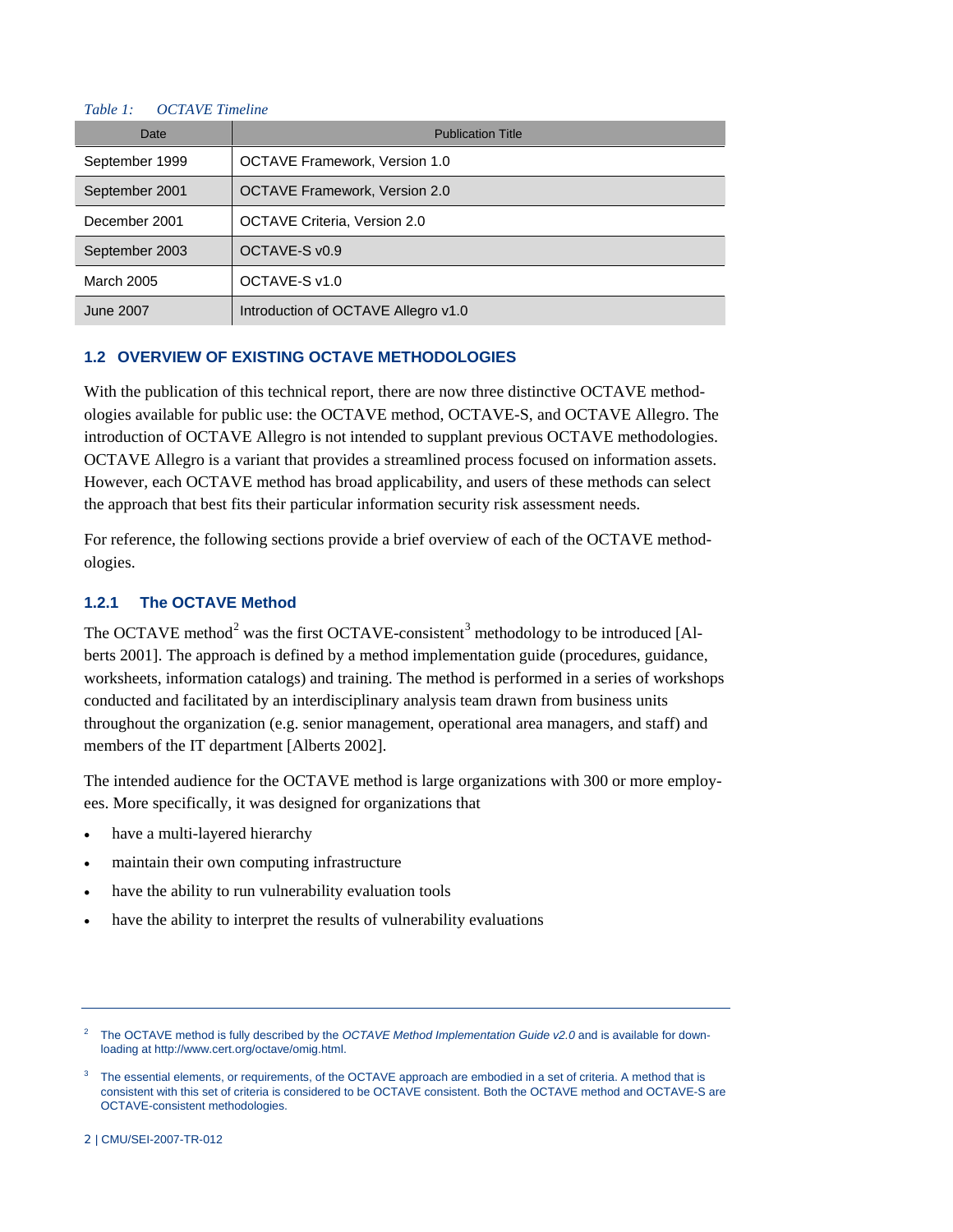#### <span id="page-13-0"></span>*Table 1: OCTAVE Timeline*

<span id="page-13-3"></span>

| Date             | <b>Publication Title</b>             |
|------------------|--------------------------------------|
| September 1999   | <b>OCTAVE Framework, Version 1.0</b> |
| September 2001   | <b>OCTAVE Framework, Version 2.0</b> |
| December 2001    | <b>OCTAVE Criteria, Version 2.0</b>  |
| September 2003   | OCTAVE-S v0.9                        |
| March 2005       | OCTAVE-S v1.0                        |
| <b>June 2007</b> | Introduction of OCTAVE Allegro v1.0  |

#### <span id="page-13-1"></span>**1.2 OVERVIEW OF EXISTING OCTAVE METHODOLOGIES**

With the publication of this technical report, there are now three distinctive OCTAVE methodologies available for public use: the OCTAVE method, OCTAVE-S, and OCTAVE Allegro. The introduction of OCTAVE Allegro is not intended to supplant previous OCTAVE methodologies. OCTAVE Allegro is a variant that provides a streamlined process focused on information assets. However, each OCTAVE method has broad applicability, and users of these methods can select the approach that best fits their particular information security risk assessment needs.

For reference, the following sections provide a brief overview of each of the OCTAVE methodologies.

#### <span id="page-13-2"></span>**1.2.1 The OCTAVE Method**

The OCTAVE method<sup>[2](#page-13-4)</sup> was the first OCTAVE-consistent<sup>[3](#page-13-5)</sup> methodology to be introduced [Alberts 2001]. The approach is defined by a method implementation guide (procedures, guidance, worksheets, information catalogs) and training. The method is performed in a series of workshops conducted and facilitated by an interdisciplinary analysis team drawn from business units throughout the organization (e.g. senior management, operational area managers, and staff) and members of the IT department [Alberts 2002].

The intended audience for the OCTAVE method is large organizations with 300 or more employees. More specifically, it was designed for organizations that

- have a multi-layered hierarchy
- maintain their own computing infrastructure
- have the ability to run vulnerability evaluation tools
- have the ability to interpret the results of vulnerability evaluations

<span id="page-13-4"></span><sup>2</sup> The OCTAVE method is fully described by the *OCTAVE Method Implementation Guide v2.0* and is available for downloading at [http://www.cert.org/octave/omig.html.](http://www.cert.org/octave/omig.html) 

<span id="page-13-5"></span><sup>3</sup> The essential elements, or requirements, of the OCTAVE approach are embodied in a set of criteria. A method that is consistent with this set of criteria is considered to be OCTAVE consistent. Both the OCTAVE method and OCTAVE-S are OCTAVE-consistent methodologies.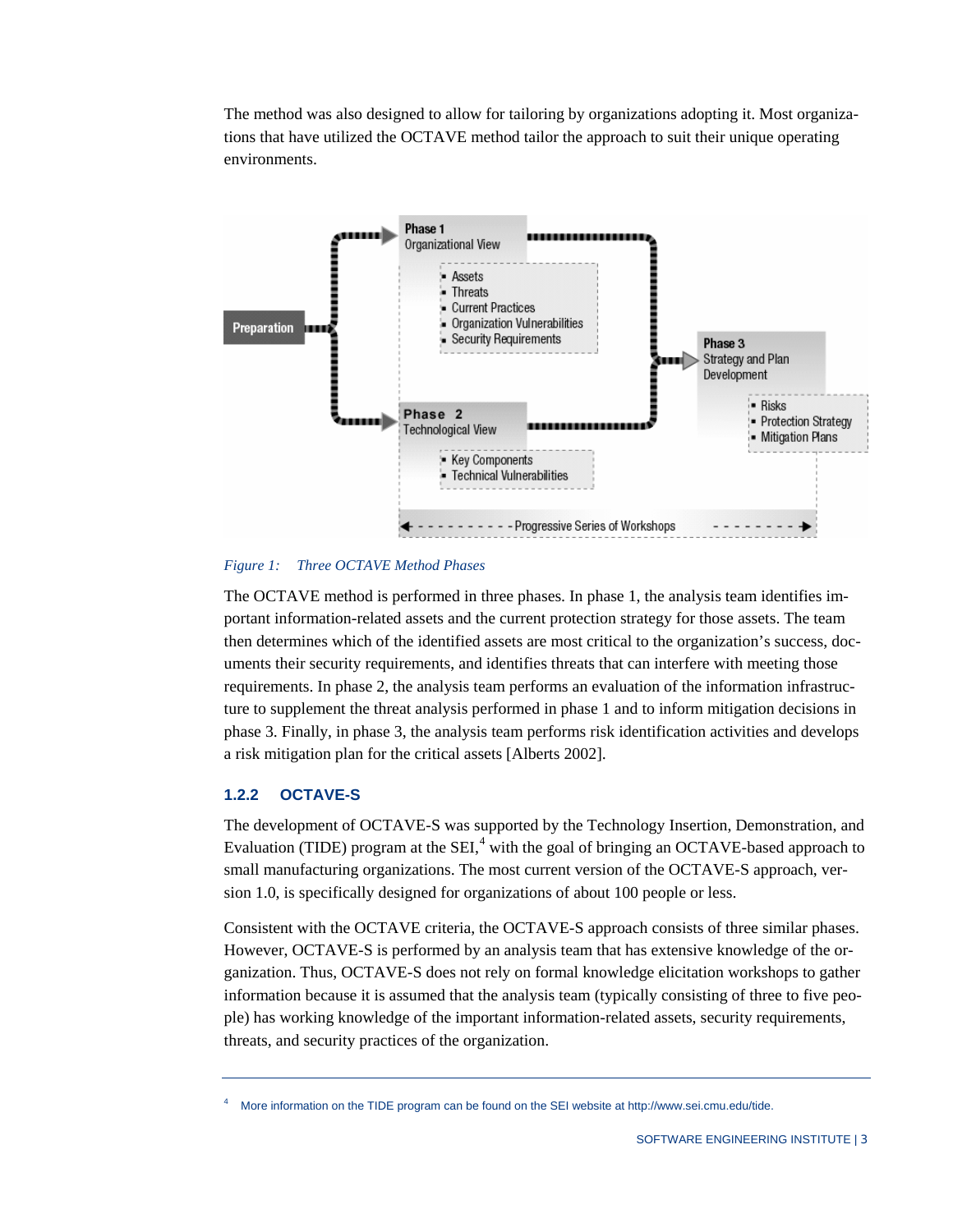<span id="page-14-0"></span>The method was also designed to allow for tailoring by organizations adopting it. Most organizations that have utilized the OCTAVE method tailor the approach to suit their unique operating environments.



#### <span id="page-14-2"></span>*Figure 1: Three OCTAVE Method Phases*

The OCTAVE method is performed in three phases. In phase 1, the analysis team identifies important information-related assets and the current protection strategy for those assets. The team then determines which of the identified assets are most critical to the organization's success, documents their security requirements, and identifies threats that can interfere with meeting those requirements. In phase 2, the analysis team performs an evaluation of the information infrastructure to supplement the threat analysis performed in phase 1 and to inform mitigation decisions in phase 3. Finally, in phase 3, the analysis team performs risk identification activities and develops a risk mitigation plan for the critical assets [Alberts 2002].

#### <span id="page-14-1"></span>**1.2.2 OCTAVE-S**

The development of OCTAVE-S was supported by the Technology Insertion, Demonstration, and Evaluation (TIDE) program at the SEI, $<sup>4</sup>$  $<sup>4</sup>$  $<sup>4</sup>$  with the goal of bringing an OCTAVE-based approach to</sup> small manufacturing organizations. The most current version of the OCTAVE-S approach, version 1.0, is specifically designed for organizations of about 100 people or less.

Consistent with the OCTAVE criteria, the OCTAVE-S approach consists of three similar phases. However, OCTAVE-S is performed by an analysis team that has extensive knowledge of the organization. Thus, OCTAVE-S does not rely on formal knowledge elicitation workshops to gather information because it is assumed that the analysis team (typically consisting of three to five people) has working knowledge of the important information-related assets, security requirements, threats, and security practices of the organization.

<span id="page-14-3"></span><sup>4</sup> More information on the TIDE program can be found on the SEI website at [http://www.sei.cmu.edu/tide.](http://www.sei.cmu.edu/tide)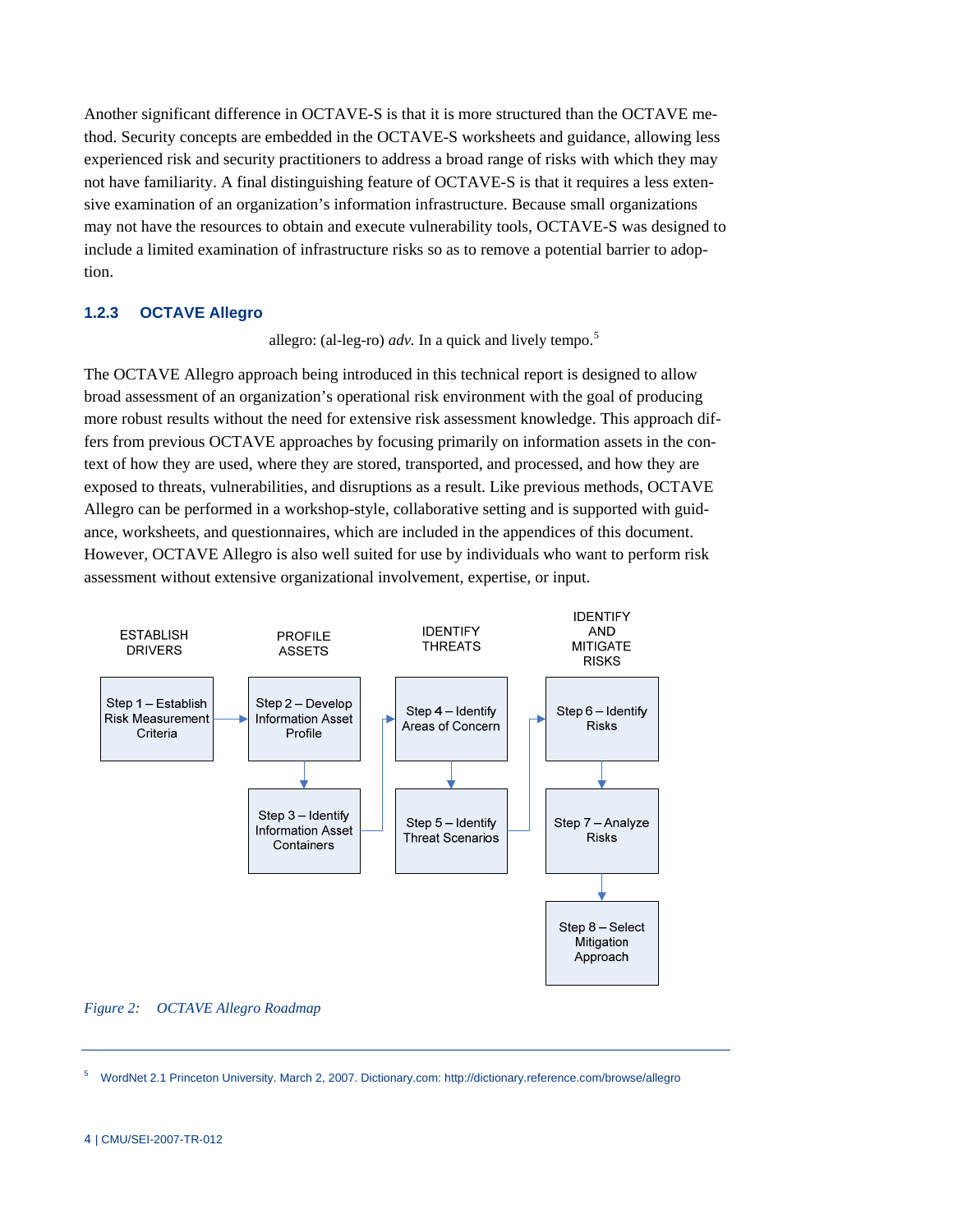<span id="page-15-0"></span>Another significant difference in OCTAVE-S is that it is more structured than the OCTAVE method. Security concepts are embedded in the OCTAVE-S worksheets and guidance, allowing less experienced risk and security practitioners to address a broad range of risks with which they may not have familiarity. A final distinguishing feature of OCTAVE-S is that it requires a less extensive examination of an organization's information infrastructure. Because small organizations may not have the resources to obtain and execute vulnerability tools, OCTAVE-S was designed to include a limited examination of infrastructure risks so as to remove a potential barrier to adoption.

#### <span id="page-15-1"></span>**1.2.3 OCTAVE Allegro**

allegro: (al-leg-ro) *adv*. In a quick and lively tempo.<sup>[5](#page-15-3)</sup>

The OCTAVE Allegro approach being introduced in this technical report is designed to allow broad assessment of an organization's operational risk environment with the goal of producing more robust results without the need for extensive risk assessment knowledge. This approach differs from previous OCTAVE approaches by focusing primarily on information assets in the context of how they are used, where they are stored, transported, and processed, and how they are exposed to threats, vulnerabilities, and disruptions as a result. Like previous methods, OCTAVE Allegro can be performed in a workshop-style, collaborative setting and is supported with guidance, worksheets, and questionnaires, which are included in the appendices of this document. However, OCTAVE Allegro is also well suited for use by individuals who want to perform risk assessment without extensive organizational involvement, expertise, or input.



<span id="page-15-2"></span>

<span id="page-15-3"></span>5 WordNet 2.1 Princeton University. March 2, 2007. Dictionary.com: <http://dictionary.reference.com/browse/allegro>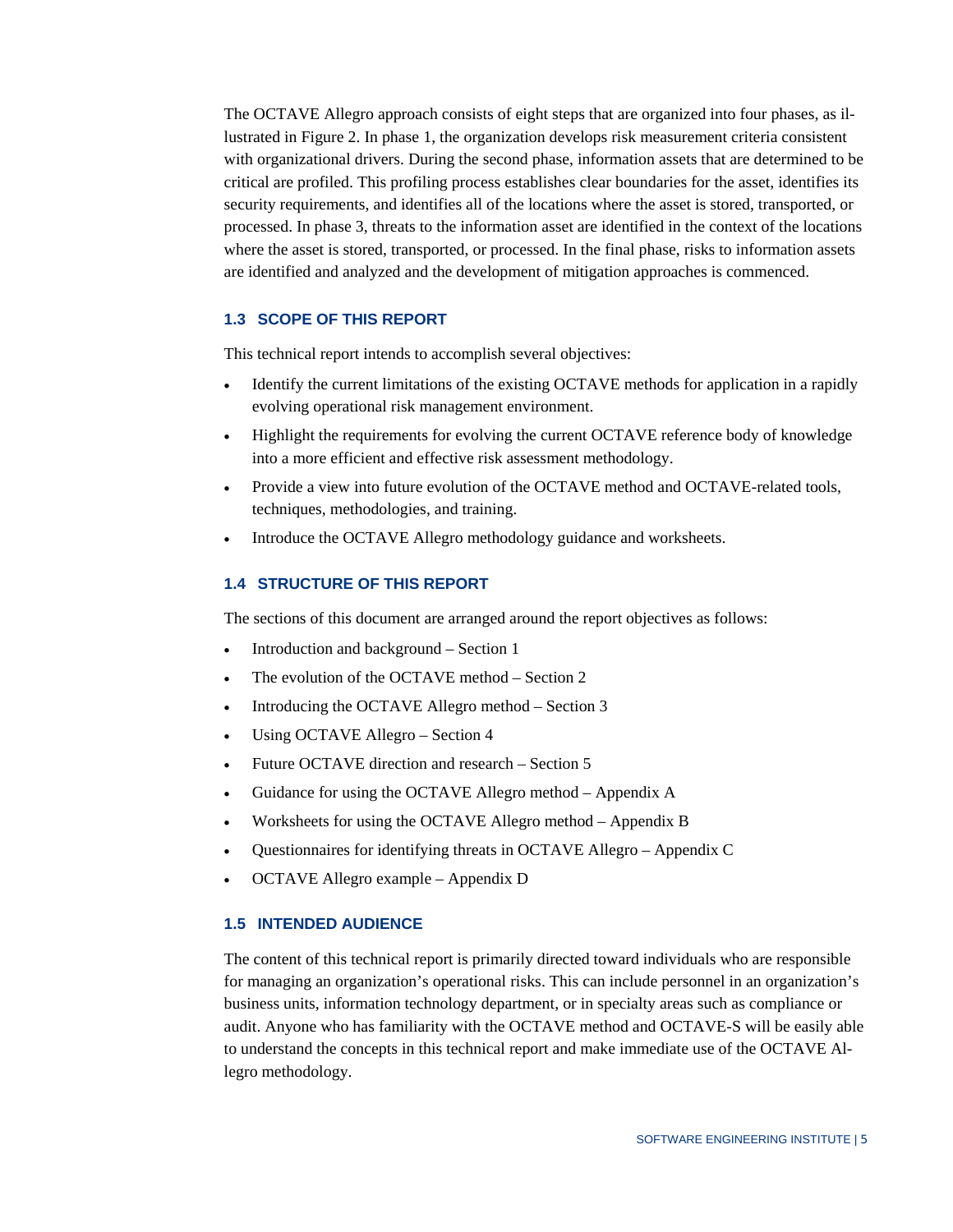<span id="page-16-0"></span>The OCTAVE Allegro approach consists of eight steps that are organized into four phases, as illustrated in [Figure 2.](#page-15-2) In phase 1, the organization develops risk measurement criteria consistent with organizational drivers. During the second phase, information assets that are determined to be critical are profiled. This profiling process establishes clear boundaries for the asset, identifies its security requirements, and identifies all of the locations where the asset is stored, transported, or processed. In phase 3, threats to the information asset are identified in the context of the locations where the asset is stored, transported, or processed. In the final phase, risks to information assets are identified and analyzed and the development of mitigation approaches is commenced.

#### <span id="page-16-1"></span>**1.3 SCOPE OF THIS REPORT**

This technical report intends to accomplish several objectives:

- Identify the current limitations of the existing OCTAVE methods for application in a rapidly evolving operational risk management environment.
- Highlight the requirements for evolving the current OCTAVE reference body of knowledge into a more efficient and effective risk assessment methodology.
- Provide a view into future evolution of the OCTAVE method and OCTAVE-related tools, techniques, methodologies, and training.
- Introduce the OCTAVE Allegro methodology guidance and worksheets.

#### <span id="page-16-2"></span>**1.4 STRUCTURE OF THIS REPORT**

The sections of this document are arranged around the report objectives as follows:

- Introduction and background Section 1
- The evolution of the OCTAVE method Section 2
- Introducing the OCTAVE Allegro method Section 3
- Using OCTAVE Allegro Section 4
- Future OCTAVE direction and research Section 5
- Guidance for using the OCTAVE Allegro method Appendix A
- Worksheets for using the OCTAVE Allegro method Appendix B
- Questionnaires for identifying threats in OCTAVE Allegro Appendix C
- OCTAVE Allegro example Appendix D

#### <span id="page-16-3"></span>**1.5 INTENDED AUDIENCE**

The content of this technical report is primarily directed toward individuals who are responsible for managing an organization's operational risks. This can include personnel in an organization's business units, information technology department, or in specialty areas such as compliance or audit. Anyone who has familiarity with the OCTAVE method and OCTAVE-S will be easily able to understand the concepts in this technical report and make immediate use of the OCTAVE Allegro methodology.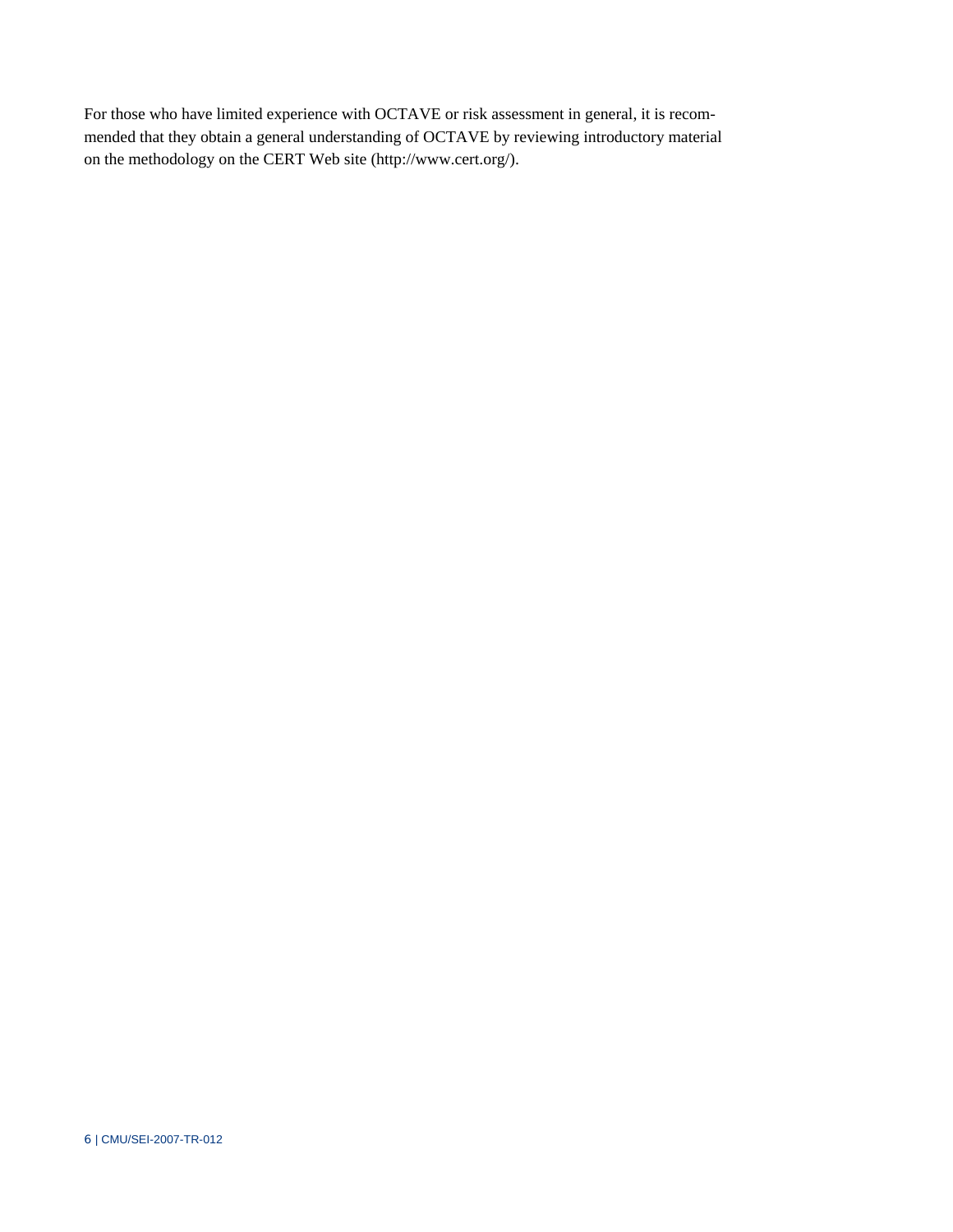For those who have limited experience with OCTAVE or risk assessment in general, it is recommended that they obtain a general understanding of OCTAVE by reviewing introductory material on the methodology on the CERT Web site ([http://www.cert.org](http://www.cert.org/)/).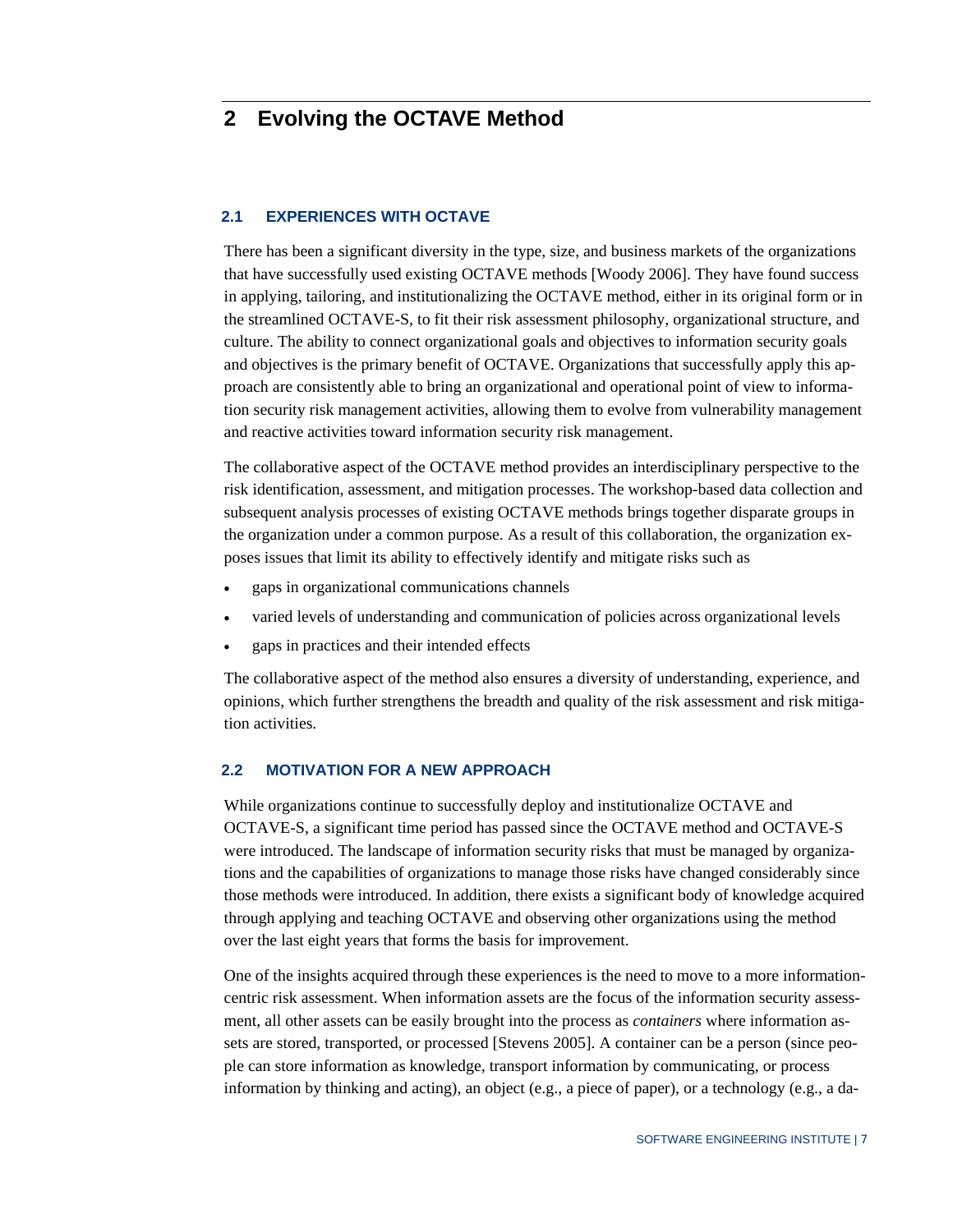## <span id="page-18-1"></span><span id="page-18-0"></span>**2 Evolving the OCTAVE Method**

#### <span id="page-18-2"></span>**2.1 EXPERIENCES WITH OCTAVE**

There has been a significant diversity in the type, size, and business markets of the organizations that have successfully used existing OCTAVE methods [Woody 2006]. They have found success in applying, tailoring, and institutionalizing the OCTAVE method, either in its original form or in the streamlined OCTAVE-S, to fit their risk assessment philosophy, organizational structure, and culture. The ability to connect organizational goals and objectives to information security goals and objectives is the primary benefit of OCTAVE. Organizations that successfully apply this approach are consistently able to bring an organizational and operational point of view to information security risk management activities, allowing them to evolve from vulnerability management and reactive activities toward information security risk management.

The collaborative aspect of the OCTAVE method provides an interdisciplinary perspective to the risk identification, assessment, and mitigation processes. The workshop-based data collection and subsequent analysis processes of existing OCTAVE methods brings together disparate groups in the organization under a common purpose. As a result of this collaboration, the organization exposes issues that limit its ability to effectively identify and mitigate risks such as

- gaps in organizational communications channels
- varied levels of understanding and communication of policies across organizational levels
- gaps in practices and their intended effects

The collaborative aspect of the method also ensures a diversity of understanding, experience, and opinions, which further strengthens the breadth and quality of the risk assessment and risk mitigation activities.

#### <span id="page-18-3"></span>**2.2 MOTIVATION FOR A NEW APPROACH**

While organizations continue to successfully deploy and institutionalize OCTAVE and OCTAVE-S, a significant time period has passed since the OCTAVE method and OCTAVE-S were introduced. The landscape of information security risks that must be managed by organizations and the capabilities of organizations to manage those risks have changed considerably since those methods were introduced. In addition, there exists a significant body of knowledge acquired through applying and teaching OCTAVE and observing other organizations using the method over the last eight years that forms the basis for improvement.

One of the insights acquired through these experiences is the need to move to a more informationcentric risk assessment. When information assets are the focus of the information security assessment, all other assets can be easily brought into the process as *containers* where information assets are stored, transported, or processed [Stevens 2005]. A container can be a person (since people can store information as knowledge, transport information by communicating, or process information by thinking and acting), an object (e.g., a piece of paper), or a technology (e.g., a da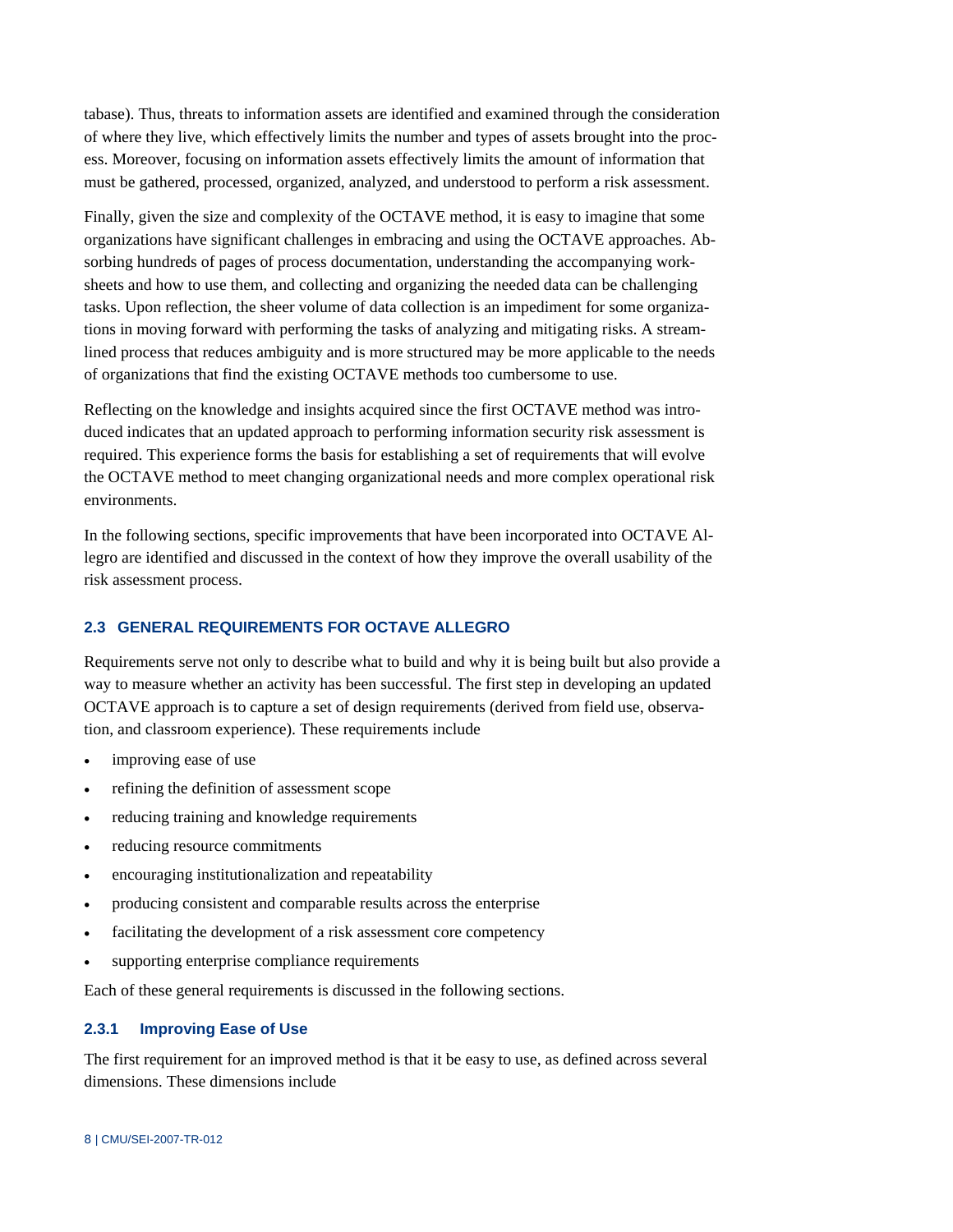<span id="page-19-0"></span>tabase). Thus, threats to information assets are identified and examined through the consideration of where they live, which effectively limits the number and types of assets brought into the process. Moreover, focusing on information assets effectively limits the amount of information that must be gathered, processed, organized, analyzed, and understood to perform a risk assessment.

Finally, given the size and complexity of the OCTAVE method, it is easy to imagine that some organizations have significant challenges in embracing and using the OCTAVE approaches. Absorbing hundreds of pages of process documentation, understanding the accompanying worksheets and how to use them, and collecting and organizing the needed data can be challenging tasks. Upon reflection, the sheer volume of data collection is an impediment for some organizations in moving forward with performing the tasks of analyzing and mitigating risks. A streamlined process that reduces ambiguity and is more structured may be more applicable to the needs of organizations that find the existing OCTAVE methods too cumbersome to use.

Reflecting on the knowledge and insights acquired since the first OCTAVE method was introduced indicates that an updated approach to performing information security risk assessment is required. This experience forms the basis for establishing a set of requirements that will evolve the OCTAVE method to meet changing organizational needs and more complex operational risk environments.

In the following sections, specific improvements that have been incorporated into OCTAVE Allegro are identified and discussed in the context of how they improve the overall usability of the risk assessment process.

#### <span id="page-19-1"></span>**2.3 GENERAL REQUIREMENTS FOR OCTAVE ALLEGRO**

Requirements serve not only to describe what to build and why it is being built but also provide a way to measure whether an activity has been successful. The first step in developing an updated OCTAVE approach is to capture a set of design requirements (derived from field use, observation, and classroom experience). These requirements include

- improving ease of use
- refining the definition of assessment scope
- reducing training and knowledge requirements
- reducing resource commitments
- encouraging institutionalization and repeatability
- producing consistent and comparable results across the enterprise
- facilitating the development of a risk assessment core competency
- supporting enterprise compliance requirements

Each of these general requirements is discussed in the following sections.

#### <span id="page-19-2"></span>**2.3.1 Improving Ease of Use**

The first requirement for an improved method is that it be easy to use, as defined across several dimensions. These dimensions include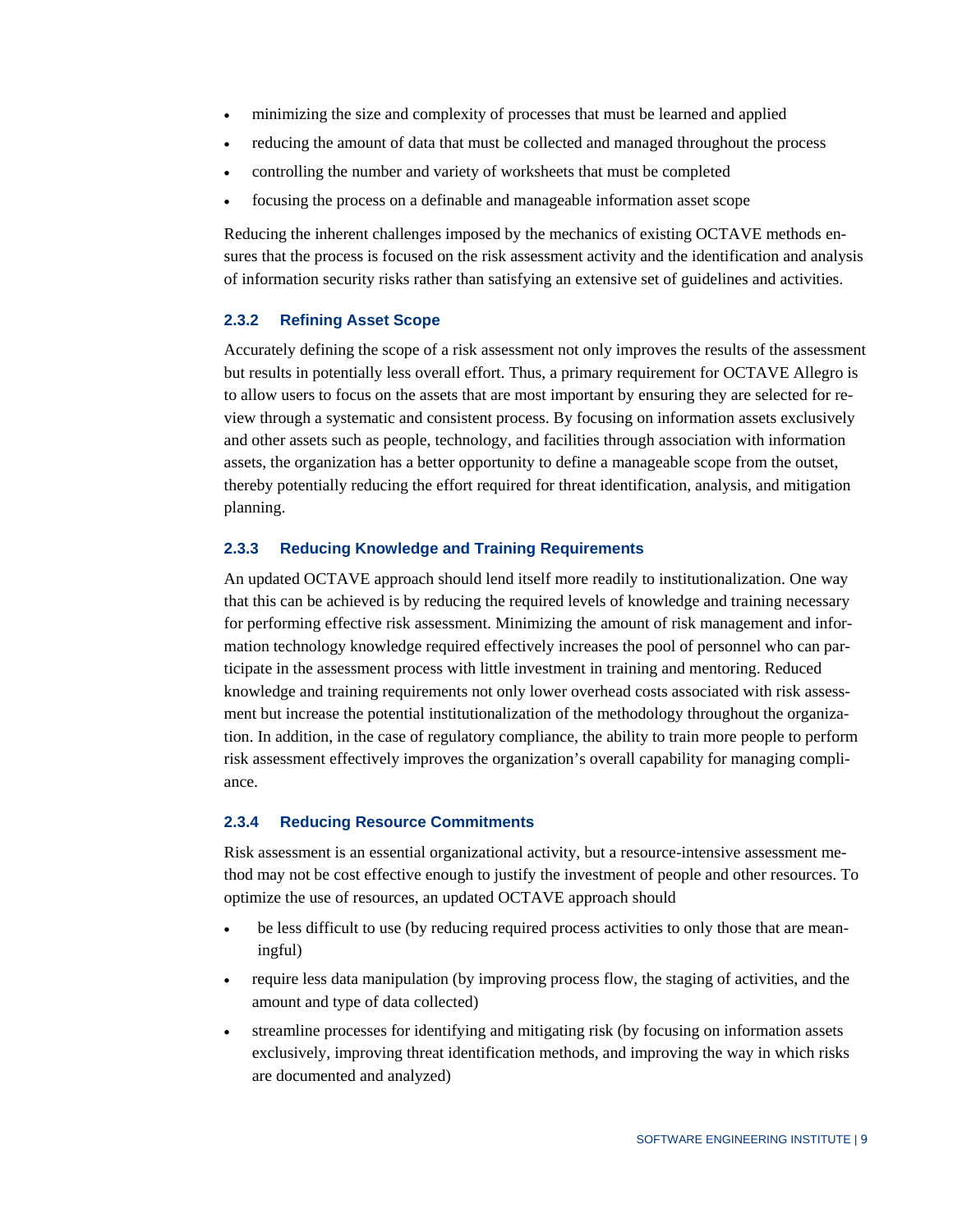- <span id="page-20-0"></span>• minimizing the size and complexity of processes that must be learned and applied
- reducing the amount of data that must be collected and managed throughout the process
- controlling the number and variety of worksheets that must be completed
- focusing the process on a definable and manageable information asset scope

Reducing the inherent challenges imposed by the mechanics of existing OCTAVE methods ensures that the process is focused on the risk assessment activity and the identification and analysis of information security risks rather than satisfying an extensive set of guidelines and activities.

#### <span id="page-20-1"></span>**2.3.2 Refining Asset Scope**

Accurately defining the scope of a risk assessment not only improves the results of the assessment but results in potentially less overall effort. Thus, a primary requirement for OCTAVE Allegro is to allow users to focus on the assets that are most important by ensuring they are selected for review through a systematic and consistent process. By focusing on information assets exclusively and other assets such as people, technology, and facilities through association with information assets, the organization has a better opportunity to define a manageable scope from the outset, thereby potentially reducing the effort required for threat identification, analysis, and mitigation planning.

#### <span id="page-20-2"></span>**2.3.3 Reducing Knowledge and Training Requirements**

An updated OCTAVE approach should lend itself more readily to institutionalization. One way that this can be achieved is by reducing the required levels of knowledge and training necessary for performing effective risk assessment. Minimizing the amount of risk management and information technology knowledge required effectively increases the pool of personnel who can participate in the assessment process with little investment in training and mentoring. Reduced knowledge and training requirements not only lower overhead costs associated with risk assessment but increase the potential institutionalization of the methodology throughout the organization. In addition, in the case of regulatory compliance, the ability to train more people to perform risk assessment effectively improves the organization's overall capability for managing compliance.

#### <span id="page-20-3"></span>**2.3.4 Reducing Resource Commitments**

Risk assessment is an essential organizational activity, but a resource-intensive assessment method may not be cost effective enough to justify the investment of people and other resources. To optimize the use of resources, an updated OCTAVE approach should

- be less difficult to use (by reducing required process activities to only those that are meaningful)
- require less data manipulation (by improving process flow, the staging of activities, and the amount and type of data collected)
- streamline processes for identifying and mitigating risk (by focusing on information assets exclusively, improving threat identification methods, and improving the way in which risks are documented and analyzed)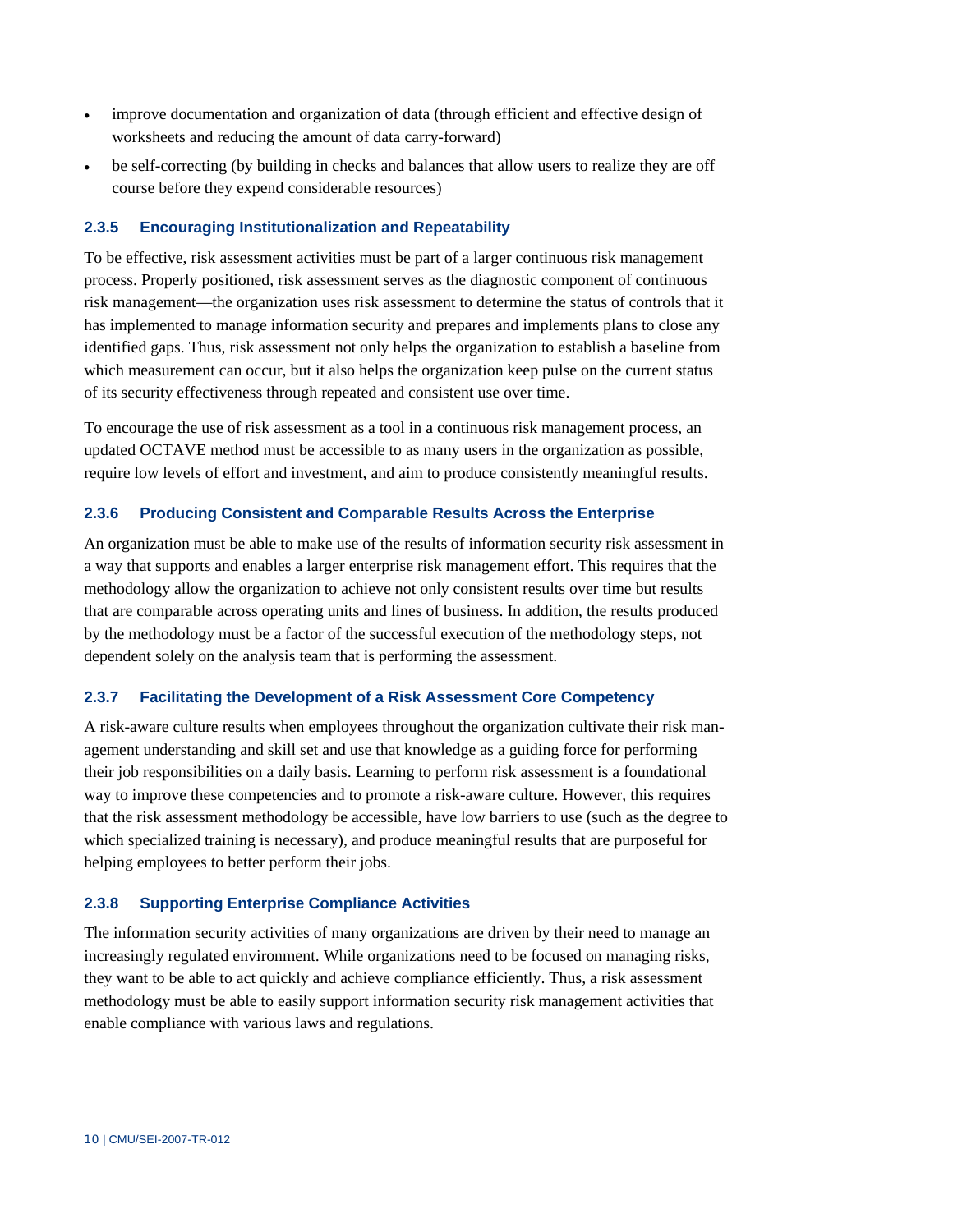- <span id="page-21-0"></span>• improve documentation and organization of data (through efficient and effective design of worksheets and reducing the amount of data carry-forward)
- be self-correcting (by building in checks and balances that allow users to realize they are off course before they expend considerable resources)

#### <span id="page-21-1"></span>**2.3.5 Encouraging Institutionalization and Repeatability**

To be effective, risk assessment activities must be part of a larger continuous risk management process. Properly positioned, risk assessment serves as the diagnostic component of continuous risk management—the organization uses risk assessment to determine the status of controls that it has implemented to manage information security and prepares and implements plans to close any identified gaps. Thus, risk assessment not only helps the organization to establish a baseline from which measurement can occur, but it also helps the organization keep pulse on the current status of its security effectiveness through repeated and consistent use over time.

To encourage the use of risk assessment as a tool in a continuous risk management process, an updated OCTAVE method must be accessible to as many users in the organization as possible, require low levels of effort and investment, and aim to produce consistently meaningful results.

#### <span id="page-21-2"></span>**2.3.6 Producing Consistent and Comparable Results Across the Enterprise**

An organization must be able to make use of the results of information security risk assessment in a way that supports and enables a larger enterprise risk management effort. This requires that the methodology allow the organization to achieve not only consistent results over time but results that are comparable across operating units and lines of business. In addition, the results produced by the methodology must be a factor of the successful execution of the methodology steps, not dependent solely on the analysis team that is performing the assessment.

#### <span id="page-21-3"></span>**2.3.7 Facilitating the Development of a Risk Assessment Core Competency**

A risk-aware culture results when employees throughout the organization cultivate their risk management understanding and skill set and use that knowledge as a guiding force for performing their job responsibilities on a daily basis. Learning to perform risk assessment is a foundational way to improve these competencies and to promote a risk-aware culture. However, this requires that the risk assessment methodology be accessible, have low barriers to use (such as the degree to which specialized training is necessary), and produce meaningful results that are purposeful for helping employees to better perform their jobs.

#### <span id="page-21-4"></span>**2.3.8 Supporting Enterprise Compliance Activities**

The information security activities of many organizations are driven by their need to manage an increasingly regulated environment. While organizations need to be focused on managing risks, they want to be able to act quickly and achieve compliance efficiently. Thus, a risk assessment methodology must be able to easily support information security risk management activities that enable compliance with various laws and regulations.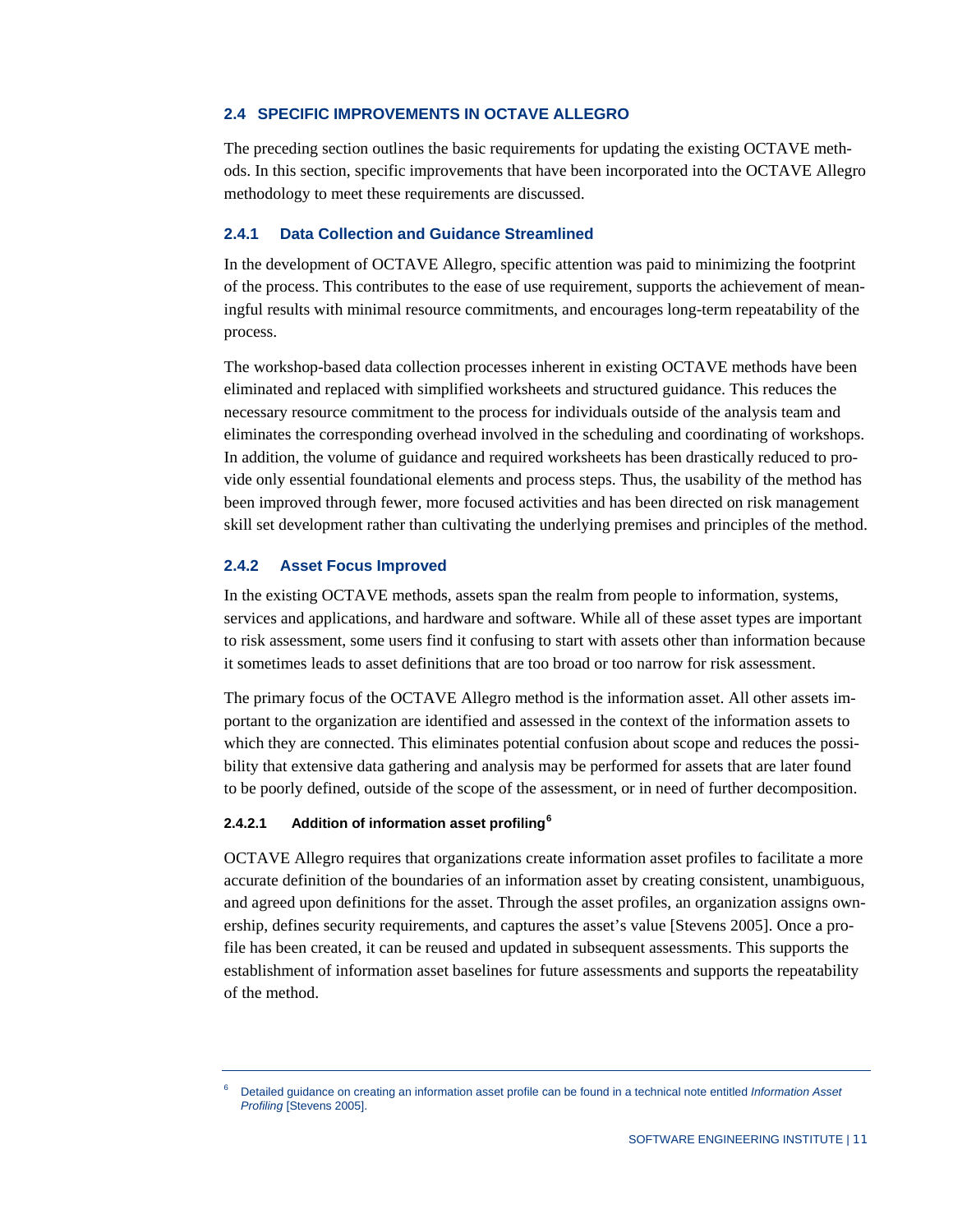#### <span id="page-22-1"></span><span id="page-22-0"></span>**2.4 SPECIFIC IMPROVEMENTS IN OCTAVE ALLEGRO**

The preceding section outlines the basic requirements for updating the existing OCTAVE methods. In this section, specific improvements that have been incorporated into the OCTAVE Allegro methodology to meet these requirements are discussed.

#### <span id="page-22-2"></span>**2.4.1 Data Collection and Guidance Streamlined**

In the development of OCTAVE Allegro, specific attention was paid to minimizing the footprint of the process. This contributes to the ease of use requirement, supports the achievement of meaningful results with minimal resource commitments, and encourages long-term repeatability of the process.

The workshop-based data collection processes inherent in existing OCTAVE methods have been eliminated and replaced with simplified worksheets and structured guidance. This reduces the necessary resource commitment to the process for individuals outside of the analysis team and eliminates the corresponding overhead involved in the scheduling and coordinating of workshops. In addition, the volume of guidance and required worksheets has been drastically reduced to provide only essential foundational elements and process steps. Thus, the usability of the method has been improved through fewer, more focused activities and has been directed on risk management skill set development rather than cultivating the underlying premises and principles of the method.

#### <span id="page-22-3"></span>**2.4.2 Asset Focus Improved**

In the existing OCTAVE methods, assets span the realm from people to information, systems, services and applications, and hardware and software. While all of these asset types are important to risk assessment, some users find it confusing to start with assets other than information because it sometimes leads to asset definitions that are too broad or too narrow for risk assessment.

The primary focus of the OCTAVE Allegro method is the information asset. All other assets important to the organization are identified and assessed in the context of the information assets to which they are connected. This eliminates potential confusion about scope and reduces the possibility that extensive data gathering and analysis may be performed for assets that are later found to be poorly defined, outside of the scope of the assessment, or in need of further decomposition.

#### **2.4.2.1 Addition of information asset profiling[6](#page-22-4)**

OCTAVE Allegro requires that organizations create information asset profiles to facilitate a more accurate definition of the boundaries of an information asset by creating consistent, unambiguous, and agreed upon definitions for the asset. Through the asset profiles, an organization assigns ownership, defines security requirements, and captures the asset's value [Stevens 2005]. Once a profile has been created, it can be reused and updated in subsequent assessments. This supports the establishment of information asset baselines for future assessments and supports the repeatability of the method.

<span id="page-22-4"></span><sup>6</sup> Detailed guidance on creating an information asset profile can be found in a technical note entitled *Information Asset Profiling* [Stevens 2005].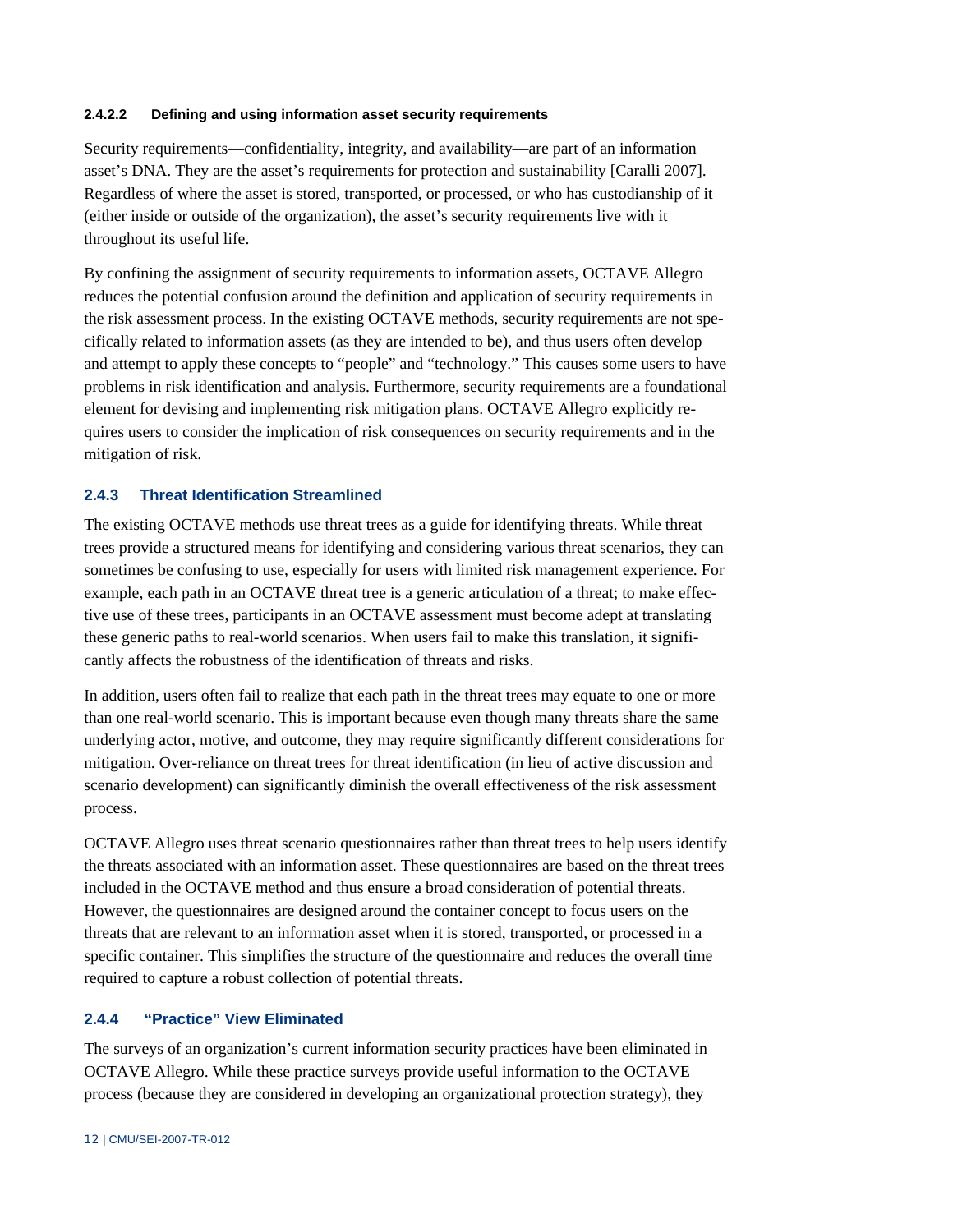#### <span id="page-23-0"></span>**2.4.2.2 Defining and using information asset security requirements**

Security requirements—confidentiality, integrity, and availability—are part of an information asset's DNA. They are the asset's requirements for protection and sustainability [Caralli 2007]. Regardless of where the asset is stored, transported, or processed, or who has custodianship of it (either inside or outside of the organization), the asset's security requirements live with it throughout its useful life.

By confining the assignment of security requirements to information assets, OCTAVE Allegro reduces the potential confusion around the definition and application of security requirements in the risk assessment process. In the existing OCTAVE methods, security requirements are not specifically related to information assets (as they are intended to be), and thus users often develop and attempt to apply these concepts to "people" and "technology." This causes some users to have problems in risk identification and analysis. Furthermore, security requirements are a foundational element for devising and implementing risk mitigation plans. OCTAVE Allegro explicitly requires users to consider the implication of risk consequences on security requirements and in the mitigation of risk.

#### <span id="page-23-1"></span>**2.4.3 Threat Identification Streamlined**

The existing OCTAVE methods use threat trees as a guide for identifying threats. While threat trees provide a structured means for identifying and considering various threat scenarios, they can sometimes be confusing to use, especially for users with limited risk management experience. For example, each path in an OCTAVE threat tree is a generic articulation of a threat; to make effective use of these trees, participants in an OCTAVE assessment must become adept at translating these generic paths to real-world scenarios. When users fail to make this translation, it significantly affects the robustness of the identification of threats and risks.

In addition, users often fail to realize that each path in the threat trees may equate to one or more than one real-world scenario. This is important because even though many threats share the same underlying actor, motive, and outcome, they may require significantly different considerations for mitigation. Over-reliance on threat trees for threat identification (in lieu of active discussion and scenario development) can significantly diminish the overall effectiveness of the risk assessment process.

OCTAVE Allegro uses threat scenario questionnaires rather than threat trees to help users identify the threats associated with an information asset. These questionnaires are based on the threat trees included in the OCTAVE method and thus ensure a broad consideration of potential threats. However, the questionnaires are designed around the container concept to focus users on the threats that are relevant to an information asset when it is stored, transported, or processed in a specific container. This simplifies the structure of the questionnaire and reduces the overall time required to capture a robust collection of potential threats.

#### <span id="page-23-2"></span>**2.4.4 "Practice" View Eliminated**

The surveys of an organization's current information security practices have been eliminated in OCTAVE Allegro. While these practice surveys provide useful information to the OCTAVE process (because they are considered in developing an organizational protection strategy), they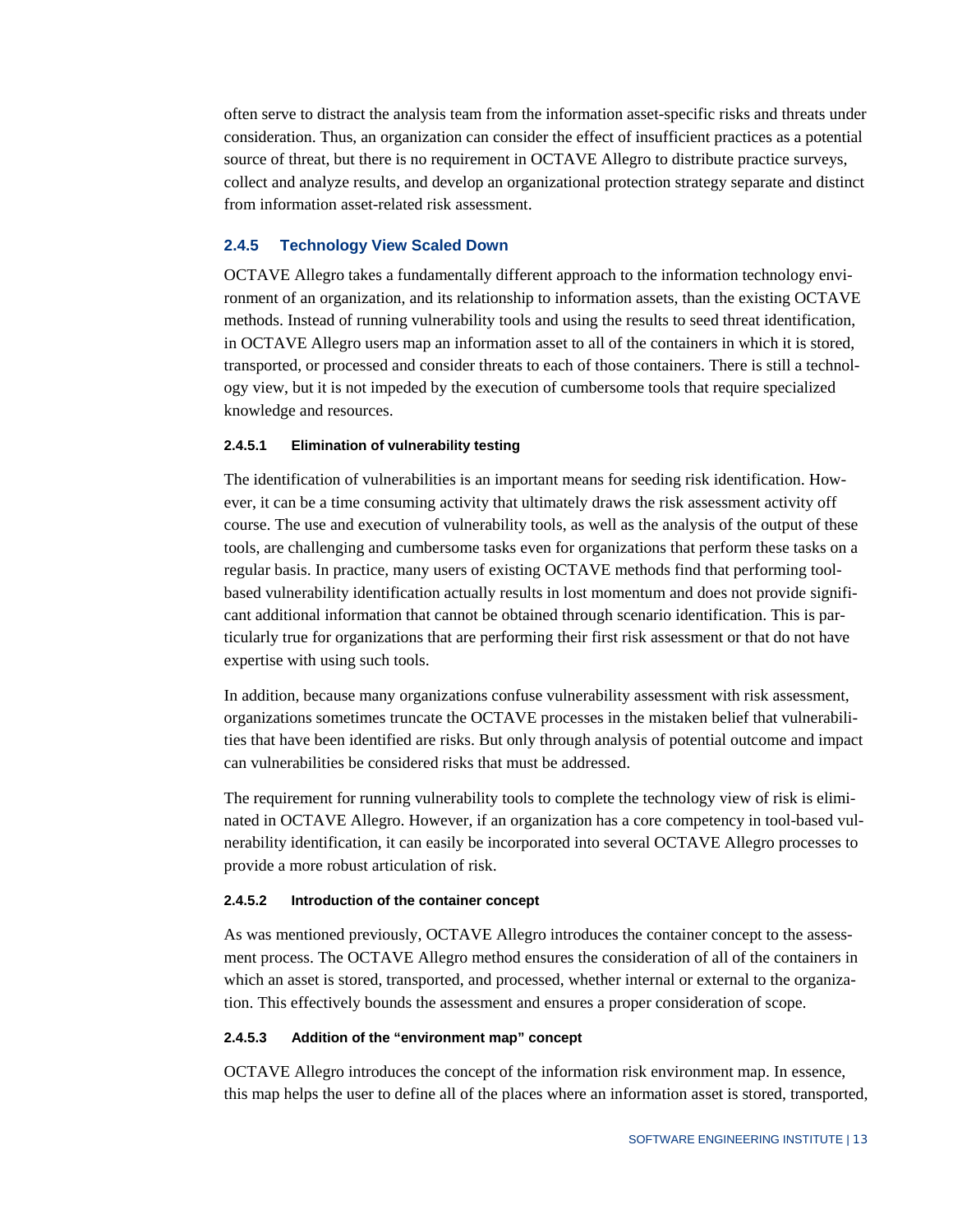<span id="page-24-0"></span>often serve to distract the analysis team from the information asset-specific risks and threats under consideration. Thus, an organization can consider the effect of insufficient practices as a potential source of threat, but there is no requirement in OCTAVE Allegro to distribute practice surveys, collect and analyze results, and develop an organizational protection strategy separate and distinct from information asset-related risk assessment.

#### <span id="page-24-1"></span>**2.4.5 Technology View Scaled Down**

OCTAVE Allegro takes a fundamentally different approach to the information technology environment of an organization, and its relationship to information assets, than the existing OCTAVE methods. Instead of running vulnerability tools and using the results to seed threat identification, in OCTAVE Allegro users map an information asset to all of the containers in which it is stored, transported, or processed and consider threats to each of those containers. There is still a technology view, but it is not impeded by the execution of cumbersome tools that require specialized knowledge and resources.

#### **2.4.5.1 Elimination of vulnerability testing**

The identification of vulnerabilities is an important means for seeding risk identification. However, it can be a time consuming activity that ultimately draws the risk assessment activity off course. The use and execution of vulnerability tools, as well as the analysis of the output of these tools, are challenging and cumbersome tasks even for organizations that perform these tasks on a regular basis. In practice, many users of existing OCTAVE methods find that performing toolbased vulnerability identification actually results in lost momentum and does not provide significant additional information that cannot be obtained through scenario identification. This is particularly true for organizations that are performing their first risk assessment or that do not have expertise with using such tools.

In addition, because many organizations confuse vulnerability assessment with risk assessment, organizations sometimes truncate the OCTAVE processes in the mistaken belief that vulnerabilities that have been identified are risks. But only through analysis of potential outcome and impact can vulnerabilities be considered risks that must be addressed.

The requirement for running vulnerability tools to complete the technology view of risk is eliminated in OCTAVE Allegro. However, if an organization has a core competency in tool-based vulnerability identification, it can easily be incorporated into several OCTAVE Allegro processes to provide a more robust articulation of risk.

#### **2.4.5.2 Introduction of the container concept**

As was mentioned previously, OCTAVE Allegro introduces the container concept to the assessment process. The OCTAVE Allegro method ensures the consideration of all of the containers in which an asset is stored, transported, and processed, whether internal or external to the organization. This effectively bounds the assessment and ensures a proper consideration of scope.

#### **2.4.5.3 Addition of the "environment map" concept**

OCTAVE Allegro introduces the concept of the information risk environment map. In essence, this map helps the user to define all of the places where an information asset is stored, transported,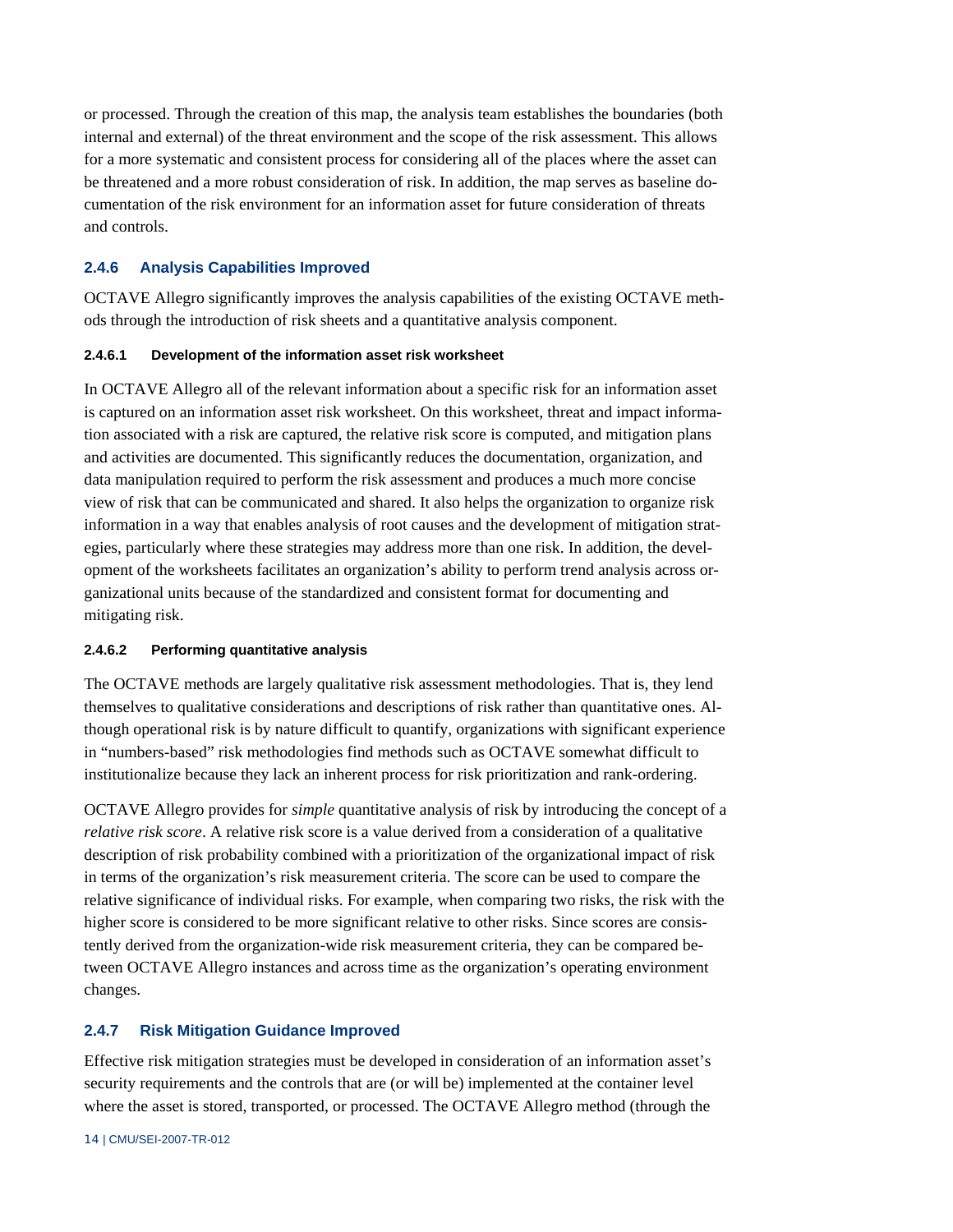<span id="page-25-0"></span>or processed. Through the creation of this map, the analysis team establishes the boundaries (both internal and external) of the threat environment and the scope of the risk assessment. This allows for a more systematic and consistent process for considering all of the places where the asset can be threatened and a more robust consideration of risk. In addition, the map serves as baseline documentation of the risk environment for an information asset for future consideration of threats and controls.

#### <span id="page-25-1"></span>**2.4.6 Analysis Capabilities Improved**

OCTAVE Allegro significantly improves the analysis capabilities of the existing OCTAVE methods through the introduction of risk sheets and a quantitative analysis component.

#### **2.4.6.1 Development of the information asset risk worksheet**

In OCTAVE Allegro all of the relevant information about a specific risk for an information asset is captured on an information asset risk worksheet. On this worksheet, threat and impact information associated with a risk are captured, the relative risk score is computed, and mitigation plans and activities are documented. This significantly reduces the documentation, organization, and data manipulation required to perform the risk assessment and produces a much more concise view of risk that can be communicated and shared. It also helps the organization to organize risk information in a way that enables analysis of root causes and the development of mitigation strategies, particularly where these strategies may address more than one risk. In addition, the development of the worksheets facilitates an organization's ability to perform trend analysis across organizational units because of the standardized and consistent format for documenting and mitigating risk.

#### **2.4.6.2 Performing quantitative analysis**

The OCTAVE methods are largely qualitative risk assessment methodologies. That is, they lend themselves to qualitative considerations and descriptions of risk rather than quantitative ones. Although operational risk is by nature difficult to quantify, organizations with significant experience in "numbers-based" risk methodologies find methods such as OCTAVE somewhat difficult to institutionalize because they lack an inherent process for risk prioritization and rank-ordering.

OCTAVE Allegro provides for *simple* quantitative analysis of risk by introducing the concept of a *relative risk score*. A relative risk score is a value derived from a consideration of a qualitative description of risk probability combined with a prioritization of the organizational impact of risk in terms of the organization's risk measurement criteria. The score can be used to compare the relative significance of individual risks. For example, when comparing two risks, the risk with the higher score is considered to be more significant relative to other risks. Since scores are consistently derived from the organization-wide risk measurement criteria, they can be compared between OCTAVE Allegro instances and across time as the organization's operating environment changes.

#### <span id="page-25-2"></span>**2.4.7 Risk Mitigation Guidance Improved**

Effective risk mitigation strategies must be developed in consideration of an information asset's security requirements and the controls that are (or will be) implemented at the container level where the asset is stored, transported, or processed. The OCTAVE Allegro method (through the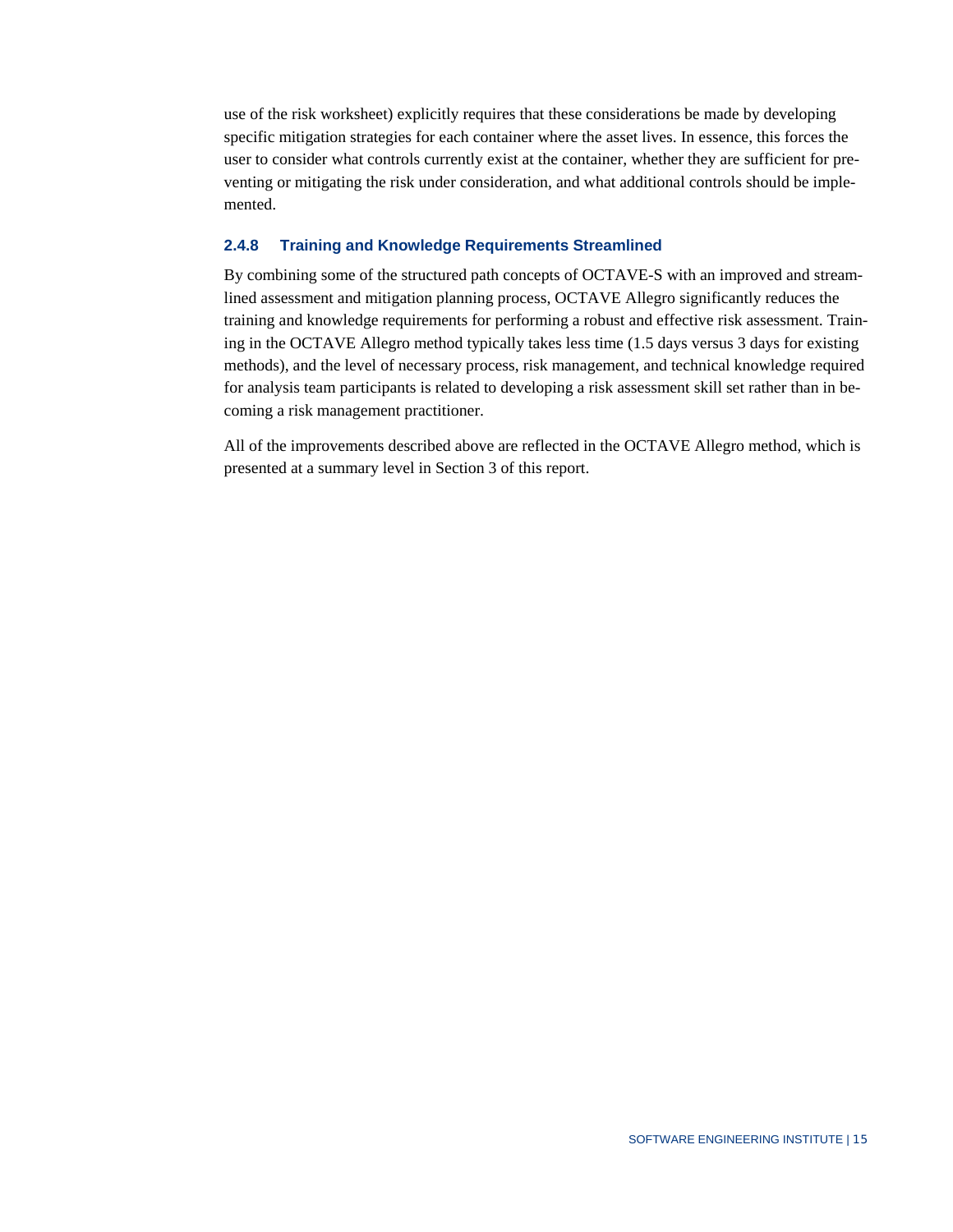<span id="page-26-0"></span>use of the risk worksheet) explicitly requires that these considerations be made by developing specific mitigation strategies for each container where the asset lives. In essence, this forces the user to consider what controls currently exist at the container, whether they are sufficient for preventing or mitigating the risk under consideration, and what additional controls should be implemented.

#### <span id="page-26-1"></span>**2.4.8 Training and Knowledge Requirements Streamlined**

By combining some of the structured path concepts of OCTAVE-S with an improved and streamlined assessment and mitigation planning process, OCTAVE Allegro significantly reduces the training and knowledge requirements for performing a robust and effective risk assessment. Training in the OCTAVE Allegro method typically takes less time (1.5 days versus 3 days for existing methods), and the level of necessary process, risk management, and technical knowledge required for analysis team participants is related to developing a risk assessment skill set rather than in becoming a risk management practitioner.

All of the improvements described above are reflected in the OCTAVE Allegro method, which is presented at a summary level in Section 3 of this report.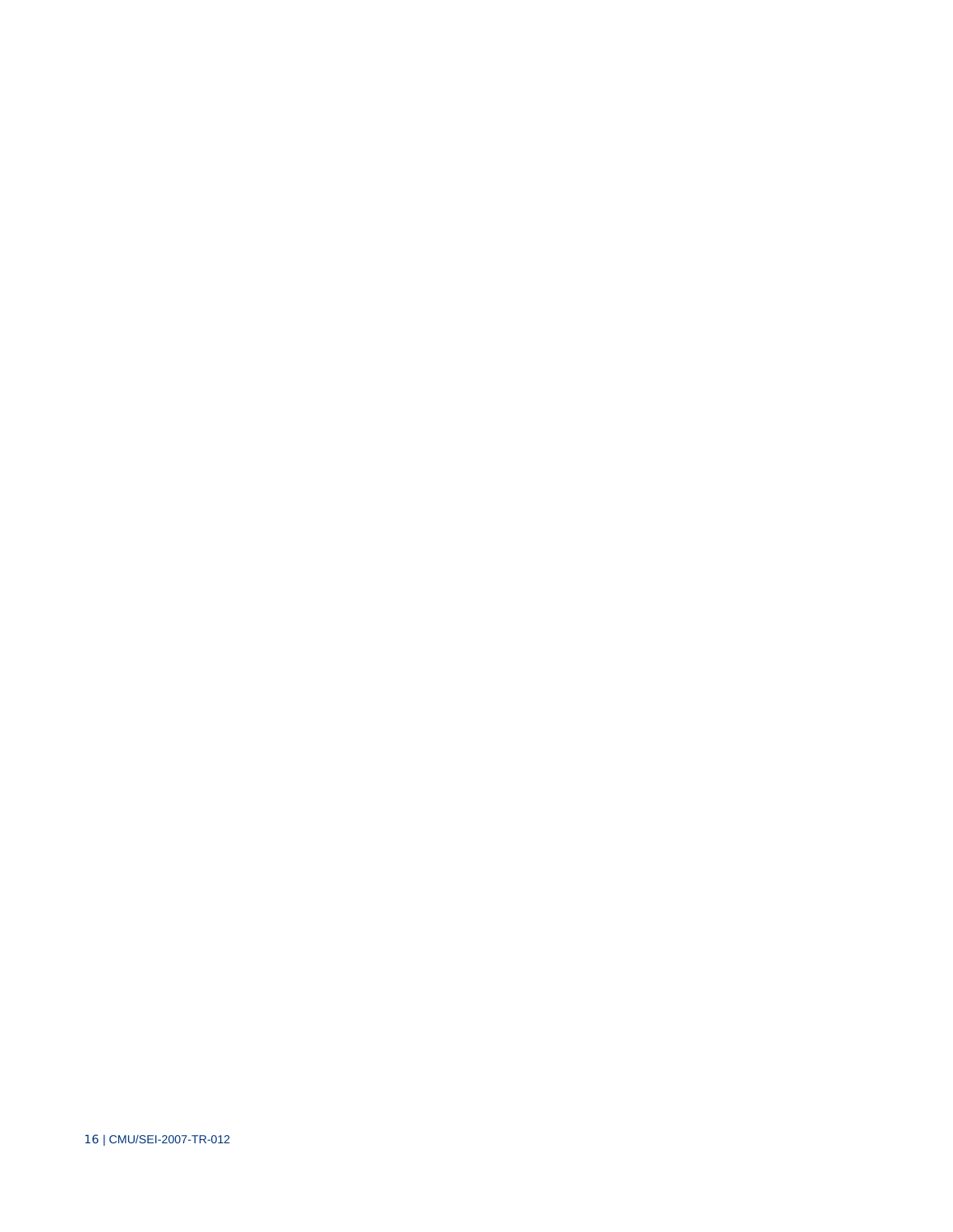| CMU/SEI-2007-TR-012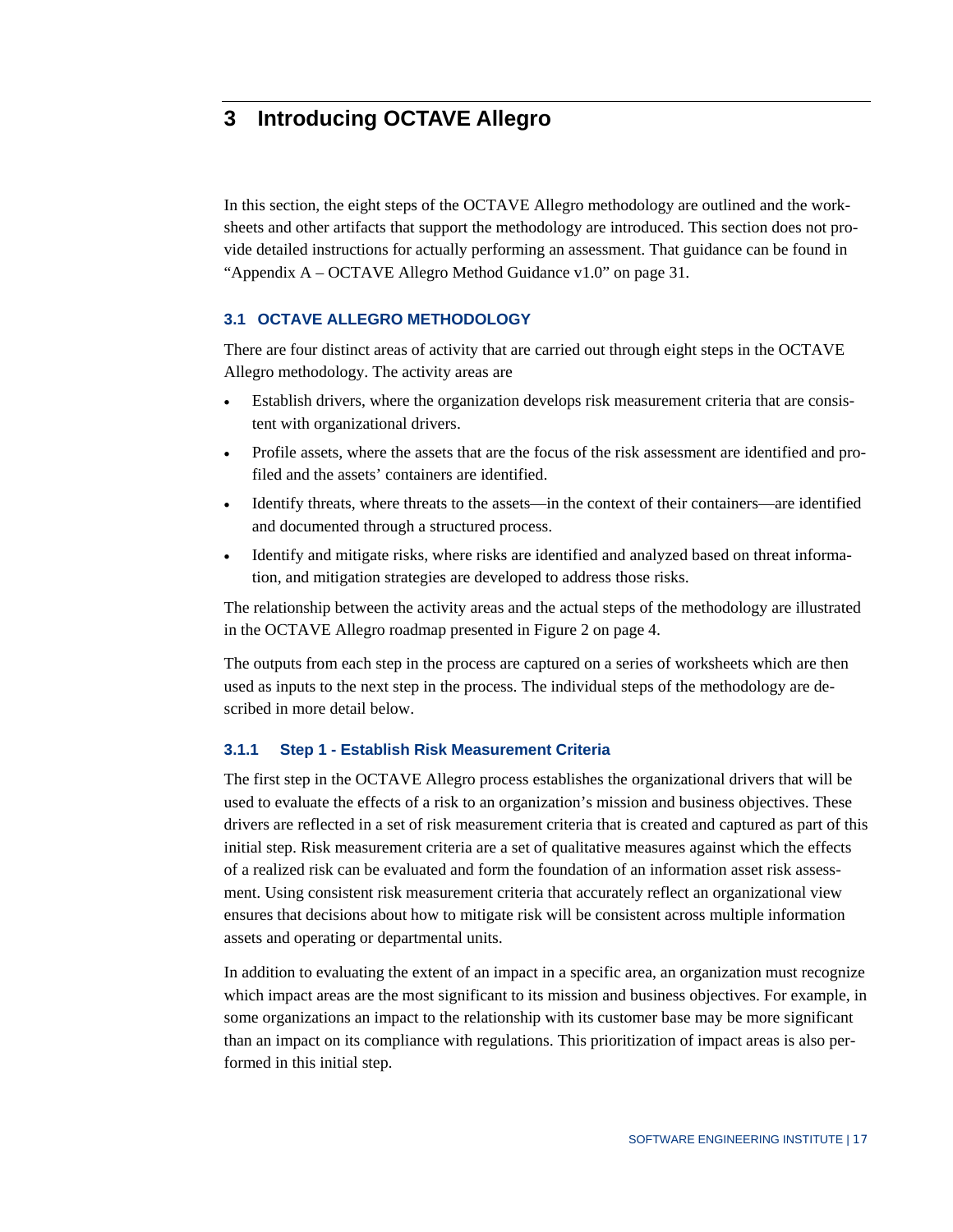## <span id="page-28-1"></span><span id="page-28-0"></span>**3 Introducing OCTAVE Allegro**

In this section, the eight steps of the OCTAVE Allegro methodology are outlined and the worksheets and other artifacts that support the methodology are introduced. This section does not provide detailed instructions for actually performing an assessment. That guidance can be found in "Appendix A – OCTAVE Allegro Method Guidance v1.0" on page [31.](#page-42-1)

#### <span id="page-28-2"></span>**3.1 OCTAVE ALLEGRO METHODOLOGY**

There are four distinct areas of activity that are carried out through eight steps in the OCTAVE Allegro methodology. The activity areas are

- Establish drivers, where the organization develops risk measurement criteria that are consistent with organizational drivers.
- Profile assets, where the assets that are the focus of the risk assessment are identified and profiled and the assets' containers are identified.
- Identify threats, where threats to the assets—in the context of their containers—are identified and documented through a structured process.
- Identify and mitigate risks, where risks are identified and analyzed based on threat information, and mitigation strategies are developed to address those risks.

The relationship between the activity areas and the actual steps of the methodology are illustrated in the OCTAVE Allegro roadmap presented in [Figure 2](#page-15-2) on page [4.](#page-15-2)

The outputs from each step in the process are captured on a series of worksheets which are then used as inputs to the next step in the process. The individual steps of the methodology are described in more detail below.

#### <span id="page-28-3"></span>**3.1.1 Step 1 - Establish Risk Measurement Criteria**

The first step in the OCTAVE Allegro process establishes the organizational drivers that will be used to evaluate the effects of a risk to an organization's mission and business objectives. These drivers are reflected in a set of risk measurement criteria that is created and captured as part of this initial step. Risk measurement criteria are a set of qualitative measures against which the effects of a realized risk can be evaluated and form the foundation of an information asset risk assessment. Using consistent risk measurement criteria that accurately reflect an organizational view ensures that decisions about how to mitigate risk will be consistent across multiple information assets and operating or departmental units.

In addition to evaluating the extent of an impact in a specific area, an organization must recognize which impact areas are the most significant to its mission and business objectives. For example, in some organizations an impact to the relationship with its customer base may be more significant than an impact on its compliance with regulations. This prioritization of impact areas is also performed in this initial step.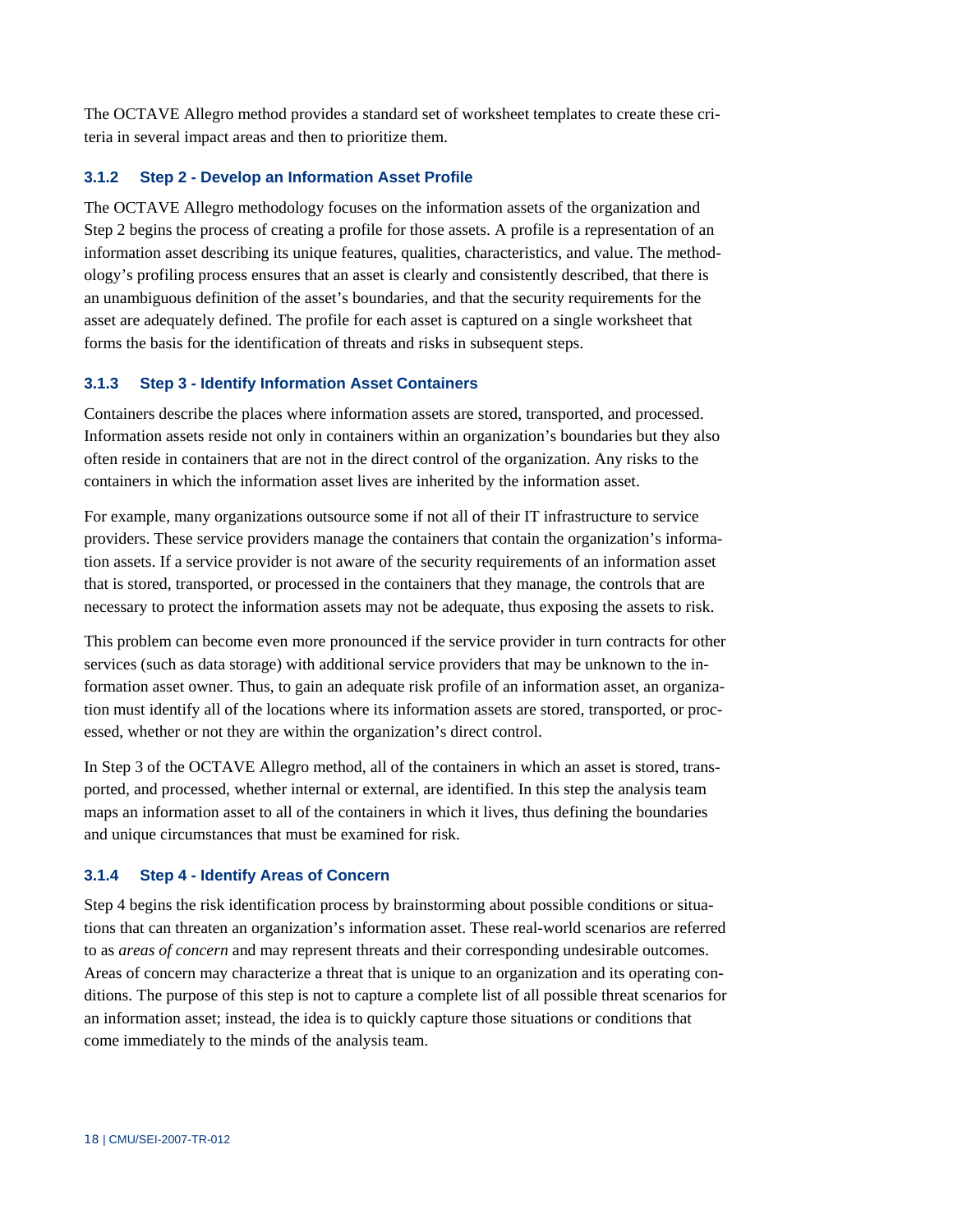<span id="page-29-0"></span>The OCTAVE Allegro method provides a standard set of worksheet templates to create these criteria in several impact areas and then to prioritize them.

#### <span id="page-29-1"></span>**3.1.2 Step 2 - Develop an Information Asset Profile**

The OCTAVE Allegro methodology focuses on the information assets of the organization and Step 2 begins the process of creating a profile for those assets. A profile is a representation of an information asset describing its unique features, qualities, characteristics, and value. The methodology's profiling process ensures that an asset is clearly and consistently described, that there is an unambiguous definition of the asset's boundaries, and that the security requirements for the asset are adequately defined. The profile for each asset is captured on a single worksheet that forms the basis for the identification of threats and risks in subsequent steps.

#### <span id="page-29-2"></span>**3.1.3 Step 3 - Identify Information Asset Containers**

Containers describe the places where information assets are stored, transported, and processed. Information assets reside not only in containers within an organization's boundaries but they also often reside in containers that are not in the direct control of the organization. Any risks to the containers in which the information asset lives are inherited by the information asset.

For example, many organizations outsource some if not all of their IT infrastructure to service providers. These service providers manage the containers that contain the organization's information assets. If a service provider is not aware of the security requirements of an information asset that is stored, transported, or processed in the containers that they manage, the controls that are necessary to protect the information assets may not be adequate, thus exposing the assets to risk.

This problem can become even more pronounced if the service provider in turn contracts for other services (such as data storage) with additional service providers that may be unknown to the information asset owner. Thus, to gain an adequate risk profile of an information asset, an organization must identify all of the locations where its information assets are stored, transported, or processed, whether or not they are within the organization's direct control.

In Step 3 of the OCTAVE Allegro method, all of the containers in which an asset is stored, transported, and processed, whether internal or external, are identified. In this step the analysis team maps an information asset to all of the containers in which it lives, thus defining the boundaries and unique circumstances that must be examined for risk.

#### <span id="page-29-3"></span>**3.1.4 Step 4 - Identify Areas of Concern**

Step 4 begins the risk identification process by brainstorming about possible conditions or situations that can threaten an organization's information asset. These real-world scenarios are referred to as *areas of concern* and may represent threats and their corresponding undesirable outcomes. Areas of concern may characterize a threat that is unique to an organization and its operating conditions. The purpose of this step is not to capture a complete list of all possible threat scenarios for an information asset; instead, the idea is to quickly capture those situations or conditions that come immediately to the minds of the analysis team.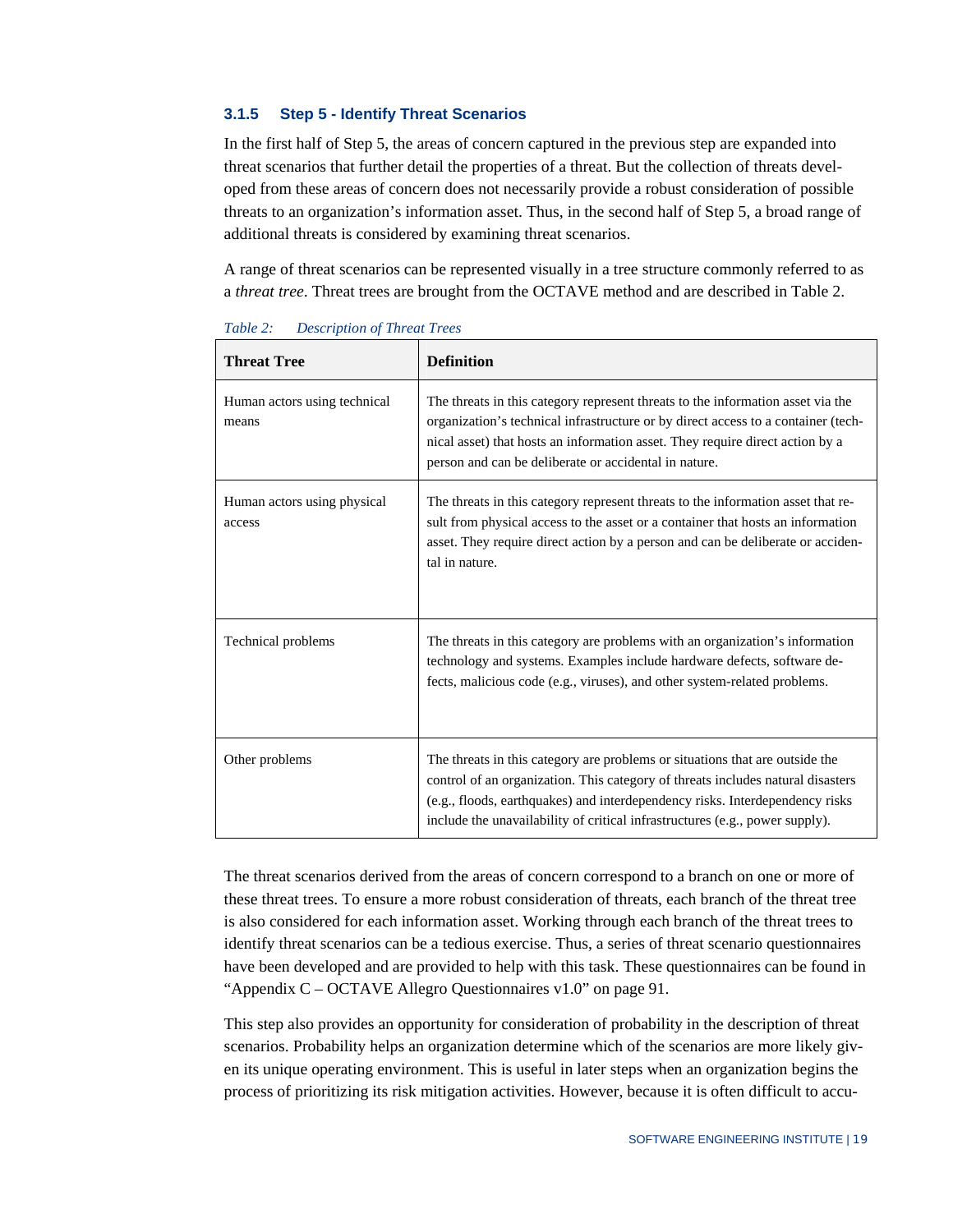#### <span id="page-30-1"></span><span id="page-30-0"></span>**3.1.5 Step 5 - Identify Threat Scenarios**

In the first half of Step 5, the areas of concern captured in the previous step are expanded into threat scenarios that further detail the properties of a threat. But the collection of threats developed from these areas of concern does not necessarily provide a robust consideration of possible threats to an organization's information asset. Thus, in the second half of Step 5, a broad range of additional threats is considered by examining threat scenarios.

A range of threat scenarios can be represented visually in a tree structure commonly referred to as a *threat tree*. Threat trees are brought from the OCTAVE method and are described in [Table 2](#page-30-2).

<span id="page-30-2"></span>

| <b>Threat Tree</b>                    | <b>Definition</b>                                                                                                                                                                                                                                                                                                               |
|---------------------------------------|---------------------------------------------------------------------------------------------------------------------------------------------------------------------------------------------------------------------------------------------------------------------------------------------------------------------------------|
| Human actors using technical<br>means | The threats in this category represent threats to the information asset via the<br>organization's technical infrastructure or by direct access to a container (tech-<br>nical asset) that hosts an information asset. They require direct action by a<br>person and can be deliberate or accidental in nature.                  |
| Human actors using physical<br>access | The threats in this category represent threats to the information asset that re-<br>sult from physical access to the asset or a container that hosts an information<br>asset. They require direct action by a person and can be deliberate or acciden-<br>tal in nature.                                                        |
| Technical problems                    | The threats in this category are problems with an organization's information<br>technology and systems. Examples include hardware defects, software de-<br>fects, malicious code (e.g., viruses), and other system-related problems.                                                                                            |
| Other problems                        | The threats in this category are problems or situations that are outside the<br>control of an organization. This category of threats includes natural disasters<br>(e.g., floods, earthquakes) and interdependency risks. Interdependency risks<br>include the unavailability of critical infrastructures (e.g., power supply). |

*Table 2: Description of Threat Trees* 

The threat scenarios derived from the areas of concern correspond to a branch on one or more of these threat trees. To ensure a more robust consideration of threats, each branch of the threat tree is also considered for each information asset. Working through each branch of the threat trees to identify threat scenarios can be a tedious exercise. Thus, a series of threat scenario questionnaires have been developed and are provided to help with this task. These questionnaires can be found in "Appendix C – OCTAVE Allegro Questionnaires v1.0" on page [91](#page-102-1).

This step also provides an opportunity for consideration of probability in the description of threat scenarios. Probability helps an organization determine which of the scenarios are more likely given its unique operating environment. This is useful in later steps when an organization begins the process of prioritizing its risk mitigation activities. However, because it is often difficult to accu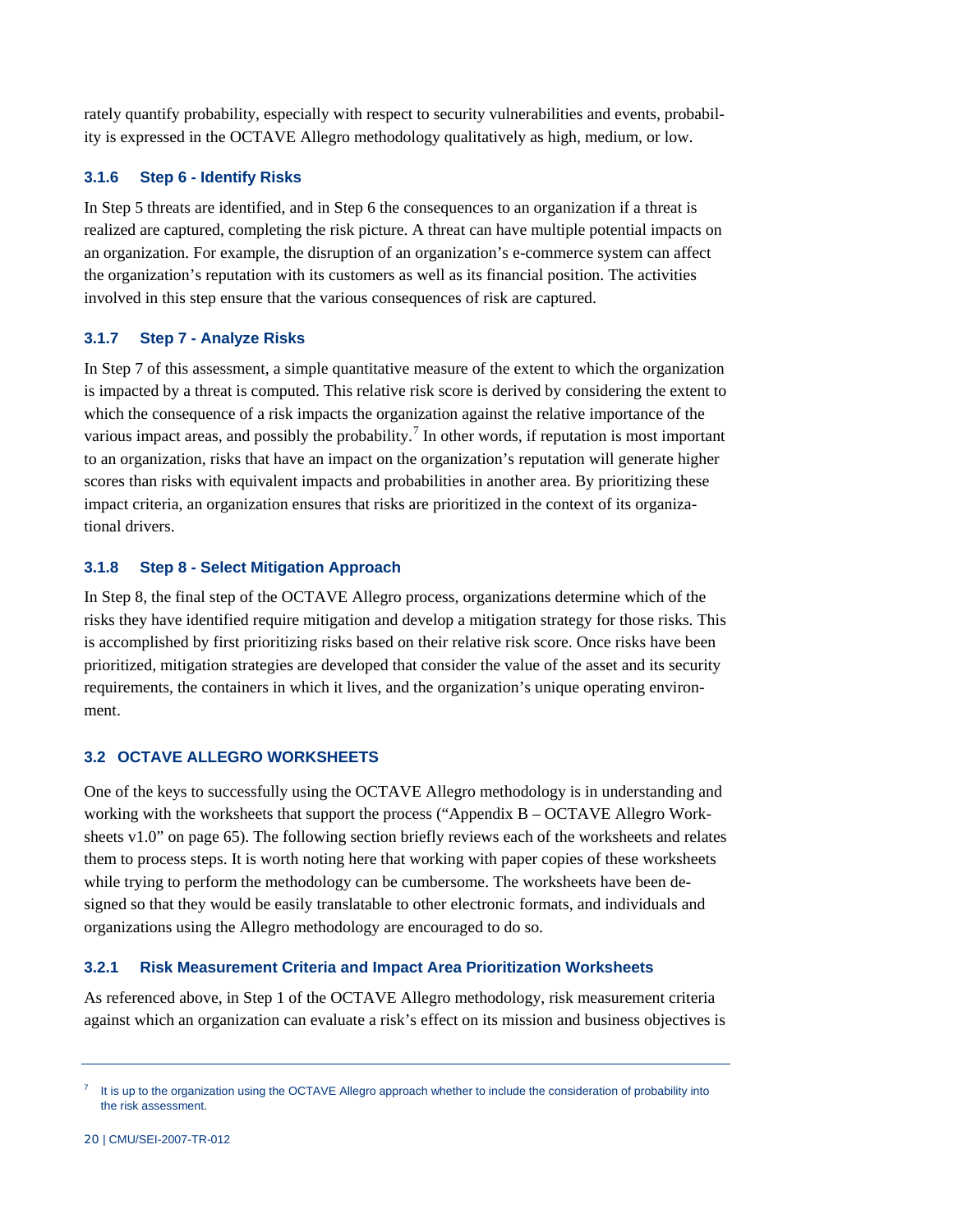<span id="page-31-0"></span>rately quantify probability, especially with respect to security vulnerabilities and events, probability is expressed in the OCTAVE Allegro methodology qualitatively as high, medium, or low.

#### <span id="page-31-1"></span>**3.1.6 Step 6 - Identify Risks**

In Step 5 threats are identified, and in Step 6 the consequences to an organization if a threat is realized are captured, completing the risk picture. A threat can have multiple potential impacts on an organization. For example, the disruption of an organization's e-commerce system can affect the organization's reputation with its customers as well as its financial position. The activities involved in this step ensure that the various consequences of risk are captured.

#### <span id="page-31-2"></span>**3.1.7 Step 7 - Analyze Risks**

In Step 7 of this assessment, a simple quantitative measure of the extent to which the organization is impacted by a threat is computed. This relative risk score is derived by considering the extent to which the consequence of a risk impacts the organization against the relative importance of the various impact areas, and possibly the probability.<sup>[7](#page-31-6)</sup> In other words, if reputation is most important to an organization, risks that have an impact on the organization's reputation will generate higher scores than risks with equivalent impacts and probabilities in another area. By prioritizing these impact criteria, an organization ensures that risks are prioritized in the context of its organizational drivers.

#### <span id="page-31-3"></span>**3.1.8 Step 8 - Select Mitigation Approach**

In Step 8, the final step of the OCTAVE Allegro process, organizations determine which of the risks they have identified require mitigation and develop a mitigation strategy for those risks. This is accomplished by first prioritizing risks based on their relative risk score. Once risks have been prioritized, mitigation strategies are developed that consider the value of the asset and its security requirements, the containers in which it lives, and the organization's unique operating environment.

#### <span id="page-31-4"></span>**3.2 OCTAVE ALLEGRO WORKSHEETS**

One of the keys to successfully using the OCTAVE Allegro methodology is in understanding and working with the worksheets that support the process ("Appendix B – OCTAVE Allegro Worksheets  $v1.0$ " on page [65](#page-76-1)). The following section briefly reviews each of the worksheets and relates them to process steps. It is worth noting here that working with paper copies of these worksheets while trying to perform the methodology can be cumbersome. The worksheets have been designed so that they would be easily translatable to other electronic formats, and individuals and organizations using the Allegro methodology are encouraged to do so.

#### <span id="page-31-5"></span>**3.2.1 Risk Measurement Criteria and Impact Area Prioritization Worksheets**

As referenced above, in Step 1 of the OCTAVE Allegro methodology, risk measurement criteria against which an organization can evaluate a risk's effect on its mission and business objectives is

<span id="page-31-6"></span><sup>7</sup> It is up to the organization using the OCTAVE Allegro approach whether to include the consideration of probability into the risk assessment.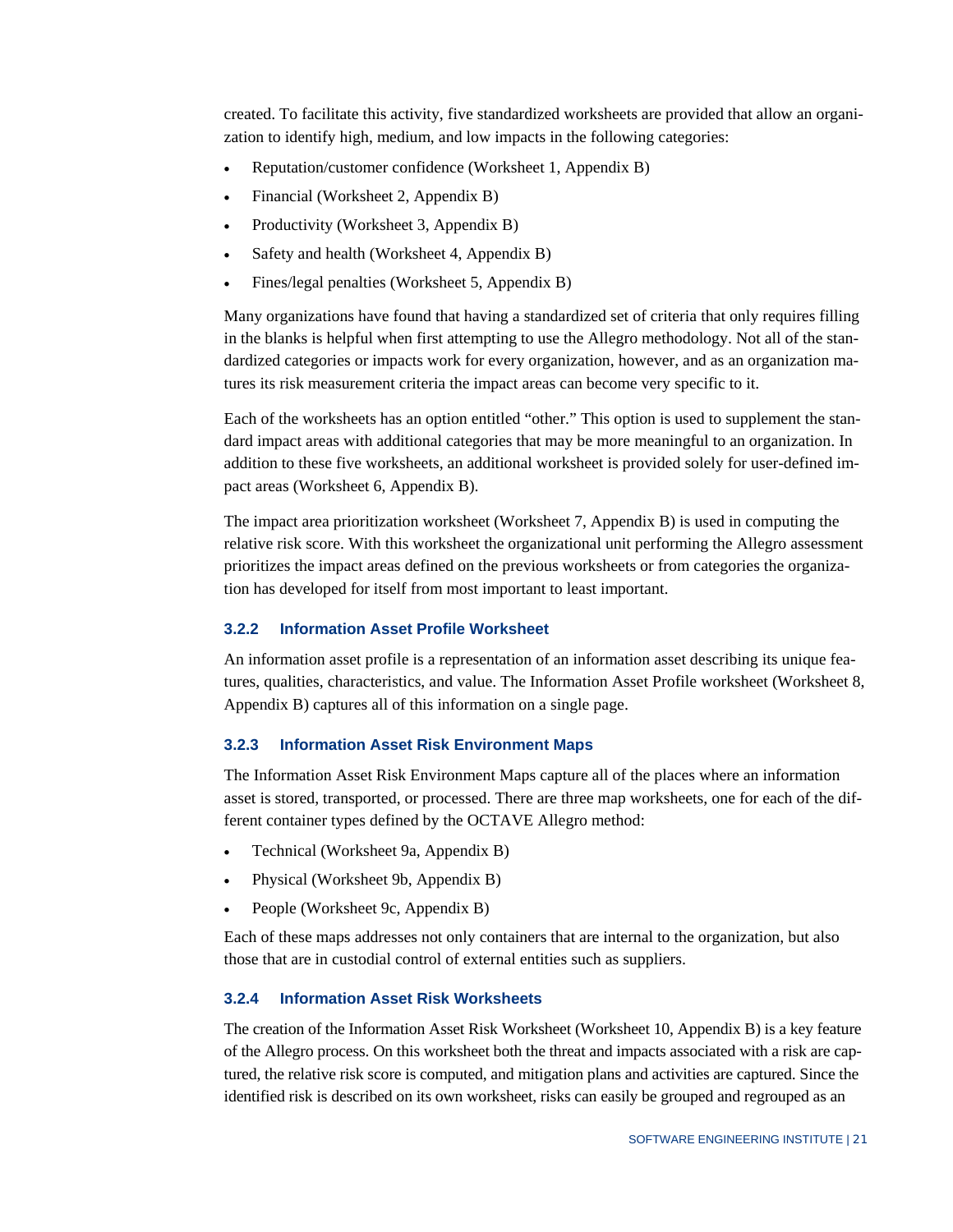<span id="page-32-0"></span>created. To facilitate this activity, five standardized worksheets are provided that allow an organization to identify high, medium, and low impacts in the following categories:

- Reputation/customer confidence (Worksheet 1, Appendix B)
- Financial (Worksheet 2, Appendix B)
- Productivity (Worksheet 3, Appendix B)
- Safety and health (Worksheet 4, Appendix B)
- Fines/legal penalties (Worksheet 5, Appendix B)

Many organizations have found that having a standardized set of criteria that only requires filling in the blanks is helpful when first attempting to use the Allegro methodology. Not all of the standardized categories or impacts work for every organization, however, and as an organization matures its risk measurement criteria the impact areas can become very specific to it.

Each of the worksheets has an option entitled "other." This option is used to supplement the standard impact areas with additional categories that may be more meaningful to an organization. In addition to these five worksheets, an additional worksheet is provided solely for user-defined impact areas (Worksheet 6, Appendix B).

The impact area prioritization worksheet (Worksheet 7, Appendix B) is used in computing the relative risk score. With this worksheet the organizational unit performing the Allegro assessment prioritizes the impact areas defined on the previous worksheets or from categories the organization has developed for itself from most important to least important.

#### <span id="page-32-1"></span>**3.2.2 Information Asset Profile Worksheet**

An information asset profile is a representation of an information asset describing its unique features, qualities, characteristics, and value. The Information Asset Profile worksheet (Worksheet 8, Appendix B) captures all of this information on a single page.

#### <span id="page-32-2"></span>**3.2.3 Information Asset Risk Environment Maps**

The Information Asset Risk Environment Maps capture all of the places where an information asset is stored, transported, or processed. There are three map worksheets, one for each of the different container types defined by the OCTAVE Allegro method:

- Technical (Worksheet 9a, Appendix B)
- Physical (Worksheet 9b, Appendix B)
- People (Worksheet 9c, Appendix B)

Each of these maps addresses not only containers that are internal to the organization, but also those that are in custodial control of external entities such as suppliers.

#### <span id="page-32-3"></span>**3.2.4 Information Asset Risk Worksheets**

The creation of the Information Asset Risk Worksheet (Worksheet 10, Appendix B) is a key feature of the Allegro process. On this worksheet both the threat and impacts associated with a risk are captured, the relative risk score is computed, and mitigation plans and activities are captured. Since the identified risk is described on its own worksheet, risks can easily be grouped and regrouped as an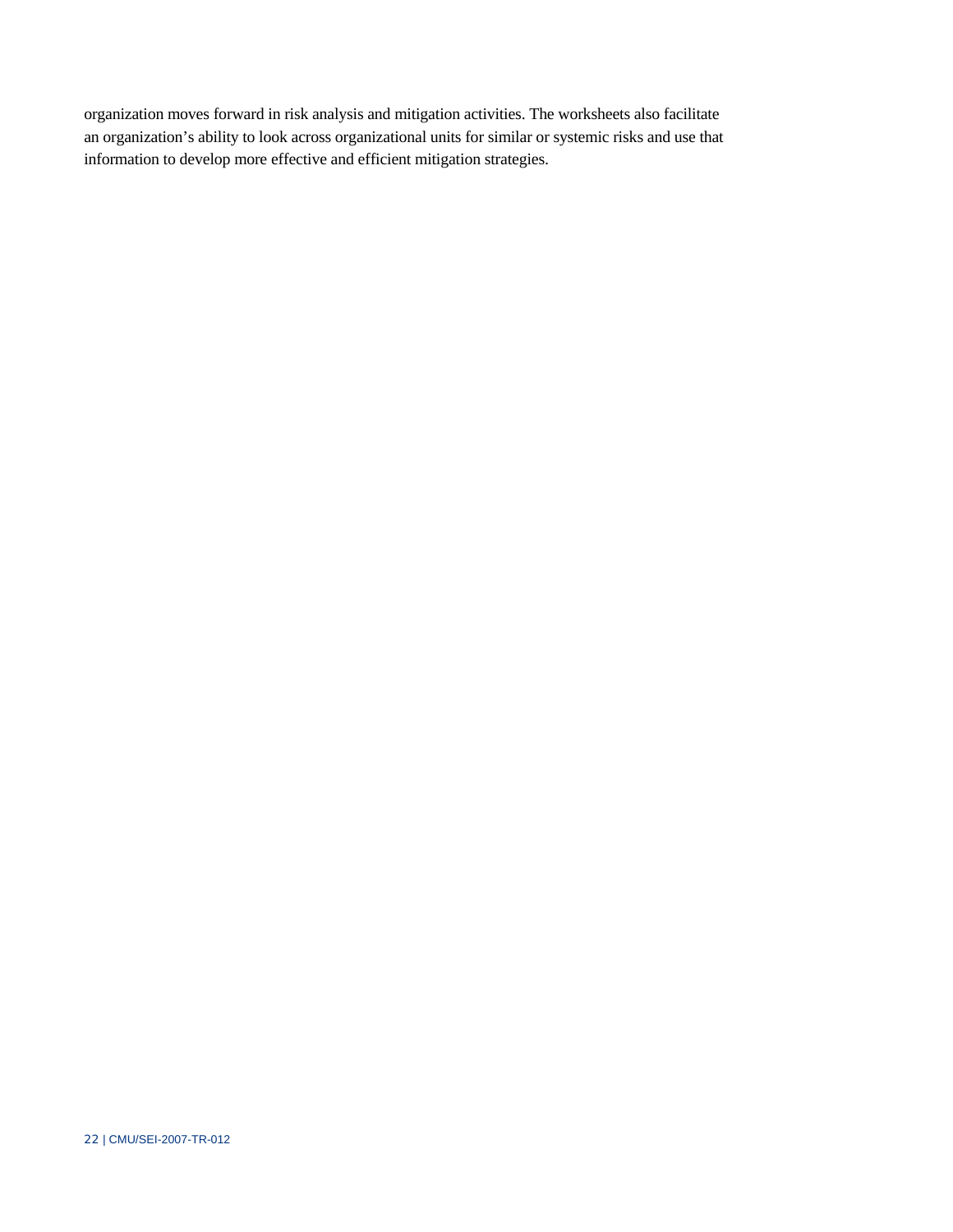organization moves forward in risk analysis and mitigation activities. The worksheets also facilitate an organization's ability to look across organizational units for similar or systemic risks and use that information to develop more effective and efficient mitigation strategies.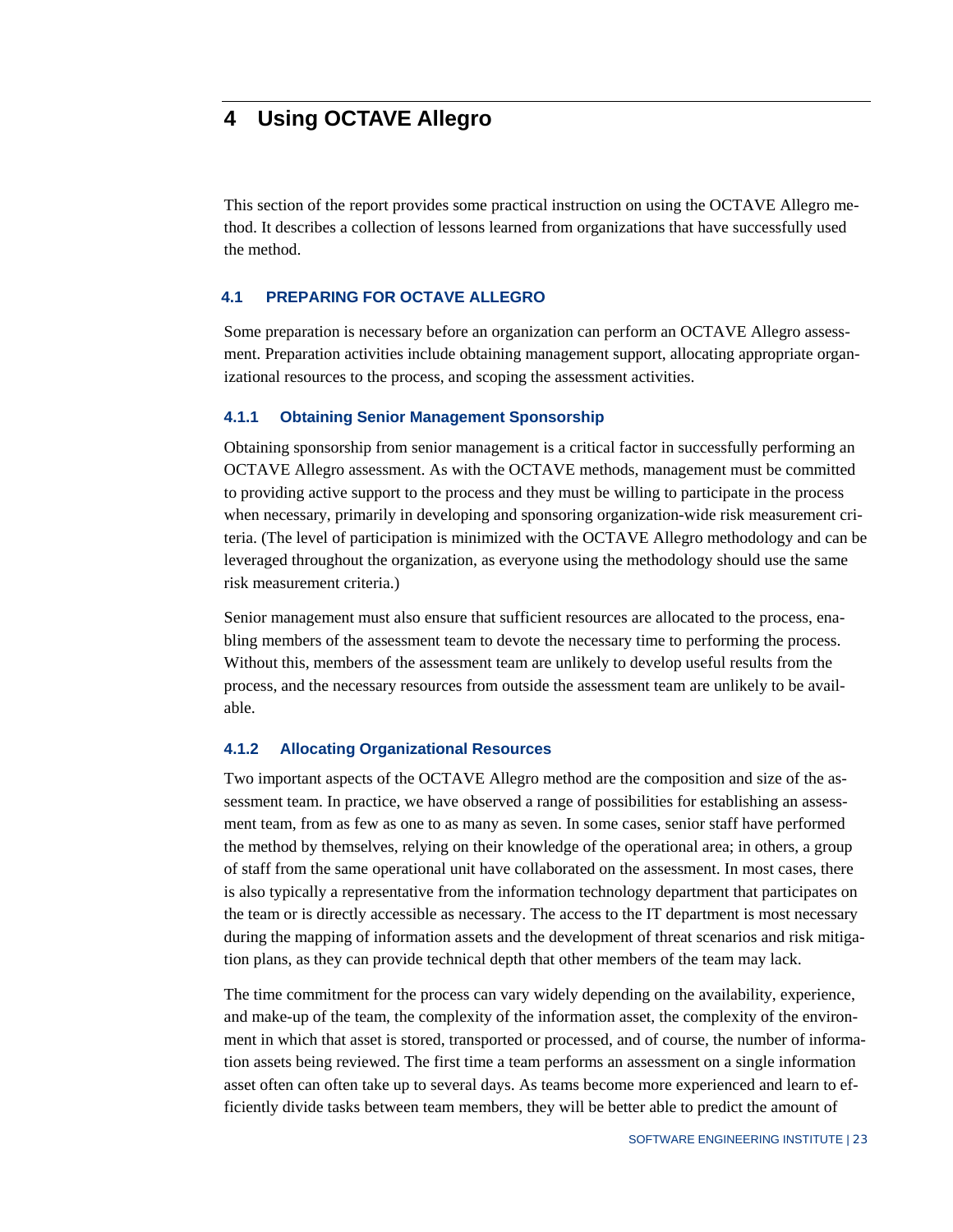## <span id="page-34-1"></span><span id="page-34-0"></span>**4 Using OCTAVE Allegro**

This section of the report provides some practical instruction on using the OCTAVE Allegro method. It describes a collection of lessons learned from organizations that have successfully used the method.

#### <span id="page-34-2"></span>**4.1 PREPARING FOR OCTAVE ALLEGRO**

Some preparation is necessary before an organization can perform an OCTAVE Allegro assessment. Preparation activities include obtaining management support, allocating appropriate organizational resources to the process, and scoping the assessment activities.

#### <span id="page-34-3"></span>**4.1.1 Obtaining Senior Management Sponsorship**

Obtaining sponsorship from senior management is a critical factor in successfully performing an OCTAVE Allegro assessment. As with the OCTAVE methods, management must be committed to providing active support to the process and they must be willing to participate in the process when necessary, primarily in developing and sponsoring organization-wide risk measurement criteria. (The level of participation is minimized with the OCTAVE Allegro methodology and can be leveraged throughout the organization, as everyone using the methodology should use the same risk measurement criteria.)

Senior management must also ensure that sufficient resources are allocated to the process, enabling members of the assessment team to devote the necessary time to performing the process. Without this, members of the assessment team are unlikely to develop useful results from the process, and the necessary resources from outside the assessment team are unlikely to be available.

#### <span id="page-34-4"></span>**4.1.2 Allocating Organizational Resources**

Two important aspects of the OCTAVE Allegro method are the composition and size of the assessment team. In practice, we have observed a range of possibilities for establishing an assessment team, from as few as one to as many as seven. In some cases, senior staff have performed the method by themselves, relying on their knowledge of the operational area; in others, a group of staff from the same operational unit have collaborated on the assessment. In most cases, there is also typically a representative from the information technology department that participates on the team or is directly accessible as necessary. The access to the IT department is most necessary during the mapping of information assets and the development of threat scenarios and risk mitigation plans, as they can provide technical depth that other members of the team may lack.

The time commitment for the process can vary widely depending on the availability, experience, and make-up of the team, the complexity of the information asset, the complexity of the environment in which that asset is stored, transported or processed, and of course, the number of information assets being reviewed. The first time a team performs an assessment on a single information asset often can often take up to several days. As teams become more experienced and learn to efficiently divide tasks between team members, they will be better able to predict the amount of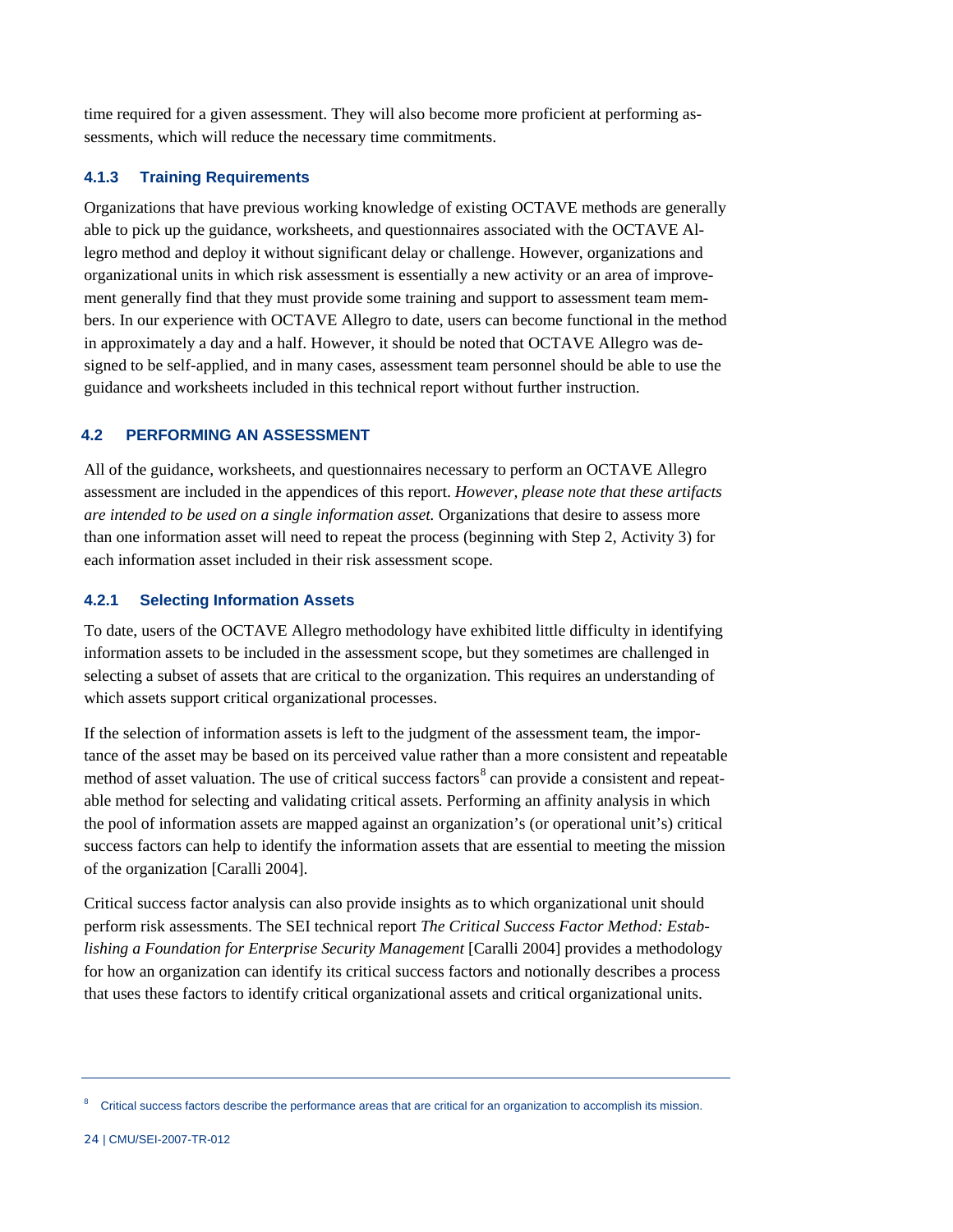<span id="page-35-0"></span>time required for a given assessment. They will also become more proficient at performing assessments, which will reduce the necessary time commitments.

#### <span id="page-35-1"></span>**4.1.3 Training Requirements**

Organizations that have previous working knowledge of existing OCTAVE methods are generally able to pick up the guidance, worksheets, and questionnaires associated with the OCTAVE Allegro method and deploy it without significant delay or challenge. However, organizations and organizational units in which risk assessment is essentially a new activity or an area of improvement generally find that they must provide some training and support to assessment team members. In our experience with OCTAVE Allegro to date, users can become functional in the method in approximately a day and a half. However, it should be noted that OCTAVE Allegro was designed to be self-applied, and in many cases, assessment team personnel should be able to use the guidance and worksheets included in this technical report without further instruction.

#### <span id="page-35-2"></span>**4.2 PERFORMING AN ASSESSMENT**

All of the guidance, worksheets, and questionnaires necessary to perform an OCTAVE Allegro assessment are included in the appendices of this report. *However, please note that these artifacts are intended to be used on a single information asset.* Organizations that desire to assess more than one information asset will need to repeat the process (beginning with Step 2, Activity 3) for each information asset included in their risk assessment scope.

#### <span id="page-35-3"></span>**4.2.1 Selecting Information Assets**

To date, users of the OCTAVE Allegro methodology have exhibited little difficulty in identifying information assets to be included in the assessment scope, but they sometimes are challenged in selecting a subset of assets that are critical to the organization. This requires an understanding of which assets support critical organizational processes.

If the selection of information assets is left to the judgment of the assessment team, the importance of the asset may be based on its perceived value rather than a more consistent and repeatable method of asset valuation. The use of critical success factors<sup>[8](#page-35-4)</sup> can provide a consistent and repeatable method for selecting and validating critical assets. Performing an affinity analysis in which the pool of information assets are mapped against an organization's (or operational unit's) critical success factors can help to identify the information assets that are essential to meeting the mission of the organization [Caralli 2004].

Critical success factor analysis can also provide insights as to which organizational unit should perform risk assessments. The SEI technical report *The Critical Success Factor Method: Establishing a Foundation for Enterprise Security Management* [Caralli 2004] provides a methodology for how an organization can identify its critical success factors and notionally describes a process that uses these factors to identify critical organizational assets and critical organizational units.

<span id="page-35-4"></span><sup>8</sup> Critical success factors describe the performance areas that are critical for an organization to accomplish its mission.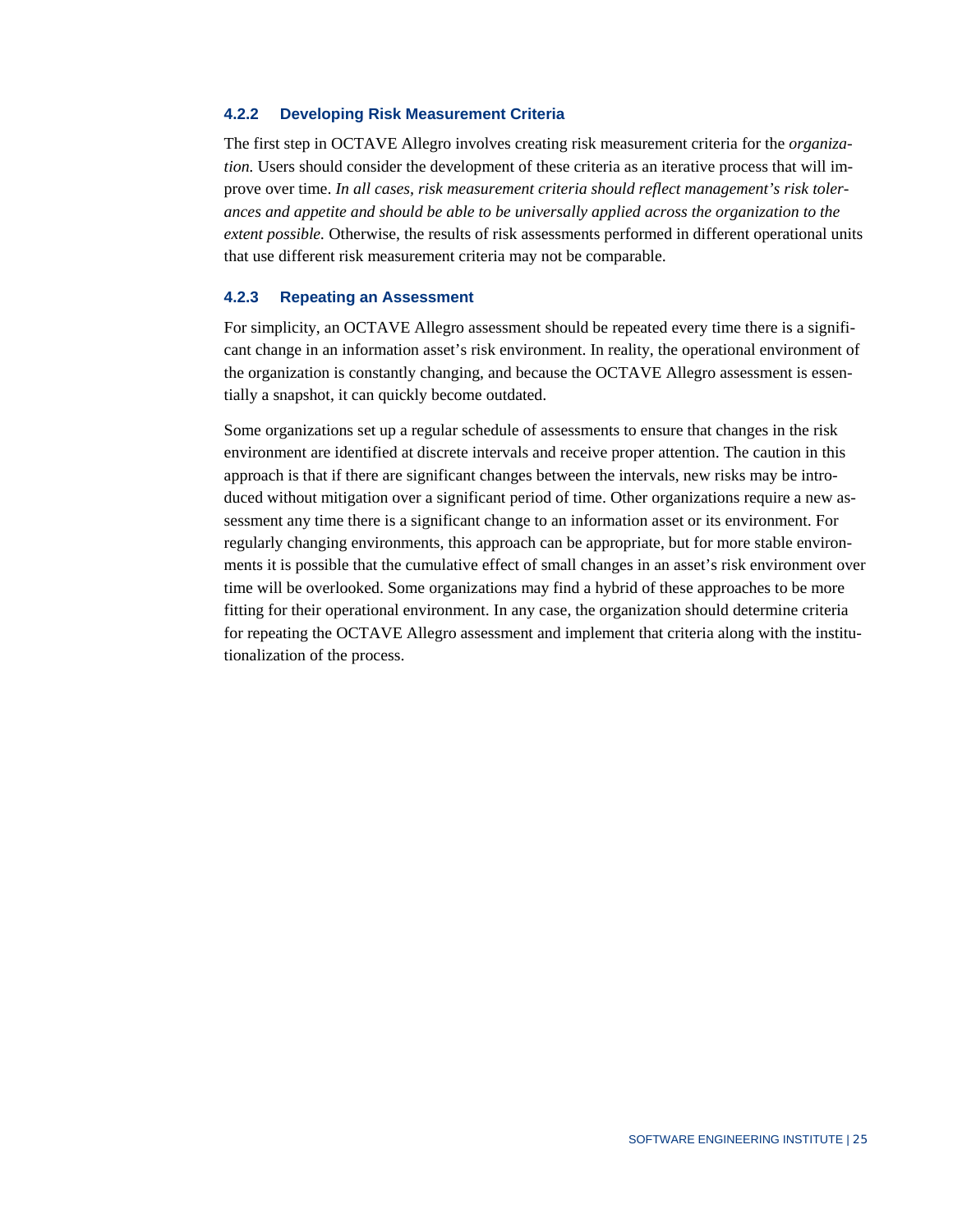#### **4.2.2 Developing Risk Measurement Criteria**

The first step in OCTAVE Allegro involves creating risk measurement criteria for the *organization*. Users should consider the development of these criteria as an iterative process that will improve over time. *In all cases, risk measurement criteria should reflect management's risk tolerances and appetite and should be able to be universally applied across the organization to the extent possible.* Otherwise, the results of risk assessments performed in different operational units that use different risk measurement criteria may not be comparable.

#### **4.2.3 Repeating an Assessment**

For simplicity, an OCTAVE Allegro assessment should be repeated every time there is a significant change in an information asset's risk environment. In reality, the operational environment of the organization is constantly changing, and because the OCTAVE Allegro assessment is essentially a snapshot, it can quickly become outdated.

Some organizations set up a regular schedule of assessments to ensure that changes in the risk environment are identified at discrete intervals and receive proper attention. The caution in this approach is that if there are significant changes between the intervals, new risks may be introduced without mitigation over a significant period of time. Other organizations require a new assessment any time there is a significant change to an information asset or its environment. For regularly changing environments, this approach can be appropriate, but for more stable environments it is possible that the cumulative effect of small changes in an asset's risk environment over time will be overlooked. Some organizations may find a hybrid of these approaches to be more fitting for their operational environment. In any case, the organization should determine criteria for repeating the OCTAVE Allegro assessment and implement that criteria along with the institutionalization of the process.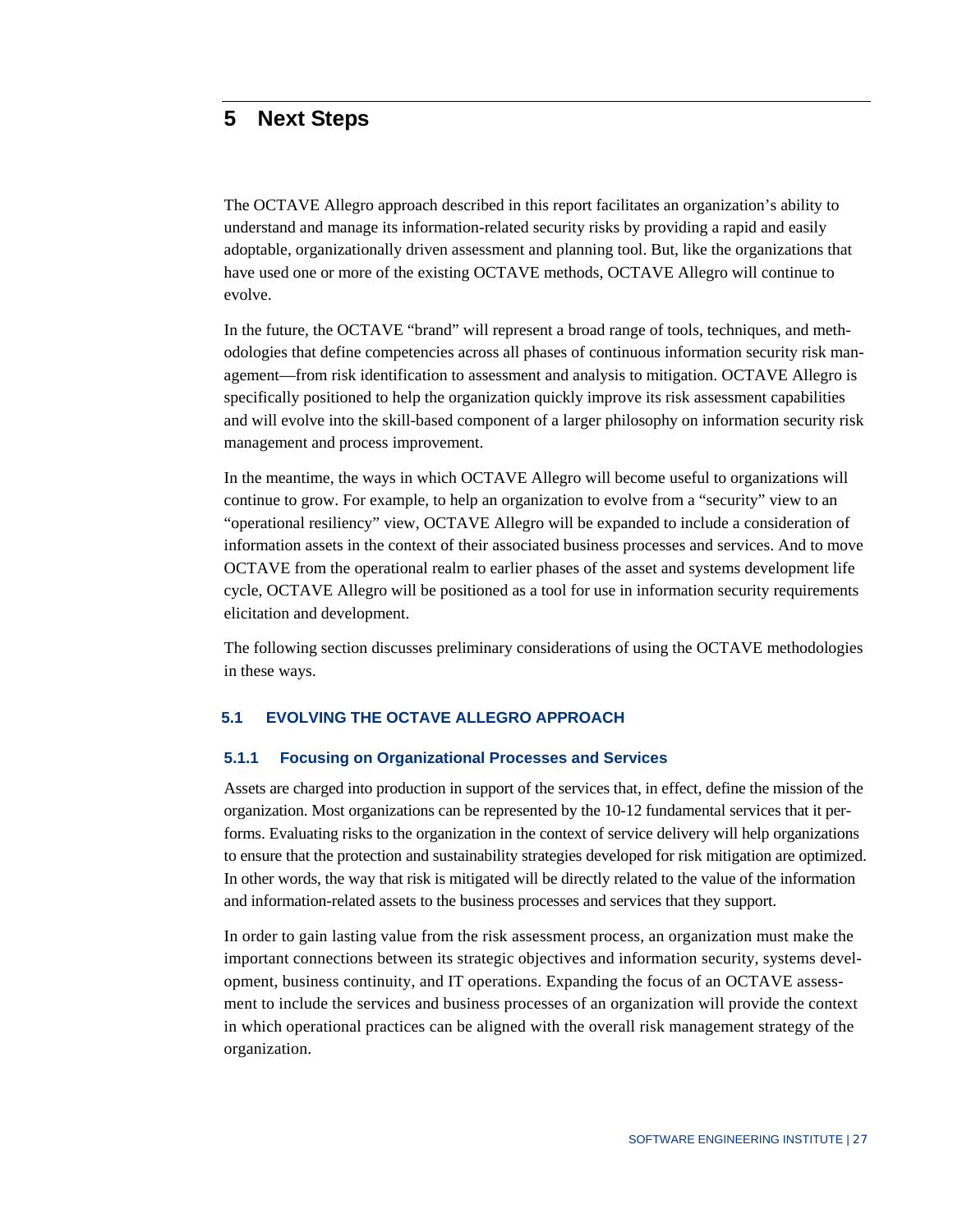# **5 Next Steps**

The OCTAVE Allegro approach described in this report facilitates an organization's ability to understand and manage its information-related security risks by providing a rapid and easily adoptable, organizationally driven assessment and planning tool. But, like the organizations that have used one or more of the existing OCTAVE methods, OCTAVE Allegro will continue to evolve.

In the future, the OCTAVE "brand" will represent a broad range of tools, techniques, and methodologies that define competencies across all phases of continuous information security risk management—from risk identification to assessment and analysis to mitigation. OCTAVE Allegro is specifically positioned to help the organization quickly improve its risk assessment capabilities and will evolve into the skill-based component of a larger philosophy on information security risk management and process improvement.

In the meantime, the ways in which OCTAVE Allegro will become useful to organizations will continue to grow. For example, to help an organization to evolve from a "security" view to an "operational resiliency" view, OCTAVE Allegro will be expanded to include a consideration of information assets in the context of their associated business processes and services. And to move OCTAVE from the operational realm to earlier phases of the asset and systems development life cycle, OCTAVE Allegro will be positioned as a tool for use in information security requirements elicitation and development.

The following section discusses preliminary considerations of using the OCTAVE methodologies in these ways.

# **5.1 EVOLVING THE OCTAVE ALLEGRO APPROACH**

#### **5.1.1 Focusing on Organizational Processes and Services**

Assets are charged into production in support of the services that, in effect, define the mission of the organization. Most organizations can be represented by the 10-12 fundamental services that it performs. Evaluating risks to the organization in the context of service delivery will help organizations to ensure that the protection and sustainability strategies developed for risk mitigation are optimized. In other words, the way that risk is mitigated will be directly related to the value of the information and information-related assets to the business processes and services that they support.

In order to gain lasting value from the risk assessment process, an organization must make the important connections between its strategic objectives and information security, systems development, business continuity, and IT operations. Expanding the focus of an OCTAVE assessment to include the services and business processes of an organization will provide the context in which operational practices can be aligned with the overall risk management strategy of the organization.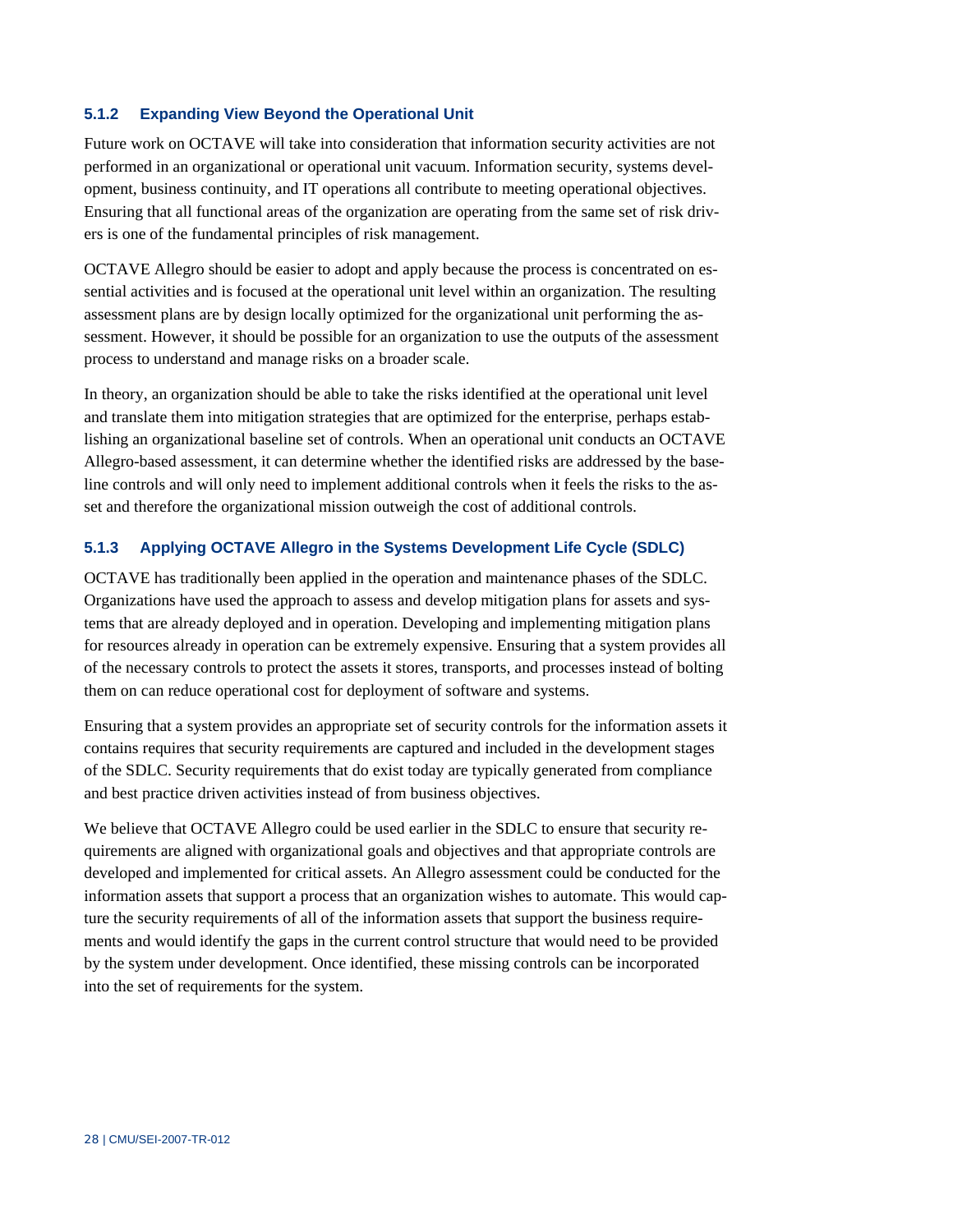#### **5.1.2 Expanding View Beyond the Operational Unit**

Future work on OCTAVE will take into consideration that information security activities are not performed in an organizational or operational unit vacuum. Information security, systems development, business continuity, and IT operations all contribute to meeting operational objectives. Ensuring that all functional areas of the organization are operating from the same set of risk drivers is one of the fundamental principles of risk management.

OCTAVE Allegro should be easier to adopt and apply because the process is concentrated on essential activities and is focused at the operational unit level within an organization. The resulting assessment plans are by design locally optimized for the organizational unit performing the assessment. However, it should be possible for an organization to use the outputs of the assessment process to understand and manage risks on a broader scale.

In theory, an organization should be able to take the risks identified at the operational unit level and translate them into mitigation strategies that are optimized for the enterprise, perhaps establishing an organizational baseline set of controls. When an operational unit conducts an OCTAVE Allegro-based assessment, it can determine whether the identified risks are addressed by the baseline controls and will only need to implement additional controls when it feels the risks to the asset and therefore the organizational mission outweigh the cost of additional controls.

### **5.1.3 Applying OCTAVE Allegro in the Systems Development Life Cycle (SDLC)**

OCTAVE has traditionally been applied in the operation and maintenance phases of the SDLC. Organizations have used the approach to assess and develop mitigation plans for assets and systems that are already deployed and in operation. Developing and implementing mitigation plans for resources already in operation can be extremely expensive. Ensuring that a system provides all of the necessary controls to protect the assets it stores, transports, and processes instead of bolting them on can reduce operational cost for deployment of software and systems.

Ensuring that a system provides an appropriate set of security controls for the information assets it contains requires that security requirements are captured and included in the development stages of the SDLC. Security requirements that do exist today are typically generated from compliance and best practice driven activities instead of from business objectives.

We believe that OCTAVE Allegro could be used earlier in the SDLC to ensure that security requirements are aligned with organizational goals and objectives and that appropriate controls are developed and implemented for critical assets. An Allegro assessment could be conducted for the information assets that support a process that an organization wishes to automate. This would capture the security requirements of all of the information assets that support the business requirements and would identify the gaps in the current control structure that would need to be provided by the system under development. Once identified, these missing controls can be incorporated into the set of requirements for the system.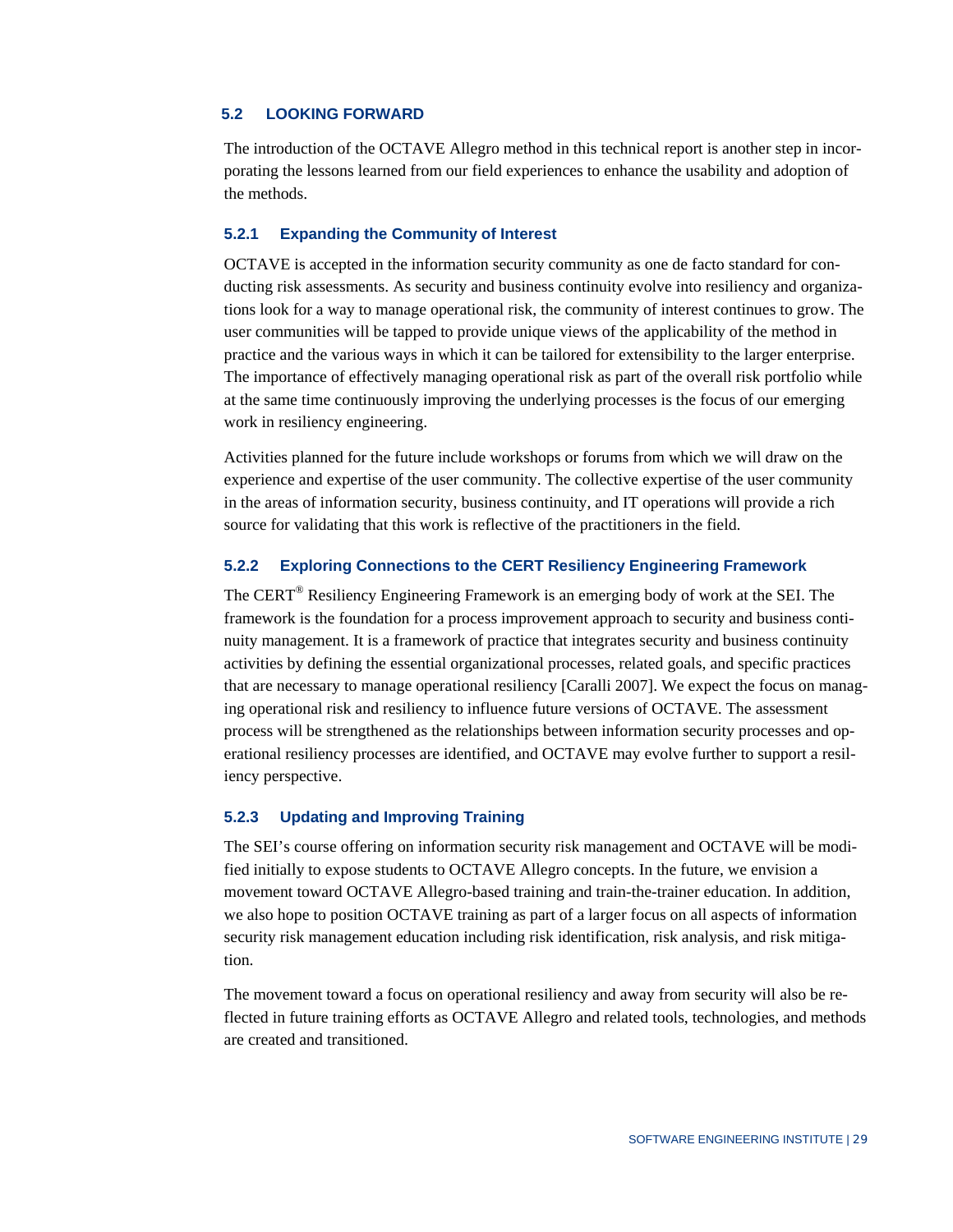#### **5.2 LOOKING FORWARD**

The introduction of the OCTAVE Allegro method in this technical report is another step in incorporating the lessons learned from our field experiences to enhance the usability and adoption of the methods.

### **5.2.1 Expanding the Community of Interest**

OCTAVE is accepted in the information security community as one de facto standard for conducting risk assessments. As security and business continuity evolve into resiliency and organizations look for a way to manage operational risk, the community of interest continues to grow. The user communities will be tapped to provide unique views of the applicability of the method in practice and the various ways in which it can be tailored for extensibility to the larger enterprise. The importance of effectively managing operational risk as part of the overall risk portfolio while at the same time continuously improving the underlying processes is the focus of our emerging work in resiliency engineering.

Activities planned for the future include workshops or forums from which we will draw on the experience and expertise of the user community. The collective expertise of the user community in the areas of information security, business continuity, and IT operations will provide a rich source for validating that this work is reflective of the practitioners in the field.

### **5.2.2 Exploring Connections to the CERT Resiliency Engineering Framework**

The CERT® Resiliency Engineering Framework is an emerging body of work at the SEI. The framework is the foundation for a process improvement approach to security and business continuity management. It is a framework of practice that integrates security and business continuity activities by defining the essential organizational processes, related goals, and specific practices that are necessary to manage operational resiliency [Caralli 2007]. We expect the focus on managing operational risk and resiliency to influence future versions of OCTAVE. The assessment process will be strengthened as the relationships between information security processes and operational resiliency processes are identified, and OCTAVE may evolve further to support a resiliency perspective.

#### **5.2.3 Updating and Improving Training**

The SEI's course offering on information security risk management and OCTAVE will be modified initially to expose students to OCTAVE Allegro concepts. In the future, we envision a movement toward OCTAVE Allegro-based training and train-the-trainer education. In addition, we also hope to position OCTAVE training as part of a larger focus on all aspects of information security risk management education including risk identification, risk analysis, and risk mitigation.

The movement toward a focus on operational resiliency and away from security will also be reflected in future training efforts as OCTAVE Allegro and related tools, technologies, and methods are created and transitioned.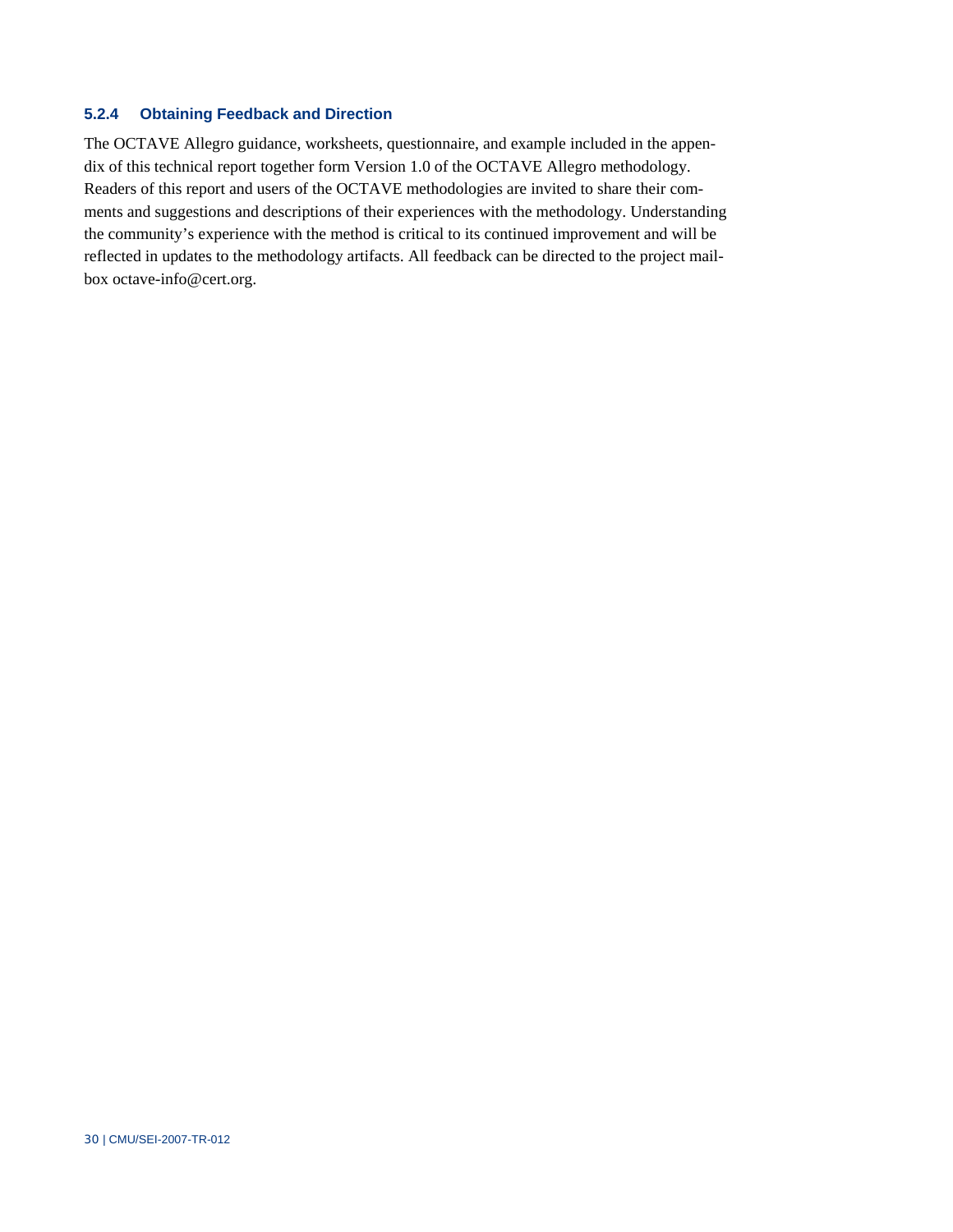### **5.2.4 Obtaining Feedback and Direction**

The OCTAVE Allegro guidance, worksheets, questionnaire, and example included in the appendix of this technical report together form Version 1.0 of the OCTAVE Allegro methodology. Readers of this report and users of the OCTAVE methodologies are invited to share their comments and suggestions and descriptions of their experiences with the methodology. Understanding the community's experience with the method is critical to its continued improvement and will be reflected in updates to the methodology artifacts. All feedback can be directed to the project mailbox [octave-info@cert.org.](mailto:octave-info@cert.org)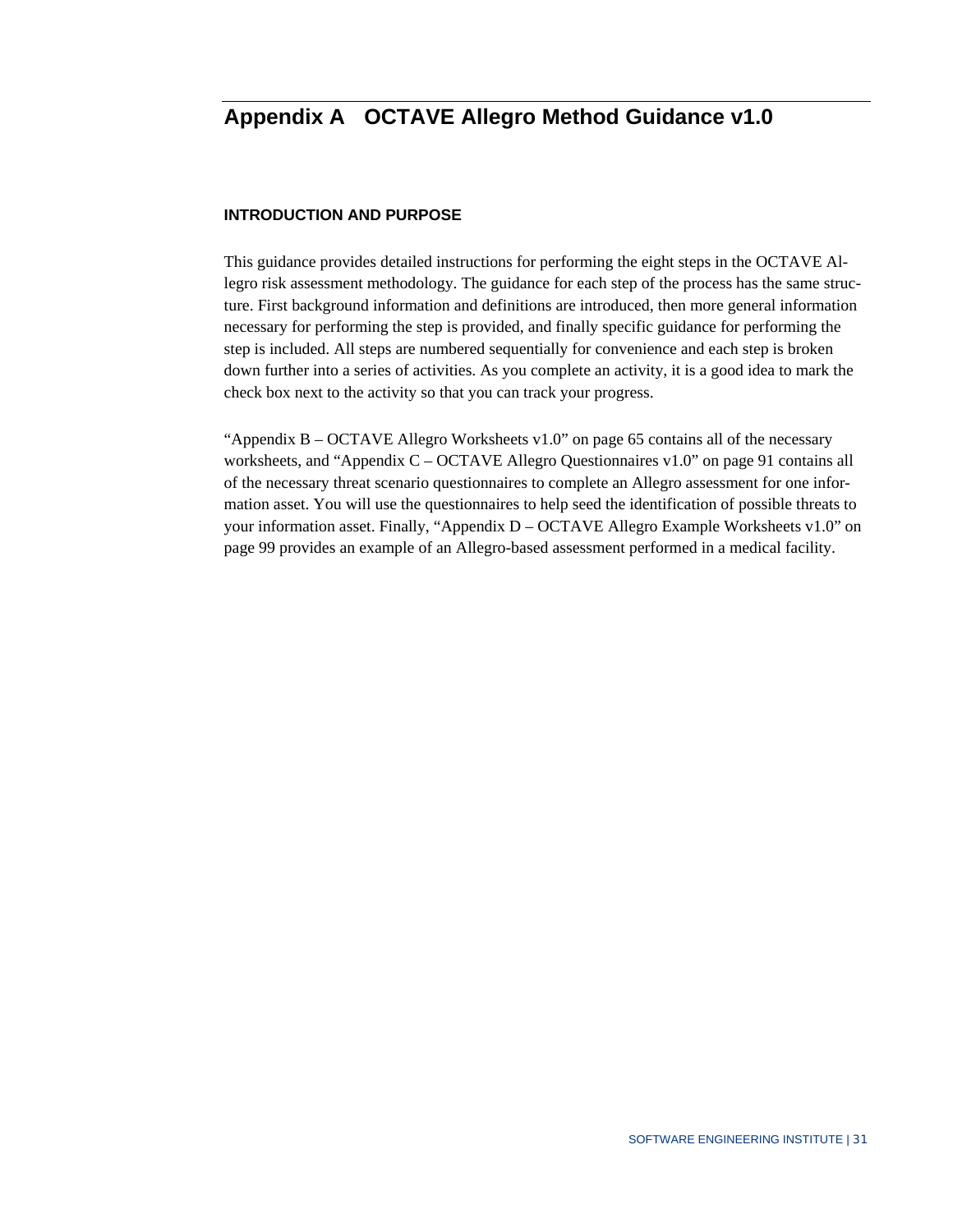# **Appendix A OCTAVE Allegro Method Guidance v1.0**

### **INTRODUCTION AND PURPOSE**

This guidance provides detailed instructions for performing the eight steps in the OCTAVE Allegro risk assessment methodology. The guidance for each step of the process has the same structure. First background information and definitions are introduced, then more general information necessary for performing the step is provided, and finally specific guidance for performing the step is included. All steps are numbered sequentially for convenience and each step is broken down further into a series of activities. As you complete an activity, it is a good idea to mark the check box next to the activity so that you can track your progress.

"Appendix  $B - OCTAVE$  Allegro Worksheets v1.0" on page [65](#page-76-0) contains all of the necessary worksheets, and "Appendix C – OCTAVE Allegro Questionnaires v1.0" on page [91](#page-102-0) contains all of the necessary threat scenario questionnaires to complete an Allegro assessment for one information asset. You will use the questionnaires to help seed the identification of possible threats to your information asset. Finally, "Appendix D – OCTAVE Allegro Example Worksheets v1.0" on page [99](#page-110-0) provides an example of an Allegro-based assessment performed in a medical facility.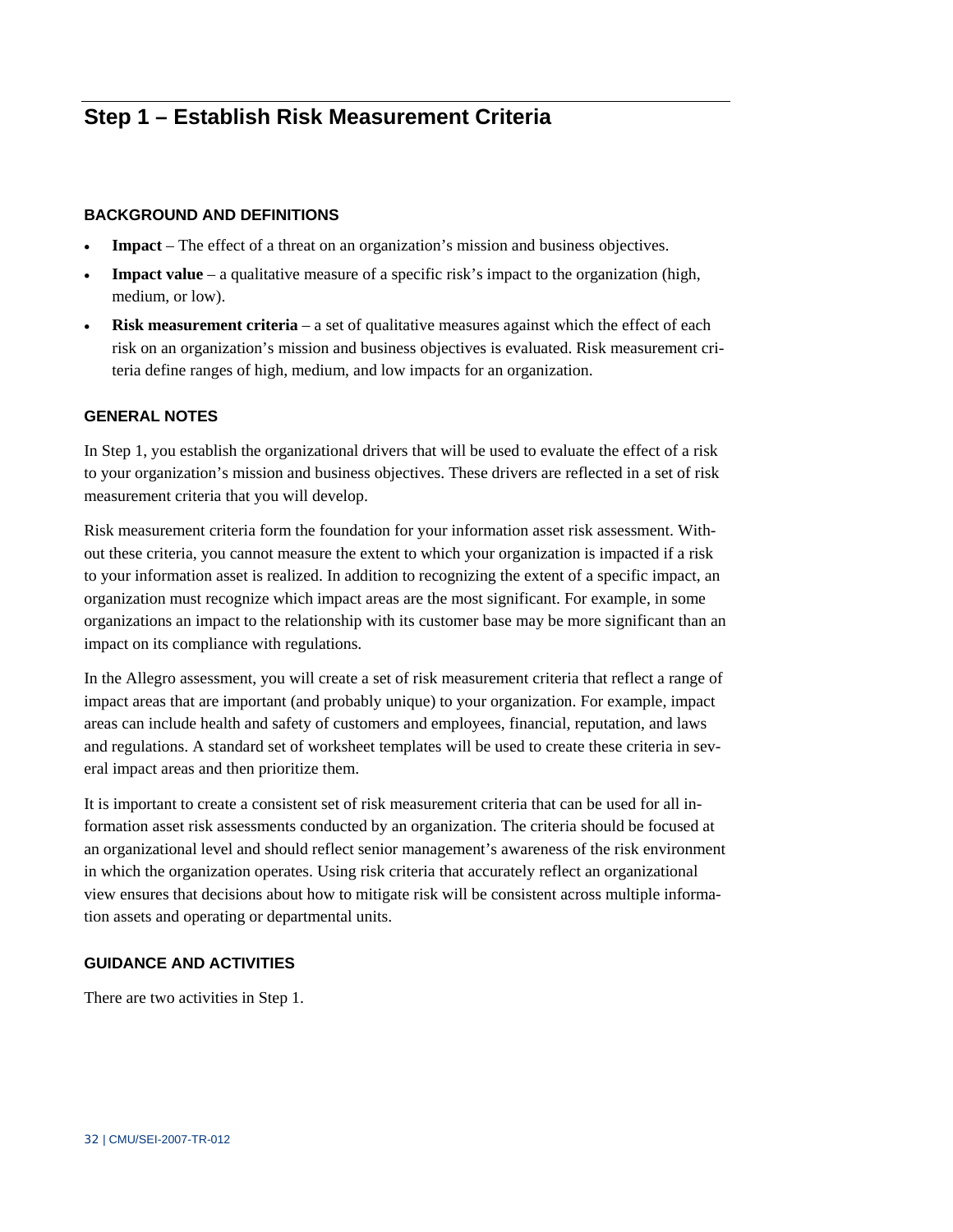# **Step 1 – Establish Risk Measurement Criteria**

### **BACKGROUND AND DEFINITIONS**

- **Impact** The effect of a threat on an organization's mission and business objectives.
- **Impact value** a qualitative measure of a specific risk's impact to the organization (high, medium, or low).
- **Risk measurement criteria** a set of qualitative measures against which the effect of each risk on an organization's mission and business objectives is evaluated. Risk measurement criteria define ranges of high, medium, and low impacts for an organization.

### **GENERAL NOTES**

In Step 1, you establish the organizational drivers that will be used to evaluate the effect of a risk to your organization's mission and business objectives. These drivers are reflected in a set of risk measurement criteria that you will develop.

Risk measurement criteria form the foundation for your information asset risk assessment. Without these criteria, you cannot measure the extent to which your organization is impacted if a risk to your information asset is realized. In addition to recognizing the extent of a specific impact, an organization must recognize which impact areas are the most significant. For example, in some organizations an impact to the relationship with its customer base may be more significant than an impact on its compliance with regulations.

In the Allegro assessment, you will create a set of risk measurement criteria that reflect a range of impact areas that are important (and probably unique) to your organization. For example, impact areas can include health and safety of customers and employees, financial, reputation, and laws and regulations. A standard set of worksheet templates will be used to create these criteria in several impact areas and then prioritize them.

It is important to create a consistent set of risk measurement criteria that can be used for all information asset risk assessments conducted by an organization. The criteria should be focused at an organizational level and should reflect senior management's awareness of the risk environment in which the organization operates. Using risk criteria that accurately reflect an organizational view ensures that decisions about how to mitigate risk will be consistent across multiple information assets and operating or departmental units.

### **GUIDANCE AND ACTIVITIES**

There are two activities in Step 1.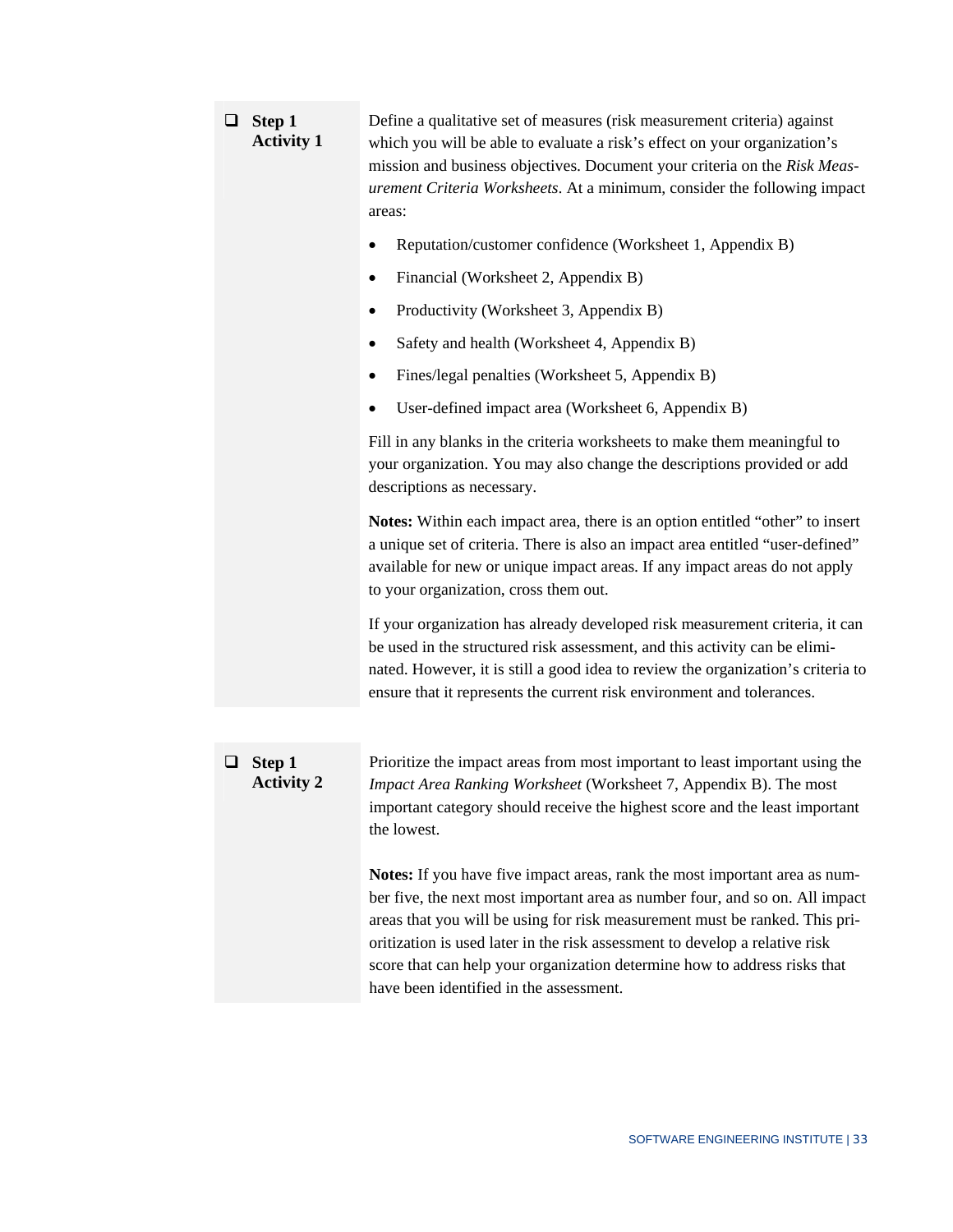| $\Box$ | Step 1<br><b>Activity 1</b> | Define a qualitative set of measures (risk measurement criteria) against<br>which you will be able to evaluate a risk's effect on your organization's<br>mission and business objectives. Document your criteria on the Risk Meas-<br>urement Criteria Worksheets. At a minimum, consider the following impact<br>areas:                                                                                                                                |
|--------|-----------------------------|---------------------------------------------------------------------------------------------------------------------------------------------------------------------------------------------------------------------------------------------------------------------------------------------------------------------------------------------------------------------------------------------------------------------------------------------------------|
|        |                             | Reputation/customer confidence (Worksheet 1, Appendix B)                                                                                                                                                                                                                                                                                                                                                                                                |
|        |                             | Financial (Worksheet 2, Appendix B)                                                                                                                                                                                                                                                                                                                                                                                                                     |
|        |                             | Productivity (Worksheet 3, Appendix B)                                                                                                                                                                                                                                                                                                                                                                                                                  |
|        |                             | Safety and health (Worksheet 4, Appendix B)                                                                                                                                                                                                                                                                                                                                                                                                             |
|        |                             | Fines/legal penalties (Worksheet 5, Appendix B)                                                                                                                                                                                                                                                                                                                                                                                                         |
|        |                             | User-defined impact area (Worksheet 6, Appendix B)                                                                                                                                                                                                                                                                                                                                                                                                      |
|        |                             | Fill in any blanks in the criteria worksheets to make them meaningful to<br>your organization. You may also change the descriptions provided or add<br>descriptions as necessary.                                                                                                                                                                                                                                                                       |
|        |                             | Notes: Within each impact area, there is an option entitled "other" to insert<br>a unique set of criteria. There is also an impact area entitled "user-defined"<br>available for new or unique impact areas. If any impact areas do not apply<br>to your organization, cross them out.                                                                                                                                                                  |
|        |                             | If your organization has already developed risk measurement criteria, it can<br>be used in the structured risk assessment, and this activity can be elimi-<br>nated. However, it is still a good idea to review the organization's criteria to<br>ensure that it represents the current risk environment and tolerances.                                                                                                                                |
|        |                             |                                                                                                                                                                                                                                                                                                                                                                                                                                                         |
| $\Box$ | Step 1<br><b>Activity 2</b> | Prioritize the impact areas from most important to least important using the<br>Impact Area Ranking Worksheet (Worksheet 7, Appendix B). The most<br>important category should receive the highest score and the least important<br>the lowest.                                                                                                                                                                                                         |
|        |                             | <b>Notes:</b> If you have five impact areas, rank the most important area as num-<br>ber five, the next most important area as number four, and so on. All impact<br>areas that you will be using for risk measurement must be ranked. This pri-<br>oritization is used later in the risk assessment to develop a relative risk<br>score that can help your organization determine how to address risks that<br>have been identified in the assessment. |
|        |                             |                                                                                                                                                                                                                                                                                                                                                                                                                                                         |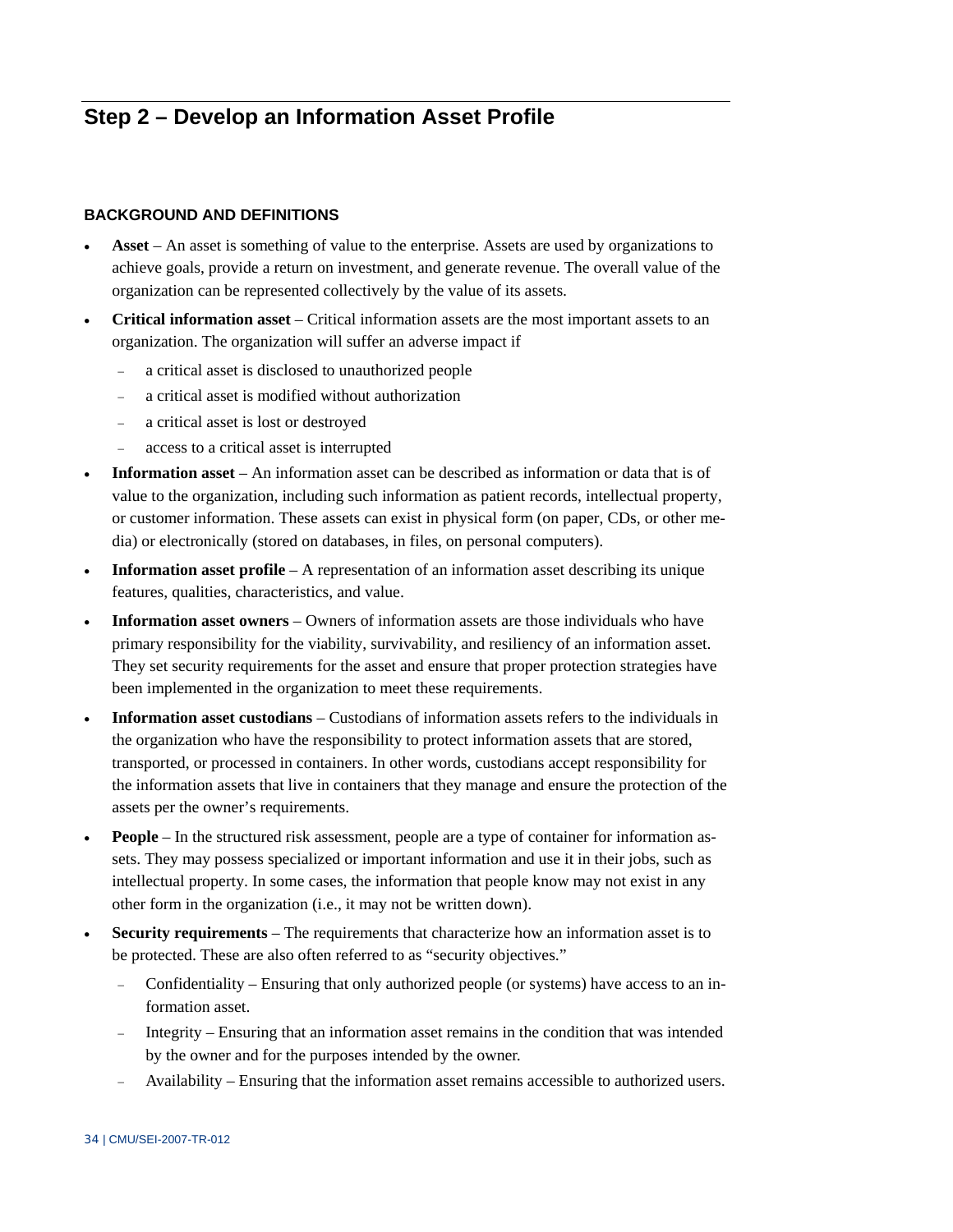# **Step 2 – Develop an Information Asset Profile**

### **BACKGROUND AND DEFINITIONS**

- **Asset** An asset is something of value to the enterprise. Assets are used by organizations to achieve goals, provide a return on investment, and generate revenue. The overall value of the organization can be represented collectively by the value of its assets.
- **Critical information asset** Critical information assets are the most important assets to an organization. The organization will suffer an adverse impact if
	- − a critical asset is disclosed to unauthorized people
	- − a critical asset is modified without authorization
	- − a critical asset is lost or destroyed
	- − access to a critical asset is interrupted
- **Information asset** An information asset can be described as information or data that is of value to the organization, including such information as patient records, intellectual property, or customer information. These assets can exist in physical form (on paper, CDs, or other media) or electronically (stored on databases, in files, on personal computers).
- **Information asset profile** A representation of an information asset describing its unique features, qualities, characteristics, and value.
- **Information asset owners** Owners of information assets are those individuals who have primary responsibility for the viability, survivability, and resiliency of an information asset. They set security requirements for the asset and ensure that proper protection strategies have been implemented in the organization to meet these requirements.
- **Information asset custodians** Custodians of information assets refers to the individuals in the organization who have the responsibility to protect information assets that are stored, transported, or processed in containers. In other words, custodians accept responsibility for the information assets that live in containers that they manage and ensure the protection of the assets per the owner's requirements.
- **People** In the structured risk assessment, people are a type of container for information assets. They may possess specialized or important information and use it in their jobs, such as intellectual property. In some cases, the information that people know may not exist in any other form in the organization (i.e., it may not be written down).
- **Security requirements** The requirements that characterize how an information asset is to be protected. These are also often referred to as "security objectives."
	- − Confidentiality Ensuring that only authorized people (or systems) have access to an information asset.
	- − Integrity Ensuring that an information asset remains in the condition that was intended by the owner and for the purposes intended by the owner.
	- − Availability Ensuring that the information asset remains accessible to authorized users.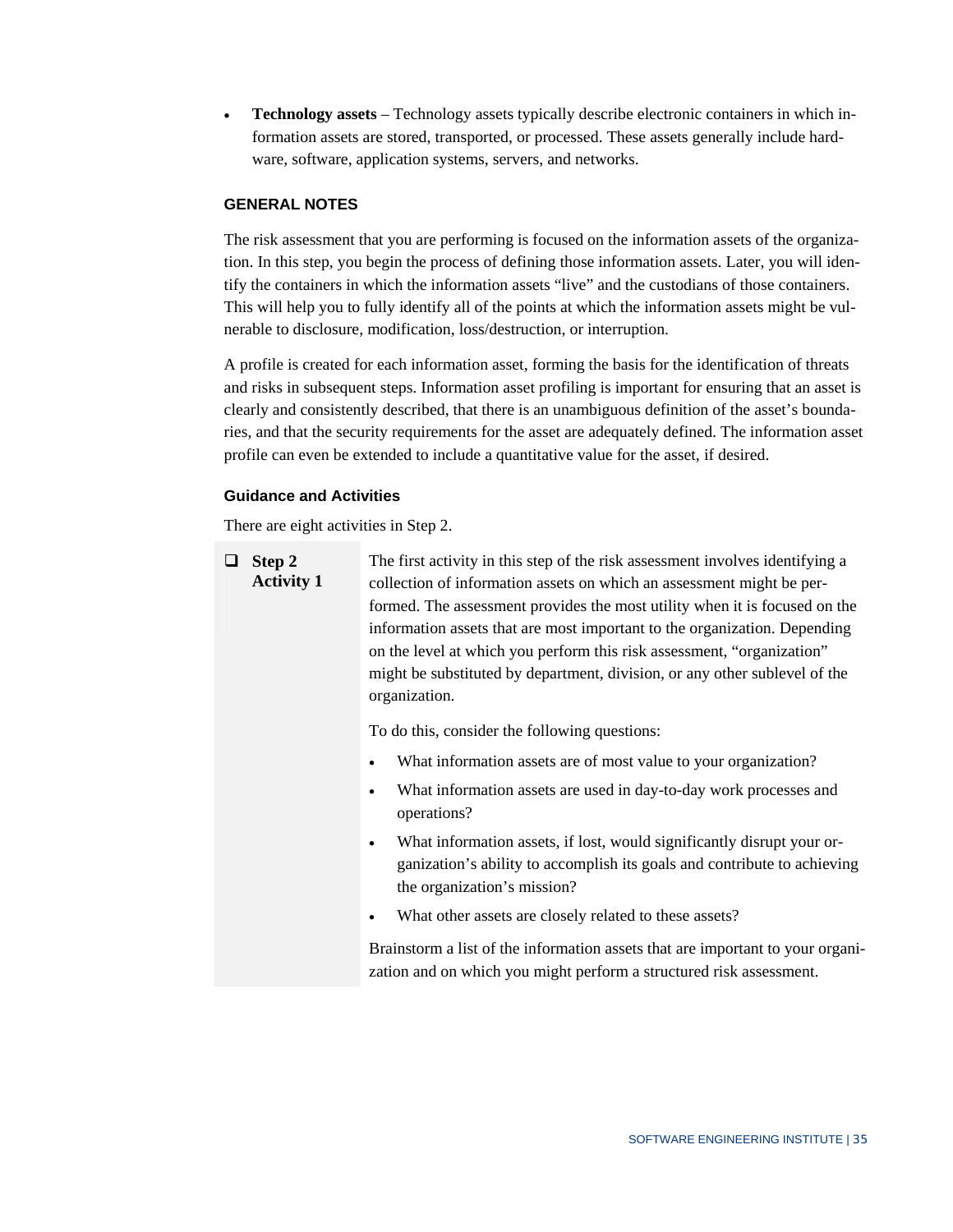• **Technology assets** – Technology assets typically describe electronic containers in which information assets are stored, transported, or processed. These assets generally include hardware, software, application systems, servers, and networks.

### **GENERAL NOTES**

The risk assessment that you are performing is focused on the information assets of the organization. In this step, you begin the process of defining those information assets. Later, you will identify the containers in which the information assets "live" and the custodians of those containers. This will help you to fully identify all of the points at which the information assets might be vulnerable to disclosure, modification, loss/destruction, or interruption.

A profile is created for each information asset, forming the basis for the identification of threats and risks in subsequent steps. Information asset profiling is important for ensuring that an asset is clearly and consistently described, that there is an unambiguous definition of the asset's boundaries, and that the security requirements for the asset are adequately defined. The information asset profile can even be extended to include a quantitative value for the asset, if desired.

### **Guidance and Activities**

There are eight activities in Step 2.

| $\Box$ | Step 2<br><b>Activity 1</b> | The first activity in this step of the risk assessment involves identifying a<br>collection of information assets on which an assessment might be per-<br>formed. The assessment provides the most utility when it is focused on the<br>information assets that are most important to the organization. Depending<br>on the level at which you perform this risk assessment, "organization"<br>might be substituted by department, division, or any other sublevel of the<br>organization. |
|--------|-----------------------------|--------------------------------------------------------------------------------------------------------------------------------------------------------------------------------------------------------------------------------------------------------------------------------------------------------------------------------------------------------------------------------------------------------------------------------------------------------------------------------------------|
|        |                             | To do this, consider the following questions:                                                                                                                                                                                                                                                                                                                                                                                                                                              |
|        |                             | What information assets are of most value to your organization?                                                                                                                                                                                                                                                                                                                                                                                                                            |
|        |                             | What information assets are used in day-to-day work processes and<br>operations?                                                                                                                                                                                                                                                                                                                                                                                                           |
|        |                             | What information assets, if lost, would significantly disrupt your or-<br>ganization's ability to accomplish its goals and contribute to achieving<br>the organization's mission?                                                                                                                                                                                                                                                                                                          |
|        |                             | What other assets are closely related to these assets?                                                                                                                                                                                                                                                                                                                                                                                                                                     |
|        |                             | Brainstorm a list of the information assets that are important to your organi-<br>zation and on which you might perform a structured risk assessment.                                                                                                                                                                                                                                                                                                                                      |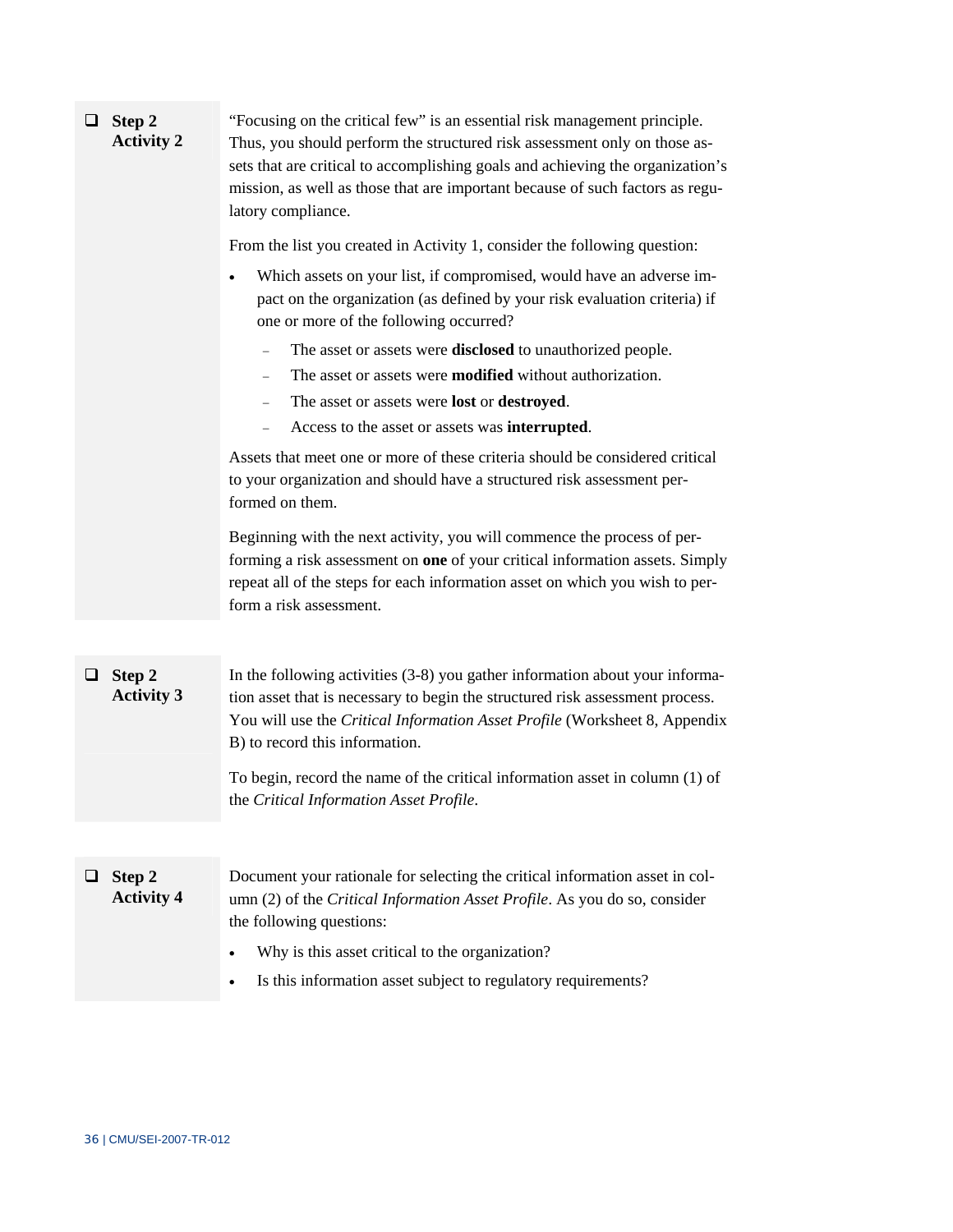| $\Box$ Step 2<br><b>Activity 2</b> | "Focusing on the critical few" is an essential risk management principle.<br>Thus, you should perform the structured risk assessment only on those as-<br>sets that are critical to accomplishing goals and achieving the organization's<br>mission, as well as those that are important because of such factors as regu-<br>latory compliance. |
|------------------------------------|-------------------------------------------------------------------------------------------------------------------------------------------------------------------------------------------------------------------------------------------------------------------------------------------------------------------------------------------------|
|                                    | From the list you created in Activity 1, consider the following question:<br>Which assets on your list, if compromised, would have an adverse im-<br>pact on the organization (as defined by your risk evaluation criteria) if<br>one or more of the following occurred?                                                                        |
|                                    | The asset or assets were <b>disclosed</b> to unauthorized people.<br>The asset or assets were <b>modified</b> without authorization.<br>-<br>The asset or assets were lost or destroyed.                                                                                                                                                        |
|                                    | Access to the asset or assets was interrupted.<br>Assets that meet one or more of these criteria should be considered critical<br>to your organization and should have a structured risk assessment per-<br>formed on them.                                                                                                                     |
|                                    | Beginning with the next activity, you will commence the process of per-<br>forming a risk assessment on one of your critical information assets. Simply<br>repeat all of the steps for each information asset on which you wish to per-<br>form a risk assessment.                                                                              |
| Step 2<br>□  <br><b>Activity 3</b> | In the following activities (3-8) you gather information about your informa-<br>tion asset that is necessary to begin the structured risk assessment process.<br>You will use the Critical Information Asset Profile (Worksheet 8, Appendix<br>B) to record this information.                                                                   |
|                                    | To begin, record the name of the critical information asset in column (1) of<br>the Critical Information Asset Profile.                                                                                                                                                                                                                         |
| Step 2<br>⊔<br><b>Activity 4</b>   | Document your rationale for selecting the critical information asset in col-<br>umn (2) of the Critical Information Asset Profile. As you do so, consider<br>the following questions:                                                                                                                                                           |
|                                    | Why is this asset critical to the organization?<br>Is this information asset subject to regulatory requirements?                                                                                                                                                                                                                                |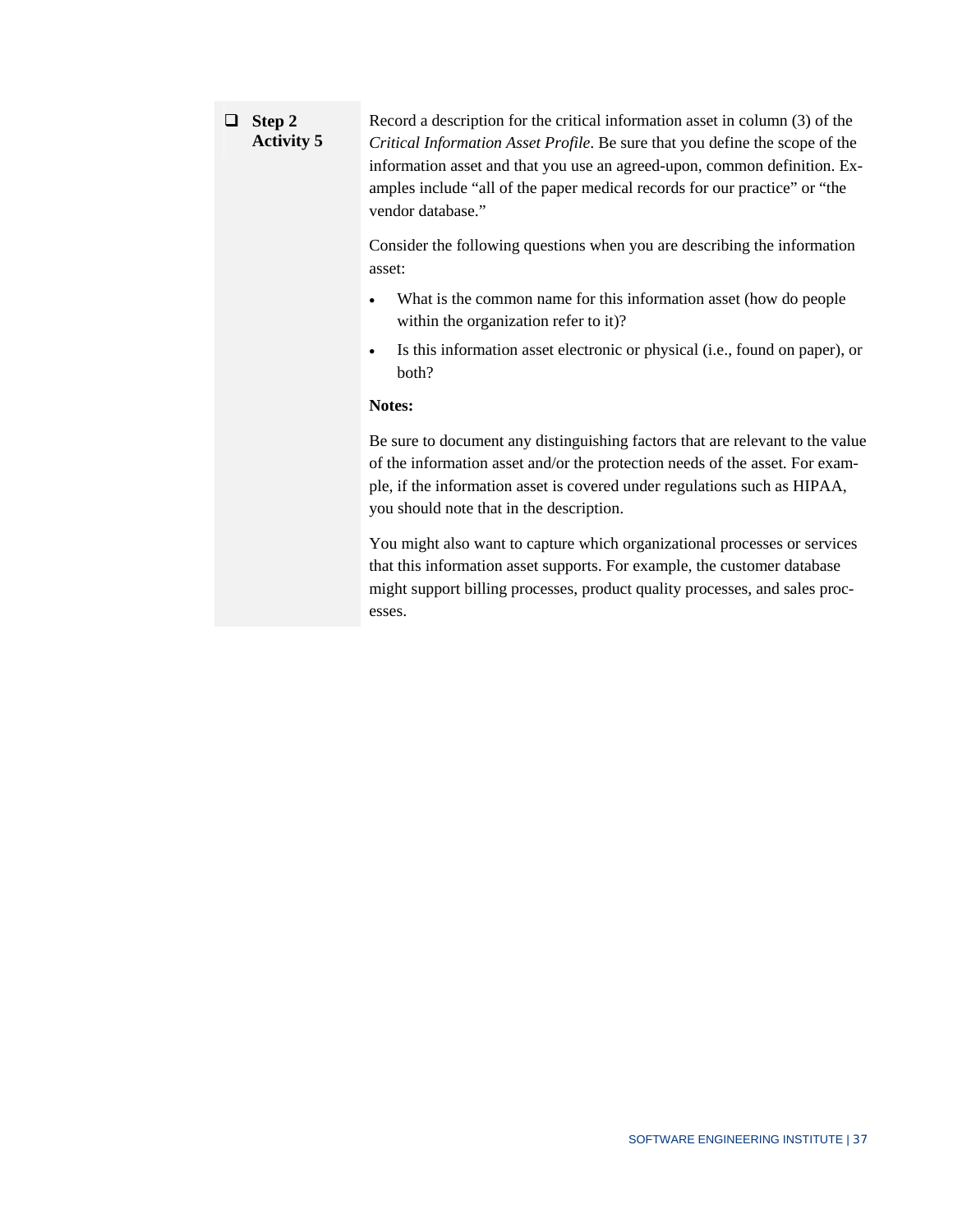| $\Box$<br>Step 2<br><b>Activity 5</b> | Record a description for the critical information asset in column (3) of the<br>Critical Information Asset Profile. Be sure that you define the scope of the<br>information asset and that you use an agreed-upon, common definition. Ex-<br>amples include "all of the paper medical records for our practice" or "the<br>vendor database." |
|---------------------------------------|----------------------------------------------------------------------------------------------------------------------------------------------------------------------------------------------------------------------------------------------------------------------------------------------------------------------------------------------|
|                                       | Consider the following questions when you are describing the information<br>asset:                                                                                                                                                                                                                                                           |
|                                       | What is the common name for this information asset (how do people<br>within the organization refer to it)?                                                                                                                                                                                                                                   |
|                                       | Is this information asset electronic or physical (i.e., found on paper), or<br>both?                                                                                                                                                                                                                                                         |
|                                       | Notes:                                                                                                                                                                                                                                                                                                                                       |
|                                       | Be sure to document any distinguishing factors that are relevant to the value<br>of the information asset and/or the protection needs of the asset. For exam-<br>ple, if the information asset is covered under regulations such as HIPAA,<br>you should note that in the description.                                                       |
|                                       | You might also want to capture which organizational processes or services<br>that this information asset supports. For example, the customer database<br>might support billing processes, product quality processes, and sales proc-<br>esses.                                                                                               |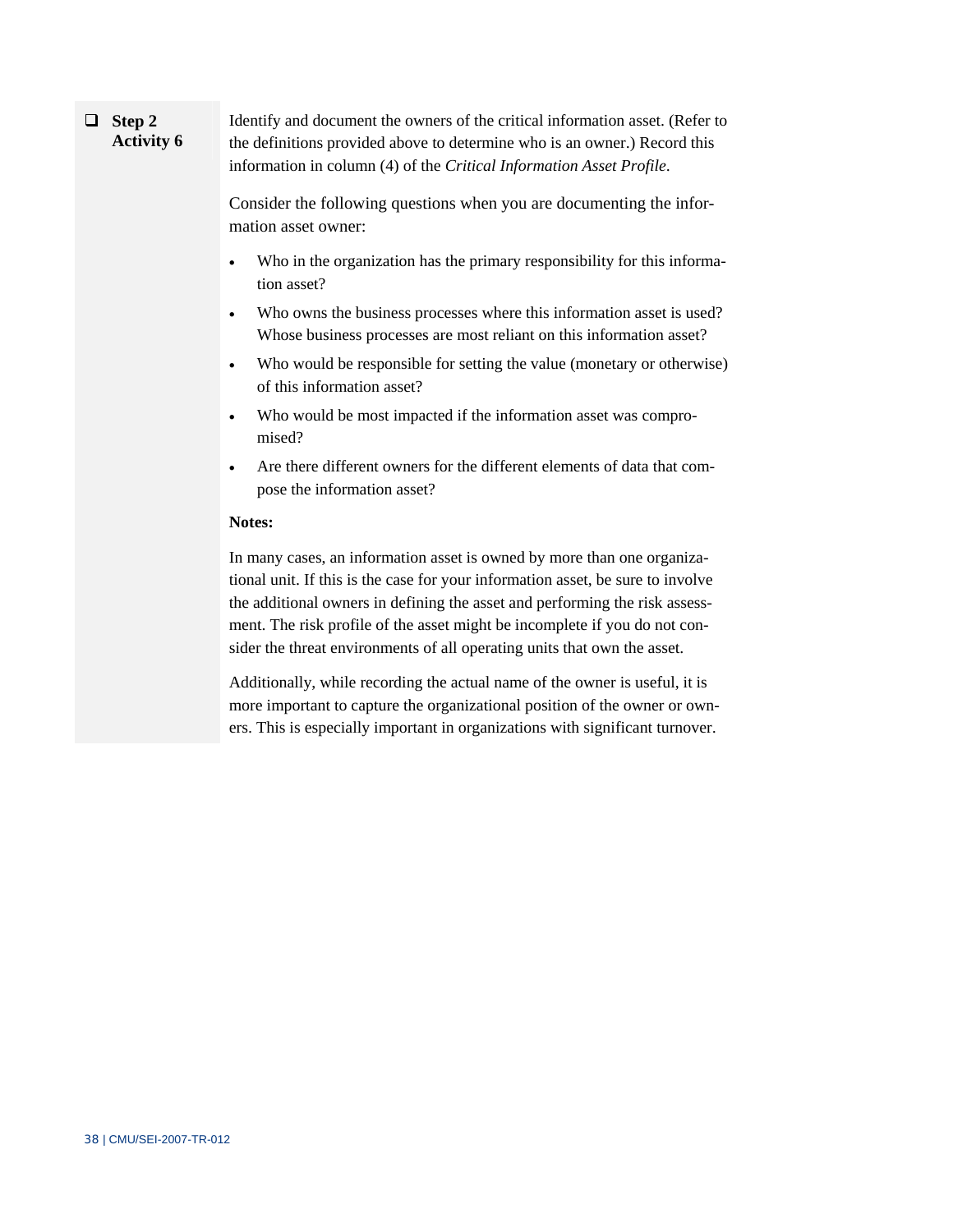#### **Step 2 Activity 6**  Identify and document the owners of the critical information asset. (Refer to the definitions provided above to determine who is an owner.) Record this information in column (4) of the *Critical Information Asset Profile*.

Consider the following questions when you are documenting the information asset owner:

- Who in the organization has the primary responsibility for this information asset?
- Who owns the business processes where this information asset is used? Whose business processes are most reliant on this information asset?
- Who would be responsible for setting the value (monetary or otherwise) of this information asset?
- Who would be most impacted if the information asset was compromised?
- Are there different owners for the different elements of data that compose the information asset?

### **Notes:**

In many cases, an information asset is owned by more than one organizational unit. If this is the case for your information asset, be sure to involve the additional owners in defining the asset and performing the risk assessment. The risk profile of the asset might be incomplete if you do not consider the threat environments of all operating units that own the asset.

Additionally, while recording the actual name of the owner is useful, it is more important to capture the organizational position of the owner or owners. This is especially important in organizations with significant turnover.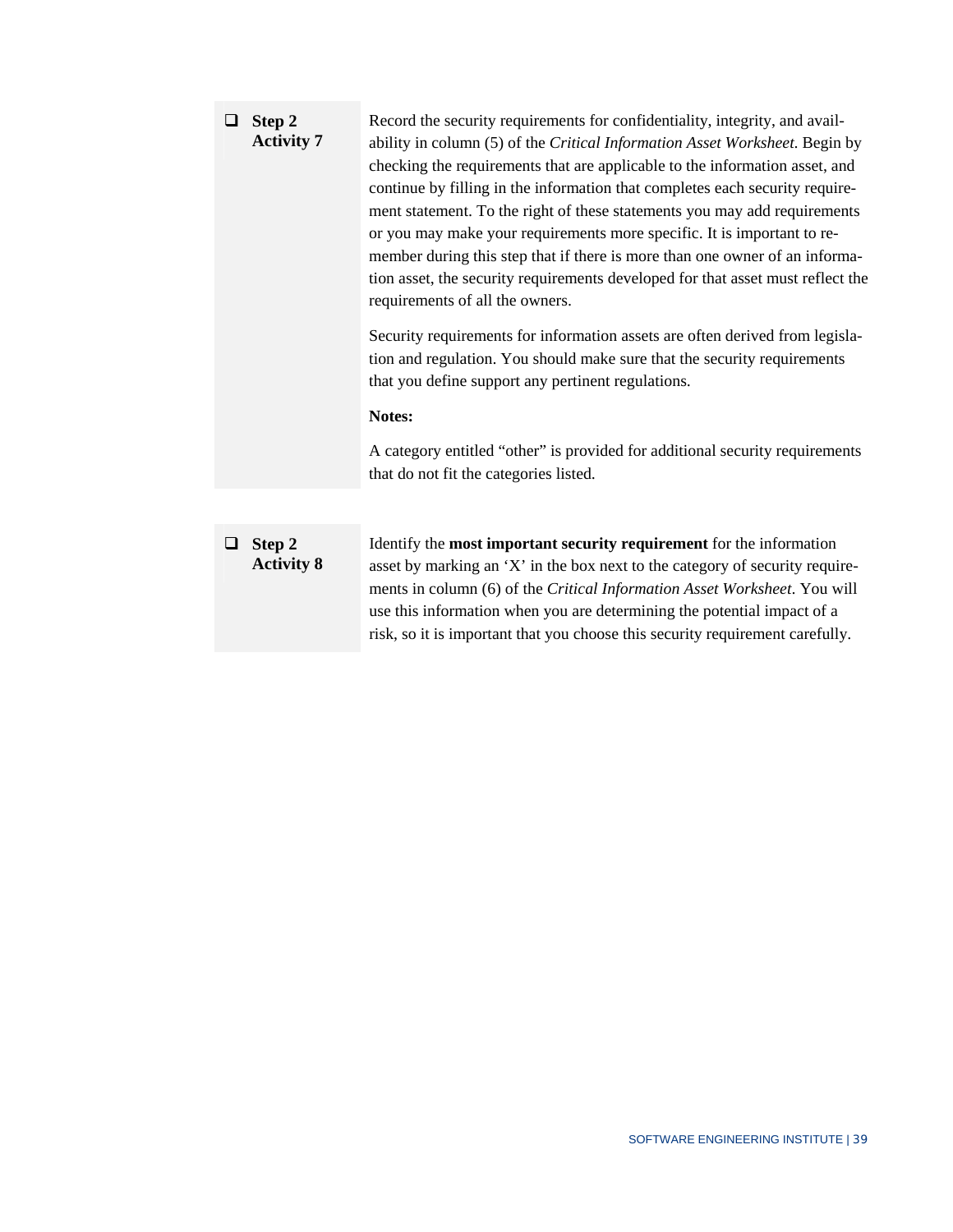| Step 2<br>ப<br><b>Activity 7</b> | Record the security requirements for confidentiality, integrity, and avail-<br>ability in column (5) of the Critical Information Asset Worksheet. Begin by<br>checking the requirements that are applicable to the information asset, and<br>continue by filling in the information that completes each security require-<br>ment statement. To the right of these statements you may add requirements<br>or you may make your requirements more specific. It is important to re-<br>member during this step that if there is more than one owner of an informa-<br>tion asset, the security requirements developed for that asset must reflect the<br>requirements of all the owners.<br>Security requirements for information assets are often derived from legisla-<br>tion and regulation. You should make sure that the security requirements<br>that you define support any pertinent regulations.<br>Notes:<br>A category entitled "other" is provided for additional security requirements<br>that do not fit the categories listed. |
|----------------------------------|----------------------------------------------------------------------------------------------------------------------------------------------------------------------------------------------------------------------------------------------------------------------------------------------------------------------------------------------------------------------------------------------------------------------------------------------------------------------------------------------------------------------------------------------------------------------------------------------------------------------------------------------------------------------------------------------------------------------------------------------------------------------------------------------------------------------------------------------------------------------------------------------------------------------------------------------------------------------------------------------------------------------------------------------|
| Step 2                           | Identify the most important security requirement for the information                                                                                                                                                                                                                                                                                                                                                                                                                                                                                                                                                                                                                                                                                                                                                                                                                                                                                                                                                                         |

**Activity 8**  asset by marking an 'X' in the box next to the category of security requirements in column (6) of the *Critical Information Asset Worksheet*. You will use this information when you are determining the potential impact of a risk, so it is important that you choose this security requirement carefully.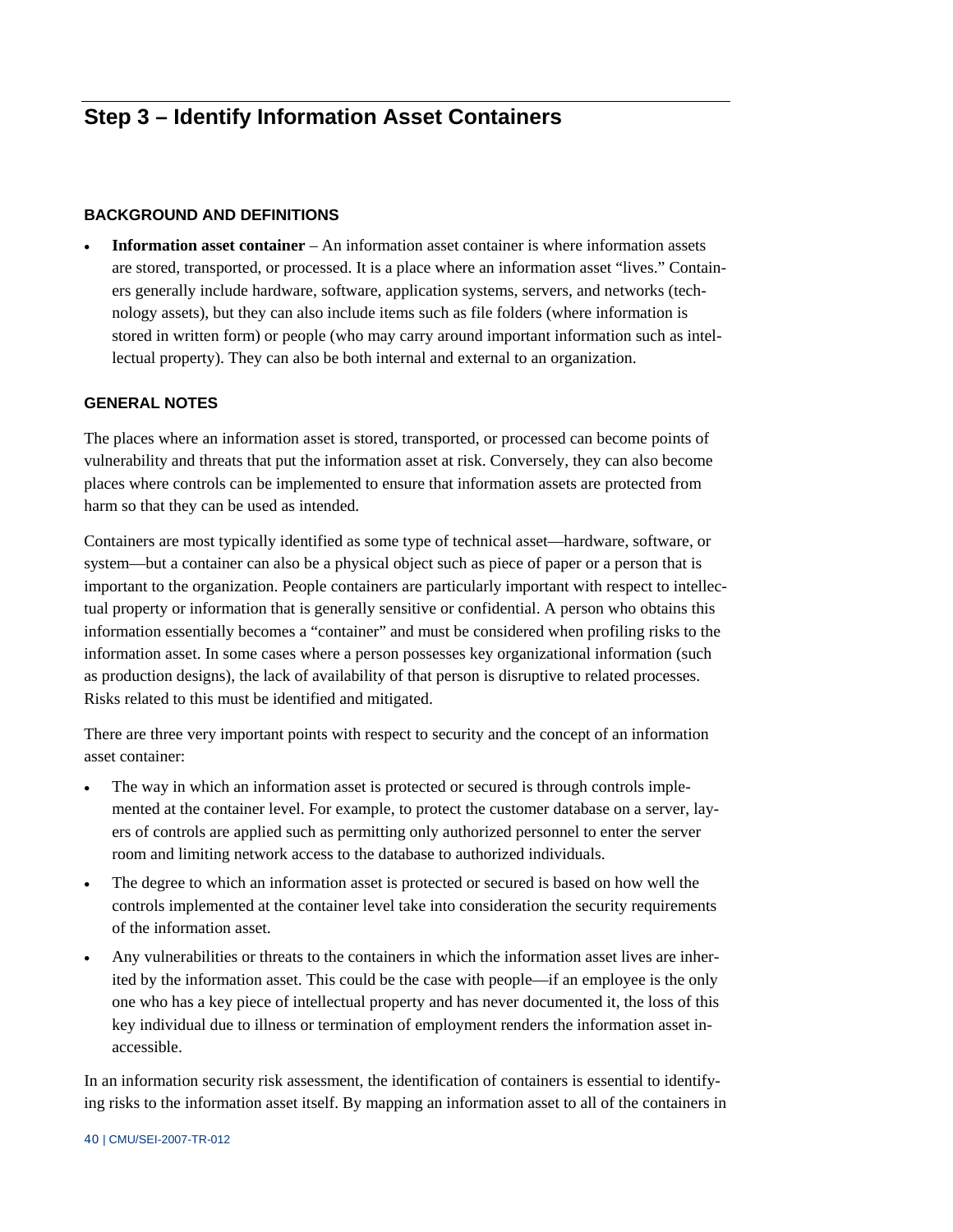# **Step 3 – Identify Information Asset Containers**

### **BACKGROUND AND DEFINITIONS**

• **Information asset container** – An information asset container is where information assets are stored, transported, or processed. It is a place where an information asset "lives." Containers generally include hardware, software, application systems, servers, and networks (technology assets), but they can also include items such as file folders (where information is stored in written form) or people (who may carry around important information such as intellectual property). They can also be both internal and external to an organization.

### **GENERAL NOTES**

The places where an information asset is stored, transported, or processed can become points of vulnerability and threats that put the information asset at risk. Conversely, they can also become places where controls can be implemented to ensure that information assets are protected from harm so that they can be used as intended.

Containers are most typically identified as some type of technical asset—hardware, software, or system—but a container can also be a physical object such as piece of paper or a person that is important to the organization. People containers are particularly important with respect to intellectual property or information that is generally sensitive or confidential. A person who obtains this information essentially becomes a "container" and must be considered when profiling risks to the information asset. In some cases where a person possesses key organizational information (such as production designs), the lack of availability of that person is disruptive to related processes. Risks related to this must be identified and mitigated.

There are three very important points with respect to security and the concept of an information asset container:

- The way in which an information asset is protected or secured is through controls implemented at the container level. For example, to protect the customer database on a server, layers of controls are applied such as permitting only authorized personnel to enter the server room and limiting network access to the database to authorized individuals.
- The degree to which an information asset is protected or secured is based on how well the controls implemented at the container level take into consideration the security requirements of the information asset.
- Any vulnerabilities or threats to the containers in which the information asset lives are inherited by the information asset. This could be the case with people—if an employee is the only one who has a key piece of intellectual property and has never documented it, the loss of this key individual due to illness or termination of employment renders the information asset inaccessible.

In an information security risk assessment, the identification of containers is essential to identifying risks to the information asset itself. By mapping an information asset to all of the containers in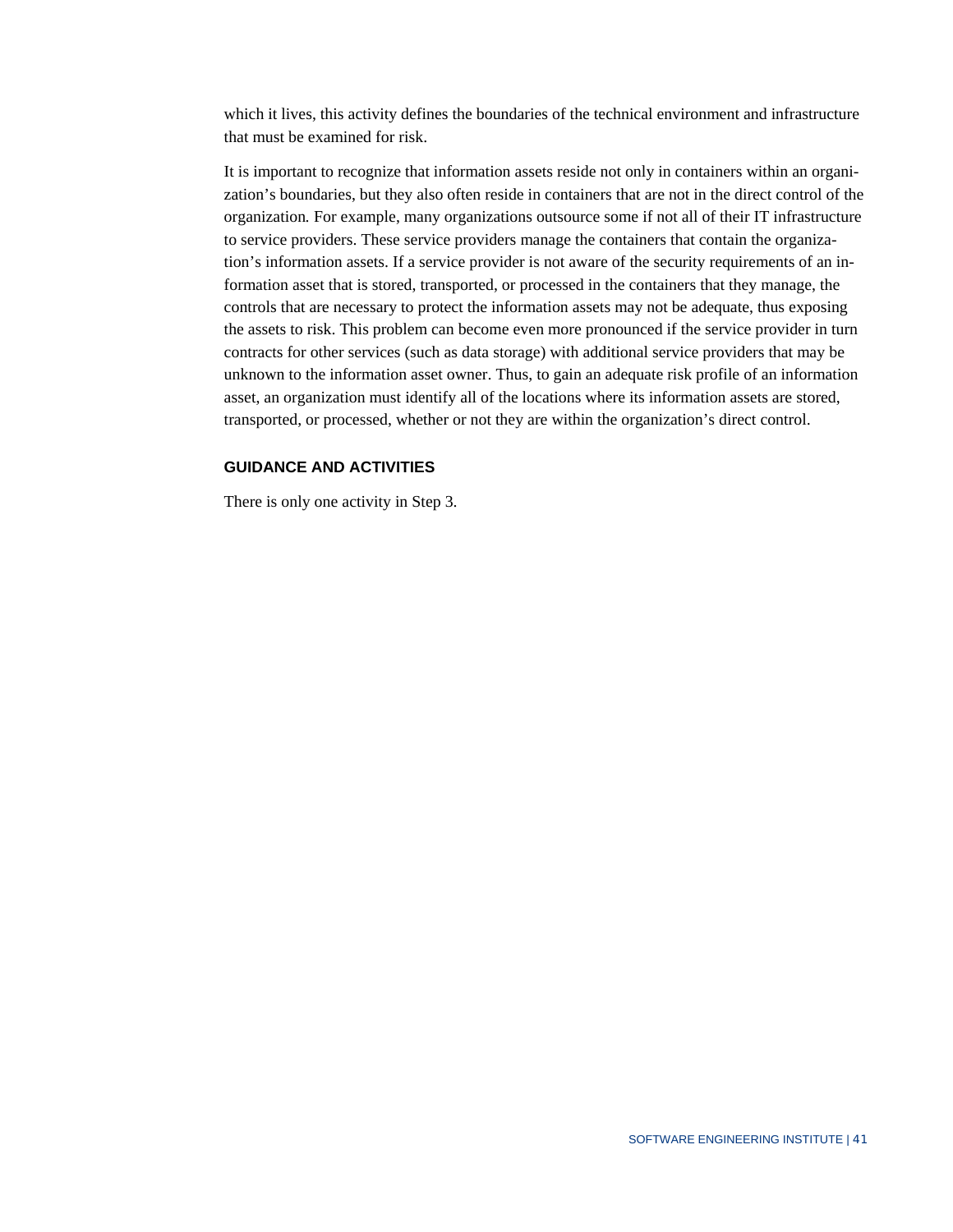which it lives, this activity defines the boundaries of the technical environment and infrastructure that must be examined for risk.

It is important to recognize that information assets reside not only in containers within an organization's boundaries, but they also often reside in containers that are not in the direct control of the organization*.* For example, many organizations outsource some if not all of their IT infrastructure to service providers. These service providers manage the containers that contain the organization's information assets. If a service provider is not aware of the security requirements of an information asset that is stored, transported, or processed in the containers that they manage, the controls that are necessary to protect the information assets may not be adequate, thus exposing the assets to risk. This problem can become even more pronounced if the service provider in turn contracts for other services (such as data storage) with additional service providers that may be unknown to the information asset owner. Thus, to gain an adequate risk profile of an information asset, an organization must identify all of the locations where its information assets are stored, transported, or processed, whether or not they are within the organization's direct control.

### **GUIDANCE AND ACTIVITIES**

There is only one activity in Step 3.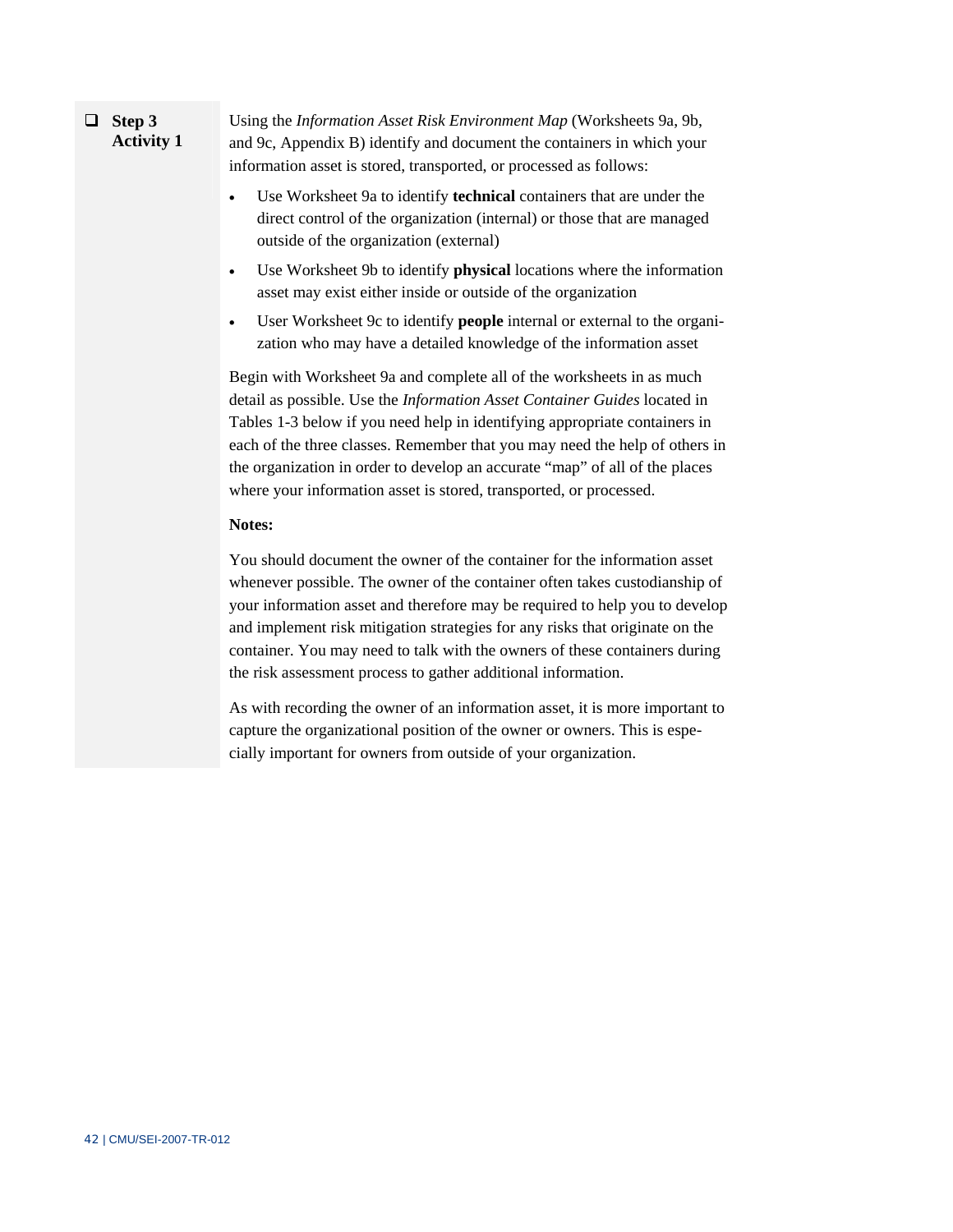## **Step 3 Activity 1**

Using the *Information Asset Risk Environment Map* (Worksheets 9a, 9b, and 9c, Appendix B) identify and document the containers in which your information asset is stored, transported, or processed as follows:

- Use Worksheet 9a to identify **technical** containers that are under the direct control of the organization (internal) or those that are managed outside of the organization (external)
- Use Worksheet 9b to identify **physical** locations where the information asset may exist either inside or outside of the organization
- User Worksheet 9c to identify **people** internal or external to the organization who may have a detailed knowledge of the information asset

Begin with Worksheet 9a and complete all of the worksheets in as much detail as possible. Use the *Information Asset Container Guides* located in Tables 1-3 below if you need help in identifying appropriate containers in each of the three classes. Remember that you may need the help of others in the organization in order to develop an accurate "map" of all of the places where your information asset is stored, transported, or processed.

### **Notes:**

You should document the owner of the container for the information asset whenever possible. The owner of the container often takes custodianship of your information asset and therefore may be required to help you to develop and implement risk mitigation strategies for any risks that originate on the container. You may need to talk with the owners of these containers during the risk assessment process to gather additional information.

As with recording the owner of an information asset, it is more important to capture the organizational position of the owner or owners. This is especially important for owners from outside of your organization.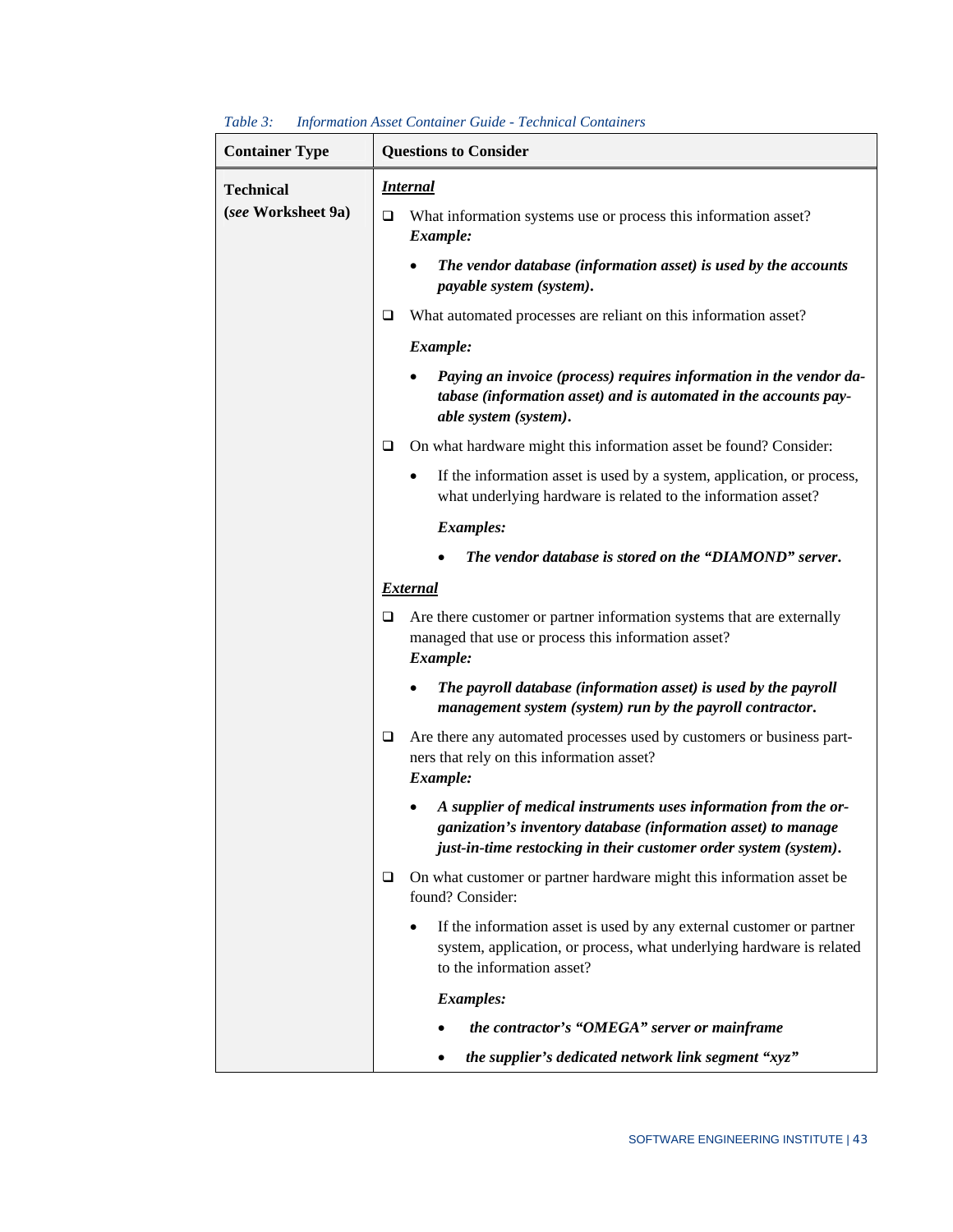| <b>Container Type</b> | <b>Questions to Consider</b>                                                                                                                                                                         |
|-----------------------|------------------------------------------------------------------------------------------------------------------------------------------------------------------------------------------------------|
| <b>Technical</b>      | <b>Internal</b>                                                                                                                                                                                      |
| (see Worksheet 9a)    | What information systems use or process this information asset?<br>⊔<br>Example:                                                                                                                     |
|                       | The vendor database (information asset) is used by the accounts<br>payable system (system).                                                                                                          |
|                       | What automated processes are reliant on this information asset?<br>o                                                                                                                                 |
|                       | Example:                                                                                                                                                                                             |
|                       | Paying an invoice (process) requires information in the vendor da-<br>tabase (information asset) and is automated in the accounts pay-<br>able system (system).                                      |
|                       | On what hardware might this information asset be found? Consider:<br>❏                                                                                                                               |
|                       | If the information asset is used by a system, application, or process,<br>what underlying hardware is related to the information asset?                                                              |
|                       | <b>Examples:</b>                                                                                                                                                                                     |
|                       | The vendor database is stored on the "DIAMOND" server.                                                                                                                                               |
|                       | <b>External</b>                                                                                                                                                                                      |
|                       | Are there customer or partner information systems that are externally<br>u<br>managed that use or process this information asset?<br>Example:                                                        |
|                       | The payroll database (information asset) is used by the payroll<br>٠<br>management system (system) run by the payroll contractor.                                                                    |
|                       | Are there any automated processes used by customers or business part-<br>Q.<br>ners that rely on this information asset?<br>Example:                                                                 |
|                       | A supplier of medical instruments uses information from the or-<br>ganization's inventory database (information asset) to manage<br>just-in-time restocking in their customer order system (system). |
|                       | On what customer or partner hardware might this information asset be<br>Q.<br>found? Consider:                                                                                                       |
|                       | If the information asset is used by any external customer or partner<br>system, application, or process, what underlying hardware is related<br>to the information asset?                            |
|                       | <b>Examples:</b>                                                                                                                                                                                     |
|                       | the contractor's "OMEGA" server or mainframe                                                                                                                                                         |
|                       | the supplier's dedicated network link segment "xyz"                                                                                                                                                  |

# *Table 3: Information Asset Container Guide - Technical Containers*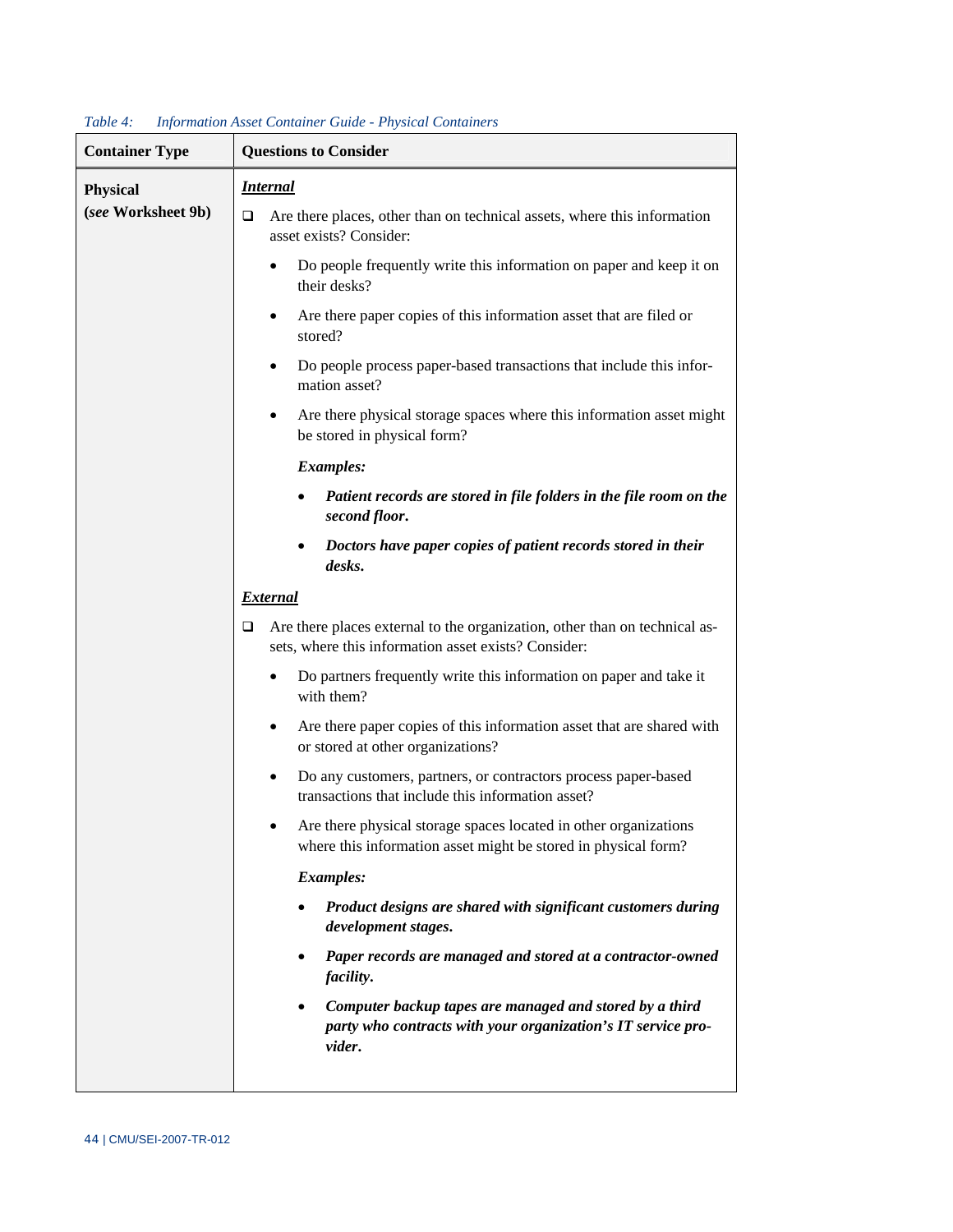| <b>Container Type</b> | <b>Questions to Consider</b>                                                                                                             |
|-----------------------|------------------------------------------------------------------------------------------------------------------------------------------|
| <b>Physical</b>       | <b>Internal</b>                                                                                                                          |
| (see Worksheet 9b)    | o<br>Are there places, other than on technical assets, where this information<br>asset exists? Consider:                                 |
|                       | Do people frequently write this information on paper and keep it on<br>٠<br>their desks?                                                 |
|                       | Are there paper copies of this information asset that are filed or<br>$\bullet$<br>stored?                                               |
|                       | Do people process paper-based transactions that include this infor-<br>٠<br>mation asset?                                                |
|                       | Are there physical storage spaces where this information asset might<br>٠<br>be stored in physical form?                                 |
|                       | <b>Examples:</b>                                                                                                                         |
|                       | Patient records are stored in file folders in the file room on the<br>second floor.                                                      |
|                       | Doctors have paper copies of patient records stored in their<br>desks.                                                                   |
|                       | <b>External</b>                                                                                                                          |
|                       | Are there places external to the organization, other than on technical as-<br>o.<br>sets, where this information asset exists? Consider: |
|                       | Do partners frequently write this information on paper and take it<br>٠<br>with them?                                                    |
|                       | Are there paper copies of this information asset that are shared with<br>$\bullet$<br>or stored at other organizations?                  |
|                       | Do any customers, partners, or contractors process paper-based<br>٠<br>transactions that include this information asset?                 |
|                       | Are there physical storage spaces located in other organizations<br>where this information asset might be stored in physical form?       |
|                       | <b>Examples:</b>                                                                                                                         |
|                       | Product designs are shared with significant customers during<br>development stages.                                                      |
|                       | Paper records are managed and stored at a contractor-owned<br>facility.                                                                  |
|                       | Computer backup tapes are managed and stored by a third<br>party who contracts with your organization's IT service pro-<br>vider.        |
|                       |                                                                                                                                          |

### *Table 4: Information Asset Container Guide - Physical Containers*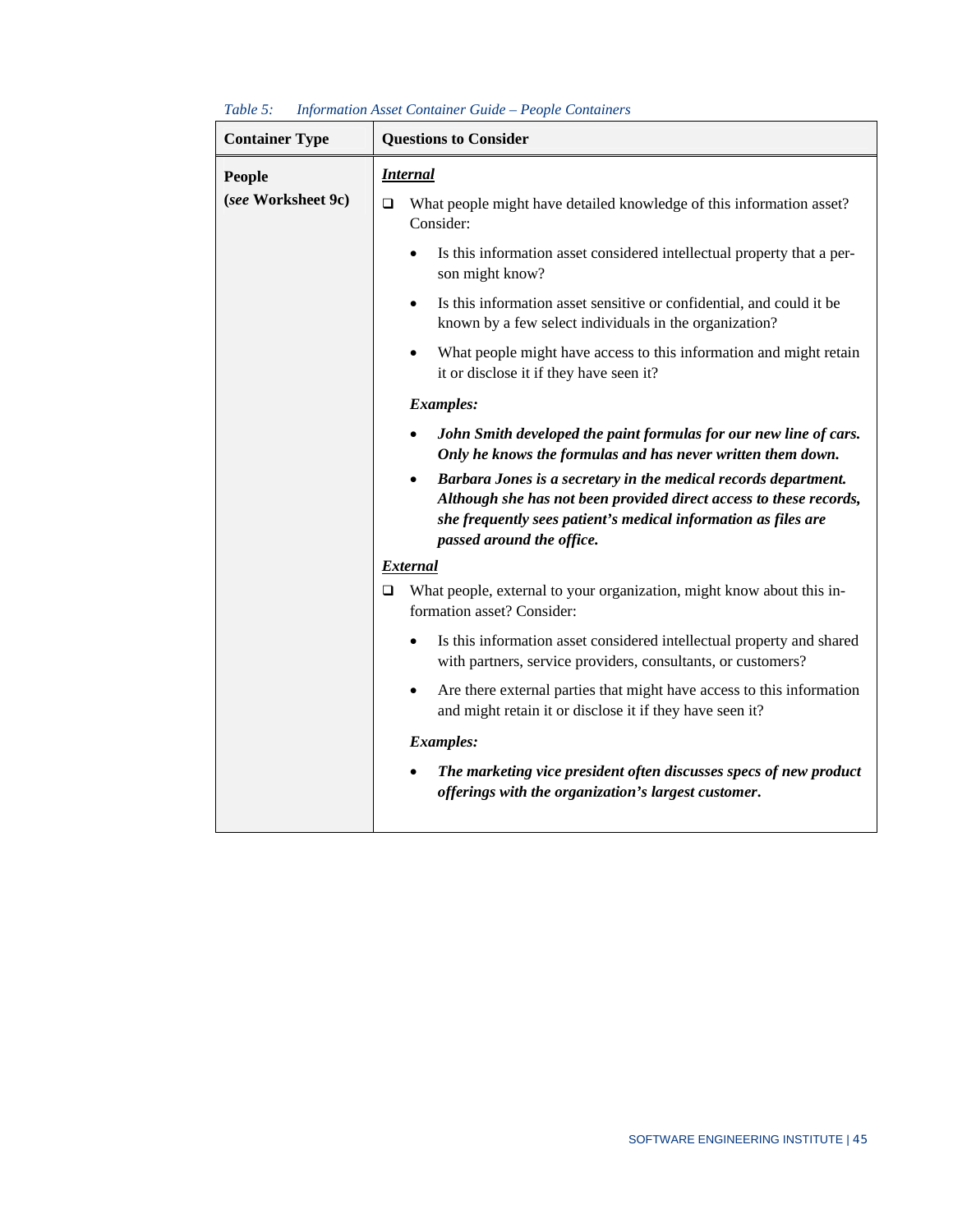| <b>Questions to Consider</b>                                                                                                                                                                                                         |
|--------------------------------------------------------------------------------------------------------------------------------------------------------------------------------------------------------------------------------------|
| <b>Internal</b>                                                                                                                                                                                                                      |
| What people might have detailed knowledge of this information asset?<br>◻<br>Consider:                                                                                                                                               |
| Is this information asset considered intellectual property that a per-<br>son might know?                                                                                                                                            |
| Is this information asset sensitive or confidential, and could it be<br>$\bullet$<br>known by a few select individuals in the organization?                                                                                          |
| What people might have access to this information and might retain<br>٠<br>it or disclose it if they have seen it?                                                                                                                   |
| <b>Examples:</b>                                                                                                                                                                                                                     |
| John Smith developed the paint formulas for our new line of cars.<br>٠<br>Only he knows the formulas and has never written them down.                                                                                                |
| Barbara Jones is a secretary in the medical records department.<br>Although she has not been provided direct access to these records,<br>she frequently sees patient's medical information as files are<br>passed around the office. |
| <b>External</b>                                                                                                                                                                                                                      |
| What people, external to your organization, might know about this in-<br>□<br>formation asset? Consider:                                                                                                                             |
| Is this information asset considered intellectual property and shared<br>$\bullet$<br>with partners, service providers, consultants, or customers?                                                                                   |
| Are there external parties that might have access to this information<br>$\bullet$<br>and might retain it or disclose it if they have seen it?                                                                                       |
| <b>Examples:</b>                                                                                                                                                                                                                     |
| The marketing vice president often discusses specs of new product<br>٠<br>offerings with the organization's largest customer.                                                                                                        |
|                                                                                                                                                                                                                                      |

### *Table 5: Information Asset Container Guide – People Containers*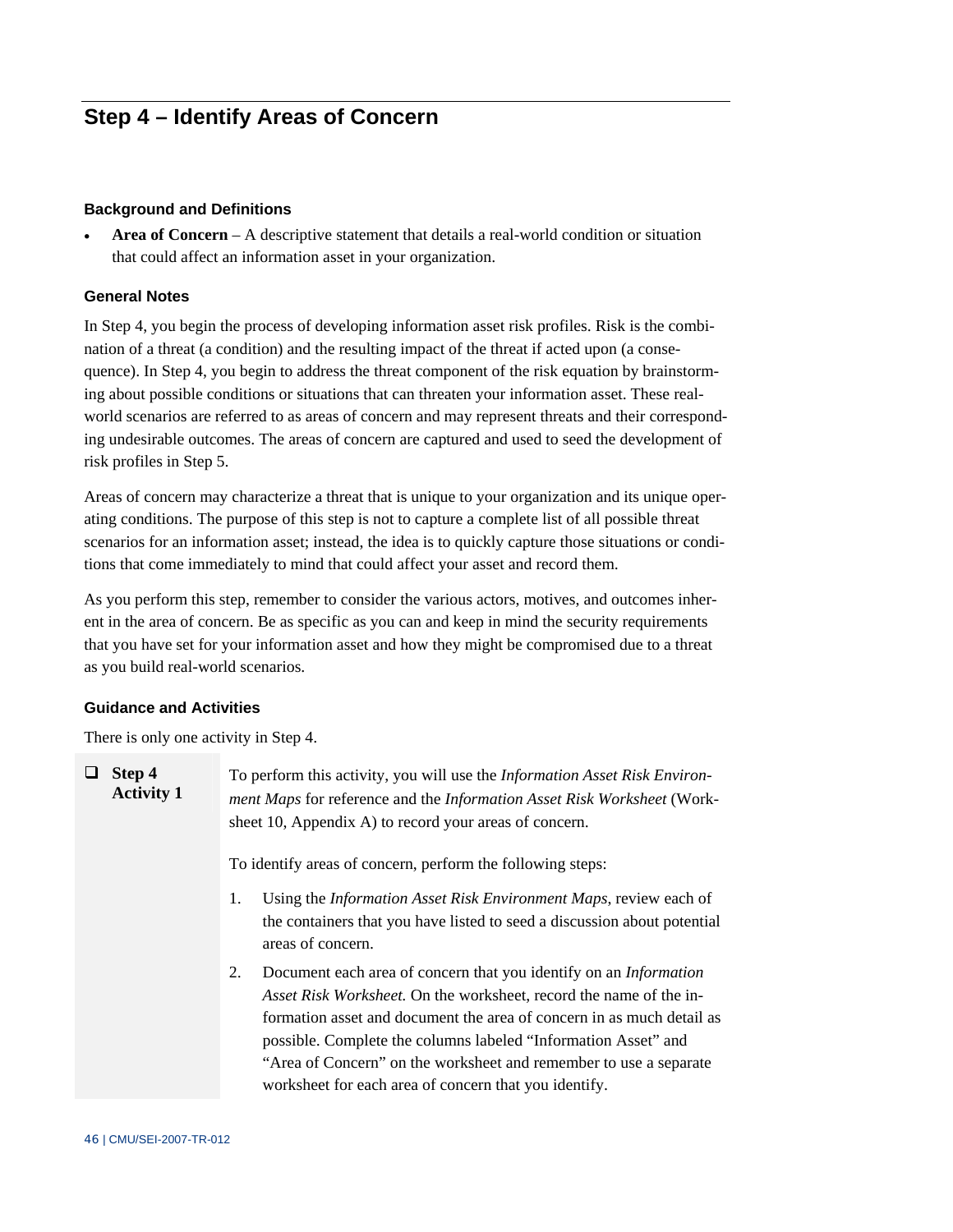# **Step 4 – Identify Areas of Concern**

### **Background and Definitions**

• **Area of Concern** – A descriptive statement that details a real-world condition or situation that could affect an information asset in your organization.

### **General Notes**

In Step 4, you begin the process of developing information asset risk profiles. Risk is the combination of a threat (a condition) and the resulting impact of the threat if acted upon (a consequence). In Step 4, you begin to address the threat component of the risk equation by brainstorming about possible conditions or situations that can threaten your information asset. These realworld scenarios are referred to as areas of concern and may represent threats and their corresponding undesirable outcomes. The areas of concern are captured and used to seed the development of risk profiles in Step 5.

Areas of concern may characterize a threat that is unique to your organization and its unique operating conditions. The purpose of this step is not to capture a complete list of all possible threat scenarios for an information asset; instead, the idea is to quickly capture those situations or conditions that come immediately to mind that could affect your asset and record them.

As you perform this step, remember to consider the various actors, motives, and outcomes inherent in the area of concern. Be as specific as you can and keep in mind the security requirements that you have set for your information asset and how they might be compromised due to a threat as you build real-world scenarios.

### **Guidance and Activities**

There is only one activity in Step 4.

| Step 4<br><b>Activity 1</b> | To perform this activity, you will use the <i>Information Asset Risk Environ</i> -<br>ment Maps for reference and the Information Asset Risk Worksheet (Work-<br>sheet 10, Appendix A) to record your areas of concern.                                                                                                                                                                                                       |
|-----------------------------|-------------------------------------------------------------------------------------------------------------------------------------------------------------------------------------------------------------------------------------------------------------------------------------------------------------------------------------------------------------------------------------------------------------------------------|
|                             | To identify areas of concern, perform the following steps:                                                                                                                                                                                                                                                                                                                                                                    |
|                             | Using the <i>Information Asset Risk Environment Maps</i> , review each of<br>1.<br>the containers that you have listed to seed a discussion about potential<br>areas of concern.                                                                                                                                                                                                                                              |
|                             | 2.<br>Document each area of concern that you identify on an <i>Information</i><br>Asset Risk Worksheet. On the worksheet, record the name of the in-<br>formation asset and document the area of concern in as much detail as<br>possible. Complete the columns labeled "Information Asset" and<br>"Area of Concern" on the worksheet and remember to use a separate<br>worksheet for each area of concern that you identify. |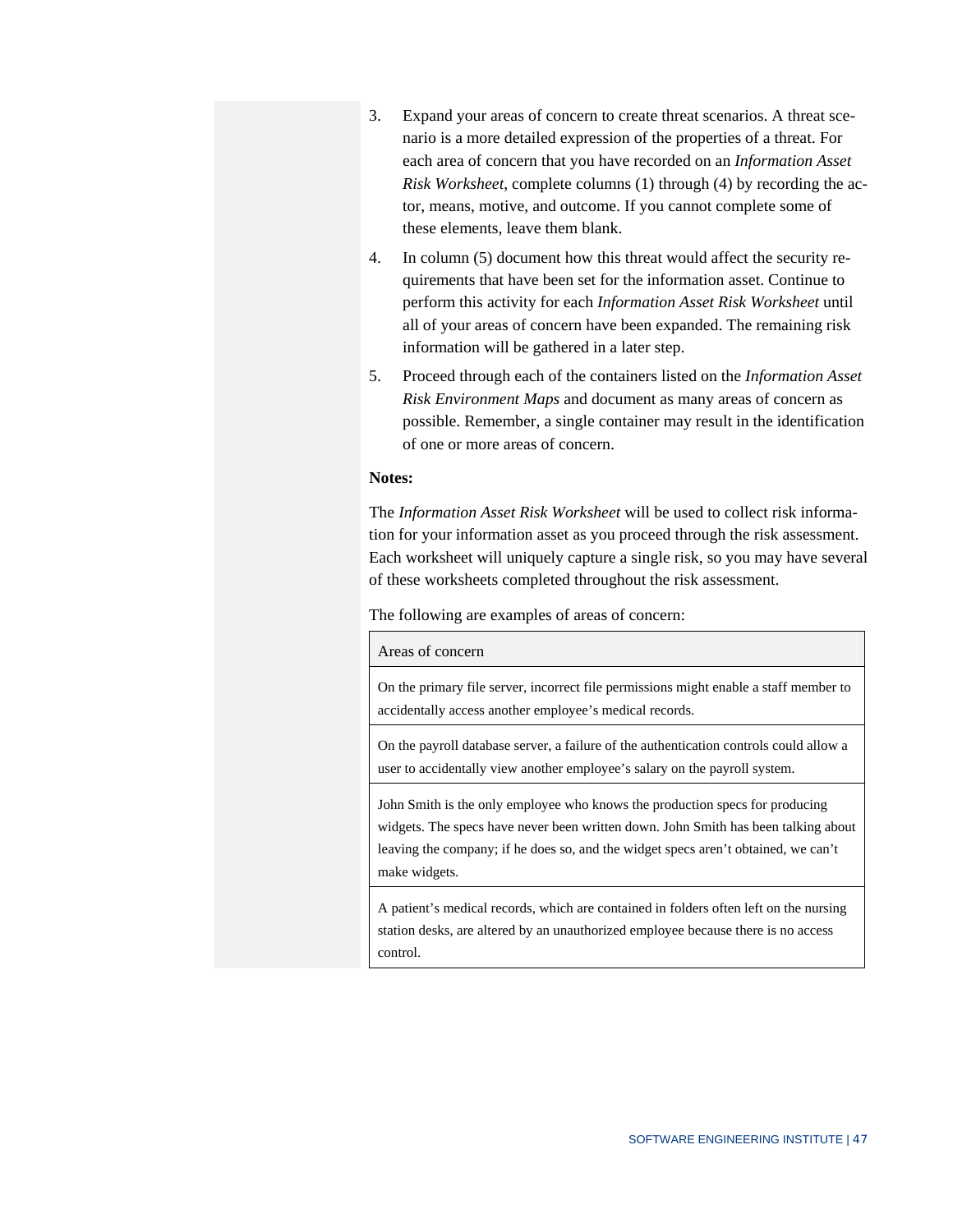- 3. Expand your areas of concern to create threat scenarios. A threat scenario is a more detailed expression of the properties of a threat. For each area of concern that you have recorded on an *Information Asset Risk Worksheet*, complete columns (1) through (4) by recording the actor, means, motive, and outcome. If you cannot complete some of these elements, leave them blank.
- 4. In column (5) document how this threat would affect the security requirements that have been set for the information asset. Continue to perform this activity for each *Information Asset Risk Worksheet* until all of your areas of concern have been expanded. The remaining risk information will be gathered in a later step.
- 5. Proceed through each of the containers listed on the *Information Asset Risk Environment Maps* and document as many areas of concern as possible. Remember, a single container may result in the identification of one or more areas of concern.

#### **Notes:**

The *Information Asset Risk Worksheet* will be used to collect risk information for your information asset as you proceed through the risk assessment. Each worksheet will uniquely capture a single risk, so you may have several of these worksheets completed throughout the risk assessment.

The following are examples of areas of concern:

Areas of concern

On the primary file server, incorrect file permissions might enable a staff member to accidentally access another employee's medical records.

On the payroll database server, a failure of the authentication controls could allow a user to accidentally view another employee's salary on the payroll system.

John Smith is the only employee who knows the production specs for producing widgets. The specs have never been written down. John Smith has been talking about leaving the company; if he does so, and the widget specs aren't obtained, we can't make widgets.

A patient's medical records, which are contained in folders often left on the nursing station desks, are altered by an unauthorized employee because there is no access control.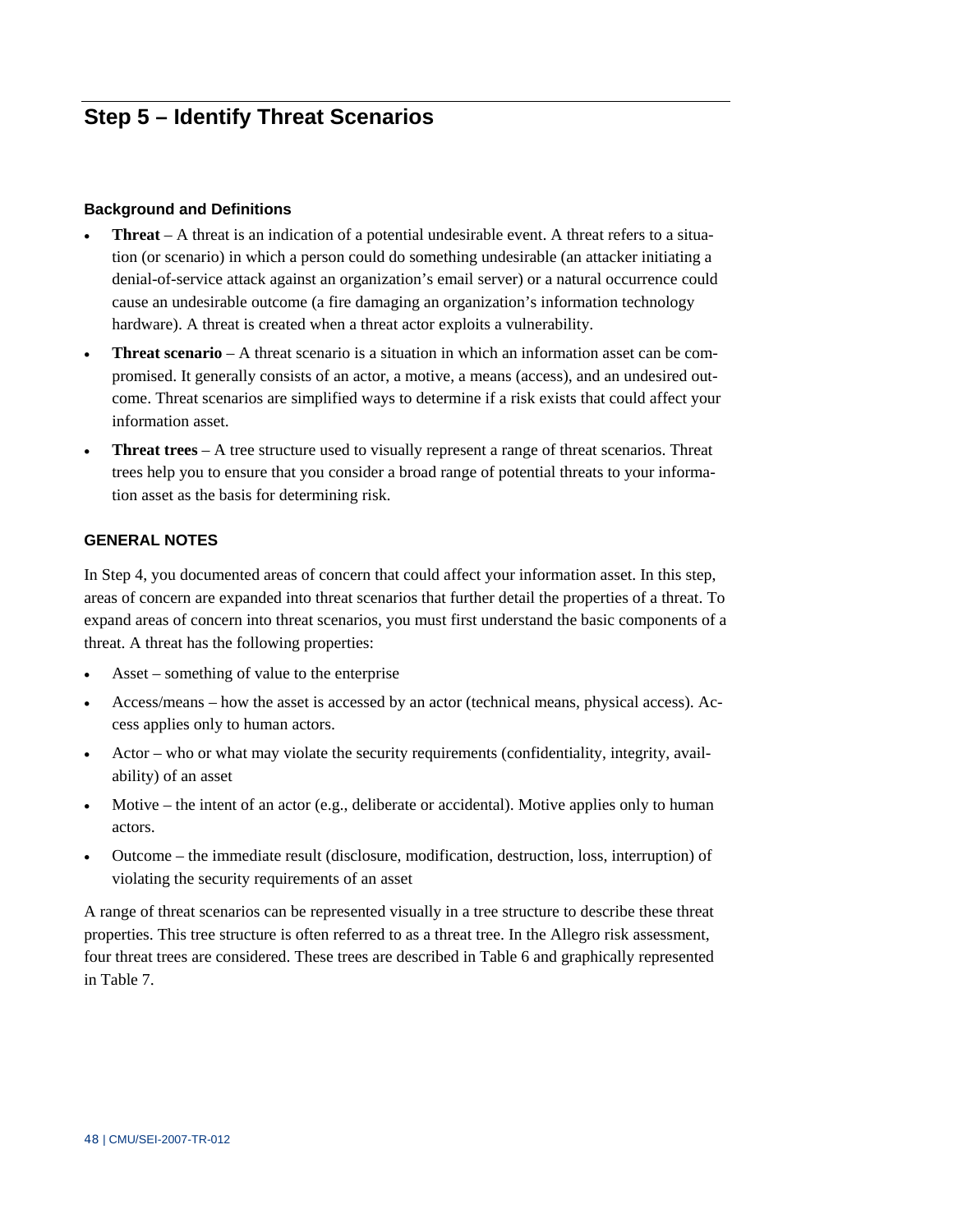# **Step 5 – Identify Threat Scenarios**

### **Background and Definitions**

- **Threat** A threat is an indication of a potential undesirable event. A threat refers to a situation (or scenario) in which a person could do something undesirable (an attacker initiating a denial-of-service attack against an organization's email server) or a natural occurrence could cause an undesirable outcome (a fire damaging an organization's information technology hardware). A threat is created when a threat actor exploits a vulnerability.
- **Threat scenario** A threat scenario is a situation in which an information asset can be compromised. It generally consists of an actor, a motive, a means (access), and an undesired outcome. Threat scenarios are simplified ways to determine if a risk exists that could affect your information asset.
- **Threat trees**  A tree structure used to visually represent a range of threat scenarios. Threat trees help you to ensure that you consider a broad range of potential threats to your information asset as the basis for determining risk.

### **GENERAL NOTES**

In Step 4, you documented areas of concern that could affect your information asset. In this step, areas of concern are expanded into threat scenarios that further detail the properties of a threat. To expand areas of concern into threat scenarios, you must first understand the basic components of a threat. A threat has the following properties:

- Asset something of value to the enterprise
- Access/means how the asset is accessed by an actor (technical means, physical access). Access applies only to human actors.
- Actor who or what may violate the security requirements (confidentiality, integrity, availability) of an asset
- Motive the intent of an actor (e.g., deliberate or accidental). Motive applies only to human actors.
- Outcome the immediate result (disclosure, modification, destruction, loss, interruption) of violating the security requirements of an asset

A range of threat scenarios can be represented visually in a tree structure to describe these threat properties. This tree structure is often referred to as a threat tree. In the Allegro risk assessment, four threat trees are considered. These trees are described in [Table 6](#page-60-0) and graphically represented in [Table 7.](#page-61-0)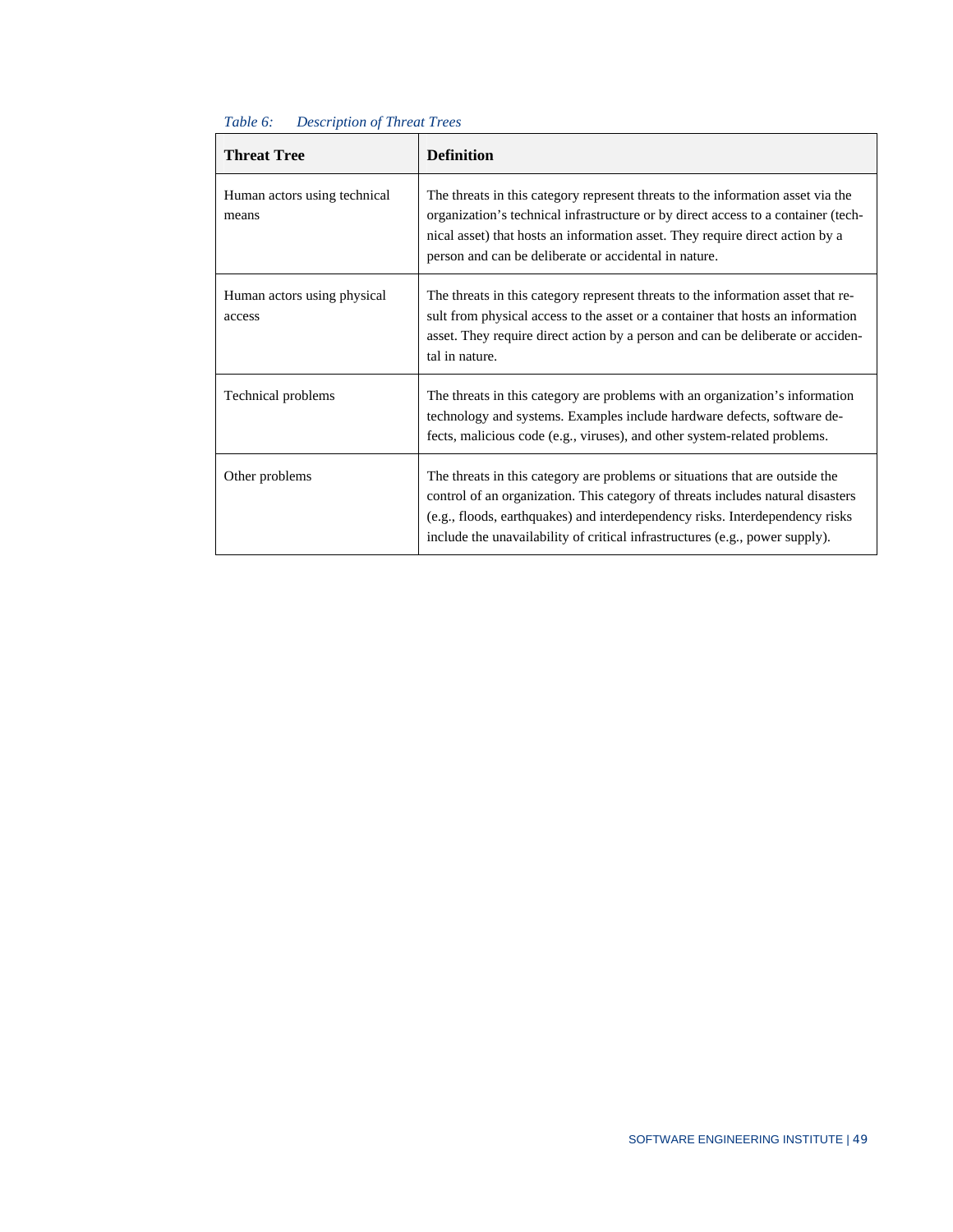<span id="page-60-0"></span>

| <b>Threat Tree</b>                    | <b>Definition</b>                                                                                                                                                                                                                                                                                                               |
|---------------------------------------|---------------------------------------------------------------------------------------------------------------------------------------------------------------------------------------------------------------------------------------------------------------------------------------------------------------------------------|
| Human actors using technical<br>means | The threats in this category represent threats to the information asset via the<br>organization's technical infrastructure or by direct access to a container (tech-<br>nical asset) that hosts an information asset. They require direct action by a<br>person and can be deliberate or accidental in nature.                  |
| Human actors using physical<br>access | The threats in this category represent threats to the information asset that re-<br>sult from physical access to the asset or a container that hosts an information<br>asset. They require direct action by a person and can be deliberate or acciden-<br>tal in nature.                                                        |
| Technical problems                    | The threats in this category are problems with an organization's information<br>technology and systems. Examples include hardware defects, software de-<br>fects, malicious code (e.g., viruses), and other system-related problems.                                                                                            |
| Other problems                        | The threats in this category are problems or situations that are outside the<br>control of an organization. This category of threats includes natural disasters<br>(e.g., floods, earthquakes) and interdependency risks. Interdependency risks<br>include the unavailability of critical infrastructures (e.g., power supply). |

# *Table 6: Description of Threat Trees*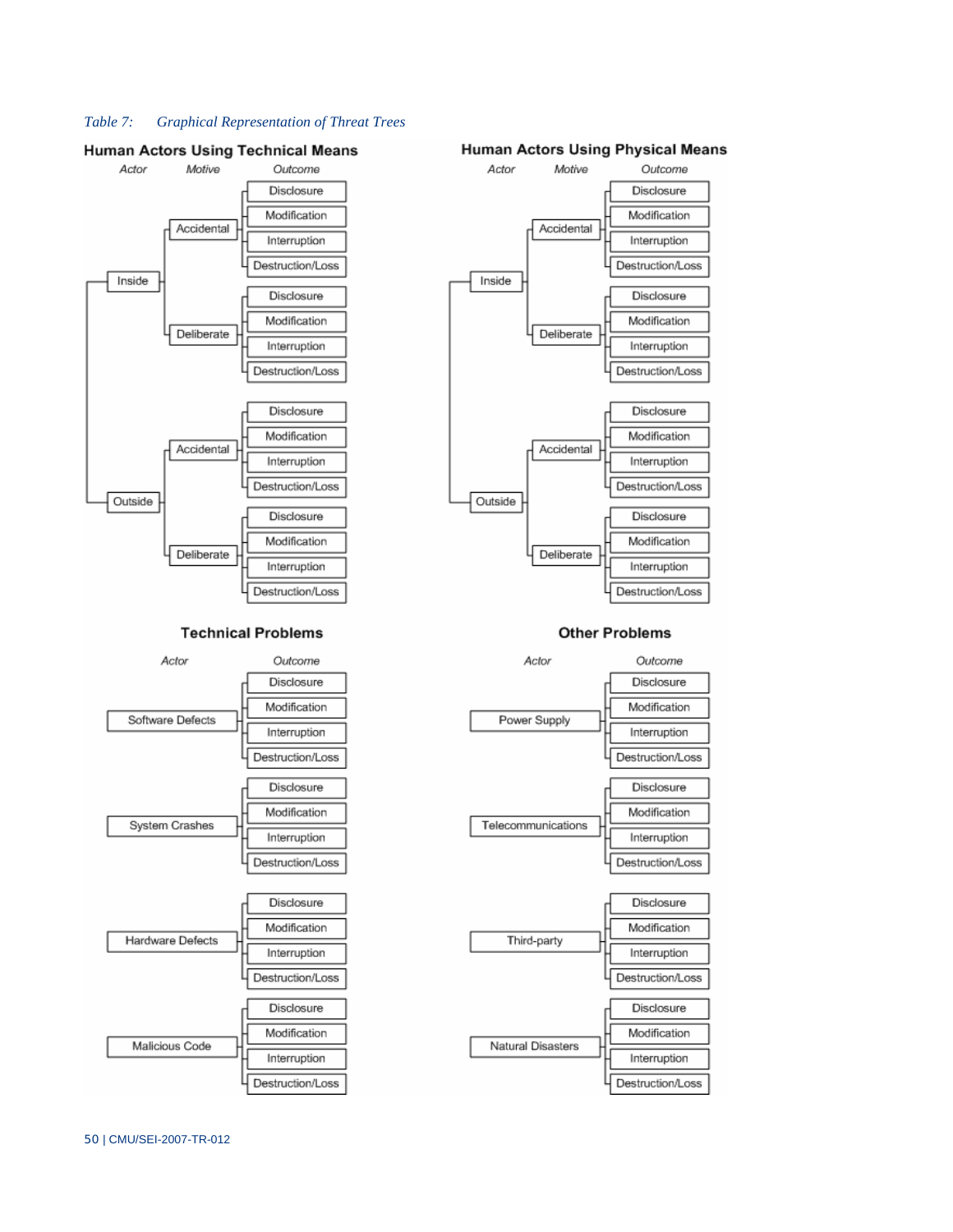#### <span id="page-61-0"></span>*Table 7: Graphical Representation of Threat Trees*



#### **Human Actors Using Physical Means**



#### **Other Problems**



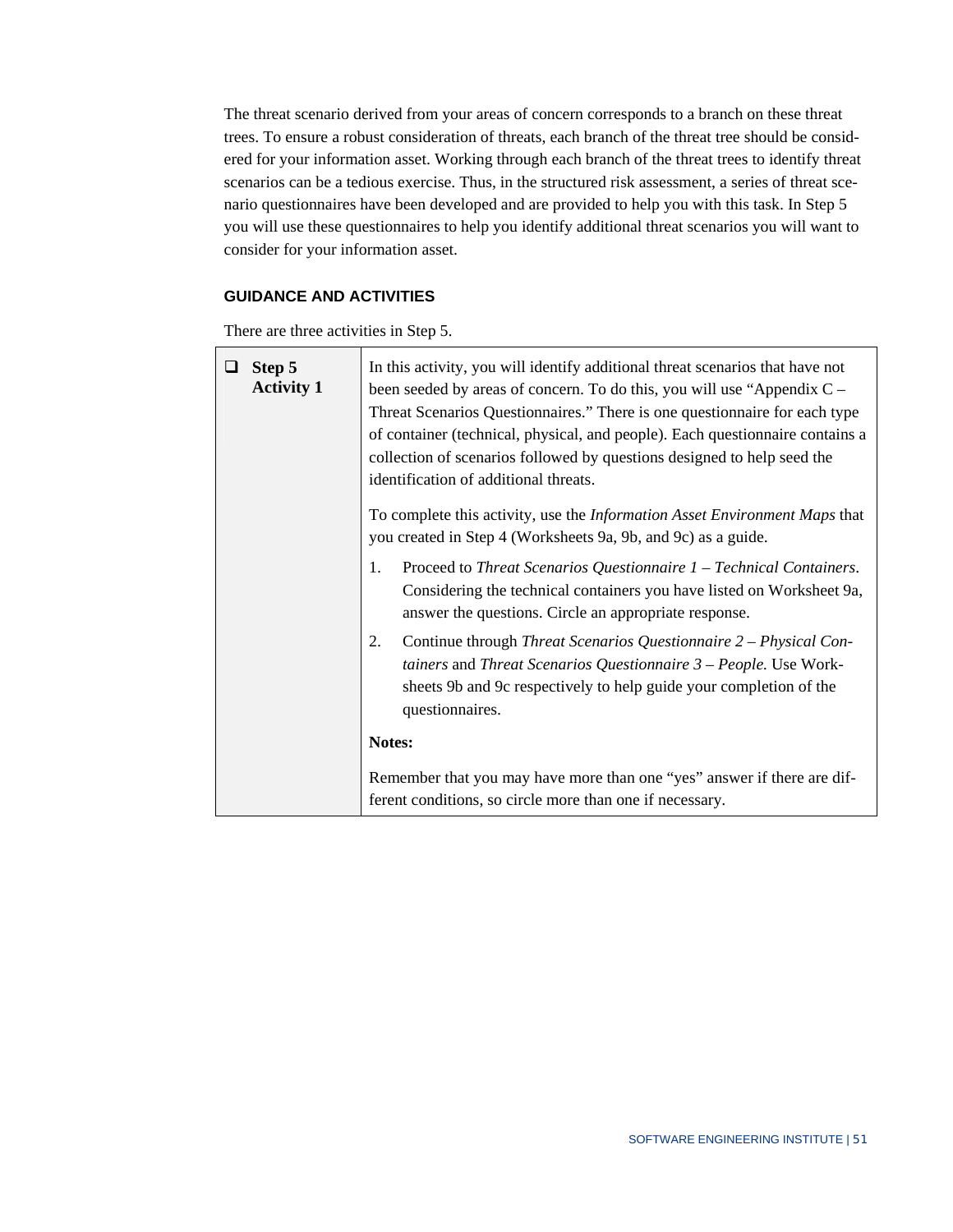The threat scenario derived from your areas of concern corresponds to a branch on these threat trees. To ensure a robust consideration of threats, each branch of the threat tree should be considered for your information asset. Working through each branch of the threat trees to identify threat scenarios can be a tedious exercise. Thus, in the structured risk assessment, a series of threat scenario questionnaires have been developed and are provided to help you with this task. In Step 5 you will use these questionnaires to help you identify additional threat scenarios you will want to consider for your information asset.

### **GUIDANCE AND ACTIVITIES**

There are three activities in Step 5.

| Step 5<br><b>Activity 1</b> | In this activity, you will identify additional threat scenarios that have not<br>been seeded by areas of concern. To do this, you will use "Appendix $C -$<br>Threat Scenarios Questionnaires." There is one questionnaire for each type<br>of container (technical, physical, and people). Each questionnaire contains a<br>collection of scenarios followed by questions designed to help seed the<br>identification of additional threats. |
|-----------------------------|-----------------------------------------------------------------------------------------------------------------------------------------------------------------------------------------------------------------------------------------------------------------------------------------------------------------------------------------------------------------------------------------------------------------------------------------------|
|                             | To complete this activity, use the <i>Information Asset Environment Maps</i> that<br>you created in Step 4 (Worksheets 9a, 9b, and 9c) as a guide.                                                                                                                                                                                                                                                                                            |
|                             | Proceed to Threat Scenarios Questionnaire 1 – Technical Containers.<br>1.<br>Considering the technical containers you have listed on Worksheet 9a,<br>answer the questions. Circle an appropriate response.                                                                                                                                                                                                                                   |
|                             | Continue through Threat Scenarios Questionnaire 2 – Physical Con-<br>2.<br>tainers and Threat Scenarios Questionnaire 3 - People. Use Work-<br>sheets 9b and 9c respectively to help guide your completion of the<br>questionnaires.                                                                                                                                                                                                          |
|                             | Notes:                                                                                                                                                                                                                                                                                                                                                                                                                                        |
|                             | Remember that you may have more than one "yes" answer if there are dif-<br>ferent conditions, so circle more than one if necessary.                                                                                                                                                                                                                                                                                                           |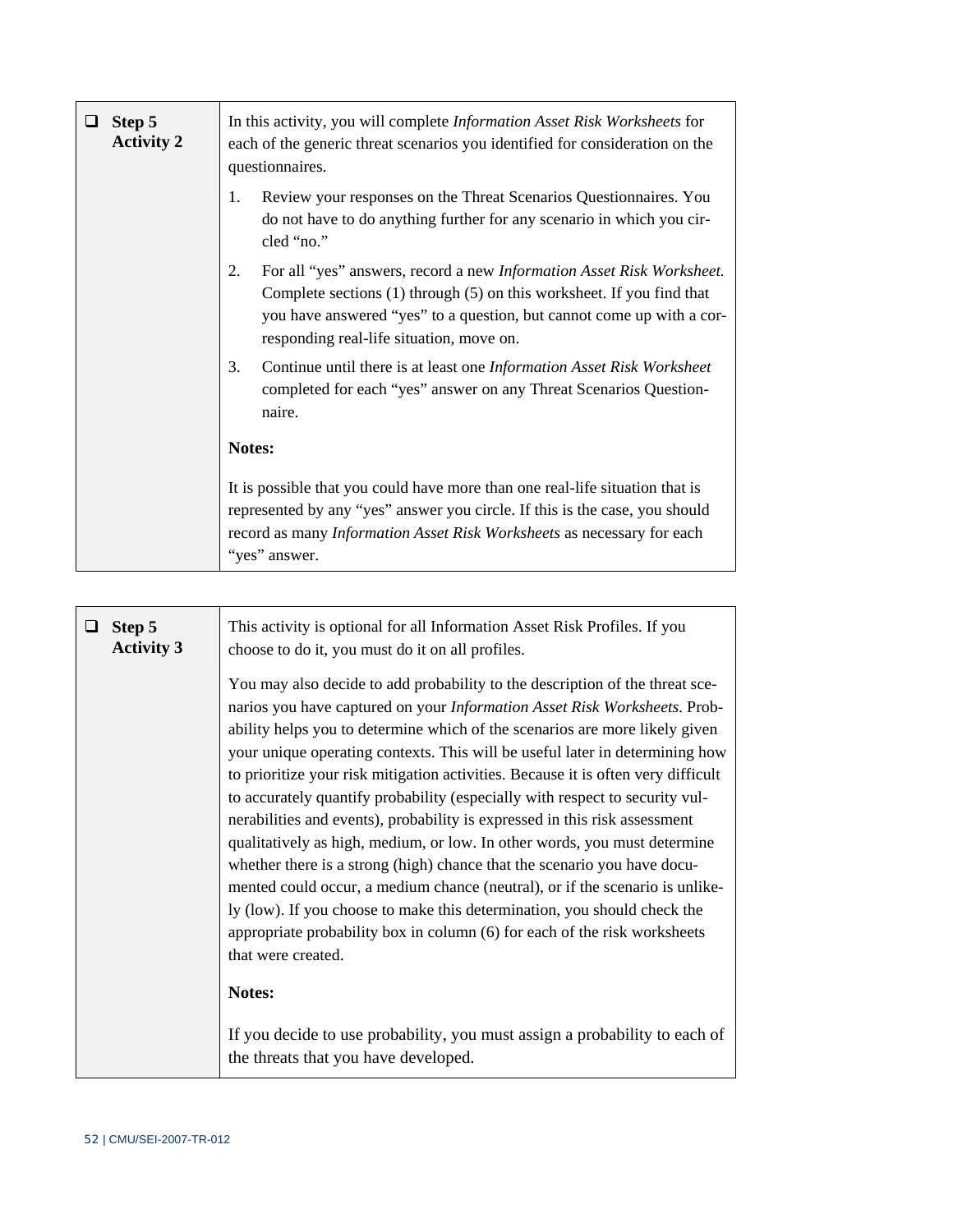| Step 5<br><b>Activity 2</b> | In this activity, you will complete <i>Information Asset Risk Worksheets</i> for<br>each of the generic threat scenarios you identified for consideration on the<br>questionnaires.                                                                                           |
|-----------------------------|-------------------------------------------------------------------------------------------------------------------------------------------------------------------------------------------------------------------------------------------------------------------------------|
|                             | Review your responses on the Threat Scenarios Questionnaires. You<br>1.<br>do not have to do anything further for any scenario in which you cir-<br>cled "no."                                                                                                                |
|                             | 2.<br>For all "yes" answers, record a new Information Asset Risk Worksheet.<br>Complete sections $(1)$ through $(5)$ on this worksheet. If you find that<br>you have answered "yes" to a question, but cannot come up with a cor-<br>responding real-life situation, move on. |
|                             | 3.<br>Continue until there is at least one <i>Information Asset Risk Worksheet</i><br>completed for each "yes" answer on any Threat Scenarios Question-<br>naire.                                                                                                             |
|                             | Notes:                                                                                                                                                                                                                                                                        |
|                             | It is possible that you could have more than one real-life situation that is<br>represented by any "yes" answer you circle. If this is the case, you should<br>record as many Information Asset Risk Worksheets as necessary for each<br>"yes" answer.                        |
|                             |                                                                                                                                                                                                                                                                               |

# **Step 5 Activity 3**  This activity is optional for all Information Asset Risk Profiles. If you choose to do it, you must do it on all profiles. You may also decide to add probability to the description of the threat scenarios you have captured on your *Information Asset Risk Worksheets*. Probability helps you to determine which of the scenarios are more likely given your unique operating contexts. This will be useful later in determining how to prioritize your risk mitigation activities. Because it is often very difficult to accurately quantify probability (especially with respect to security vulnerabilities and events), probability is expressed in this risk assessment qualitatively as high, medium, or low. In other words, you must determine whether there is a strong (high) chance that the scenario you have documented could occur, a medium chance (neutral), or if the scenario is unlikely (low). If you choose to make this determination, you should check the appropriate probability box in column (6) for each of the risk worksheets that were created. **Notes:** If you decide to use probability, you must assign a probability to each of the threats that you have developed.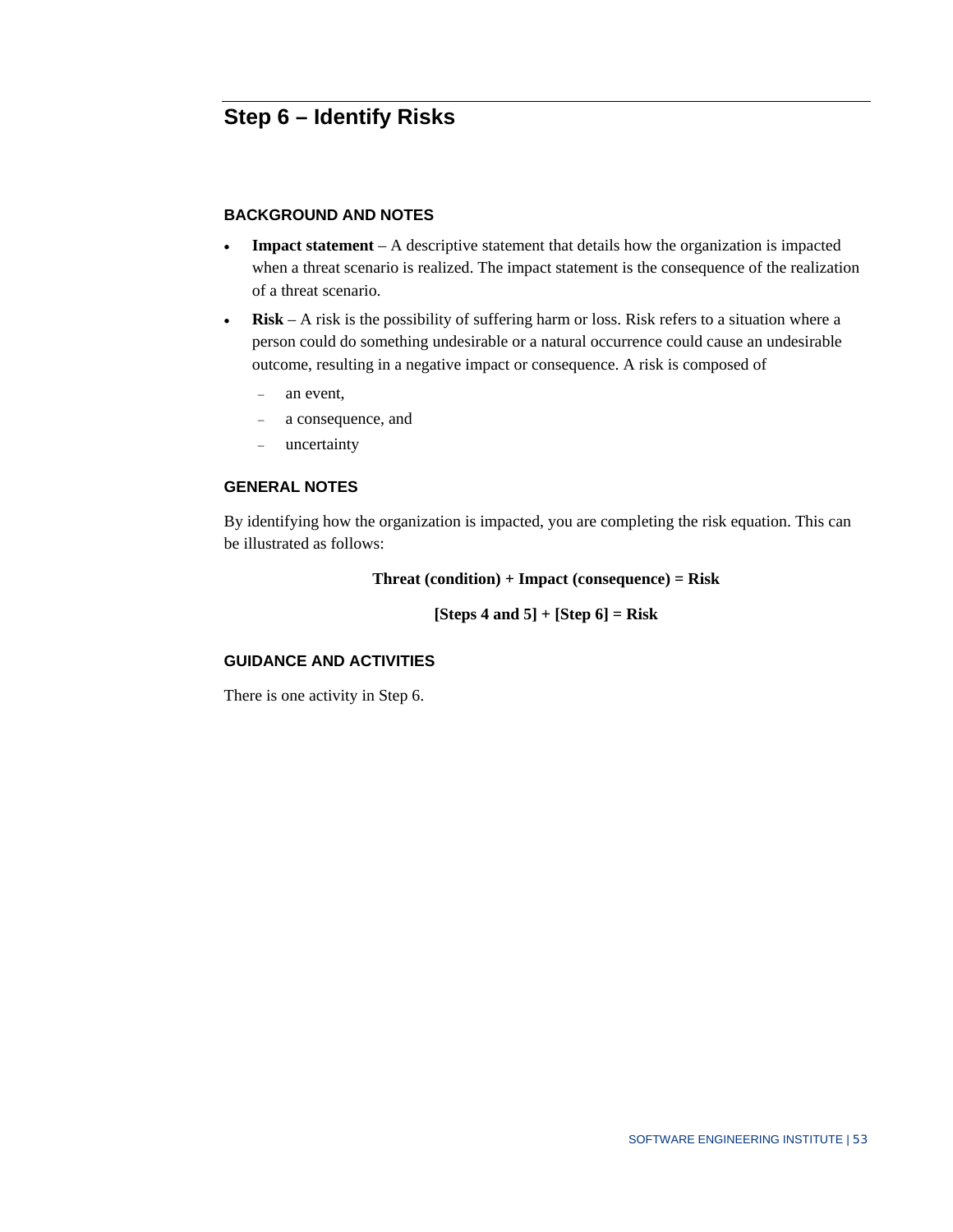# **Step 6 – Identify Risks**

### **BACKGROUND AND NOTES**

- **Impact statement** A descriptive statement that details how the organization is impacted when a threat scenario is realized. The impact statement is the consequence of the realization of a threat scenario.
- **Risk** A risk is the possibility of suffering harm or loss. Risk refers to a situation where a person could do something undesirable or a natural occurrence could cause an undesirable outcome, resulting in a negative impact or consequence. A risk is composed of
	- − an event,
	- − a consequence, and
	- − uncertainty

### **GENERAL NOTES**

By identifying how the organization is impacted, you are completing the risk equation. This can be illustrated as follows:

**Threat (condition) + Impact (consequence) = Risk** 

**[Steps 4 and 5] + [Step 6] = Risk** 

# **GUIDANCE AND ACTIVITIES**

There is one activity in Step 6.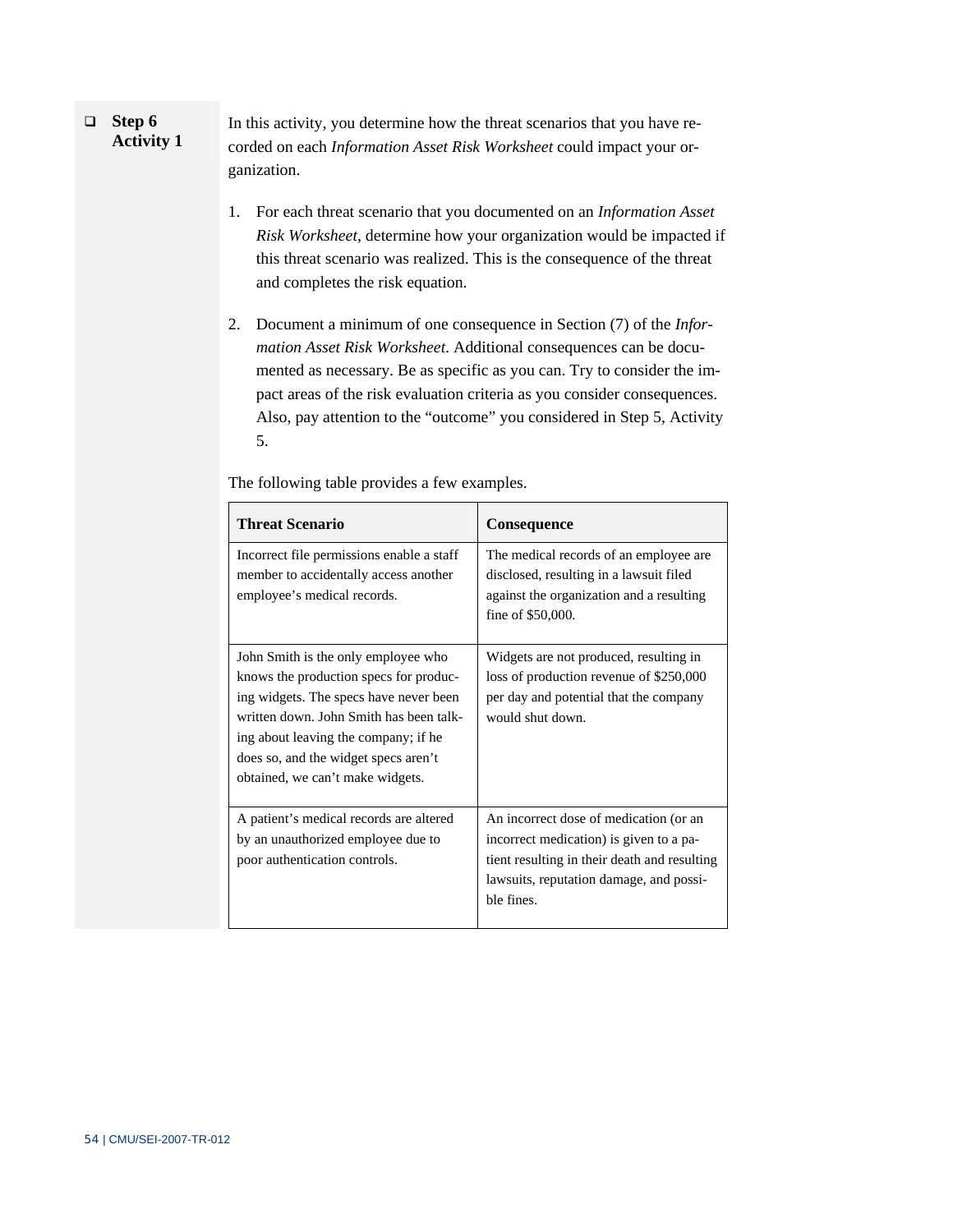- **Step 6 Activity 1**  In this activity, you determine how the threat scenarios that you have recorded on each *Information Asset Risk Worksheet* could impact your organization.
	- 1. For each threat scenario that you documented on an *Information Asset Risk Worksheet*, determine how your organization would be impacted if this threat scenario was realized. This is the consequence of the threat and completes the risk equation.
	- 2. Document a minimum of one consequence in Section (7) of the *Information Asset Risk Worksheet*. Additional consequences can be documented as necessary. Be as specific as you can. Try to consider the impact areas of the risk evaluation criteria as you consider consequences. Also, pay attention to the "outcome" you considered in Step 5, Activity 5.

The following table provides a few examples.

| <b>Threat Scenario</b>                                                                                                                                                                                                                                                                 | Consequence                                                                                                                                                                                |
|----------------------------------------------------------------------------------------------------------------------------------------------------------------------------------------------------------------------------------------------------------------------------------------|--------------------------------------------------------------------------------------------------------------------------------------------------------------------------------------------|
| Incorrect file permissions enable a staff<br>member to accidentally access another<br>employee's medical records.                                                                                                                                                                      | The medical records of an employee are<br>disclosed, resulting in a lawsuit filed<br>against the organization and a resulting<br>fine of \$50,000.                                         |
| John Smith is the only employee who<br>knows the production specs for produc-<br>ing widgets. The specs have never been<br>written down. John Smith has been talk-<br>ing about leaving the company; if he<br>does so, and the widget specs aren't<br>obtained, we can't make widgets. | Widgets are not produced, resulting in<br>loss of production revenue of \$250,000<br>per day and potential that the company<br>would shut down.                                            |
| A patient's medical records are altered<br>by an unauthorized employee due to<br>poor authentication controls.                                                                                                                                                                         | An incorrect dose of medication (or an<br>incorrect medication) is given to a pa-<br>tient resulting in their death and resulting<br>lawsuits, reputation damage, and possi-<br>ble fines. |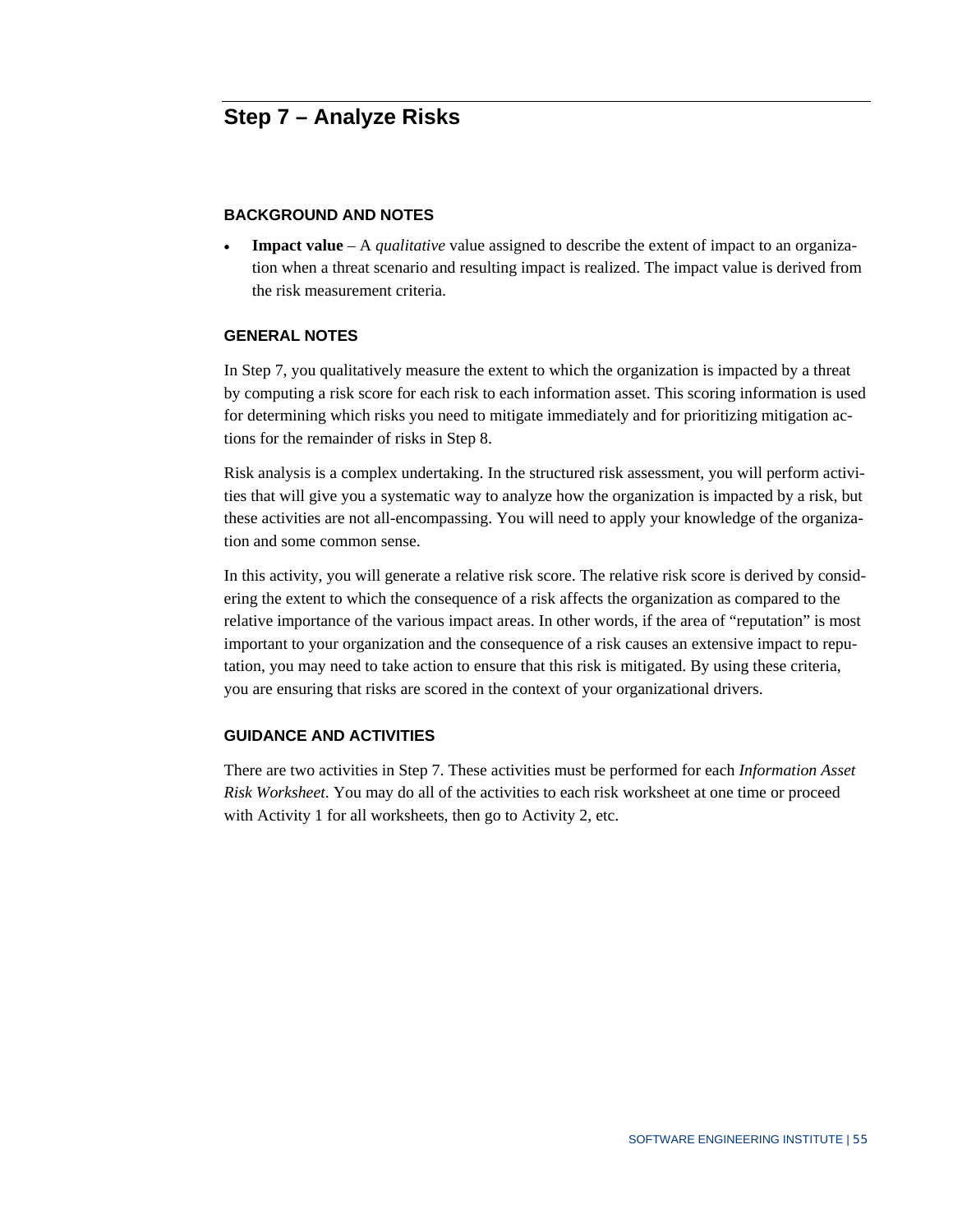# **Step 7 – Analyze Risks**

### **BACKGROUND AND NOTES**

• **Impact value** – A *qualitative* value assigned to describe the extent of impact to an organization when a threat scenario and resulting impact is realized. The impact value is derived from the risk measurement criteria.

### **GENERAL NOTES**

In Step 7, you qualitatively measure the extent to which the organization is impacted by a threat by computing a risk score for each risk to each information asset. This scoring information is used for determining which risks you need to mitigate immediately and for prioritizing mitigation actions for the remainder of risks in Step 8.

Risk analysis is a complex undertaking. In the structured risk assessment, you will perform activities that will give you a systematic way to analyze how the organization is impacted by a risk, but these activities are not all-encompassing. You will need to apply your knowledge of the organization and some common sense.

In this activity, you will generate a relative risk score. The relative risk score is derived by considering the extent to which the consequence of a risk affects the organization as compared to the relative importance of the various impact areas. In other words, if the area of "reputation" is most important to your organization and the consequence of a risk causes an extensive impact to reputation, you may need to take action to ensure that this risk is mitigated. By using these criteria, you are ensuring that risks are scored in the context of your organizational drivers.

### **GUIDANCE AND ACTIVITIES**

There are two activities in Step 7. These activities must be performed for each *Information Asset Risk Worksheet*. You may do all of the activities to each risk worksheet at one time or proceed with Activity 1 for all worksheets, then go to Activity 2, etc.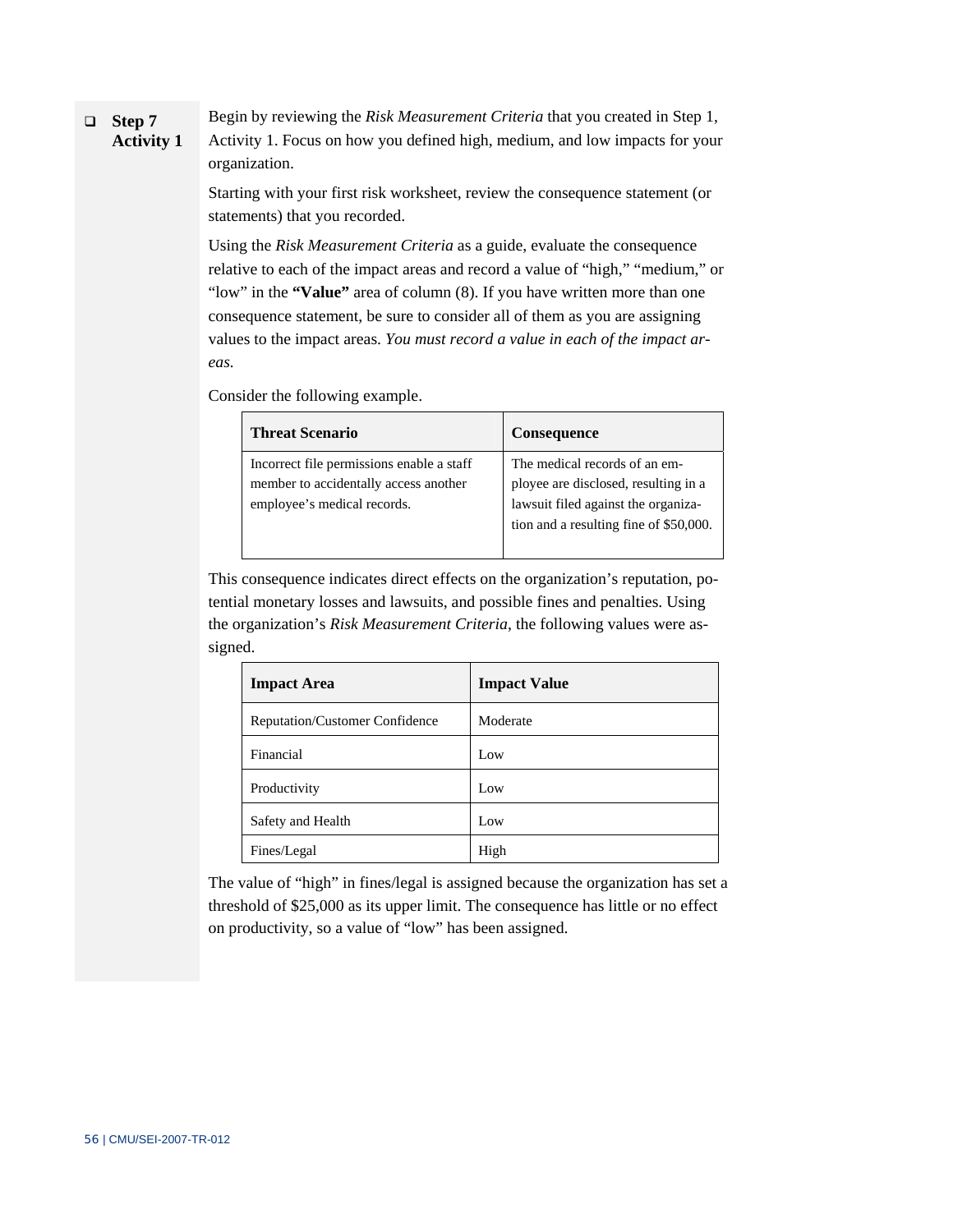### **Step 7 Activity 1**

Begin by reviewing the *Risk Measurement Criteria* that you created in Step 1, Activity 1. Focus on how you defined high, medium, and low impacts for your organization.

Starting with your first risk worksheet, review the consequence statement (or statements) that you recorded.

Using the *Risk Measurement Criteria* as a guide, evaluate the consequence relative to each of the impact areas and record a value of "high," "medium," or "low" in the **"Value"** area of column (8). If you have written more than one consequence statement, be sure to consider all of them as you are assigning values to the impact areas. *You must record a value in each of the impact areas.* 

Consider the following example.

| <b>Threat Scenario</b>                    | Consequence                            |
|-------------------------------------------|----------------------------------------|
| Incorrect file permissions enable a staff | The medical records of an em-          |
| member to accidentally access another     | ployee are disclosed, resulting in a   |
| employee's medical records.               | lawsuit filed against the organiza-    |
|                                           | tion and a resulting fine of \$50,000. |
|                                           |                                        |

This consequence indicates direct effects on the organization's reputation, potential monetary losses and lawsuits, and possible fines and penalties. Using the organization's *Risk Measurement Criteria*, the following values were assigned.

| <b>Impact Area</b>                    | <b>Impact Value</b> |
|---------------------------------------|---------------------|
| <b>Reputation/Customer Confidence</b> | Moderate            |
| Financial                             | Low                 |
| Productivity                          | Low                 |
| Safety and Health                     | Low                 |
| Fines/Legal                           | High                |

The value of "high" in fines/legal is assigned because the organization has set a threshold of \$25,000 as its upper limit. The consequence has little or no effect on productivity, so a value of "low" has been assigned.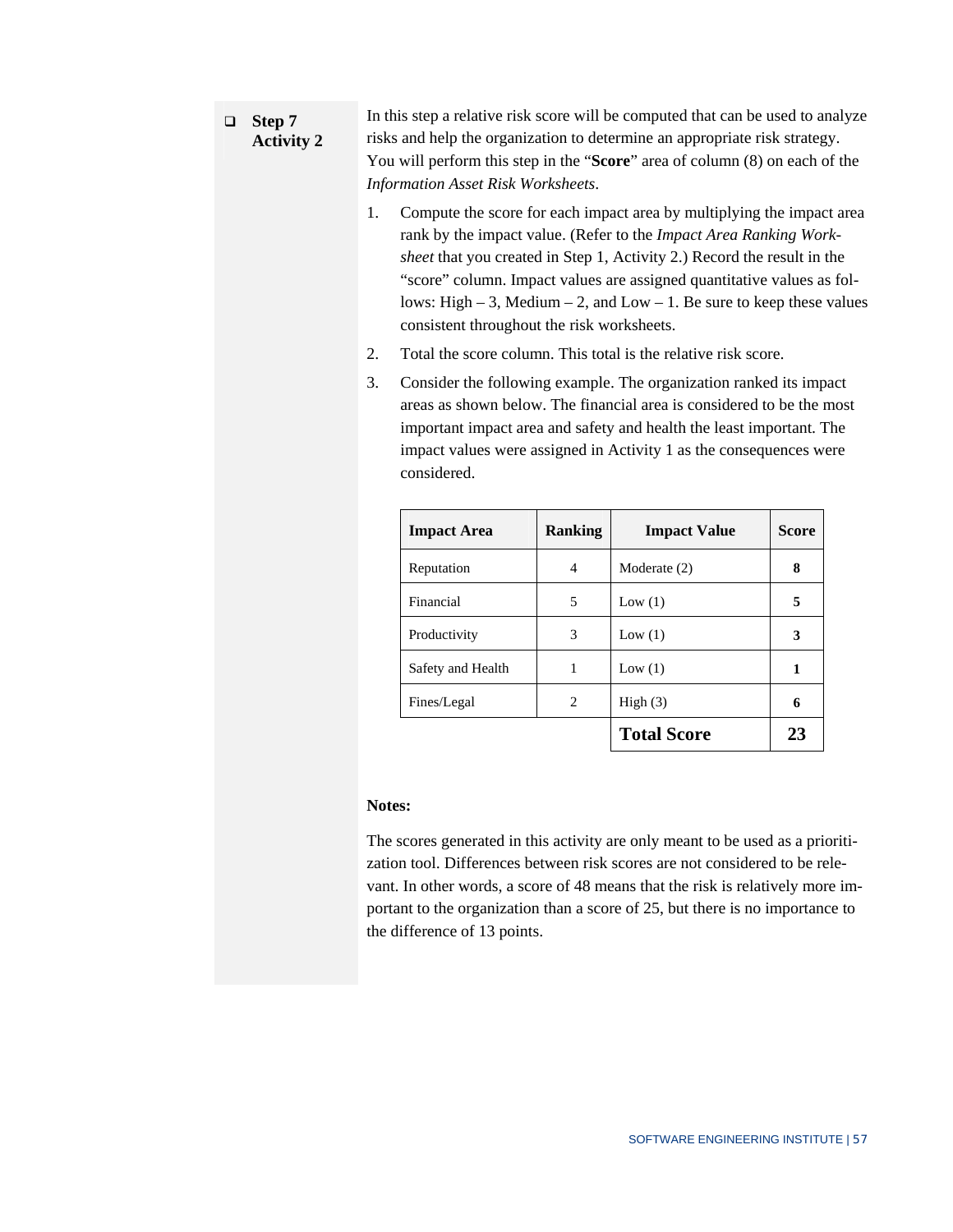| $\Box$ Step 7     | In this step a relative risk score will be computed that can be used to analyze |
|-------------------|---------------------------------------------------------------------------------|
| <b>Activity 2</b> | risks and help the organization to determine an appropriate risk strategy.      |
|                   | You will perform this step in the "Score" area of column (8) on each of the     |
|                   | Information Asset Risk Worksheets.                                              |
|                   |                                                                                 |

- 1. Compute the score for each impact area by multiplying the impact area rank by the impact value. (Refer to the *Impact Area Ranking Worksheet* that you created in Step 1, Activity 2.) Record the result in the "score" column. Impact values are assigned quantitative values as follows: High – 3, Medium – 2, and Low – 1. Be sure to keep these values consistent throughout the risk worksheets.
- 2. Total the score column. This total is the relative risk score.
- 3. Consider the following example. The organization ranked its impact areas as shown below. The financial area is considered to be the most important impact area and safety and health the least important. The impact values were assigned in Activity 1 as the consequences were considered.

| <b>Impact Area</b> | <b>Ranking</b> | <b>Impact Value</b> | <b>Score</b> |
|--------------------|----------------|---------------------|--------------|
| Reputation         | 4              | Moderate (2)        | 8            |
| Financial          | 5              | Low $(1)$           | 5            |
| Productivity       | 3              | Low $(1)$           | 3            |
| Safety and Health  | 1              | Low $(1)$           |              |
| Fines/Legal        | 2              | High(3)             | 6            |
|                    |                | <b>Total Score</b>  | 23           |

### **Notes:**

The scores generated in this activity are only meant to be used as a prioritization tool. Differences between risk scores are not considered to be relevant. In other words, a score of 48 means that the risk is relatively more important to the organization than a score of 25, but there is no importance to the difference of 13 points.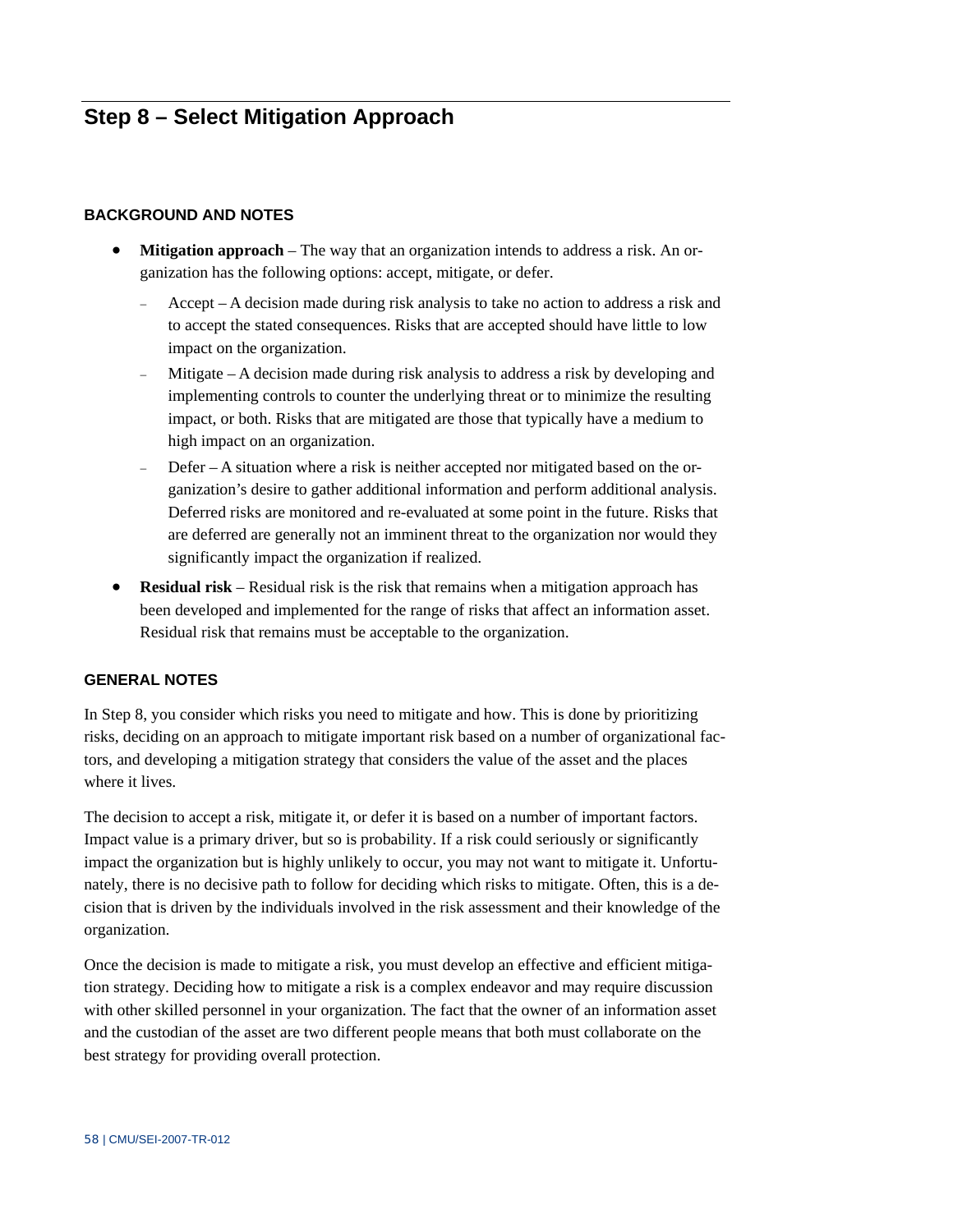# **Step 8 – Select Mitigation Approach**

### **BACKGROUND AND NOTES**

- **Mitigation approach** The way that an organization intends to address a risk. An organization has the following options: accept, mitigate, or defer.
	- − Accept A decision made during risk analysis to take no action to address a risk and to accept the stated consequences. Risks that are accepted should have little to low impact on the organization.
	- Mitigate  $-A$  decision made during risk analysis to address a risk by developing and implementing controls to counter the underlying threat or to minimize the resulting impact, or both. Risks that are mitigated are those that typically have a medium to high impact on an organization.
	- Defer A situation where a risk is neither accepted nor mitigated based on the organization's desire to gather additional information and perform additional analysis. Deferred risks are monitored and re-evaluated at some point in the future. Risks that are deferred are generally not an imminent threat to the organization nor would they significantly impact the organization if realized.
- **Residual risk** Residual risk is the risk that remains when a mitigation approach has been developed and implemented for the range of risks that affect an information asset. Residual risk that remains must be acceptable to the organization.

### **GENERAL NOTES**

In Step 8, you consider which risks you need to mitigate and how. This is done by prioritizing risks, deciding on an approach to mitigate important risk based on a number of organizational factors, and developing a mitigation strategy that considers the value of the asset and the places where it lives.

The decision to accept a risk, mitigate it, or defer it is based on a number of important factors. Impact value is a primary driver, but so is probability. If a risk could seriously or significantly impact the organization but is highly unlikely to occur, you may not want to mitigate it. Unfortunately, there is no decisive path to follow for deciding which risks to mitigate. Often, this is a decision that is driven by the individuals involved in the risk assessment and their knowledge of the organization.

Once the decision is made to mitigate a risk, you must develop an effective and efficient mitigation strategy. Deciding how to mitigate a risk is a complex endeavor and may require discussion with other skilled personnel in your organization. The fact that the owner of an information asset and the custodian of the asset are two different people means that both must collaborate on the best strategy for providing overall protection.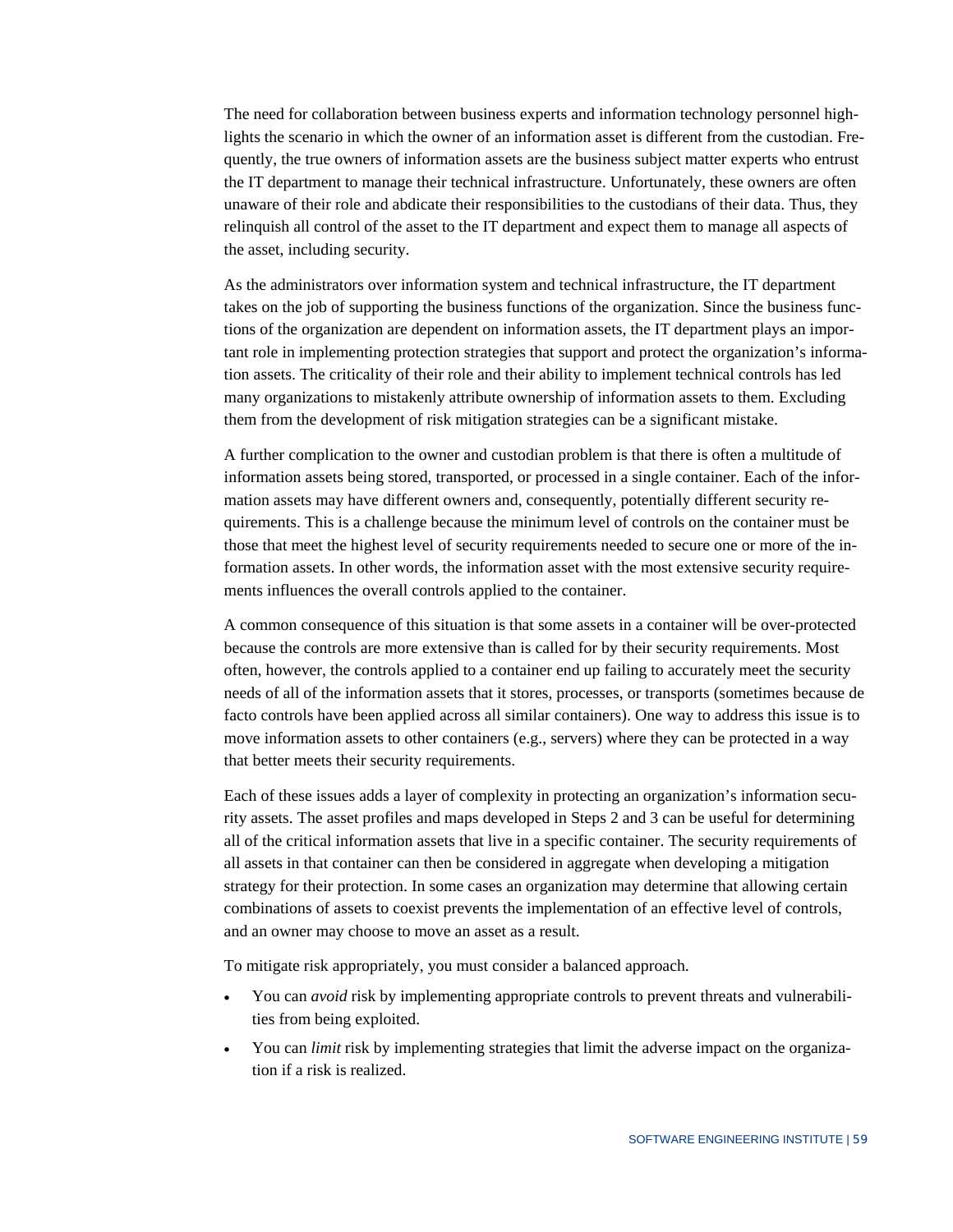The need for collaboration between business experts and information technology personnel highlights the scenario in which the owner of an information asset is different from the custodian. Frequently, the true owners of information assets are the business subject matter experts who entrust the IT department to manage their technical infrastructure. Unfortunately, these owners are often unaware of their role and abdicate their responsibilities to the custodians of their data. Thus, they relinquish all control of the asset to the IT department and expect them to manage all aspects of the asset, including security.

As the administrators over information system and technical infrastructure, the IT department takes on the job of supporting the business functions of the organization. Since the business functions of the organization are dependent on information assets, the IT department plays an important role in implementing protection strategies that support and protect the organization's information assets. The criticality of their role and their ability to implement technical controls has led many organizations to mistakenly attribute ownership of information assets to them. Excluding them from the development of risk mitigation strategies can be a significant mistake.

A further complication to the owner and custodian problem is that there is often a multitude of information assets being stored, transported, or processed in a single container. Each of the information assets may have different owners and, consequently, potentially different security requirements. This is a challenge because the minimum level of controls on the container must be those that meet the highest level of security requirements needed to secure one or more of the information assets. In other words, the information asset with the most extensive security requirements influences the overall controls applied to the container.

A common consequence of this situation is that some assets in a container will be over-protected because the controls are more extensive than is called for by their security requirements. Most often, however, the controls applied to a container end up failing to accurately meet the security needs of all of the information assets that it stores, processes, or transports (sometimes because de facto controls have been applied across all similar containers). One way to address this issue is to move information assets to other containers (e.g., servers) where they can be protected in a way that better meets their security requirements.

Each of these issues adds a layer of complexity in protecting an organization's information security assets. The asset profiles and maps developed in Steps 2 and 3 can be useful for determining all of the critical information assets that live in a specific container. The security requirements of all assets in that container can then be considered in aggregate when developing a mitigation strategy for their protection. In some cases an organization may determine that allowing certain combinations of assets to coexist prevents the implementation of an effective level of controls, and an owner may choose to move an asset as a result.

To mitigate risk appropriately, you must consider a balanced approach.

- You can *avoid* risk by implementing appropriate controls to prevent threats and vulnerabilities from being exploited.
- You can *limit* risk by implementing strategies that limit the adverse impact on the organization if a risk is realized.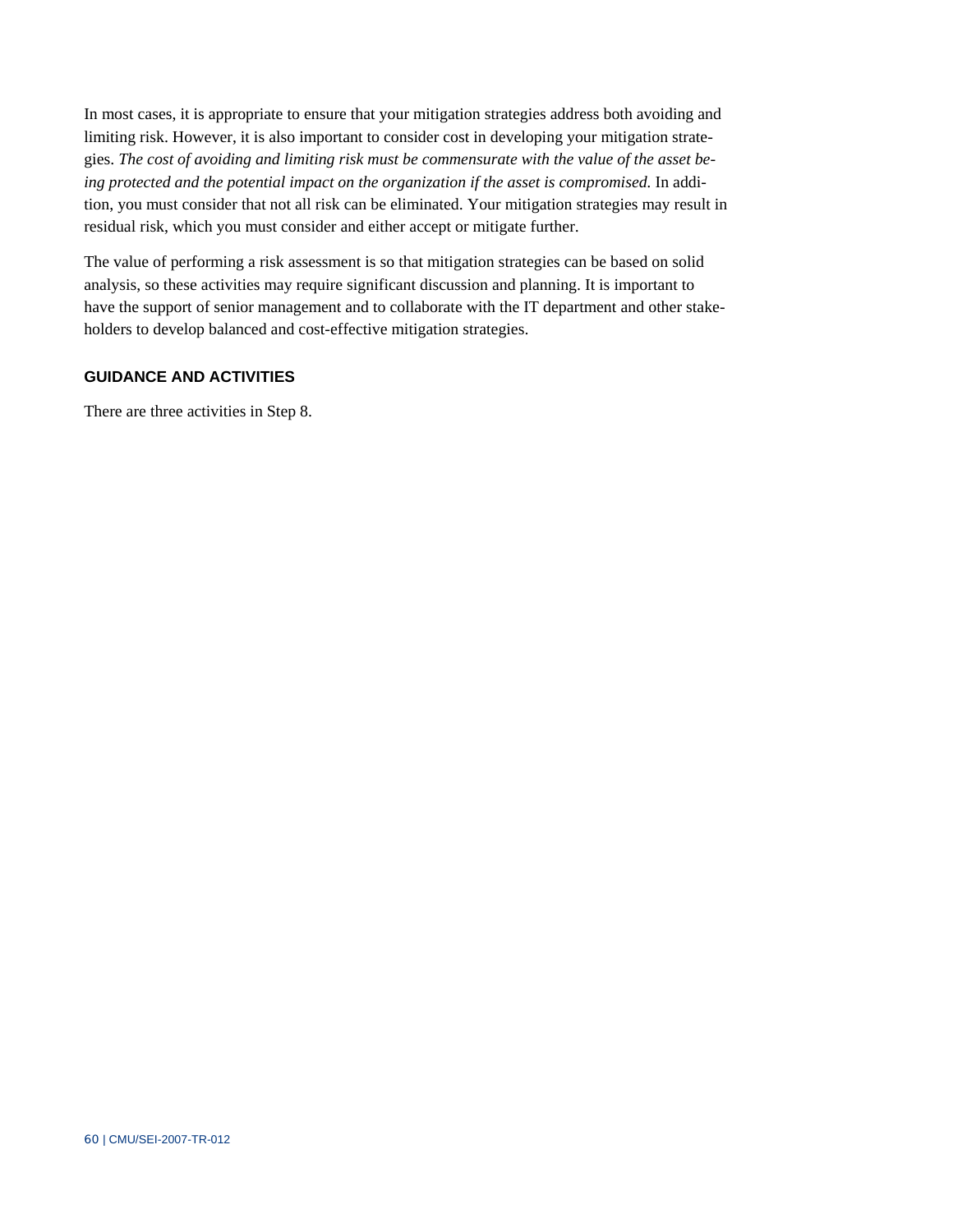In most cases, it is appropriate to ensure that your mitigation strategies address both avoiding and limiting risk. However, it is also important to consider cost in developing your mitigation strategies. *The cost of avoiding and limiting risk must be commensurate with the value of the asset being protected and the potential impact on the organization if the asset is compromised.* In addition, you must consider that not all risk can be eliminated. Your mitigation strategies may result in residual risk, which you must consider and either accept or mitigate further.

The value of performing a risk assessment is so that mitigation strategies can be based on solid analysis, so these activities may require significant discussion and planning. It is important to have the support of senior management and to collaborate with the IT department and other stakeholders to develop balanced and cost-effective mitigation strategies.

# **GUIDANCE AND ACTIVITIES**

There are three activities in Step 8.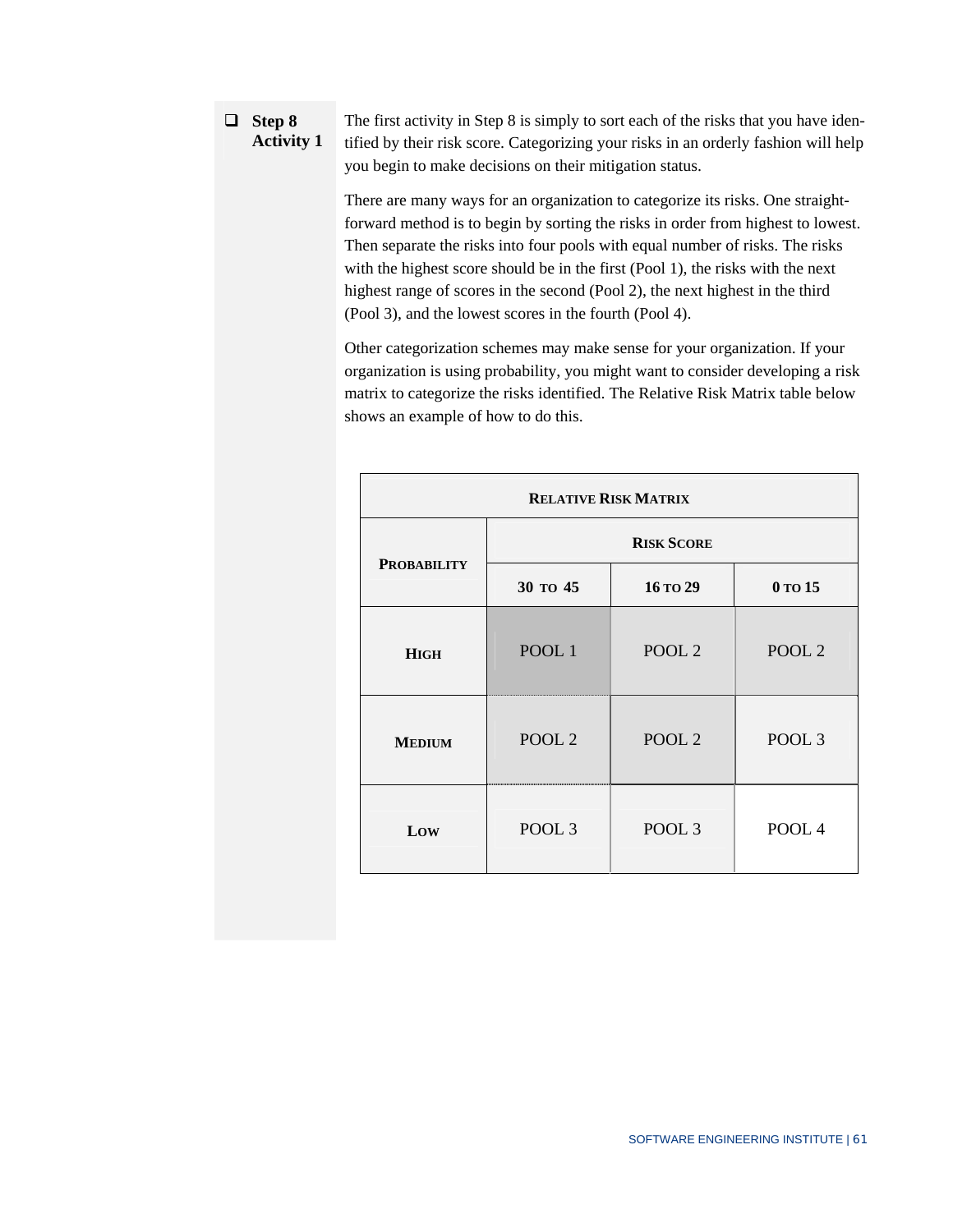**Step 8 Activity 1**  The first activity in Step 8 is simply to sort each of the risks that you have identified by their risk score. Categorizing your risks in an orderly fashion will help you begin to make decisions on their mitigation status.

> There are many ways for an organization to categorize its risks. One straightforward method is to begin by sorting the risks in order from highest to lowest. Then separate the risks into four pools with equal number of risks. The risks with the highest score should be in the first (Pool 1), the risks with the next highest range of scores in the second (Pool 2), the next highest in the third (Pool 3), and the lowest scores in the fourth (Pool 4).

> Other categorization schemes may make sense for your organization. If your organization is using probability, you might want to consider developing a risk matrix to categorize the risks identified. The Relative Risk Matrix table below shows an example of how to do this.

| <b>RELATIVE RISK MATRIX</b> |                   |                   |                   |
|-----------------------------|-------------------|-------------------|-------------------|
|                             | <b>RISK SCORE</b> |                   |                   |
| <b>PROBABILITY</b>          | 30 то 45          | 16 TO 29          | 0 то 15           |
| <b>HIGH</b>                 | POOL <sub>1</sub> | POOL <sub>2</sub> | POOL <sub>2</sub> |
| <b>MEDIUM</b>               | POOL <sub>2</sub> | POOL <sub>2</sub> | POOL <sub>3</sub> |
| Low                         | POOL <sub>3</sub> | POOL <sub>3</sub> | POOL <sub>4</sub> |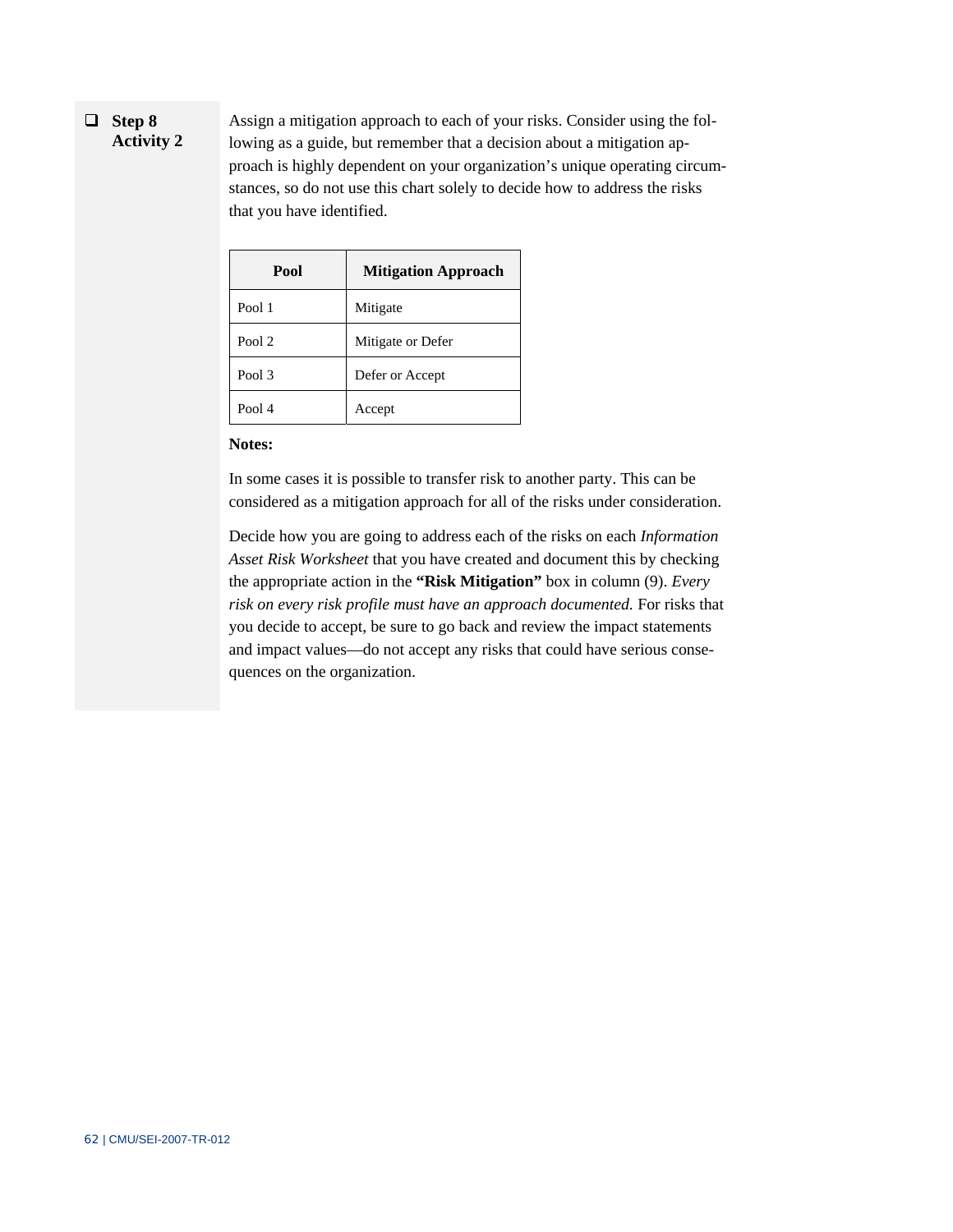# **Step 8 Activity 2**

Assign a mitigation approach to each of your risks. Consider using the following as a guide, but remember that a decision about a mitigation approach is highly dependent on your organization's unique operating circumstances, so do not use this chart solely to decide how to address the risks that you have identified.

| Pool   | <b>Mitigation Approach</b> |
|--------|----------------------------|
| Pool 1 | Mitigate                   |
| Pool 2 | Mitigate or Defer          |
| Pool 3 | Defer or Accept            |
| Pool 4 | Accept                     |

#### **Notes:**

In some cases it is possible to transfer risk to another party. This can be considered as a mitigation approach for all of the risks under consideration.

Decide how you are going to address each of the risks on each *Information Asset Risk Worksheet* that you have created and document this by checking the appropriate action in the **"Risk Mitigation"** box in column (9). *Every risk on every risk profile must have an approach documented.* For risks that you decide to accept, be sure to go back and review the impact statements and impact values—do not accept any risks that could have serious consequences on the organization.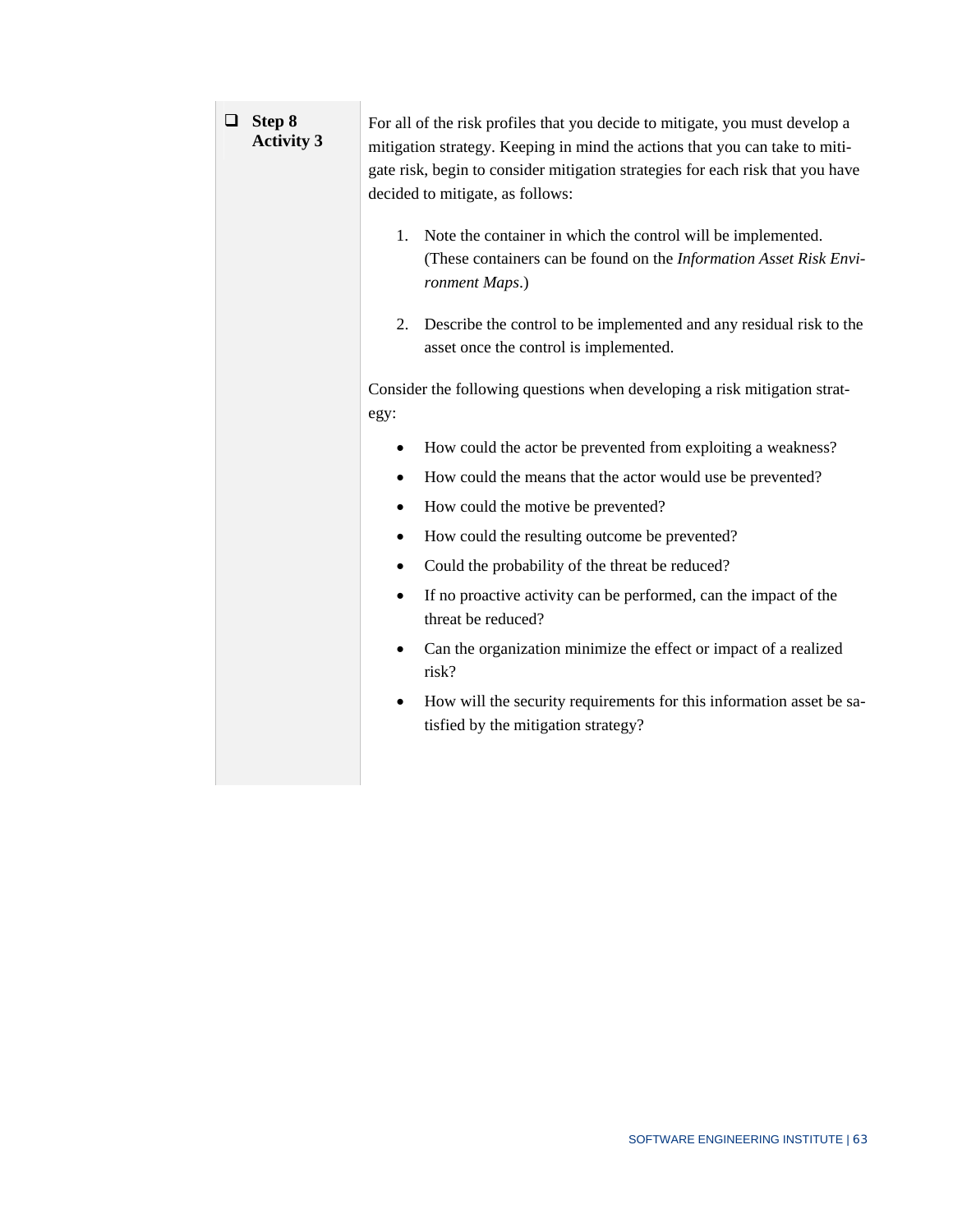| $\Box$ | Step 8<br><b>Activity 3</b> | For all of the risk profiles that you decide to mitigate, you must develop a<br>mitigation strategy. Keeping in mind the actions that you can take to miti-<br>gate risk, begin to consider mitigation strategies for each risk that you have<br>decided to mitigate, as follows: |  |  |
|--------|-----------------------------|-----------------------------------------------------------------------------------------------------------------------------------------------------------------------------------------------------------------------------------------------------------------------------------|--|--|
|        |                             | Note the container in which the control will be implemented.<br>1.<br>(These containers can be found on the Information Asset Risk Envi-<br>ronment Maps.)                                                                                                                        |  |  |
|        |                             | Describe the control to be implemented and any residual risk to the<br>2.<br>asset once the control is implemented.                                                                                                                                                               |  |  |
|        |                             | Consider the following questions when developing a risk mitigation strat-<br>egy:                                                                                                                                                                                                 |  |  |
|        |                             | How could the actor be prevented from exploiting a weakness?<br>٠                                                                                                                                                                                                                 |  |  |
|        |                             | How could the means that the actor would use be prevented?<br>٠                                                                                                                                                                                                                   |  |  |
|        |                             | How could the motive be prevented?<br>٠                                                                                                                                                                                                                                           |  |  |
|        |                             | How could the resulting outcome be prevented?<br>$\bullet$                                                                                                                                                                                                                        |  |  |
|        |                             | Could the probability of the threat be reduced?<br>٠                                                                                                                                                                                                                              |  |  |
|        |                             | If no proactive activity can be performed, can the impact of the<br>٠<br>threat be reduced?                                                                                                                                                                                       |  |  |
|        |                             | Can the organization minimize the effect or impact of a realized<br>٠<br>risk?                                                                                                                                                                                                    |  |  |
|        |                             | How will the security requirements for this information asset be sa-<br>$\bullet$<br>tisfied by the mitigation strategy?                                                                                                                                                          |  |  |
|        |                             |                                                                                                                                                                                                                                                                                   |  |  |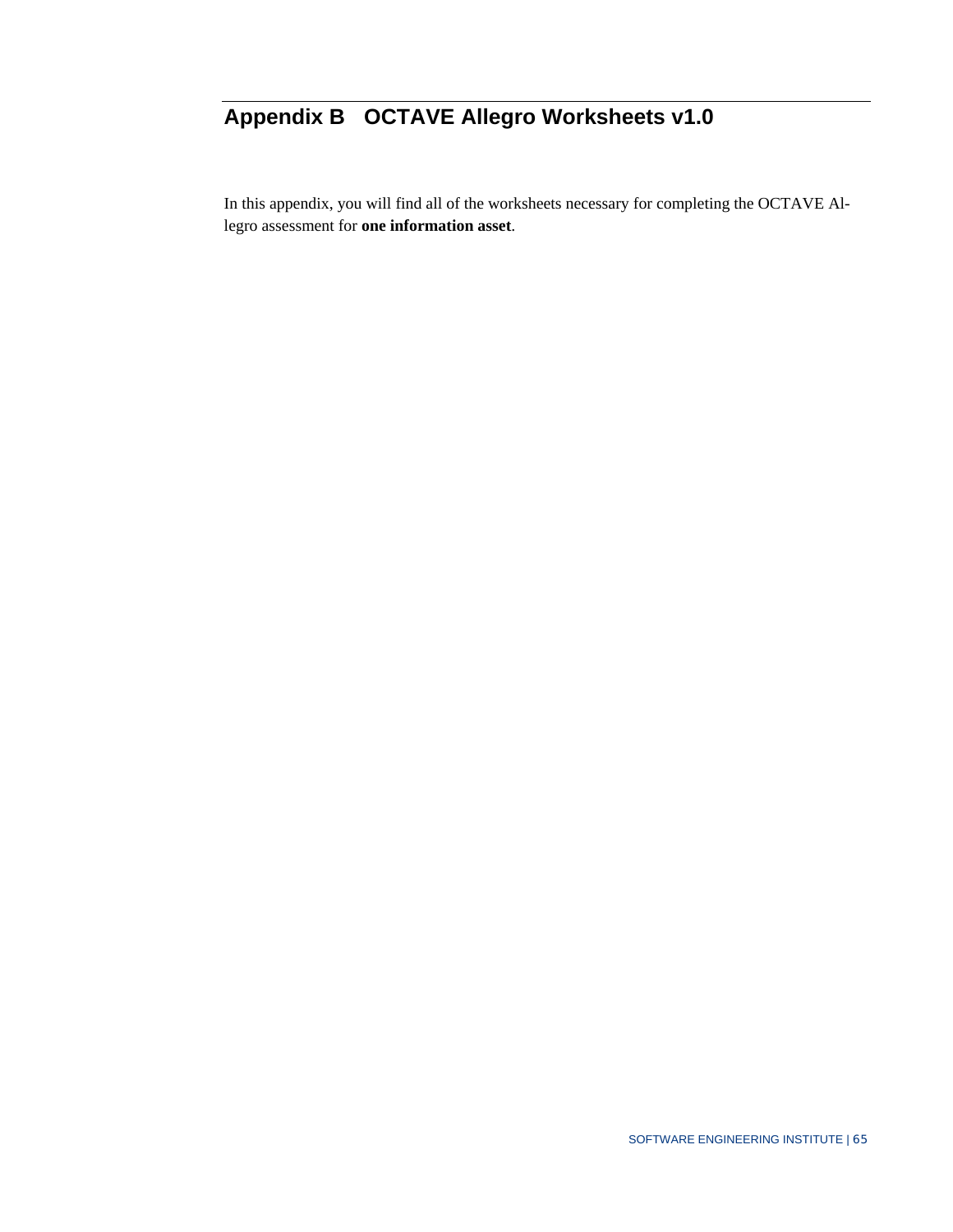# **Appendix B OCTAVE Allegro Worksheets v1.0**

In this appendix, you will find all of the worksheets necessary for completing the OCTAVE Allegro assessment for **one information asset**.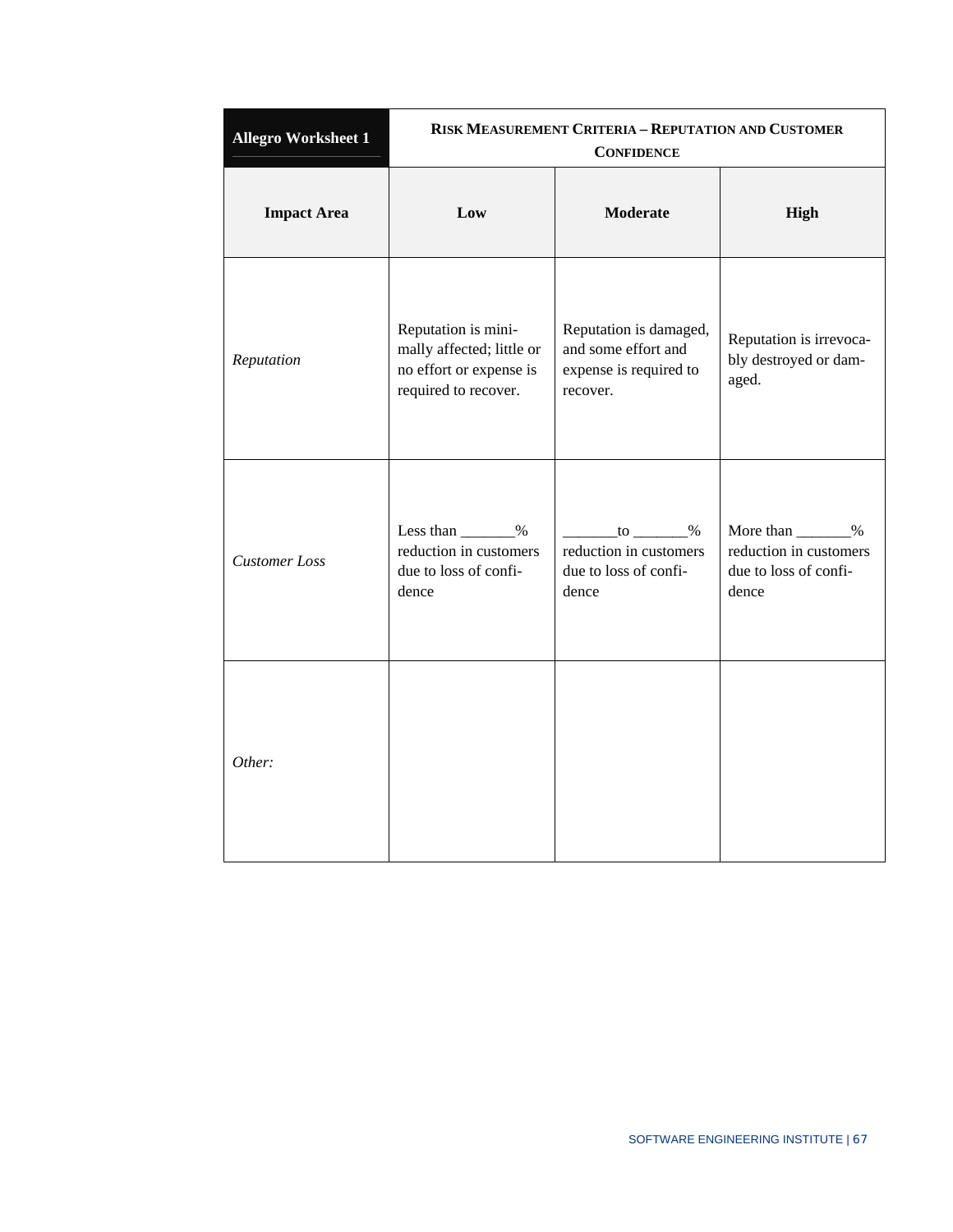| <b>Allegro Worksheet 1</b> | RISK MEASUREMENT CRITERIA - REPUTATION AND CUSTOMER<br><b>CONFIDENCE</b>                            |                                                                                               |                                                                                |  |
|----------------------------|-----------------------------------------------------------------------------------------------------|-----------------------------------------------------------------------------------------------|--------------------------------------------------------------------------------|--|
| <b>Impact Area</b>         | Low                                                                                                 | <b>Moderate</b>                                                                               | High                                                                           |  |
| Reputation                 | Reputation is mini-<br>mally affected; little or<br>no effort or expense is<br>required to recover. | Reputation is damaged,<br>and some effort and<br>expense is required to<br>recover.           | Reputation is irrevoca-<br>bly destroyed or dam-<br>aged.                      |  |
| <b>Customer</b> Loss       | Less than ______%<br>reduction in customers<br>due to loss of confi-<br>dence                       | $\frac{10}{10}$ - $\frac{10}{10}$<br>reduction in customers<br>due to loss of confi-<br>dence | More than _______%<br>reduction in customers<br>due to loss of confi-<br>dence |  |
| Other:                     |                                                                                                     |                                                                                               |                                                                                |  |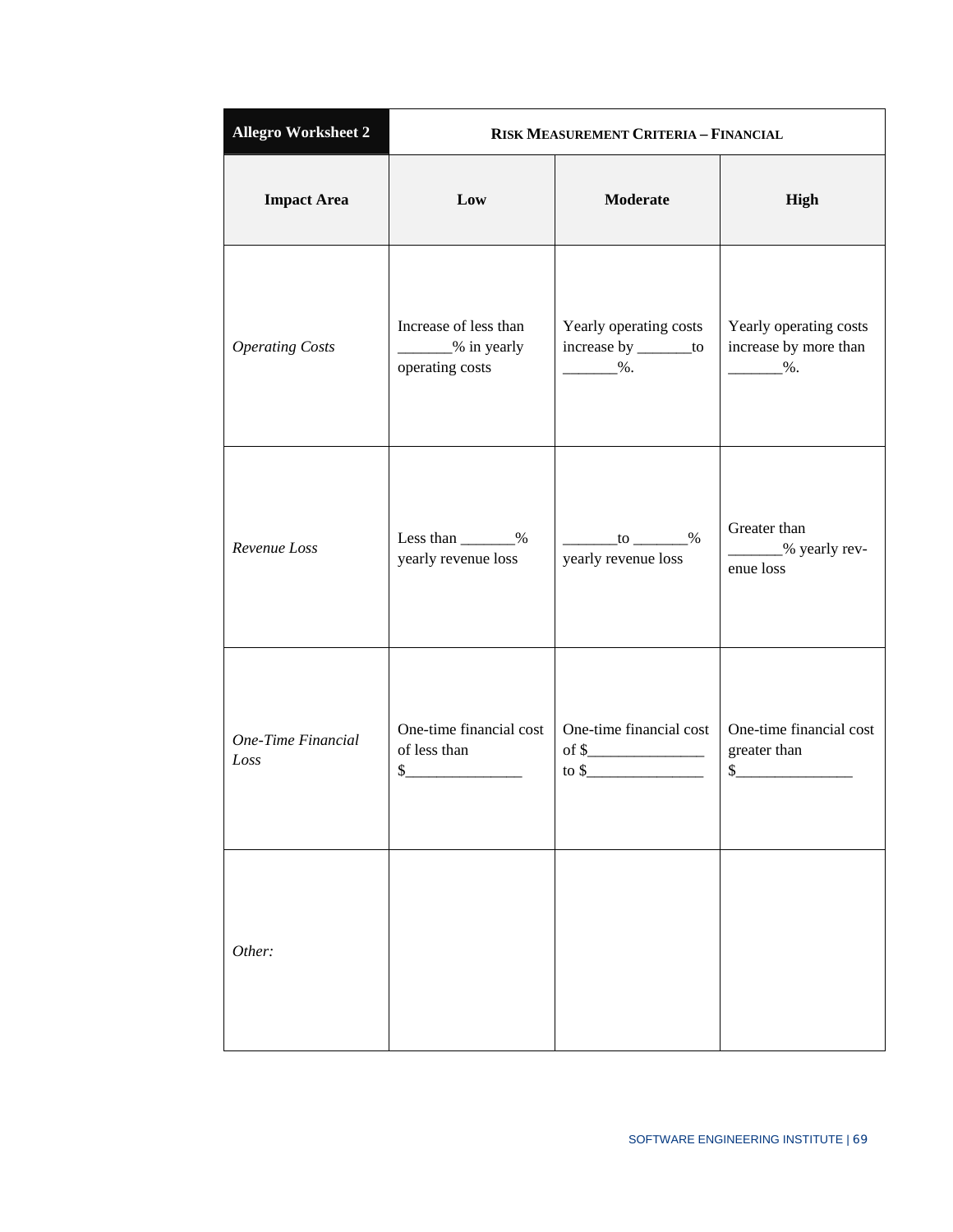| <b>Allegro Worksheet 2</b>        | <b>RISK MEASUREMENT CRITERIA - FINANCIAL</b>                   |                                                                        |                                                                   |  |
|-----------------------------------|----------------------------------------------------------------|------------------------------------------------------------------------|-------------------------------------------------------------------|--|
| <b>Impact Area</b>                | Low                                                            | <b>Moderate</b>                                                        | <b>High</b>                                                       |  |
| <b>Operating Costs</b>            | Increase of less than<br>_______% in yearly<br>operating costs | Yearly operating costs<br>increase by ________to<br>$\frac{9}{6}$ .    | Yearly operating costs<br>increase by more than<br>$\frac{9}{6}.$ |  |
| Revenue Loss                      | Less than _______%<br>yearly revenue loss                      | $\frac{1}{\sqrt{10}}$ to $\frac{9}{\sqrt{10}}$<br>yearly revenue loss  | Greater than<br>_______% yearly rev-<br>enue loss                 |  |
| <b>One-Time Financial</b><br>Loss | One-time financial cost<br>of less than<br>$\frac{1}{2}$       | One-time financial cost<br>of $\frac{1}{2}$<br>to $\frac{\sqrt{2}}{2}$ | One-time financial cost<br>greater than<br>s                      |  |
| Other:                            |                                                                |                                                                        |                                                                   |  |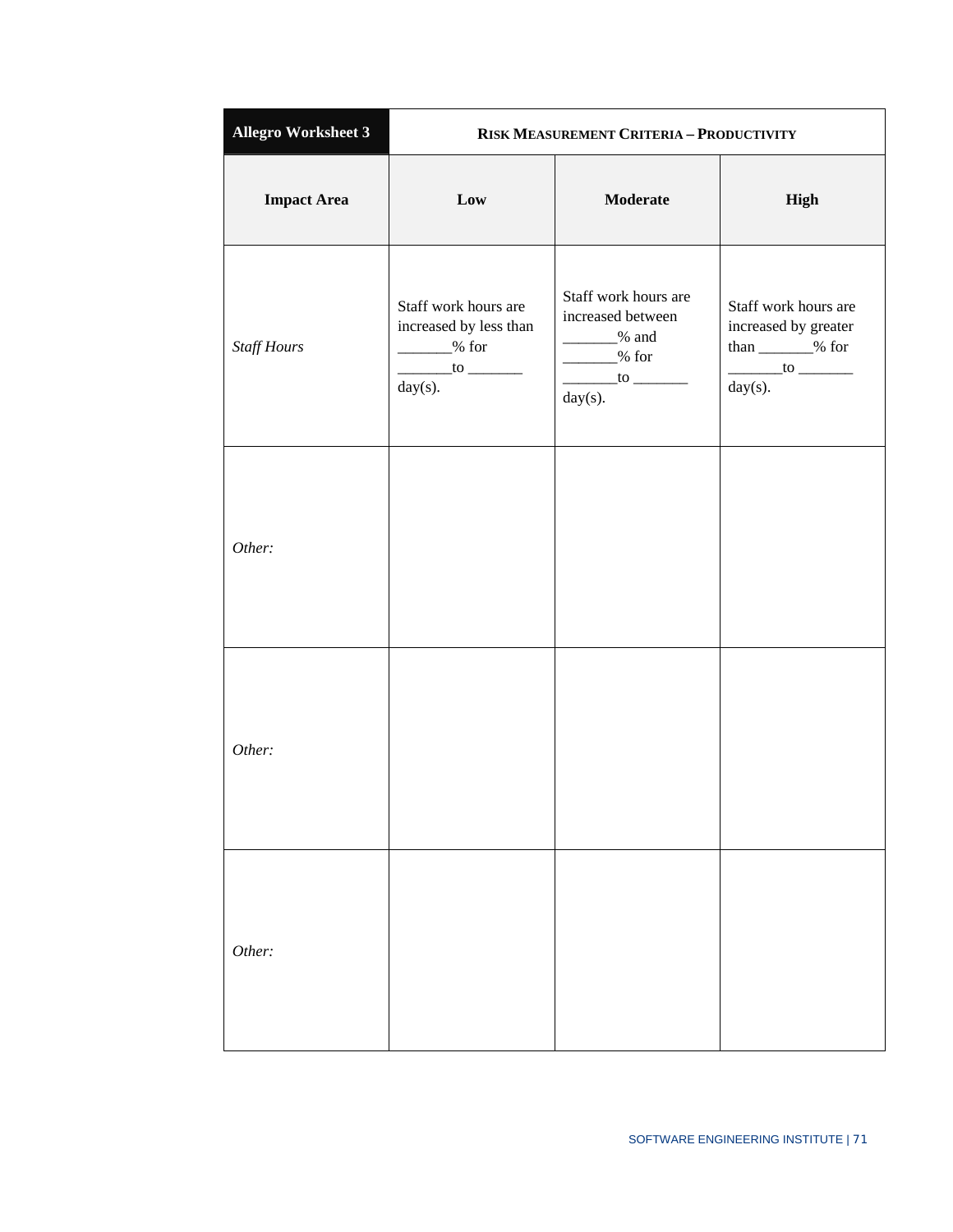| <b>Allegro Worksheet 3</b> | <b>RISK MEASUREMENT CRITERIA - PRODUCTIVITY</b>                                                                         |                                                                                                                                            |                                                                                                                       |  |
|----------------------------|-------------------------------------------------------------------------------------------------------------------------|--------------------------------------------------------------------------------------------------------------------------------------------|-----------------------------------------------------------------------------------------------------------------------|--|
| <b>Impact Area</b>         | Low                                                                                                                     | Moderate                                                                                                                                   | <b>High</b>                                                                                                           |  |
| <b>Staff Hours</b>         | Staff work hours are<br>increased by less than<br>$\frac{9}{2}$ for<br>$\frac{\ }{\ }$ to $\frac{\ }{\ }$<br>$day(s)$ . | Staff work hours are<br>increased between<br>_______% and<br>$\frac{9}{100}$ for<br>$\frac{1}{\sqrt{1-\frac{1}{2}}}\tag{10}$<br>$day(s)$ . | Staff work hours are<br>increased by greater<br>than _______% for<br>$\frac{\ }{\ }$ to $\frac{\ }{\ }$<br>$day(s)$ . |  |
| Other:                     |                                                                                                                         |                                                                                                                                            |                                                                                                                       |  |
| Other:                     |                                                                                                                         |                                                                                                                                            |                                                                                                                       |  |
| Other:                     |                                                                                                                         |                                                                                                                                            |                                                                                                                       |  |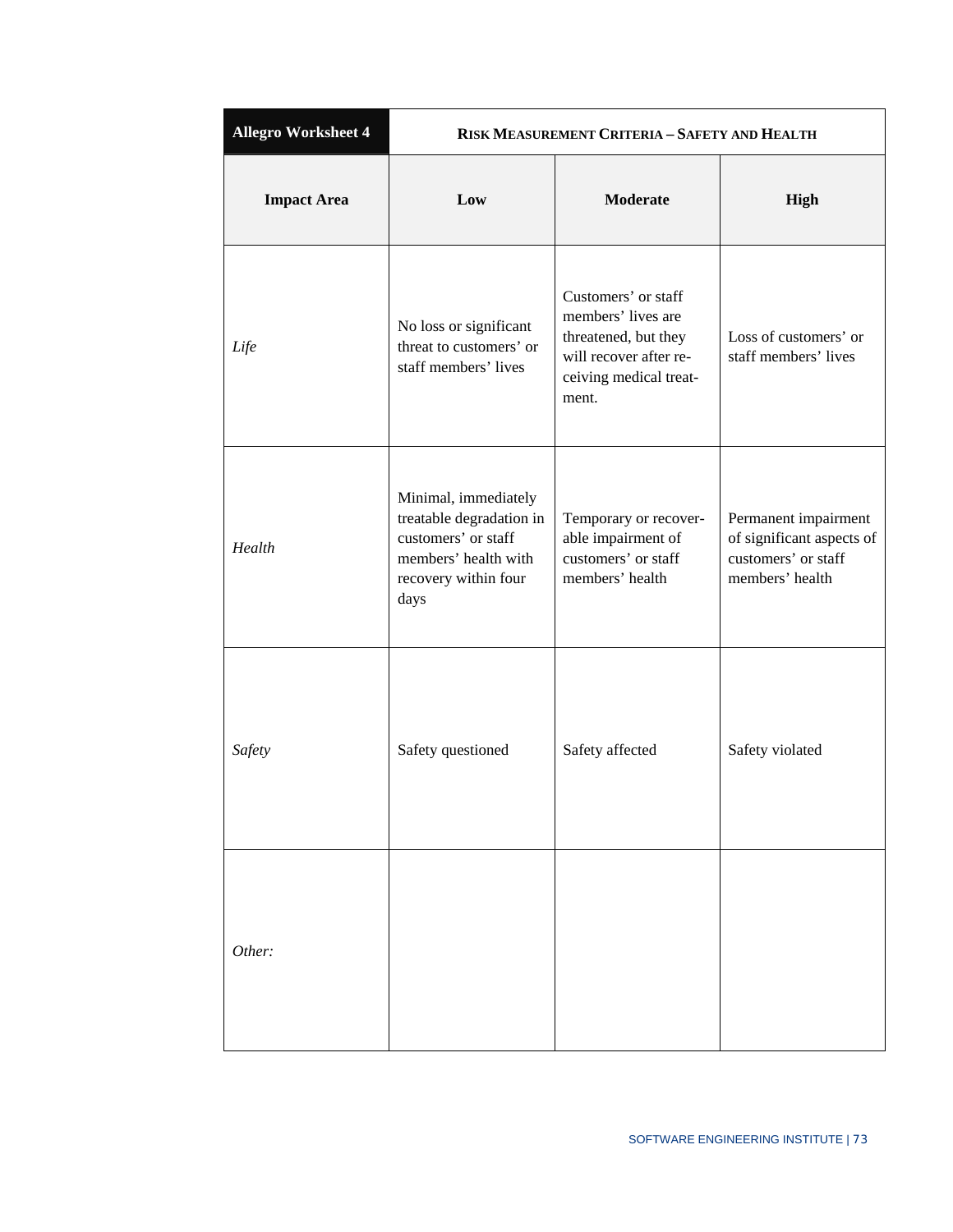| <b>Allegro Worksheet 4</b> | RISK MEASUREMENT CRITERIA - SAFETY AND HEALTH                                                                                                                                                               |                                                                                       |                                                                                             |  |
|----------------------------|-------------------------------------------------------------------------------------------------------------------------------------------------------------------------------------------------------------|---------------------------------------------------------------------------------------|---------------------------------------------------------------------------------------------|--|
| <b>Impact Area</b>         | Low                                                                                                                                                                                                         | <b>Moderate</b>                                                                       | <b>High</b>                                                                                 |  |
| Life                       | Customers' or staff<br>members' lives are<br>No loss or significant<br>threatened, but they<br>threat to customers' or<br>will recover after re-<br>staff members' lives<br>ceiving medical treat-<br>ment. |                                                                                       | Loss of customers' or<br>staff members' lives                                               |  |
| Health                     | Minimal, immediately<br>treatable degradation in<br>customers' or staff<br>members' health with<br>recovery within four<br>days                                                                             | Temporary or recover-<br>able impairment of<br>customers' or staff<br>members' health | Permanent impairment<br>of significant aspects of<br>customers' or staff<br>members' health |  |
| Safety                     | Safety questioned                                                                                                                                                                                           | Safety affected                                                                       | Safety violated                                                                             |  |
| Other:                     |                                                                                                                                                                                                             |                                                                                       |                                                                                             |  |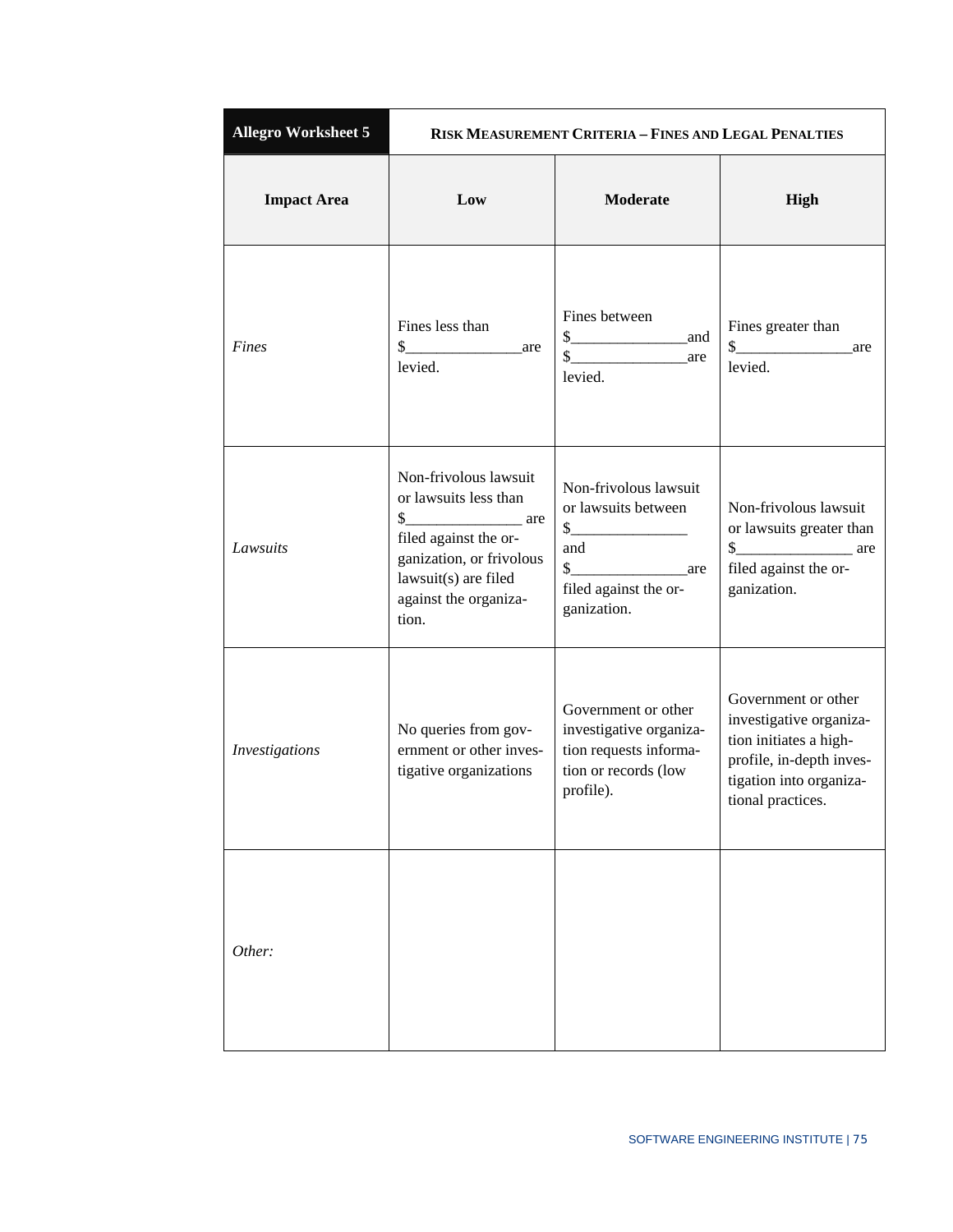| <b>Allegro Worksheet 5</b> | <b>RISK MEASUREMENT CRITERIA - FINES AND LEGAL PENALTIES</b>                                                                                                                       |                                                                                                                       |                                                                                                                                                      |  |
|----------------------------|------------------------------------------------------------------------------------------------------------------------------------------------------------------------------------|-----------------------------------------------------------------------------------------------------------------------|------------------------------------------------------------------------------------------------------------------------------------------------------|--|
| <b>Impact Area</b>         | Moderate<br>Low                                                                                                                                                                    |                                                                                                                       | High                                                                                                                                                 |  |
| Fines                      | Fines less than<br>$\frac{1}{2}$ are<br>levied.                                                                                                                                    | Fines between<br>$\frac{1}{2}$ and<br>$\frac{1}{2}$ are<br>levied.                                                    | Fines greater than<br>$\frac{\text{?}}{\text{?}}$ are<br>levied.                                                                                     |  |
| Lawsuits                   | Non-frivolous lawsuit<br>or lawsuits less than<br>$\frac{1}{2}$ are<br>filed against the or-<br>ganization, or frivolous<br>lawsuit(s) are filed<br>against the organiza-<br>tion. | Non-frivolous lawsuit<br>or lawsuits between<br>s<br>and<br>$\frac{1}{2}$ are<br>filed against the or-<br>ganization. | Non-frivolous lawsuit<br>or lawsuits greater than<br>$s$ are<br>filed against the or-<br>ganization.                                                 |  |
| <b>Investigations</b>      | No queries from gov-<br>ernment or other inves-<br>tigative organizations                                                                                                          | Government or other<br>investigative organiza-<br>tion requests informa-<br>tion or records (low<br>profile).         | Government or other<br>investigative organiza-<br>tion initiates a high-<br>profile, in-depth inves-<br>tigation into organiza-<br>tional practices. |  |
| Other:                     |                                                                                                                                                                                    |                                                                                                                       |                                                                                                                                                      |  |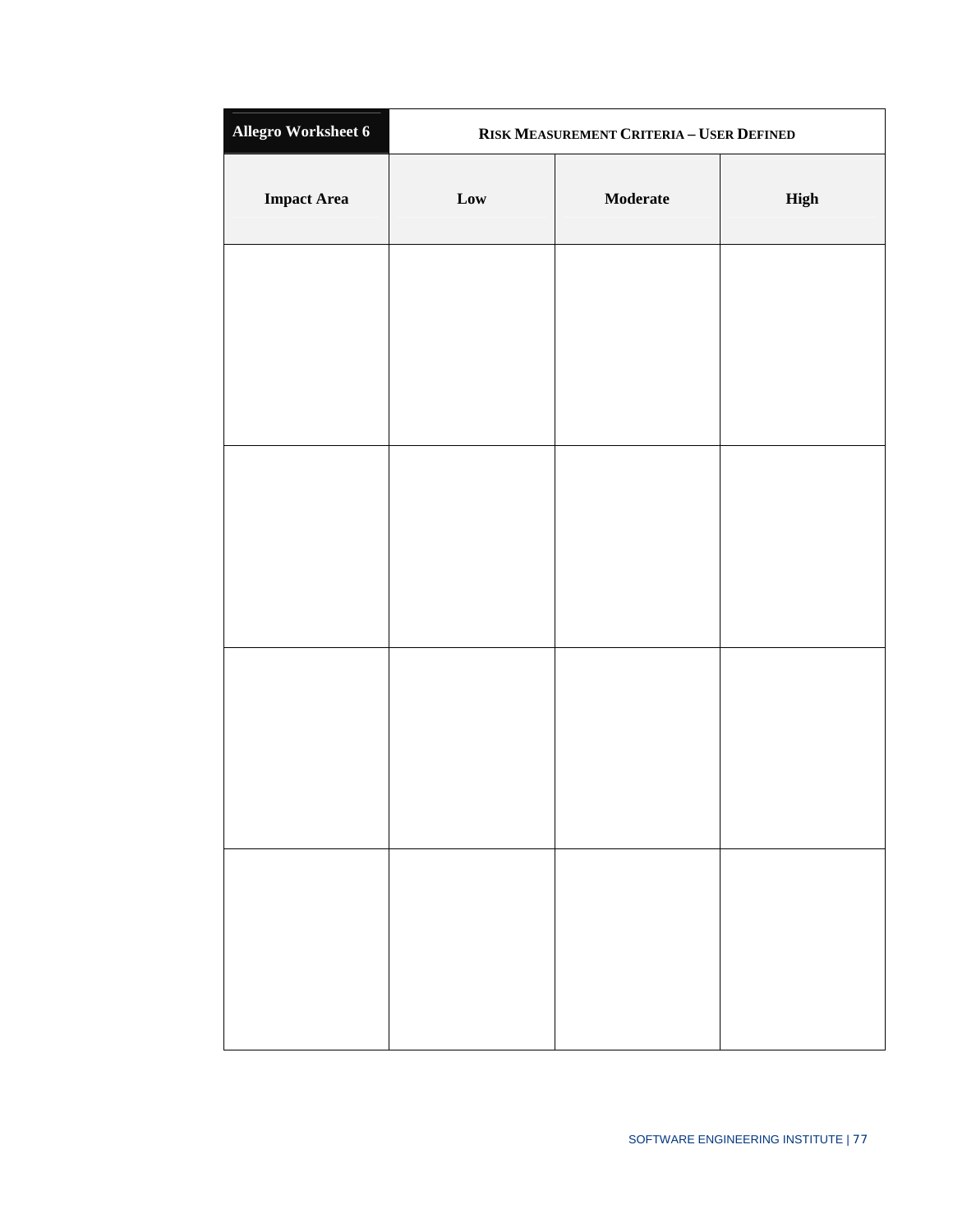| <b>Allegro Worksheet 6</b> | <b>RISK MEASUREMENT CRITERIA - USER DEFINED</b> |                                   |      |
|----------------------------|-------------------------------------------------|-----------------------------------|------|
| <b>Impact Area</b>         | ${\bf Low}$                                     | $\label{thm:mod} \textbf{Modern}$ | High |
|                            |                                                 |                                   |      |
|                            |                                                 |                                   |      |
|                            |                                                 |                                   |      |
|                            |                                                 |                                   |      |
|                            |                                                 |                                   |      |
|                            |                                                 |                                   |      |
|                            |                                                 |                                   |      |
|                            |                                                 |                                   |      |
|                            |                                                 |                                   |      |
|                            |                                                 |                                   |      |
|                            |                                                 |                                   |      |
|                            |                                                 |                                   |      |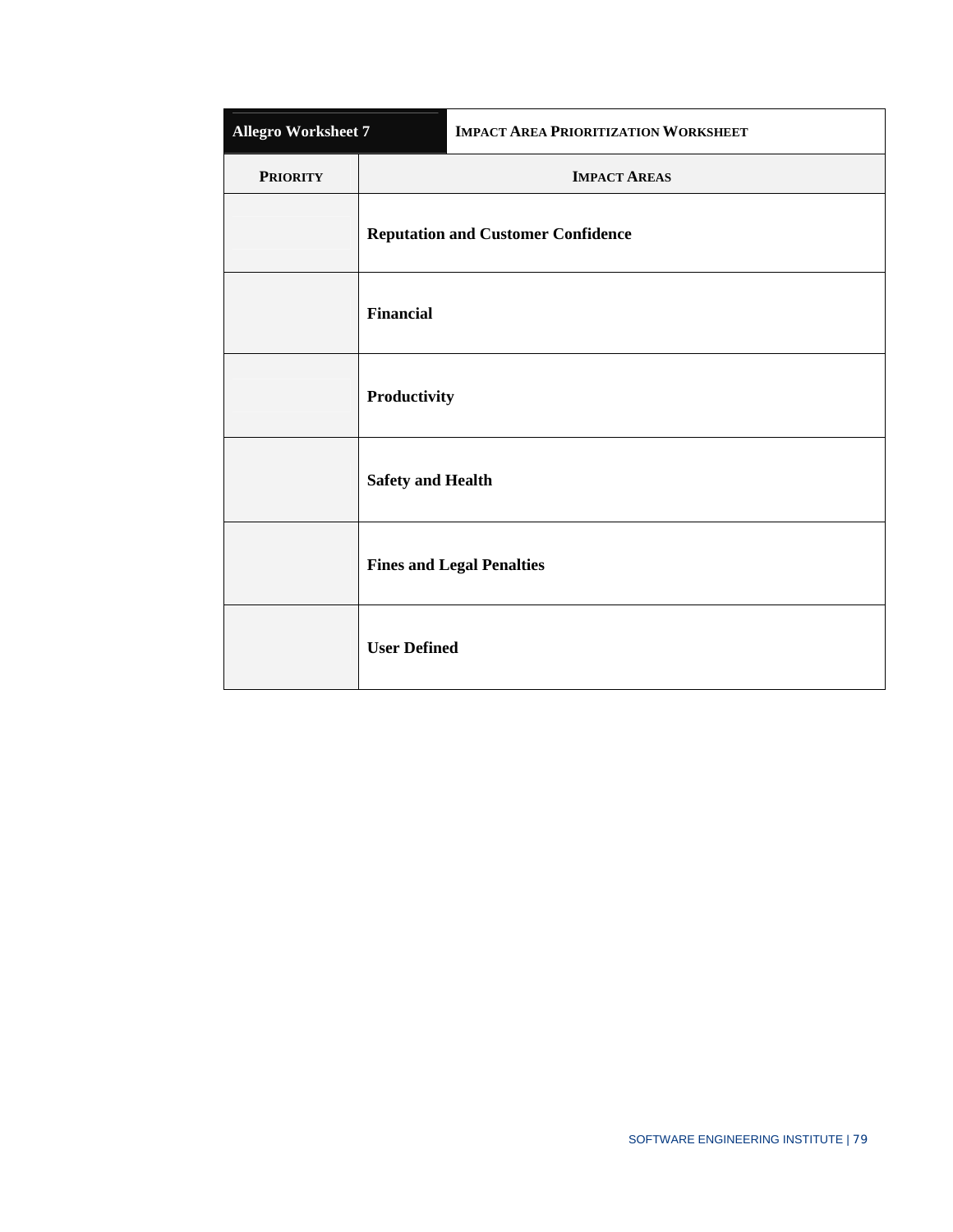| <b>Allegro Worksheet 7</b> |                          | <b>IMPACT AREA PRIORITIZATION WORKSHEET</b> |
|----------------------------|--------------------------|---------------------------------------------|
| <b>PRIORITY</b>            |                          | <b>IMPACT AREAS</b>                         |
|                            |                          | <b>Reputation and Customer Confidence</b>   |
|                            | <b>Financial</b>         |                                             |
|                            | Productivity             |                                             |
|                            | <b>Safety and Health</b> |                                             |
|                            |                          | <b>Fines and Legal Penalties</b>            |
|                            | <b>User Defined</b>      |                                             |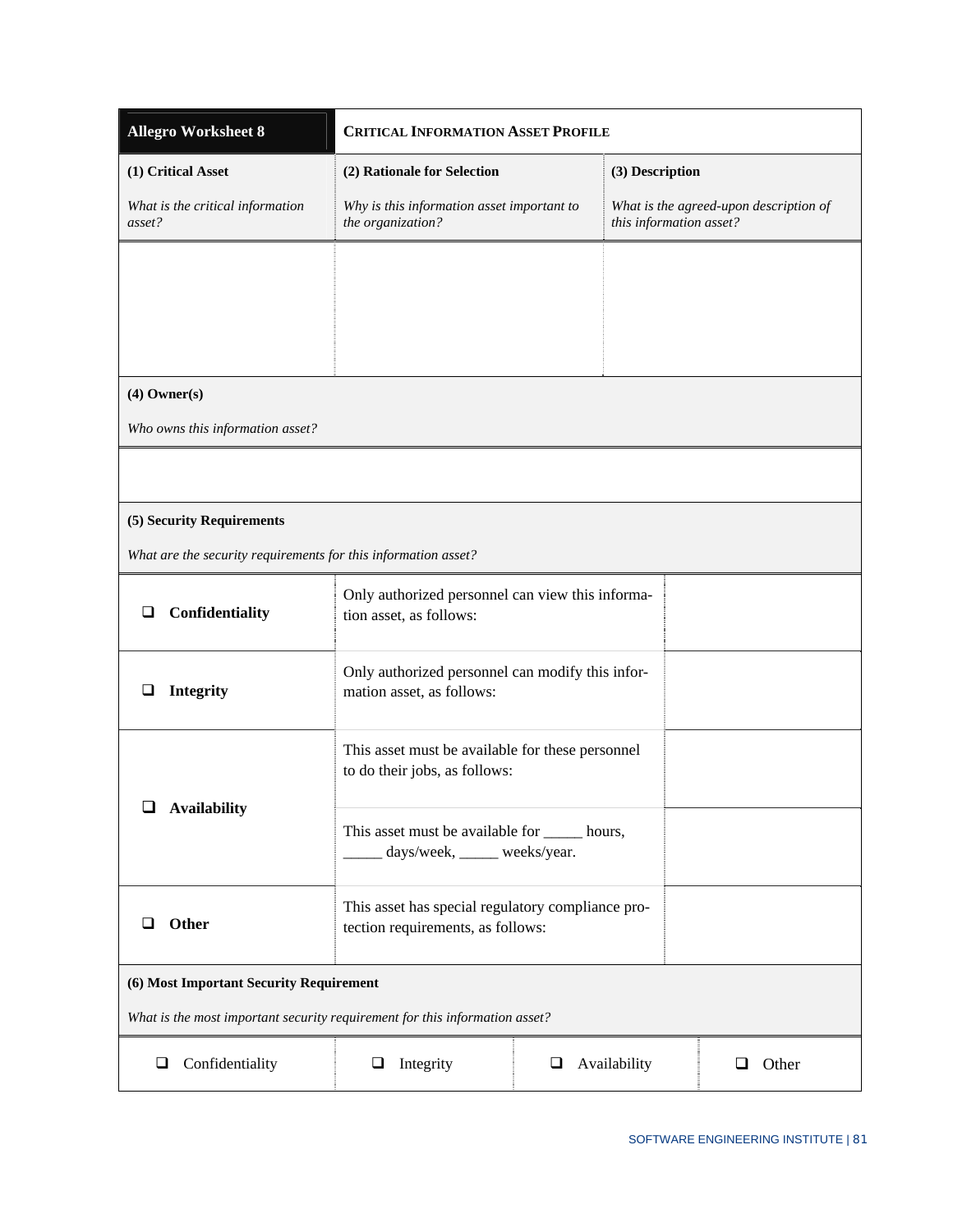| <b>Allegro Worksheet 8</b>                                                  | <b>CRITICAL INFORMATION ASSET PROFILE</b>                                              |  |                                                                   |
|-----------------------------------------------------------------------------|----------------------------------------------------------------------------------------|--|-------------------------------------------------------------------|
| (1) Critical Asset                                                          | (2) Rationale for Selection<br>(3) Description                                         |  |                                                                   |
| What is the critical information<br>asset?                                  | Why is this information asset important to<br>the organization?                        |  | What is the agreed-upon description of<br>this information asset? |
|                                                                             |                                                                                        |  |                                                                   |
|                                                                             |                                                                                        |  |                                                                   |
|                                                                             |                                                                                        |  |                                                                   |
| $(4)$ Owner $(s)$                                                           |                                                                                        |  |                                                                   |
| Who owns this information asset?                                            |                                                                                        |  |                                                                   |
|                                                                             |                                                                                        |  |                                                                   |
| (5) Security Requirements                                                   |                                                                                        |  |                                                                   |
| What are the security requirements for this information asset?              |                                                                                        |  |                                                                   |
| Confidentiality<br>⊔                                                        | Only authorized personnel can view this informa-<br>tion asset, as follows:            |  |                                                                   |
| <b>Integrity</b><br>u                                                       | Only authorized personnel can modify this infor-<br>mation asset, as follows:          |  |                                                                   |
|                                                                             | This asset must be available for these personnel<br>to do their jobs, as follows:      |  |                                                                   |
| $\Box$<br>Availability                                                      | This asset must be available for ______ hours,<br>days/week, ____ weeks/year.          |  |                                                                   |
| Other<br>⊔                                                                  | This asset has special regulatory compliance pro-<br>tection requirements, as follows: |  |                                                                   |
| (6) Most Important Security Requirement                                     |                                                                                        |  |                                                                   |
| What is the most important security requirement for this information asset? |                                                                                        |  |                                                                   |
| Confidentiality<br>$\Box$                                                   | Other<br>Integrity<br>Availability<br>❏<br>❏<br>❏                                      |  |                                                                   |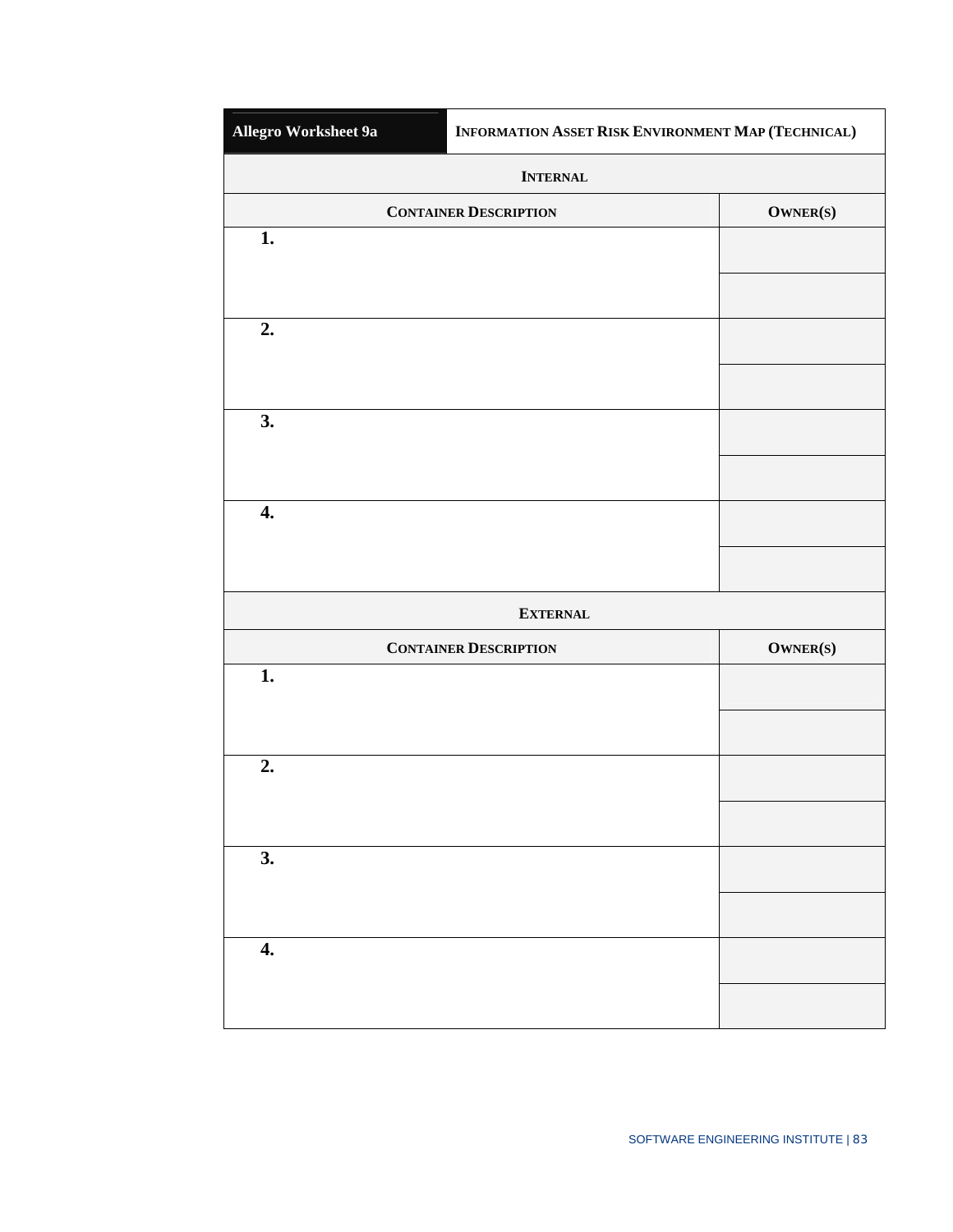| Allegro Worksheet 9a | <b>INFORMATION ASSET RISK ENVIRONMENT MAP (TECHNICAL)</b> |                 |  |  |
|----------------------|-----------------------------------------------------------|-----------------|--|--|
|                      | <b>INTERNAL</b>                                           |                 |  |  |
|                      | <b>CONTAINER DESCRIPTION</b>                              | <b>OWNER(S)</b> |  |  |
| 1.                   |                                                           |                 |  |  |
|                      |                                                           |                 |  |  |
| 2.                   |                                                           |                 |  |  |
|                      |                                                           |                 |  |  |
| 3.                   |                                                           |                 |  |  |
|                      |                                                           |                 |  |  |
| 4.                   |                                                           |                 |  |  |
|                      |                                                           |                 |  |  |
|                      | <b>EXTERNAL</b>                                           |                 |  |  |
|                      | <b>CONTAINER DESCRIPTION</b>                              | <b>OWNER(S)</b> |  |  |
| 1.                   |                                                           |                 |  |  |
|                      |                                                           |                 |  |  |
| 2.                   |                                                           |                 |  |  |
|                      |                                                           |                 |  |  |
| 3.                   |                                                           |                 |  |  |
|                      |                                                           |                 |  |  |
| 4.                   |                                                           |                 |  |  |
|                      |                                                           |                 |  |  |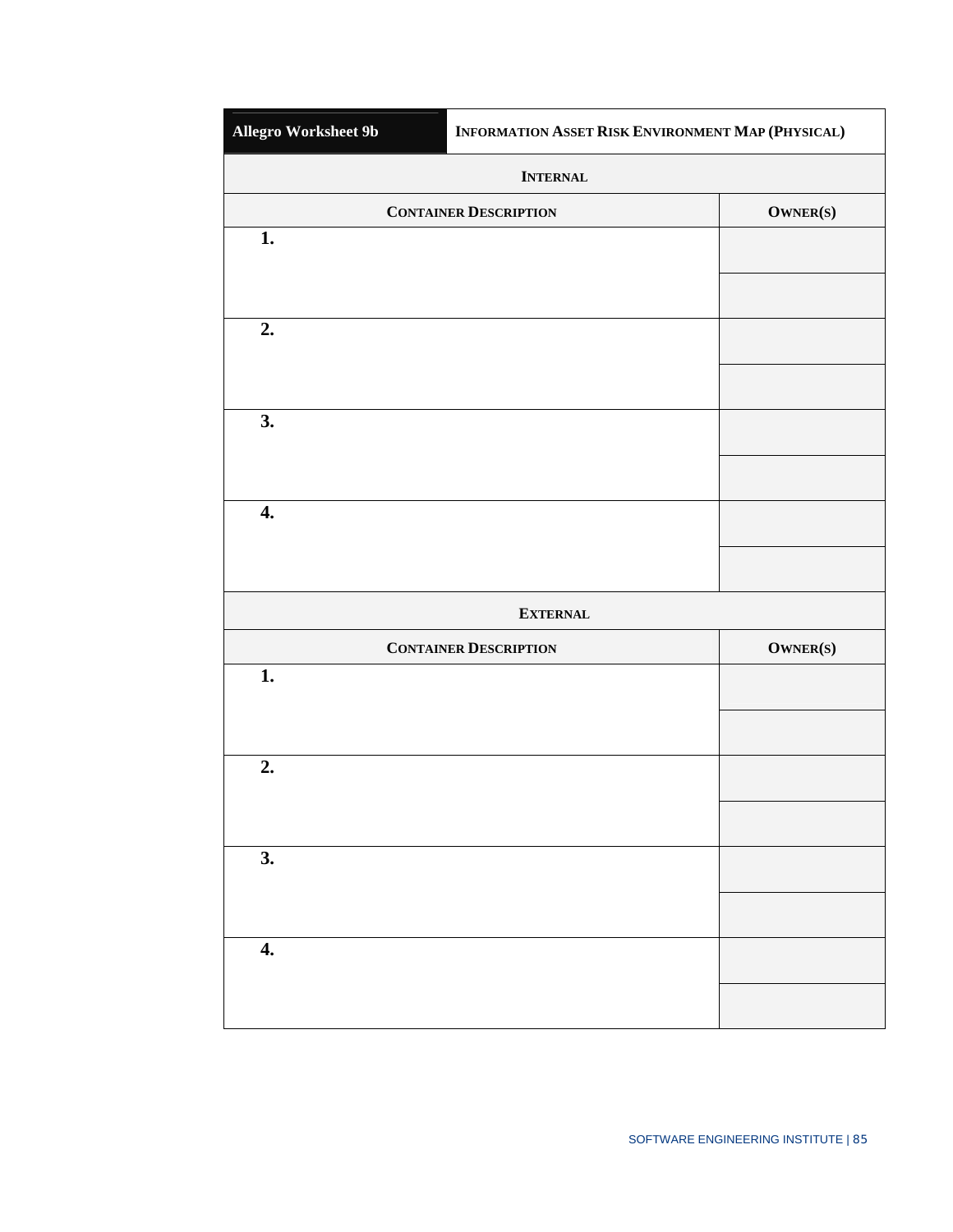| Allegro Worksheet 9b | <b>INFORMATION ASSET RISK ENVIRONMENT MAP (PHYSICAL)</b> |                 |  |  |  |  |  |
|----------------------|----------------------------------------------------------|-----------------|--|--|--|--|--|
| <b>INTERNAL</b>      |                                                          |                 |  |  |  |  |  |
|                      | <b>CONTAINER DESCRIPTION</b>                             | <b>OWNER(S)</b> |  |  |  |  |  |
| 1.                   |                                                          |                 |  |  |  |  |  |
|                      |                                                          |                 |  |  |  |  |  |
| 2.                   |                                                          |                 |  |  |  |  |  |
|                      |                                                          |                 |  |  |  |  |  |
| 3.                   |                                                          |                 |  |  |  |  |  |
|                      |                                                          |                 |  |  |  |  |  |
| 4.                   |                                                          |                 |  |  |  |  |  |
|                      |                                                          |                 |  |  |  |  |  |
|                      | <b>EXTERNAL</b>                                          |                 |  |  |  |  |  |
|                      | <b>CONTAINER DESCRIPTION</b>                             | <b>OWNER(S)</b> |  |  |  |  |  |
| 1.                   |                                                          |                 |  |  |  |  |  |
|                      |                                                          |                 |  |  |  |  |  |
| 2.                   |                                                          |                 |  |  |  |  |  |
|                      |                                                          |                 |  |  |  |  |  |
| 3.                   |                                                          |                 |  |  |  |  |  |
|                      |                                                          |                 |  |  |  |  |  |
| 4.                   |                                                          |                 |  |  |  |  |  |
|                      |                                                          |                 |  |  |  |  |  |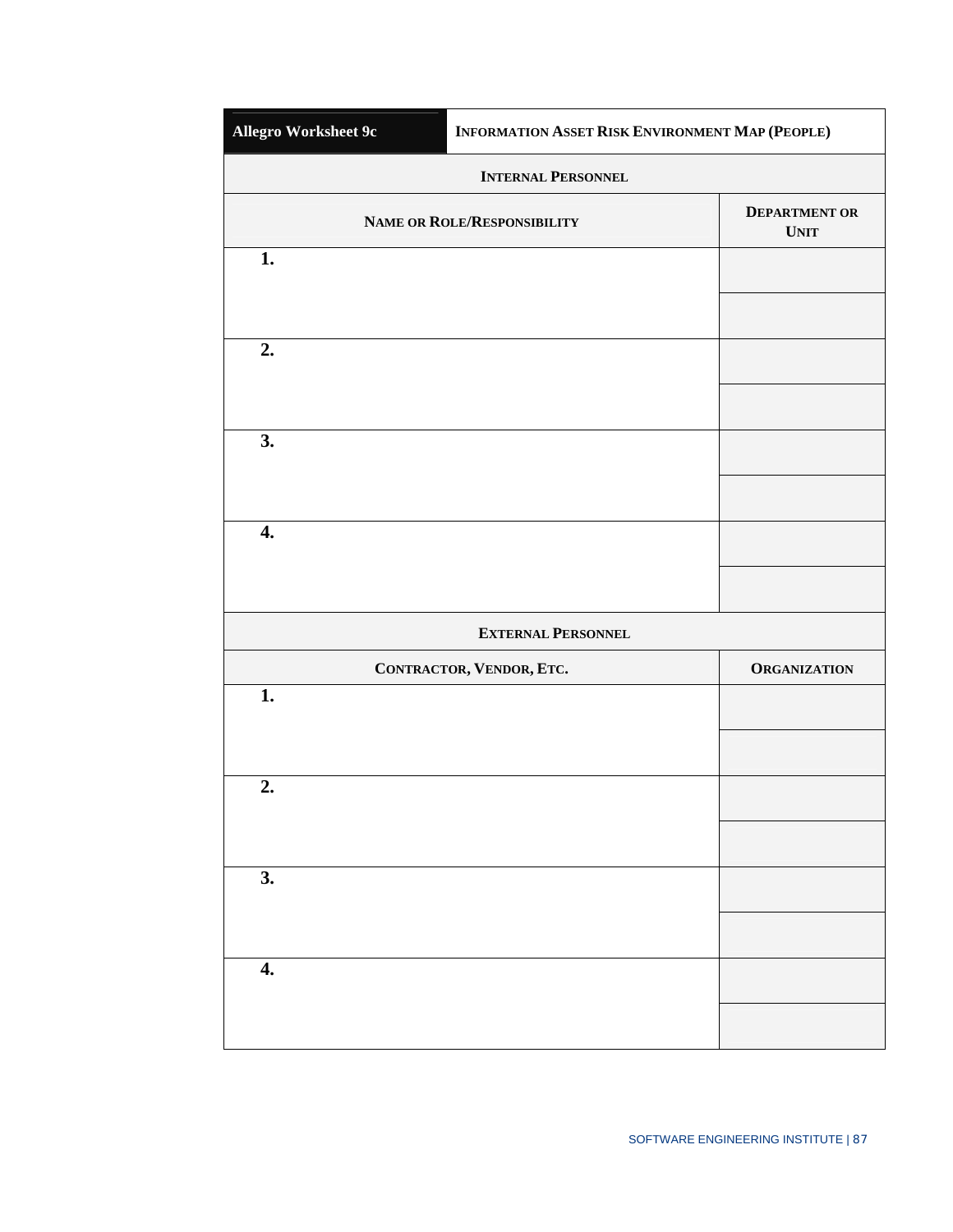| Allegro Worksheet 9c<br><b>INFORMATION ASSET RISK ENVIRONMENT MAP (PEOPLE)</b> |                                     |                     |  |  |  |  |  |
|--------------------------------------------------------------------------------|-------------------------------------|---------------------|--|--|--|--|--|
| <b>INTERNAL PERSONNEL</b>                                                      |                                     |                     |  |  |  |  |  |
| NAME OR ROLE/RESPONSIBILITY                                                    | <b>DEPARTMENT OR</b><br><b>UNIT</b> |                     |  |  |  |  |  |
| 1.                                                                             |                                     |                     |  |  |  |  |  |
|                                                                                |                                     |                     |  |  |  |  |  |
| 2.                                                                             |                                     |                     |  |  |  |  |  |
|                                                                                |                                     |                     |  |  |  |  |  |
| 3.                                                                             |                                     |                     |  |  |  |  |  |
|                                                                                |                                     |                     |  |  |  |  |  |
| 4.                                                                             |                                     |                     |  |  |  |  |  |
|                                                                                |                                     |                     |  |  |  |  |  |
|                                                                                | <b>EXTERNAL PERSONNEL</b>           |                     |  |  |  |  |  |
|                                                                                | CONTRACTOR, VENDOR, ETC.            | <b>ORGANIZATION</b> |  |  |  |  |  |
| 1.                                                                             |                                     |                     |  |  |  |  |  |
|                                                                                |                                     |                     |  |  |  |  |  |
| 2.                                                                             |                                     |                     |  |  |  |  |  |
|                                                                                |                                     |                     |  |  |  |  |  |
| 3.                                                                             |                                     |                     |  |  |  |  |  |
|                                                                                |                                     |                     |  |  |  |  |  |
| 4.                                                                             |                                     |                     |  |  |  |  |  |
|                                                                                |                                     |                     |  |  |  |  |  |
|                                                                                |                                     |                     |  |  |  |  |  |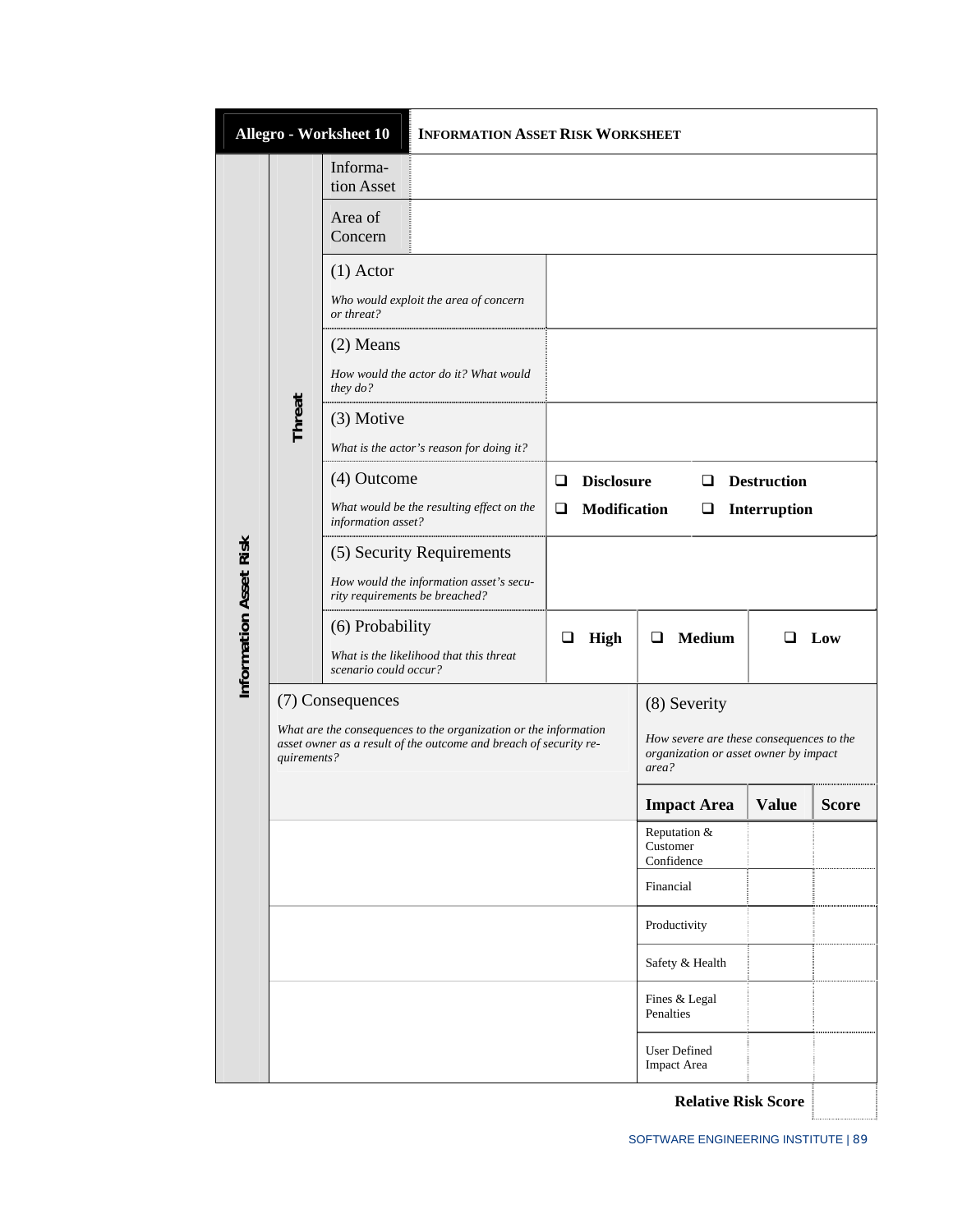|                        | Allegro - Worksheet 10<br><b>INFORMATION ASSET RISK WORKSHEET</b>                                                                                    |                                |                                           |   |                     |                                                                                            |              |              |  |
|------------------------|------------------------------------------------------------------------------------------------------------------------------------------------------|--------------------------------|-------------------------------------------|---|---------------------|--------------------------------------------------------------------------------------------|--------------|--------------|--|
|                        |                                                                                                                                                      | Informa-<br>tion Asset         |                                           |   |                     |                                                                                            |              |              |  |
|                        |                                                                                                                                                      | Area of<br>Concern             |                                           |   |                     |                                                                                            |              |              |  |
|                        |                                                                                                                                                      | $(1)$ Actor<br>or threat?      | Who would exploit the area of concern     |   |                     |                                                                                            |              |              |  |
|                        |                                                                                                                                                      | $(2)$ Means                    |                                           |   |                     |                                                                                            |              |              |  |
|                        |                                                                                                                                                      | they do?                       | How would the actor do it? What would     |   |                     |                                                                                            |              |              |  |
|                        | <b>Threat</b><br>(3) Motive<br>What is the actor's reason for doing it?                                                                              |                                |                                           |   |                     |                                                                                            |              |              |  |
|                        | (4) Outcome<br>$\Box$<br><b>Disclosure</b><br><b>Destruction</b><br>□                                                                                |                                |                                           |   |                     |                                                                                            |              |              |  |
|                        |                                                                                                                                                      | information asset?             | What would be the resulting effect on the | ❏ | <b>Modification</b> | $\Box$                                                                                     | Interruption |              |  |
|                        |                                                                                                                                                      |                                | (5) Security Requirements                 |   |                     |                                                                                            |              |              |  |
|                        |                                                                                                                                                      | rity requirements be breached? | How would the information asset's secu-   |   |                     |                                                                                            |              |              |  |
|                        |                                                                                                                                                      | (6) Probability                |                                           | ⊔ | <b>High</b>         | <b>Medium</b><br>⊔                                                                         | ⊔            | Low          |  |
| Information Asset Risk |                                                                                                                                                      | scenario could occur?          | What is the likelihood that this threat   |   |                     |                                                                                            |              |              |  |
|                        |                                                                                                                                                      | (7) Consequences               |                                           |   |                     | (8) Severity                                                                               |              |              |  |
|                        | What are the consequences to the organization or the information<br>asset owner as a result of the outcome and breach of security re-<br>quirements? |                                |                                           |   |                     | How severe are these consequences to the<br>organization or asset owner by impact<br>area? |              |              |  |
|                        |                                                                                                                                                      |                                |                                           |   |                     | <b>Impact Area</b>                                                                         | <b>Value</b> | <b>Score</b> |  |
|                        |                                                                                                                                                      |                                |                                           |   |                     | Reputation &<br>Customer<br>Confidence                                                     |              |              |  |
|                        |                                                                                                                                                      |                                |                                           |   |                     | Financial                                                                                  |              |              |  |
|                        |                                                                                                                                                      |                                |                                           |   |                     | Productivity                                                                               |              |              |  |
|                        |                                                                                                                                                      |                                |                                           |   |                     | Safety & Health                                                                            |              |              |  |
|                        |                                                                                                                                                      |                                |                                           |   |                     | Fines & Legal<br>Penalties                                                                 |              |              |  |
|                        |                                                                                                                                                      |                                |                                           |   |                     | <b>User Defined</b><br><b>Impact Area</b>                                                  |              |              |  |

**Relative Risk Score**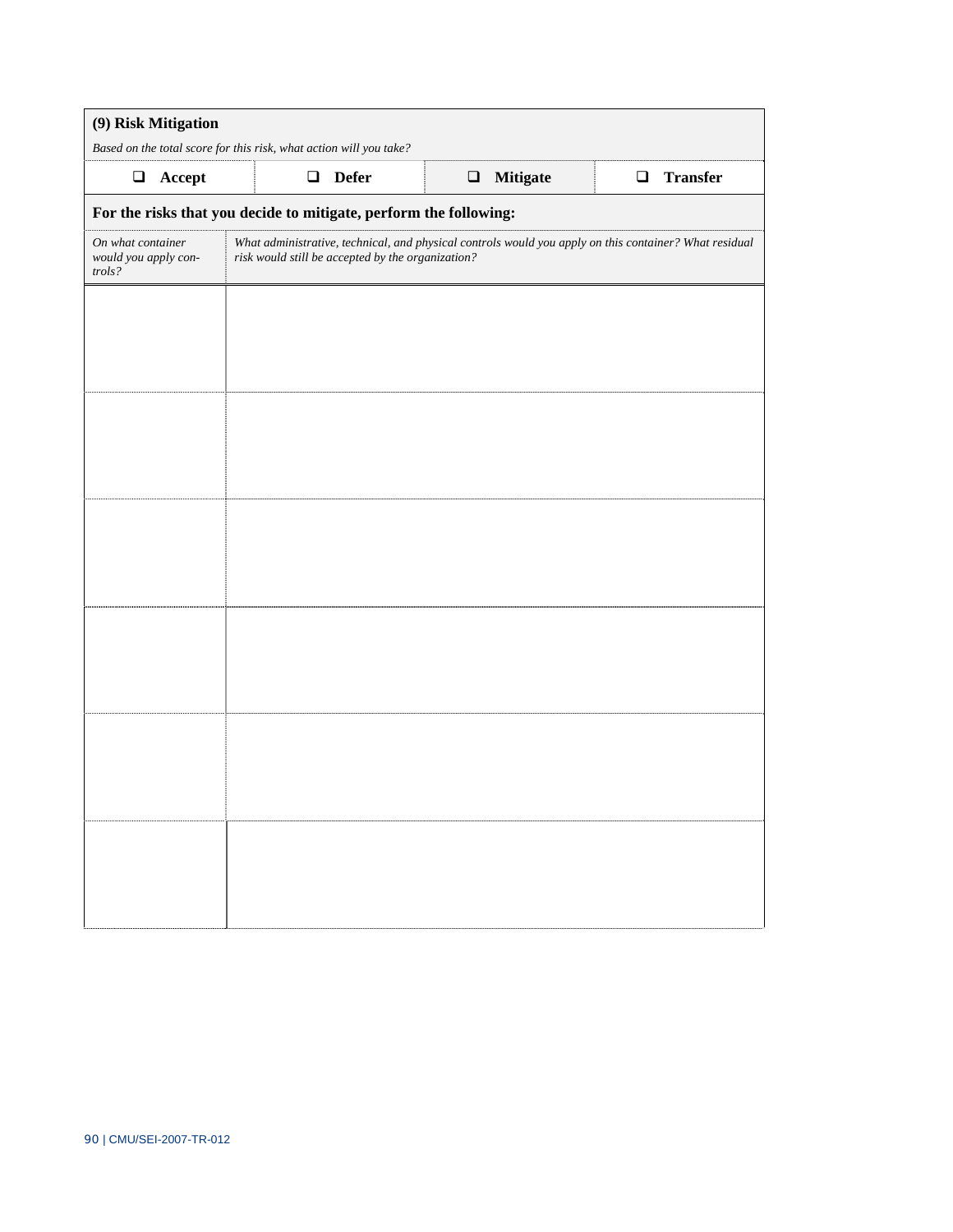| (9) Risk Mitigation                                 |        | Based on the total score for this risk, what action will you take? |              |        |                 |        |                                                                                                        |
|-----------------------------------------------------|--------|--------------------------------------------------------------------|--------------|--------|-----------------|--------|--------------------------------------------------------------------------------------------------------|
| $\Box$                                              | Accept |                                                                    | $\Box$ Defer | $\Box$ | <b>Mitigate</b> | $\Box$ | <b>Transfer</b>                                                                                        |
|                                                     |        | For the risks that you decide to mitigate, perform the following:  |              |        |                 |        |                                                                                                        |
| On what container<br>would you apply con-<br>trols? |        | risk would still be accepted by the organization?                  |              |        |                 |        | What administrative, technical, and physical controls would you apply on this container? What residual |
|                                                     |        |                                                                    |              |        |                 |        |                                                                                                        |
|                                                     |        |                                                                    |              |        |                 |        |                                                                                                        |
|                                                     |        |                                                                    |              |        |                 |        |                                                                                                        |
|                                                     |        |                                                                    |              |        |                 |        |                                                                                                        |
|                                                     |        |                                                                    |              |        |                 |        |                                                                                                        |
|                                                     |        |                                                                    |              |        |                 |        |                                                                                                        |
|                                                     |        |                                                                    |              |        |                 |        |                                                                                                        |
|                                                     |        |                                                                    |              |        |                 |        |                                                                                                        |
|                                                     |        |                                                                    |              |        |                 |        |                                                                                                        |
|                                                     |        |                                                                    |              |        |                 |        |                                                                                                        |
|                                                     |        |                                                                    |              |        |                 |        |                                                                                                        |
|                                                     |        |                                                                    |              |        |                 |        |                                                                                                        |
|                                                     |        |                                                                    |              |        |                 |        |                                                                                                        |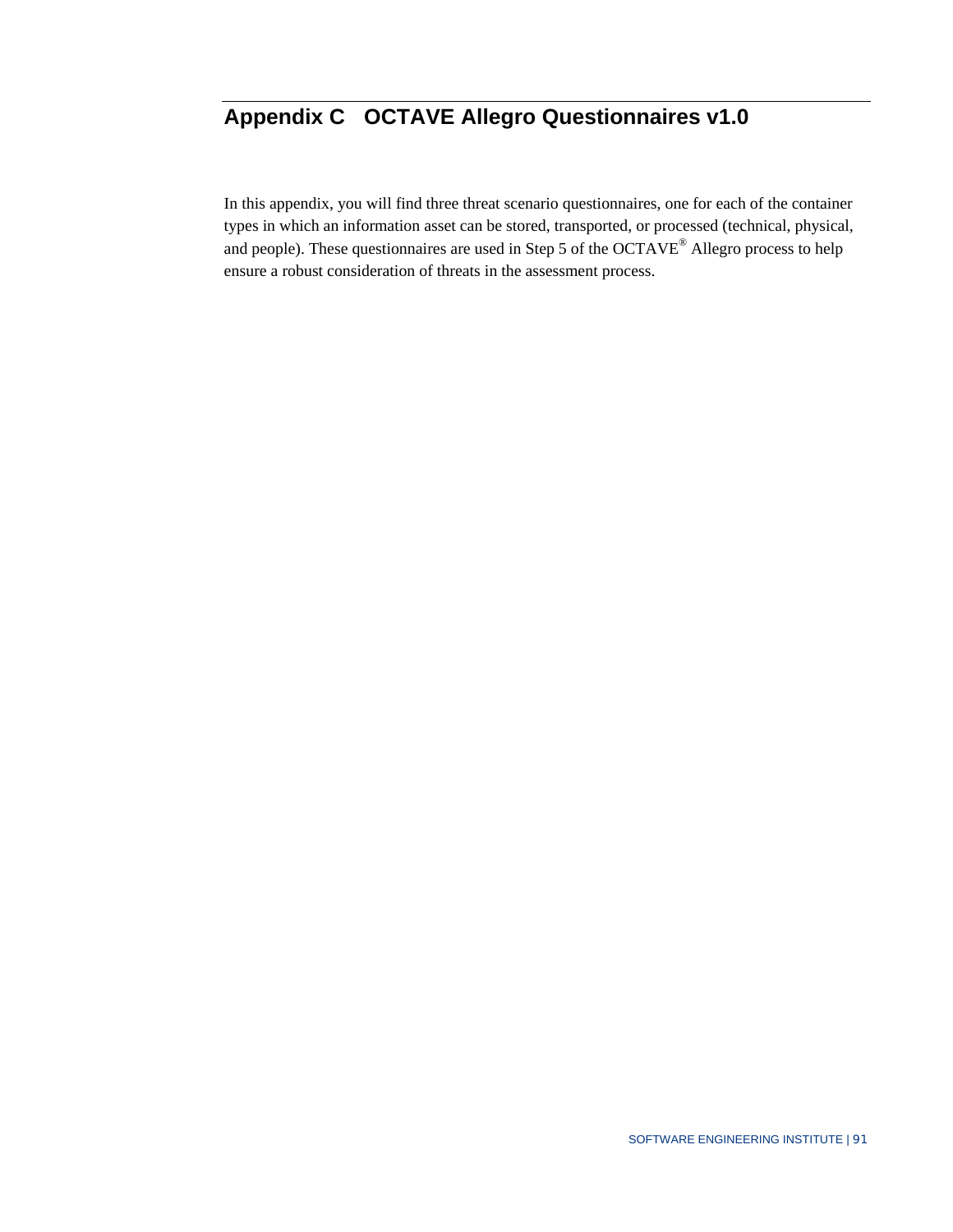# **Appendix C OCTAVE Allegro Questionnaires v1.0**

In this appendix, you will find three threat scenario questionnaires, one for each of the container types in which an information asset can be stored, transported, or processed (technical, physical, and people). These questionnaires are used in Step 5 of the OCTAVE® Allegro process to help ensure a robust consideration of threats in the assessment process.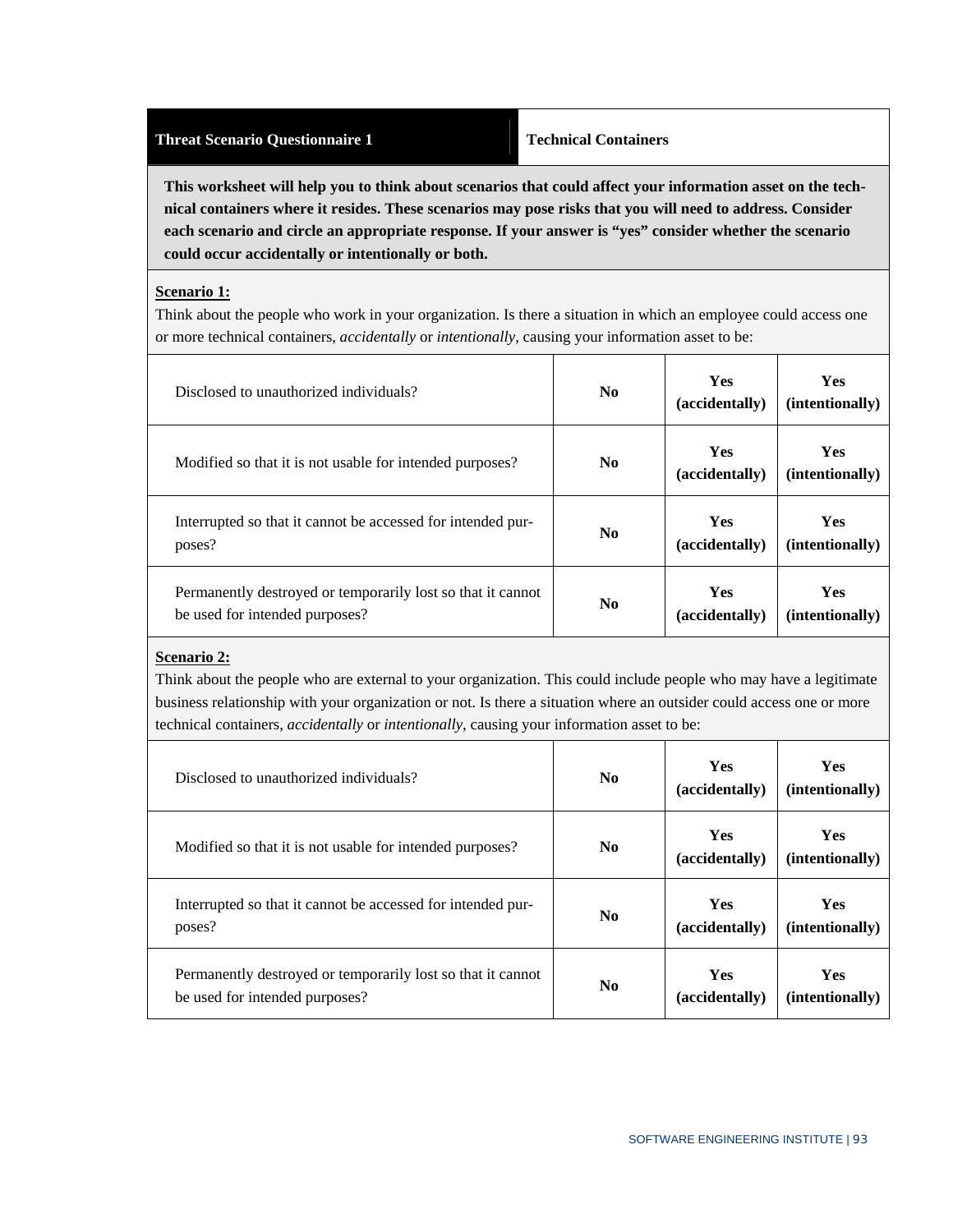## **Threat Scenario Questionnaire 1 Technical Containers**

**This worksheet will help you to think about scenarios that could affect your information asset on the technical containers where it resides. These scenarios may pose risks that you will need to address. Consider each scenario and circle an appropriate response. If your answer is "yes" consider whether the scenario could occur accidentally or intentionally or both.** 

#### **Scenario 1:**

Think about the people who work in your organization. Is there a situation in which an employee could access one or more technical containers, *accidentally* or *intentionally*, causing your information asset to be:

| Disclosed to unauthorized individuals?                      | N <sub>0</sub> | Yes<br>(accidentally)        | <b>Yes</b><br>(intentionally) |
|-------------------------------------------------------------|----------------|------------------------------|-------------------------------|
| Modified so that it is not usable for intended purposes?    | N <sub>0</sub> | <b>Yes</b><br>(accidentally) | <b>Yes</b><br>(intentionally) |
| Interrupted so that it cannot be accessed for intended pur- | N <sub>0</sub> | Yes                          | Yes                           |
| poses?                                                      |                | (accidentally)               | (intentionally)               |
| Permanently destroyed or temporarily lost so that it cannot | N <sub>0</sub> | <b>Yes</b>                   | Yes                           |
| be used for intended purposes?                              |                | (accidentally)               | (intentionally)               |

## **Scenario 2:**

Think about the people who are external to your organization. This could include people who may have a legitimate business relationship with your organization or not. Is there a situation where an outsider could access one or more technical containers, *accidentally* or *intentionally*, causing your information asset to be:

| Disclosed to unauthorized individuals?                      | N0             | Yes<br>(accidentally)        | <b>Yes</b><br>(intentionally) |
|-------------------------------------------------------------|----------------|------------------------------|-------------------------------|
| Modified so that it is not usable for intended purposes?    | N <sub>0</sub> | <b>Yes</b><br>(accidentally) | <b>Yes</b><br>(intentionally) |
| Interrupted so that it cannot be accessed for intended pur- | N0             | <b>Yes</b>                   | <b>Yes</b>                    |
| poses?                                                      |                | (accidentally)               | (intentionally)               |
| Permanently destroyed or temporarily lost so that it cannot | N <sub>0</sub> | Yes                          | <b>Yes</b>                    |
| be used for intended purposes?                              |                | (accidentally)               | (intentionally)               |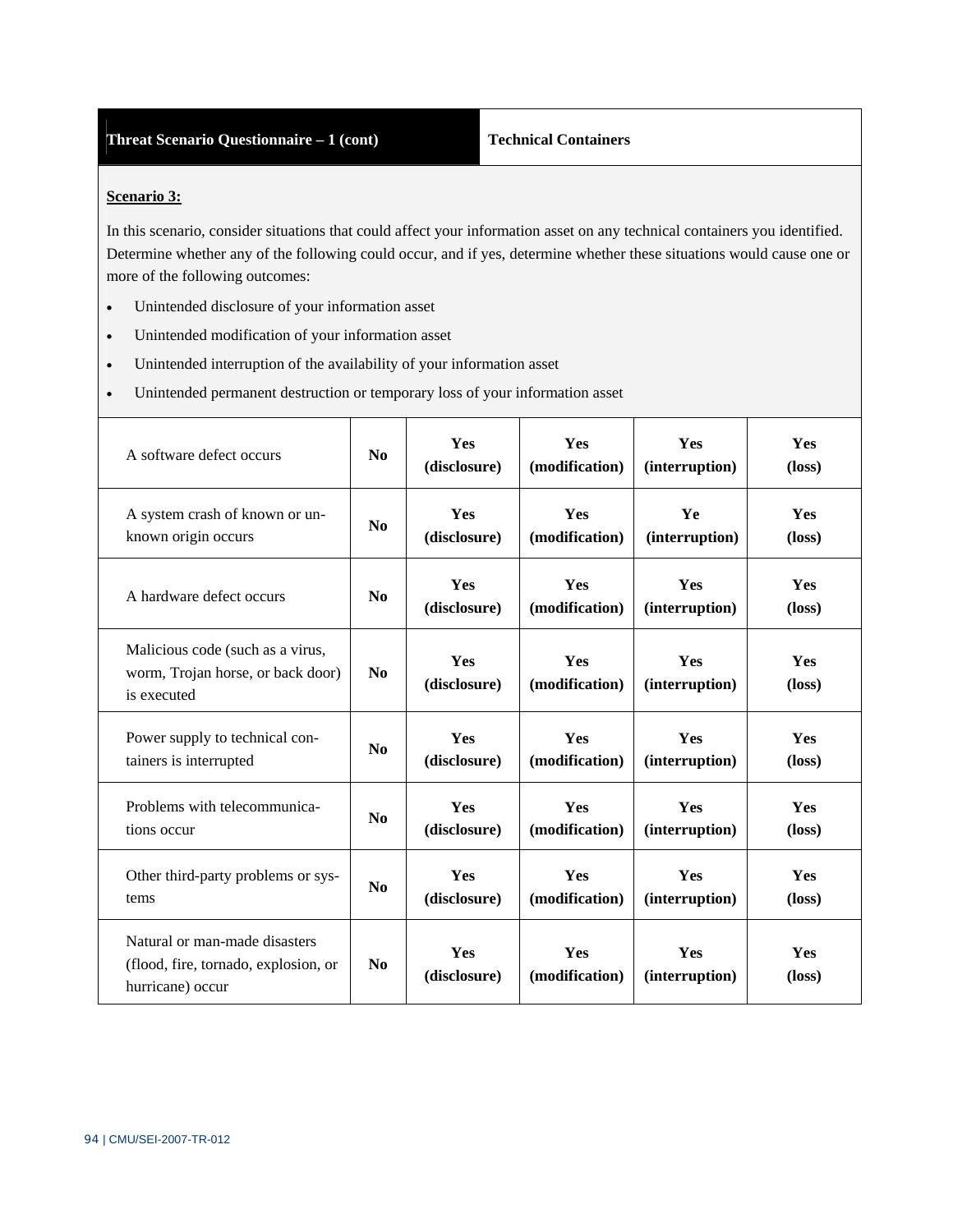# **Scenario 3:**

In this scenario, consider situations that could affect your information asset on any technical containers you identified. Determine whether any of the following could occur, and if yes, determine whether these situations would cause one or more of the following outcomes:

- Unintended disclosure of your information asset
- Unintended modification of your information asset
- Unintended interruption of the availability of your information asset
- Unintended permanent destruction or temporary loss of your information asset

| A software defect occurs                                                                  | No             | Yes<br>(disclosure) | Yes<br>(modification) | Yes<br>(interruption) | Yes<br>(loss)          |
|-------------------------------------------------------------------------------------------|----------------|---------------------|-----------------------|-----------------------|------------------------|
| A system crash of known or un-                                                            | No             | Yes                 | Yes                   | Ye                    | Yes                    |
| known origin occurs                                                                       |                | (disclosure)        | (modification)        | (interruption)        | (loss)                 |
| A hardware defect occurs                                                                  | No             | Yes<br>(disclosure) | Yes<br>(modification) | Yes<br>(interruption) | Yes<br>(loss)          |
| Malicious code (such as a virus,<br>worm, Trojan horse, or back door)<br>is executed      | N <sub>0</sub> | Yes<br>(disclosure) | Yes<br>(modification) | Yes<br>(interruption) | Yes<br>$(\text{loss})$ |
| Power supply to technical con-                                                            | N <sub>0</sub> | Yes                 | Yes                   | Yes                   | Yes                    |
| tainers is interrupted                                                                    |                | (disclosure)        | (modification)        | (interruption)        | $(\text{loss})$        |
| Problems with telecommunica-                                                              | No             | Yes                 | Yes                   | Yes                   | <b>Yes</b>             |
| tions occur                                                                               |                | (disclosure)        | (modification)        | (interruption)        | $(\text{loss})$        |
| Other third-party problems or sys-                                                        | N <sub>0</sub> | Yes                 | Yes                   | Yes                   | Yes                    |
| tems                                                                                      |                | (disclosure)        | (modification)        | (interruption)        | $(\text{loss})$        |
| Natural or man-made disasters<br>(flood, fire, tornado, explosion, or<br>hurricane) occur | No             | Yes<br>(disclosure) | Yes<br>(modification) | Yes<br>(interruption) | Yes<br>(loss)          |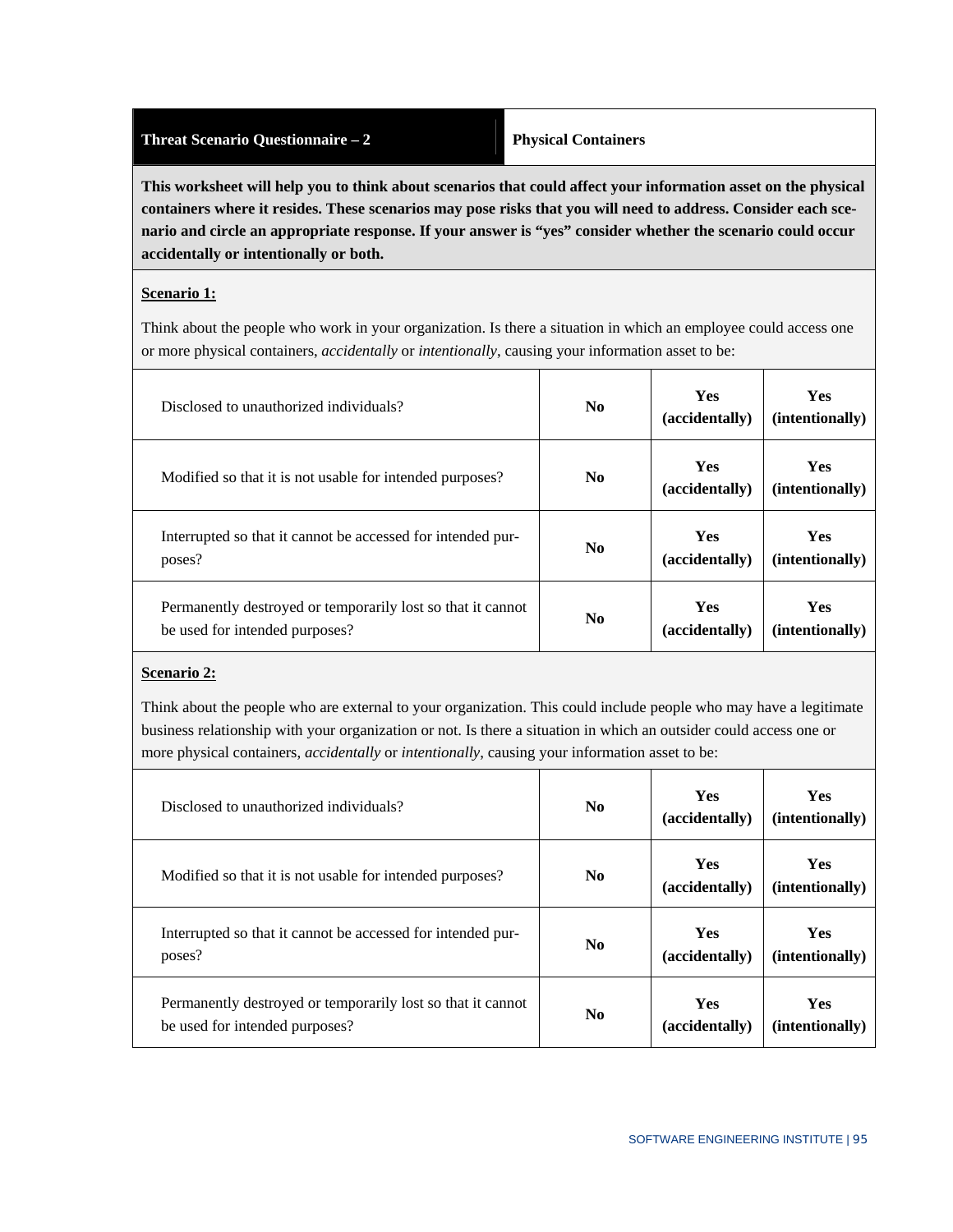## **Threat Scenario Questionnaire – 2 Physical Containers**

**This worksheet will help you to think about scenarios that could affect your information asset on the physical containers where it resides. These scenarios may pose risks that you will need to address. Consider each scenario and circle an appropriate response. If your answer is "yes" consider whether the scenario could occur accidentally or intentionally or both.** 

#### **Scenario 1:**

Think about the people who work in your organization. Is there a situation in which an employee could access one or more physical containers, *accidentally* or *intentionally*, causing your information asset to be:

| Disclosed to unauthorized individuals?                      | N <sub>0</sub> | Yes<br>(accidentally) | Yes<br>(intentionally)        |
|-------------------------------------------------------------|----------------|-----------------------|-------------------------------|
| Modified so that it is not usable for intended purposes?    | N <sub>0</sub> | Yes<br>(accidentally) | <b>Yes</b><br>(intentionally) |
| Interrupted so that it cannot be accessed for intended pur- | N <sub>0</sub> | <b>Yes</b>            | <b>Yes</b>                    |
| poses?                                                      |                | (accidentally)        | (intentionally)               |
| Permanently destroyed or temporarily lost so that it cannot | N <sub>0</sub> | Yes                   | Yes                           |
| be used for intended purposes?                              |                | (accidentally)        | (intentionally)               |

## **Scenario 2:**

Think about the people who are external to your organization. This could include people who may have a legitimate business relationship with your organization or not. Is there a situation in which an outsider could access one or more physical containers, *accidentally* or *intentionally*, causing your information asset to be:

| Disclosed to unauthorized individuals?                      | N <sub>0</sub> | Yes<br>(accidentally)        | <b>Yes</b><br>(intentionally) |
|-------------------------------------------------------------|----------------|------------------------------|-------------------------------|
| Modified so that it is not usable for intended purposes?    | N <sub>0</sub> | <b>Yes</b><br>(accidentally) | <b>Yes</b><br>(intentionally) |
| Interrupted so that it cannot be accessed for intended pur- | N <sub>0</sub> | <b>Yes</b>                   | <b>Yes</b>                    |
| poses?                                                      |                | (accidentally)               | (intentionally)               |
| Permanently destroyed or temporarily lost so that it cannot | N <sub>0</sub> | <b>Yes</b>                   | <b>Yes</b>                    |
| be used for intended purposes?                              |                | (accidentally)               | (intentionally)               |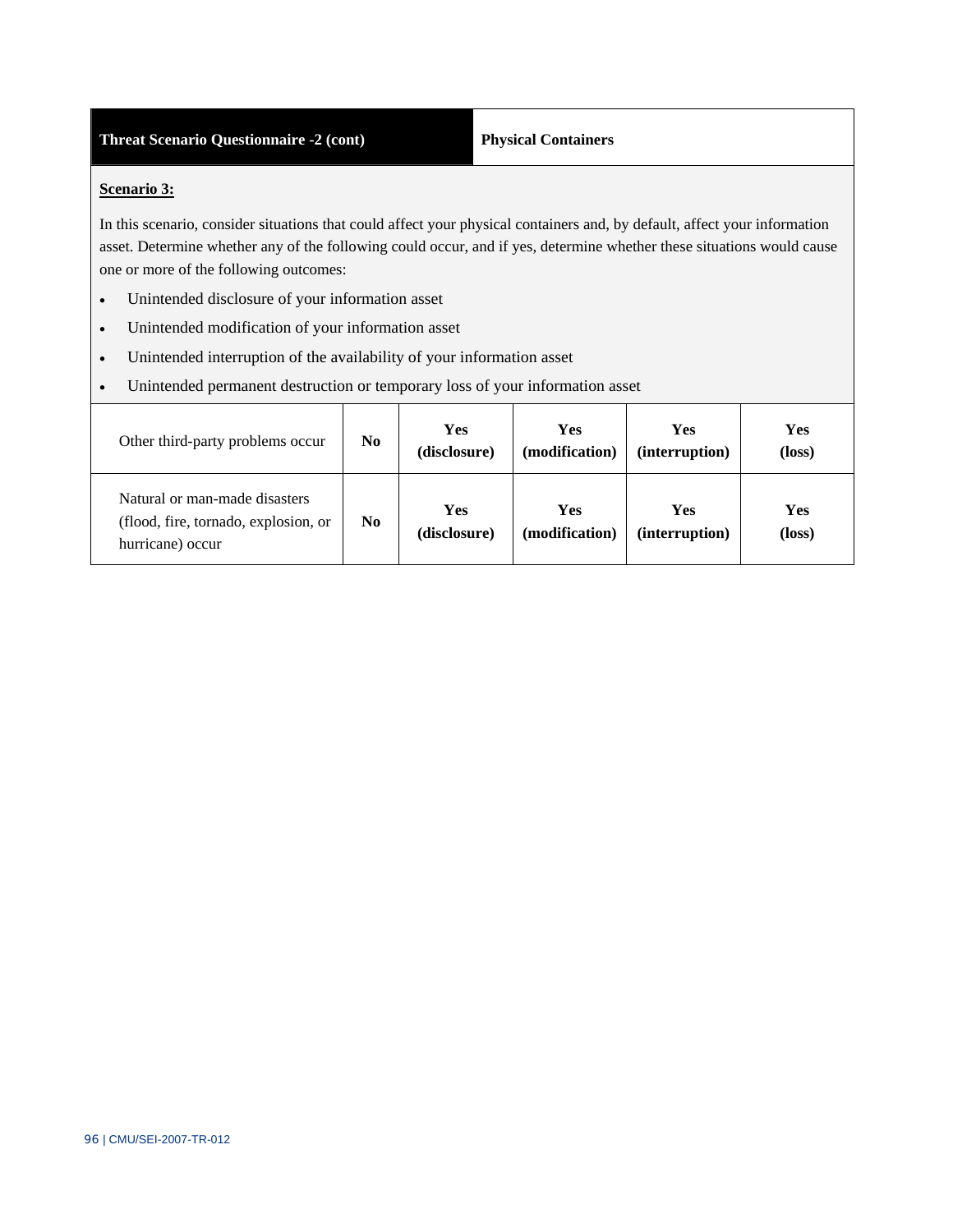## **Threat Scenario Questionnaire -2 (cont) Physical Containers**

#### **Scenario 3:**

In this scenario, consider situations that could affect your physical containers and, by default, affect your information asset. Determine whether any of the following could occur, and if yes, determine whether these situations would cause one or more of the following outcomes:

- Unintended disclosure of your information asset
- Unintended modification of your information asset
- Unintended interruption of the availability of your information asset
- Unintended permanent destruction or temporary loss of your information asset

| Other third-party problems occur                                                          | No.            | Yes<br>(disclosure) | Yes<br>(modification) | Yes<br>(interruption) | Yes<br>$(\text{loss})$ |
|-------------------------------------------------------------------------------------------|----------------|---------------------|-----------------------|-----------------------|------------------------|
| Natural or man-made disasters<br>(flood, fire, tornado, explosion, or<br>hurricane) occur | N <sub>0</sub> | Yes<br>(disclosure) | Yes<br>(modification) | Yes<br>(interruption) | Yes<br>(loss)          |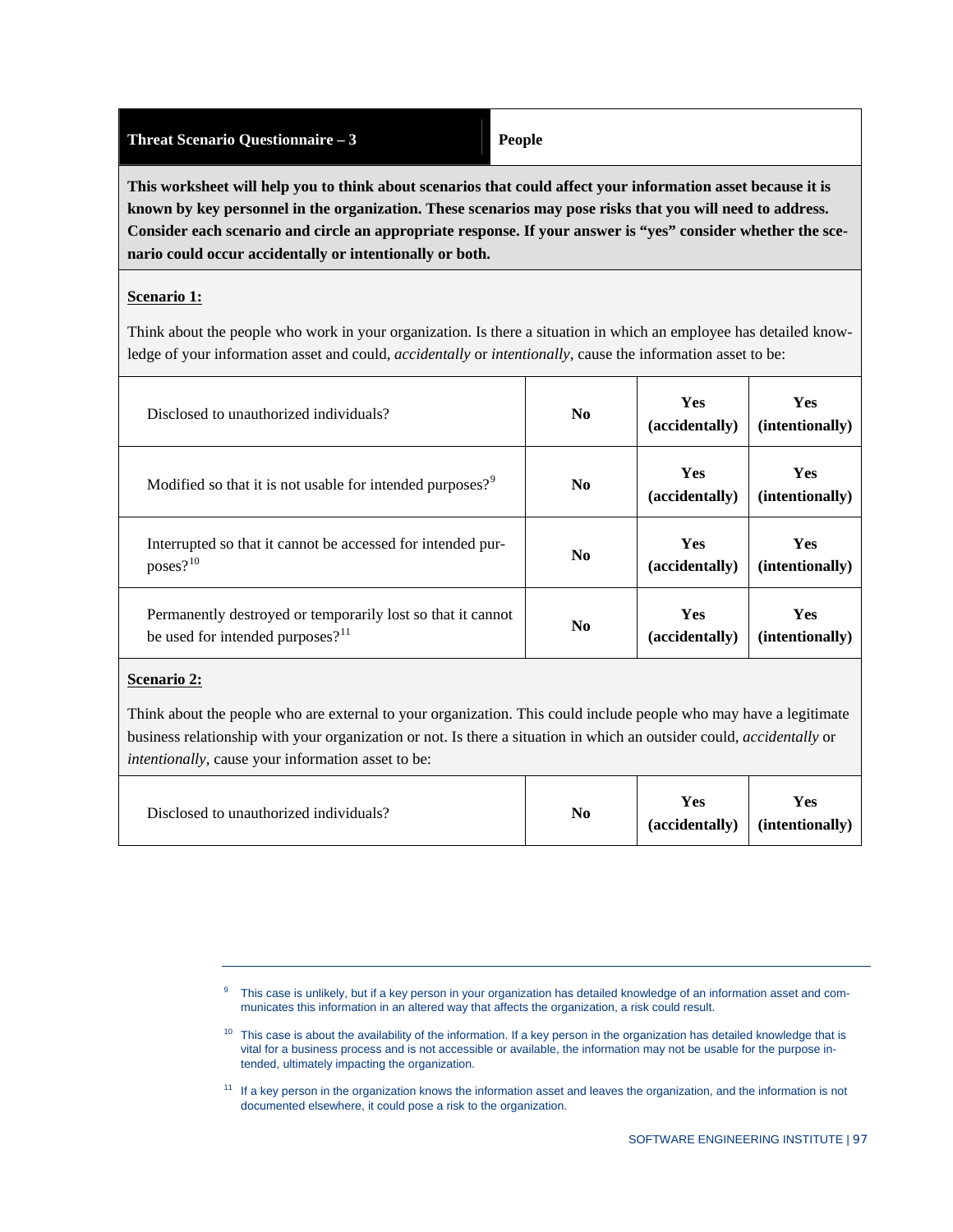### **Threat Scenario Questionnaire – 3 People**

**This worksheet will help you to think about scenarios that could affect your information asset because it is known by key personnel in the organization. These scenarios may pose risks that you will need to address. Consider each scenario and circle an appropriate response. If your answer is "yes" consider whether the scenario could occur accidentally or intentionally or both.** 

### **Scenario 1:**

Think about the people who work in your organization. Is there a situation in which an employee has detailed knowledge of your information asset and could, *accidentally* or *intentionally*, cause the information asset to be:

| Disclosed to unauthorized individuals?                                | N <sub>0</sub> | <b>Yes</b><br>(accidentally) | <b>Yes</b><br>(intentionally) |
|-----------------------------------------------------------------------|----------------|------------------------------|-------------------------------|
| Modified so that it is not usable for intended purposes? <sup>9</sup> | N <sub>0</sub> | <b>Yes</b><br>(accidentally) | <b>Yes</b><br>(intentionally) |
| Interrupted so that it cannot be accessed for intended pur-           | N <sub>0</sub> | <b>Yes</b>                   | <b>Yes</b>                    |
| poses? $10$                                                           |                | (accidentally)               | (intentionally)               |
| Permanently destroyed or temporarily lost so that it cannot           | N <sub>0</sub> | <b>Yes</b>                   | <b>Yes</b>                    |
| be used for intended purposes? <sup>11</sup>                          |                | (accidentally)               | (intentionally)               |

### **Scenario 2:**

Think about the people who are external to your organization. This could include people who may have a legitimate business relationship with your organization or not. Is there a situation in which an outsider could, *accidentally* or *intentionally*, cause your information asset to be:

| Disclosed to unauthorized individuals? | No | <b>Yes</b> | <b>Ves</b><br>$\left(\text{accidentally}\right) \mid \left(\text{intentionally}\right) \mid$ |
|----------------------------------------|----|------------|----------------------------------------------------------------------------------------------|
|----------------------------------------|----|------------|----------------------------------------------------------------------------------------------|

- <span id="page-108-1"></span> $10$  This case is about the availability of the information. If a key person in the organization has detailed knowledge that is vital for a business process and is not accessible or available, the information may not be usable for the purpose intended, ultimately impacting the organization.
- <span id="page-108-2"></span><sup>11</sup> If a key person in the organization knows the information asset and leaves the organization, and the information is not documented elsewhere, it could pose a risk to the organization.

<span id="page-108-0"></span><sup>9</sup> This case is unlikely, but if a key person in your organization has detailed knowledge of an information asset and communicates this information in an altered way that affects the organization, a risk could result.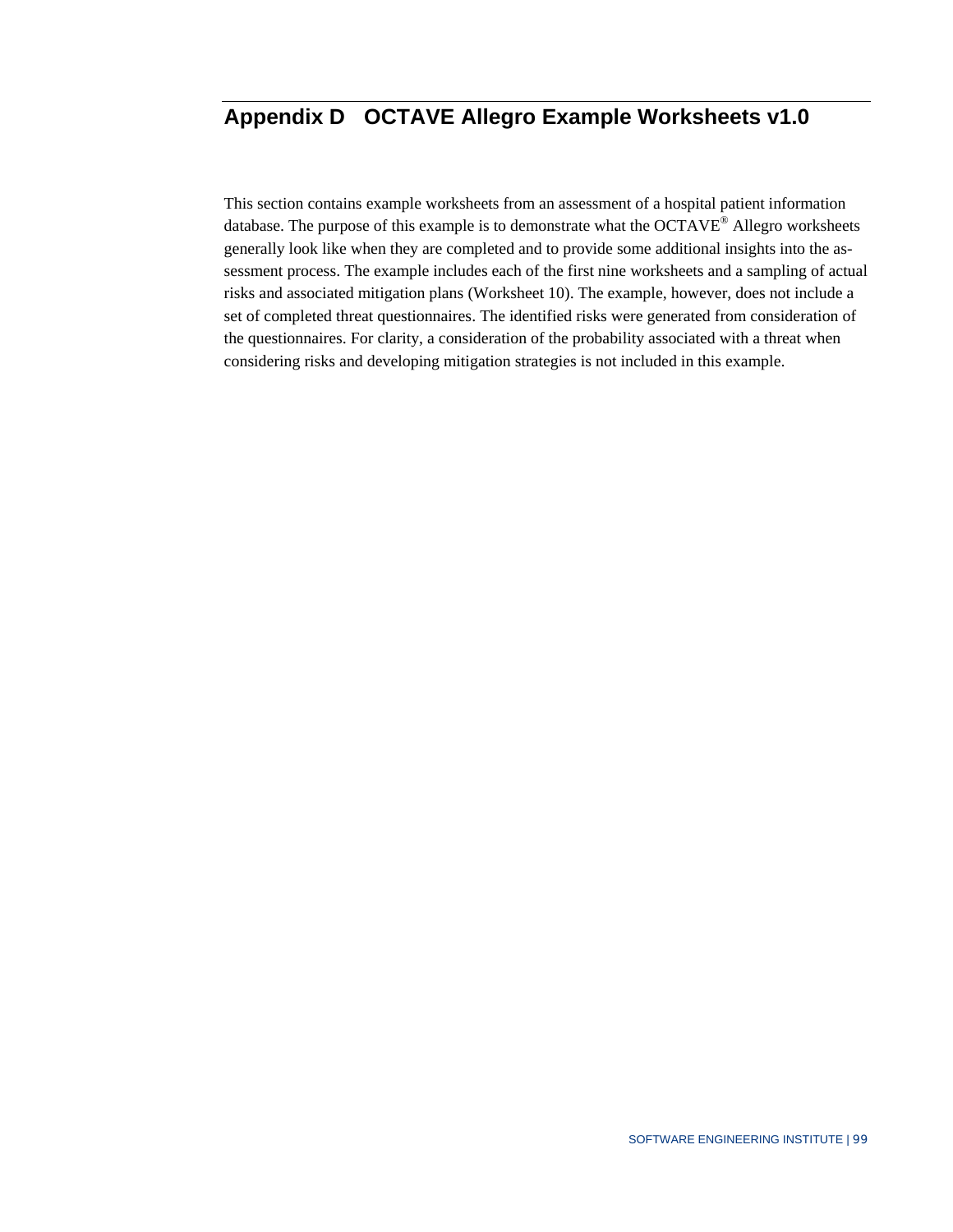# **Appendix D OCTAVE Allegro Example Worksheets v1.0**

This section contains example worksheets from an assessment of a hospital patient information database. The purpose of this example is to demonstrate what the OCTAVE® Allegro worksheets generally look like when they are completed and to provide some additional insights into the assessment process. The example includes each of the first nine worksheets and a sampling of actual risks and associated mitigation plans (Worksheet 10). The example, however, does not include a set of completed threat questionnaires. The identified risks were generated from consideration of the questionnaires. For clarity, a consideration of the probability associated with a threat when considering risks and developing mitigation strategies is not included in this example.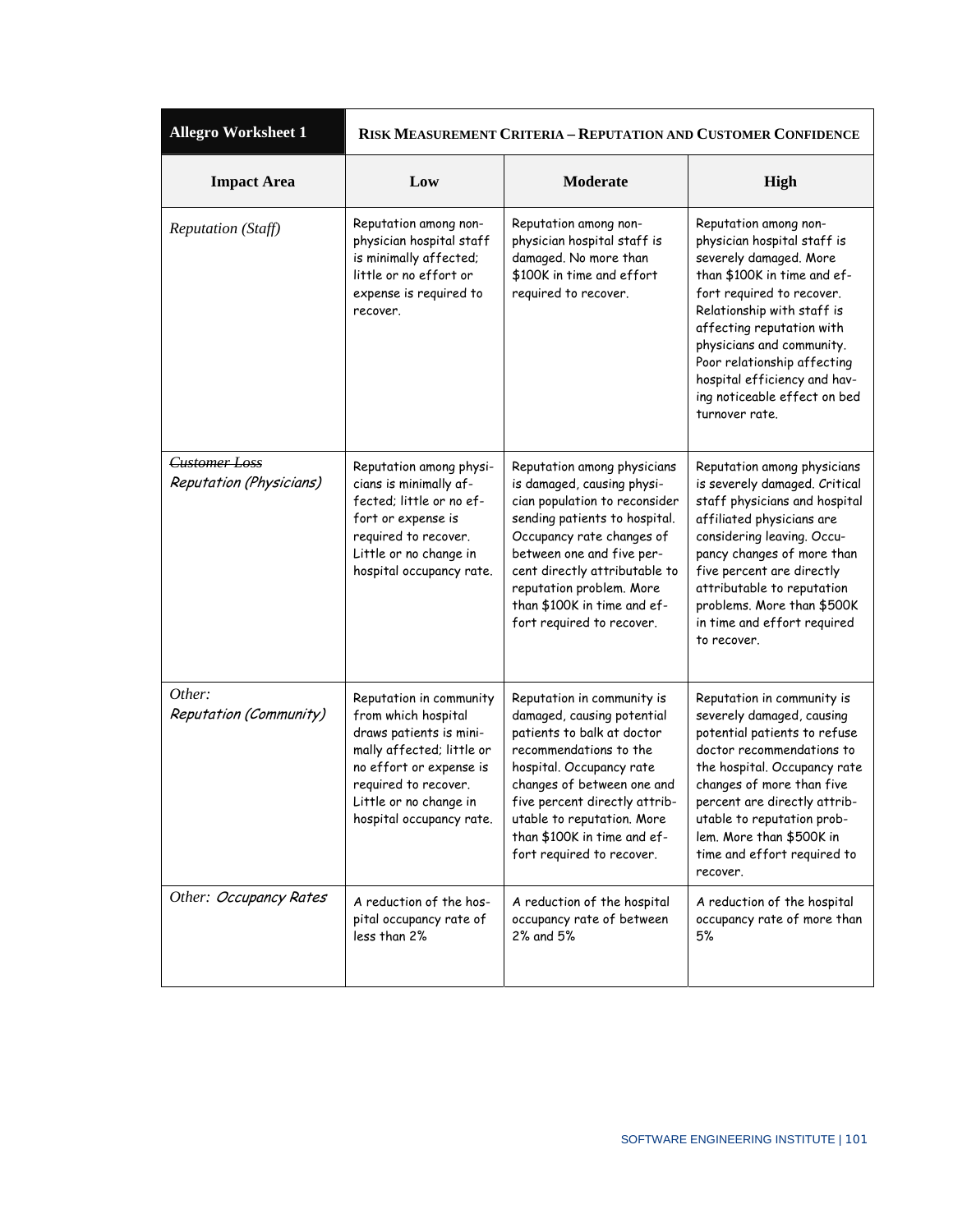| <b>Allegro Worksheet 1</b>                             | <b>RISK MEASUREMENT CRITERIA - REPUTATION AND CUSTOMER CONFIDENCE</b>                                                                                                                                           |                                                                                                                                                                                                                                                                                                                |                                                                                                                                                                                                                                                                                                                                                     |  |
|--------------------------------------------------------|-----------------------------------------------------------------------------------------------------------------------------------------------------------------------------------------------------------------|----------------------------------------------------------------------------------------------------------------------------------------------------------------------------------------------------------------------------------------------------------------------------------------------------------------|-----------------------------------------------------------------------------------------------------------------------------------------------------------------------------------------------------------------------------------------------------------------------------------------------------------------------------------------------------|--|
| <b>Impact Area</b>                                     | Low                                                                                                                                                                                                             | <b>Moderate</b>                                                                                                                                                                                                                                                                                                | High                                                                                                                                                                                                                                                                                                                                                |  |
| <b>Reputation (Staff)</b>                              | Reputation among non-<br>physician hospital staff<br>is minimally affected;<br>little or no effort or<br>expense is required to<br>recover.                                                                     | Reputation among non-<br>physician hospital staff is<br>damaged. No more than<br>\$100K in time and effort<br>required to recover.                                                                                                                                                                             | Reputation among non-<br>physician hospital staff is<br>severely damaged. More<br>than \$100K in time and ef-<br>fort required to recover.<br>Relationship with staff is<br>affecting reputation with<br>physicians and community.<br>Poor relationship affecting<br>hospital efficiency and hav-<br>ing noticeable effect on bed<br>turnover rate. |  |
| <b>Customer Loss</b><br><b>Reputation</b> (Physicians) | Reputation among physi-<br>cians is minimally af-<br>fected; little or no ef-<br>fort or expense is<br>required to recover.<br>Little or no change in<br>hospital occupancy rate.                               | Reputation among physicians<br>is damaged, causing physi-<br>cian population to reconsider<br>sending patients to hospital.<br>Occupancy rate changes of<br>between one and five per-<br>cent directly attributable to<br>reputation problem. More<br>than \$100K in time and ef-<br>fort required to recover. | Reputation among physicians<br>is severely damaged. Critical<br>staff physicians and hospital<br>affiliated physicians are<br>considering leaving. Occu-<br>pancy changes of more than<br>five percent are directly<br>attributable to reputation<br>problems. More than \$500K<br>in time and effort required<br>to recover.                       |  |
| Other:<br><b>Reputation (Community)</b>                | Reputation in community<br>from which hospital<br>draws patients is mini-<br>mally affected; little or<br>no effort or expense is<br>required to recover.<br>Little or no change in<br>hospital occupancy rate. | Reputation in community is<br>damaged, causing potential<br>patients to balk at doctor<br>recommendations to the<br>hospital. Occupancy rate<br>changes of between one and<br>five percent directly attrib-<br>utable to reputation. More<br>than \$100K in time and ef-<br>fort required to recover.          | Reputation in community is<br>severely damaged, causing<br>potential patients to refuse<br>doctor recommendations to<br>the hospital. Occupancy rate<br>changes of more than five<br>percent are directly attrib-<br>utable to reputation prob-<br>lem. More than \$500K in<br>time and effort required to<br>recover.                              |  |
| Other: Occupancy Rates                                 | A reduction of the hos-<br>pital occupancy rate of<br>less than 2%                                                                                                                                              | A reduction of the hospital<br>occupancy rate of between<br>2% and 5%                                                                                                                                                                                                                                          | A reduction of the hospital<br>occupancy rate of more than<br>5%                                                                                                                                                                                                                                                                                    |  |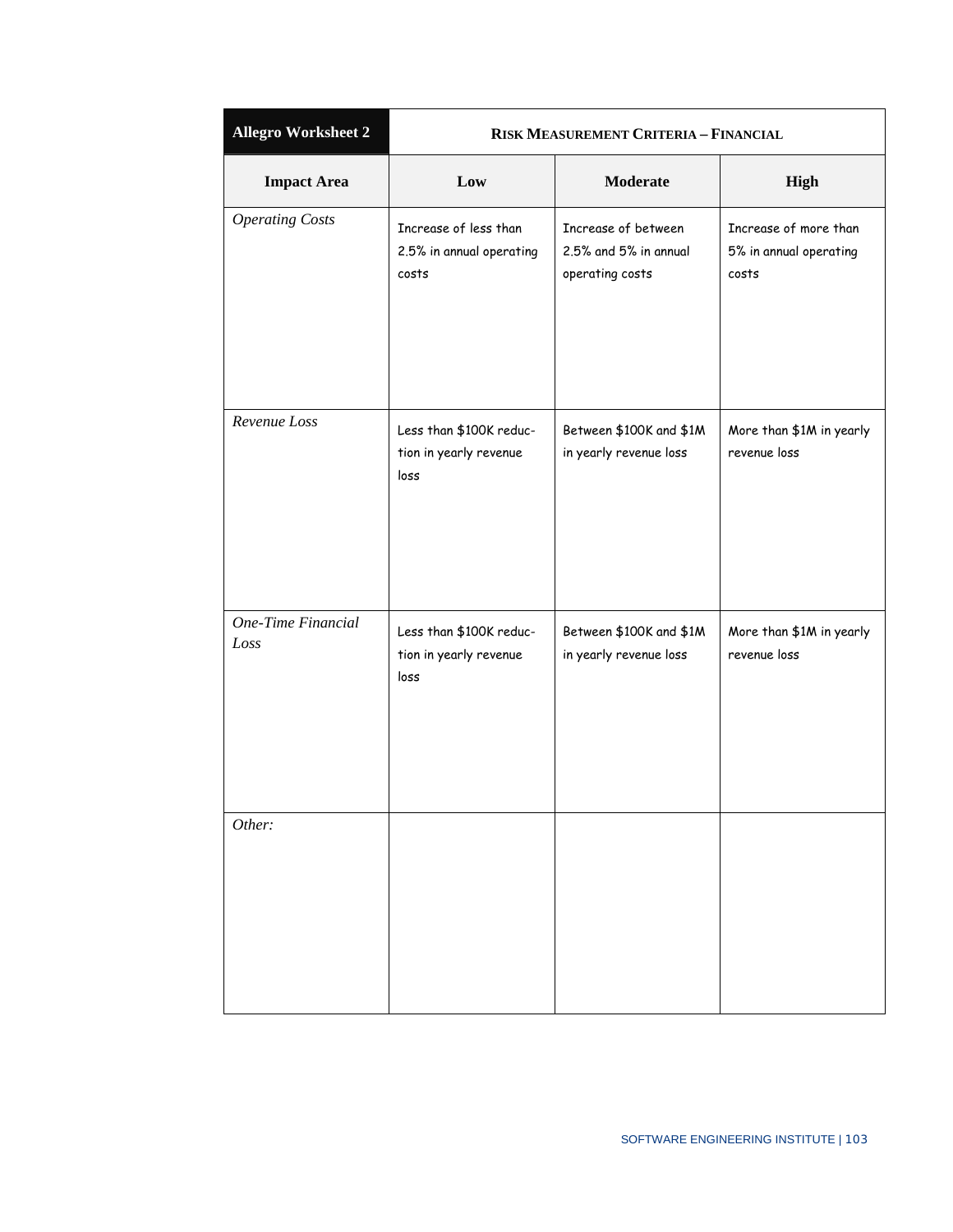| <b>Allegro Worksheet 2</b> | <b>RISK MEASUREMENT CRITERIA - FINANCIAL</b>               |                                                                 |                                                          |  |
|----------------------------|------------------------------------------------------------|-----------------------------------------------------------------|----------------------------------------------------------|--|
| <b>Impact Area</b>         | Low                                                        | Moderate                                                        | <b>High</b>                                              |  |
| <b>Operating Costs</b>     | Increase of less than<br>2.5% in annual operating<br>costs | Increase of between<br>2.5% and 5% in annual<br>operating costs | Increase of more than<br>5% in annual operating<br>costs |  |
| Revenue Loss               | Less than \$100K reduc-<br>tion in yearly revenue<br>loss  | Between \$100K and \$1M<br>in yearly revenue loss               | More than \$1M in yearly<br>revenue loss                 |  |
| One-Time Financial<br>Loss | Less than \$100K reduc-<br>tion in yearly revenue<br>loss  | Between \$100K and \$1M<br>in yearly revenue loss               | More than \$1M in yearly<br>revenue loss                 |  |
| Other:                     |                                                            |                                                                 |                                                          |  |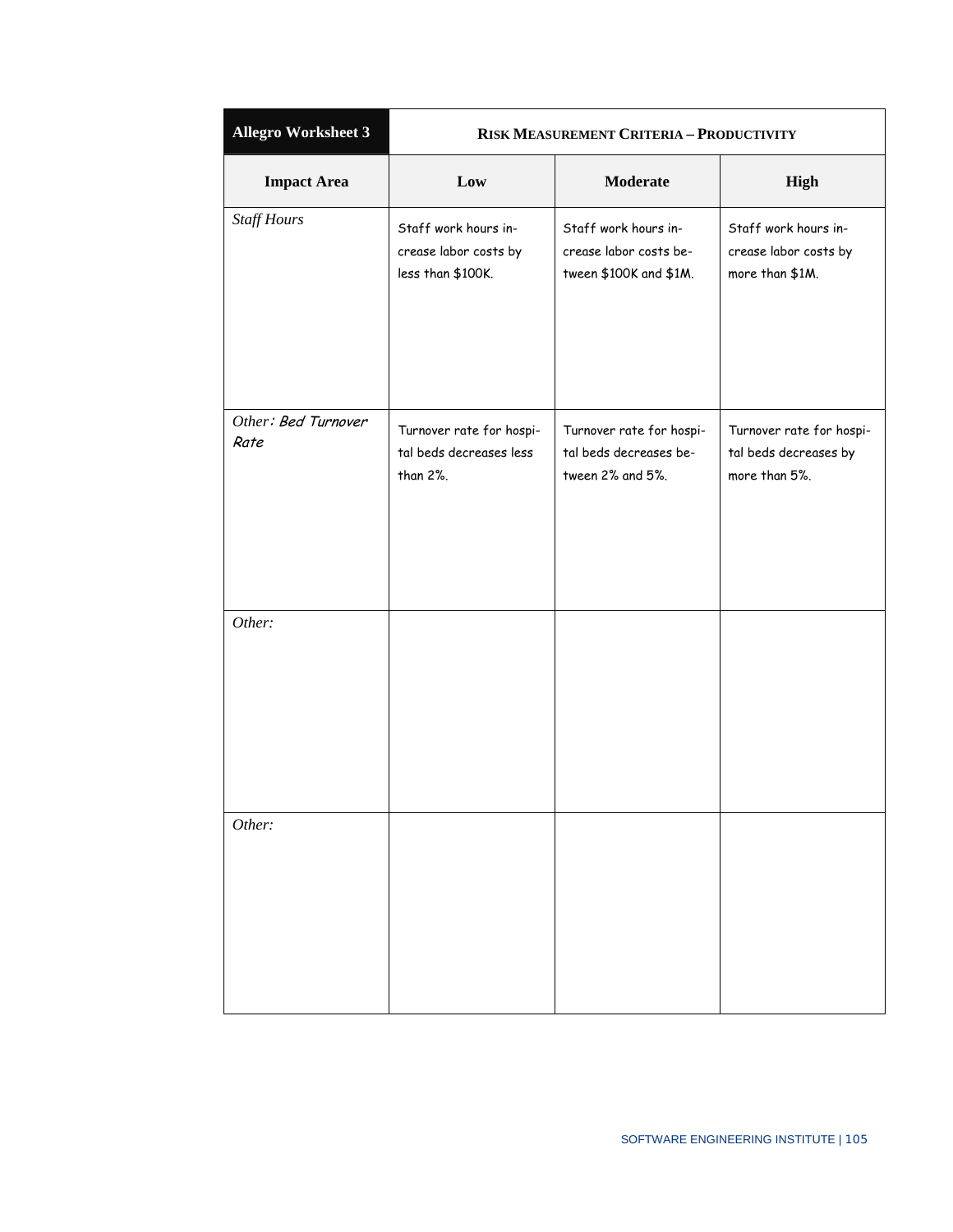| <b>Allegro Worksheet 3</b>  | <b>RISK MEASUREMENT CRITERIA - PRODUCTIVITY</b>                    |                                                                          |                                                                    |  |
|-----------------------------|--------------------------------------------------------------------|--------------------------------------------------------------------------|--------------------------------------------------------------------|--|
| <b>Impact Area</b>          | Low                                                                | <b>Moderate</b>                                                          | High                                                               |  |
| <b>Staff Hours</b>          | Staff work hours in-<br>crease labor costs by<br>less than \$100K. | Staff work hours in-<br>crease labor costs be-<br>tween \$100K and \$1M. | Staff work hours in-<br>crease labor costs by<br>more than \$1M.   |  |
| Other: Bed Turnover<br>Rate | Turnover rate for hospi-<br>tal beds decreases less<br>than 2%.    | Turnover rate for hospi-<br>tal beds decreases be-<br>tween 2% and 5%.   | Turnover rate for hospi-<br>tal beds decreases by<br>more than 5%. |  |
| Other:                      |                                                                    |                                                                          |                                                                    |  |
| Other:                      |                                                                    |                                                                          |                                                                    |  |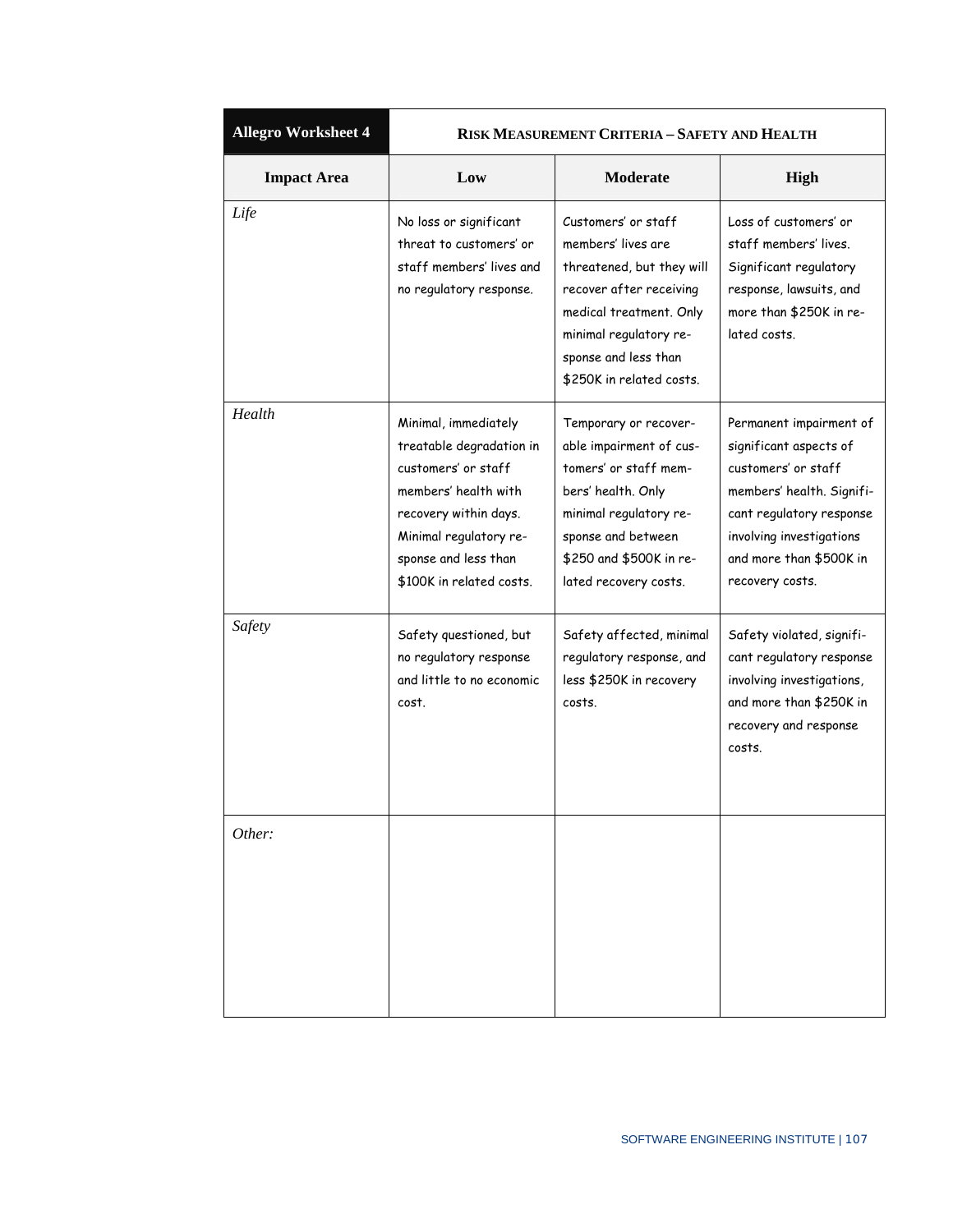| <b>Allegro Worksheet 4</b> | <b>RISK MEASUREMENT CRITERIA - SAFETY AND HEALTH</b>                                                                                                                                                   |                                                                                                                                                                                                            |                                                                                                                                                                                                             |  |  |
|----------------------------|--------------------------------------------------------------------------------------------------------------------------------------------------------------------------------------------------------|------------------------------------------------------------------------------------------------------------------------------------------------------------------------------------------------------------|-------------------------------------------------------------------------------------------------------------------------------------------------------------------------------------------------------------|--|--|
| <b>Impact Area</b>         | <b>Moderate</b><br>Low<br><b>High</b>                                                                                                                                                                  |                                                                                                                                                                                                            |                                                                                                                                                                                                             |  |  |
| Life                       | No loss or significant<br>threat to customers' or<br>staff members' lives and<br>no regulatory response.                                                                                               | Customers' or staff<br>members' lives are<br>threatened, but they will<br>recover after receiving<br>medical treatment. Only<br>minimal regulatory re-<br>sponse and less than<br>\$250K in related costs. | Loss of customers' or<br>staff members' lives.<br>Significant regulatory<br>response, lawsuits, and<br>more than \$250K in re-<br>lated costs.                                                              |  |  |
| Health                     | Minimal, immediately<br>treatable degradation in<br>customers' or staff<br>members' health with<br>recovery within days.<br>Minimal regulatory re-<br>sponse and less than<br>\$100K in related costs. | Temporary or recover-<br>able impairment of cus-<br>tomers' or staff mem-<br>bers' health. Only<br>minimal regulatory re-<br>sponse and between<br>\$250 and \$500K in re-<br>lated recovery costs.        | Permanent impairment of<br>significant aspects of<br>customers' or staff<br>members' health. Signifi-<br>cant regulatory response<br>involving investigations<br>and more than \$500K in<br>recovery costs. |  |  |
| Safety                     | Safety questioned, but<br>no regulatory response<br>and little to no economic<br>cost.                                                                                                                 | Safety affected, minimal<br>regulatory response, and<br>less \$250K in recovery<br>costs.                                                                                                                  | Safety violated, signifi-<br>cant regulatory response<br>involving investigations,<br>and more than \$250K in<br>recovery and response<br>costs.                                                            |  |  |
| Other:                     |                                                                                                                                                                                                        |                                                                                                                                                                                                            |                                                                                                                                                                                                             |  |  |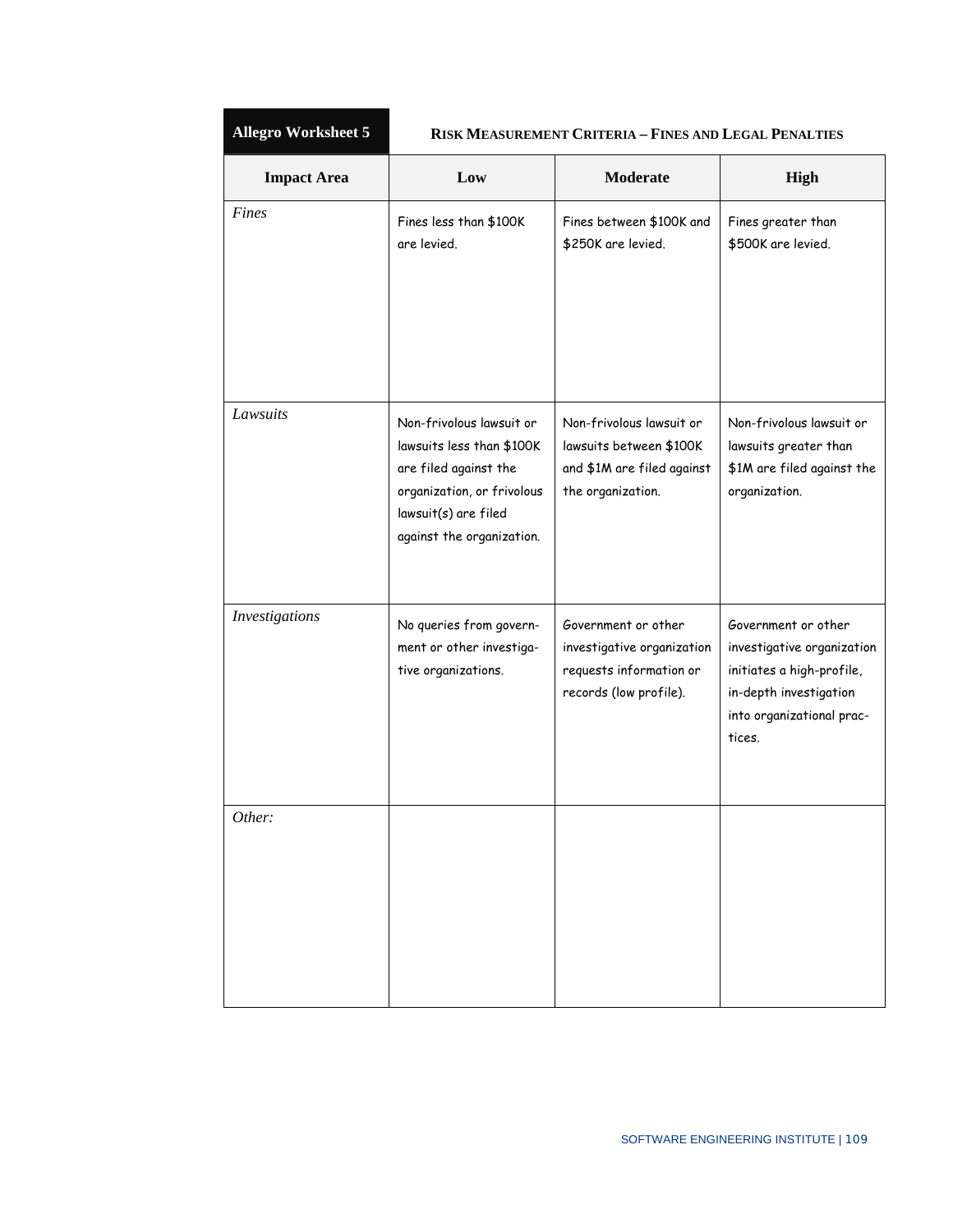| <b>Allegro Worksheet 5</b> | RISK MEASUREMENT CRITERIA - FINES AND LEGAL PENALTIES                                                                                                             |                                                                                                        |                                                                                                                                                 |  |  |
|----------------------------|-------------------------------------------------------------------------------------------------------------------------------------------------------------------|--------------------------------------------------------------------------------------------------------|-------------------------------------------------------------------------------------------------------------------------------------------------|--|--|
| <b>Impact Area</b>         | <b>Moderate</b><br>Low<br><b>High</b>                                                                                                                             |                                                                                                        |                                                                                                                                                 |  |  |
| Fines                      | Fines less than \$100K<br>are levied.                                                                                                                             | Fines between \$100K and<br>\$250K are levied.                                                         | Fines greater than<br>\$500K are levied.                                                                                                        |  |  |
| Lawsuits                   | Non-frivolous lawsuit or<br>lawsuits less than \$100K<br>are filed against the<br>organization, or frivolous<br>lawsuit(s) are filed<br>against the organization. | Non-frivolous lawsuit or<br>lawsuits between \$100K<br>and \$1M are filed against<br>the organization. | Non-frivolous lawsuit or<br>lawsuits greater than<br>\$1M are filed against the<br>organization.                                                |  |  |
| <b>Investigations</b>      | No queries from govern-<br>ment or other investiga-<br>tive organizations.                                                                                        | Government or other<br>investigative organization<br>requests information or<br>records (low profile). | Government or other<br>investigative organization<br>initiates a high-profile,<br>in-depth investigation<br>into organizational prac-<br>tices. |  |  |
| Other:                     |                                                                                                                                                                   |                                                                                                        |                                                                                                                                                 |  |  |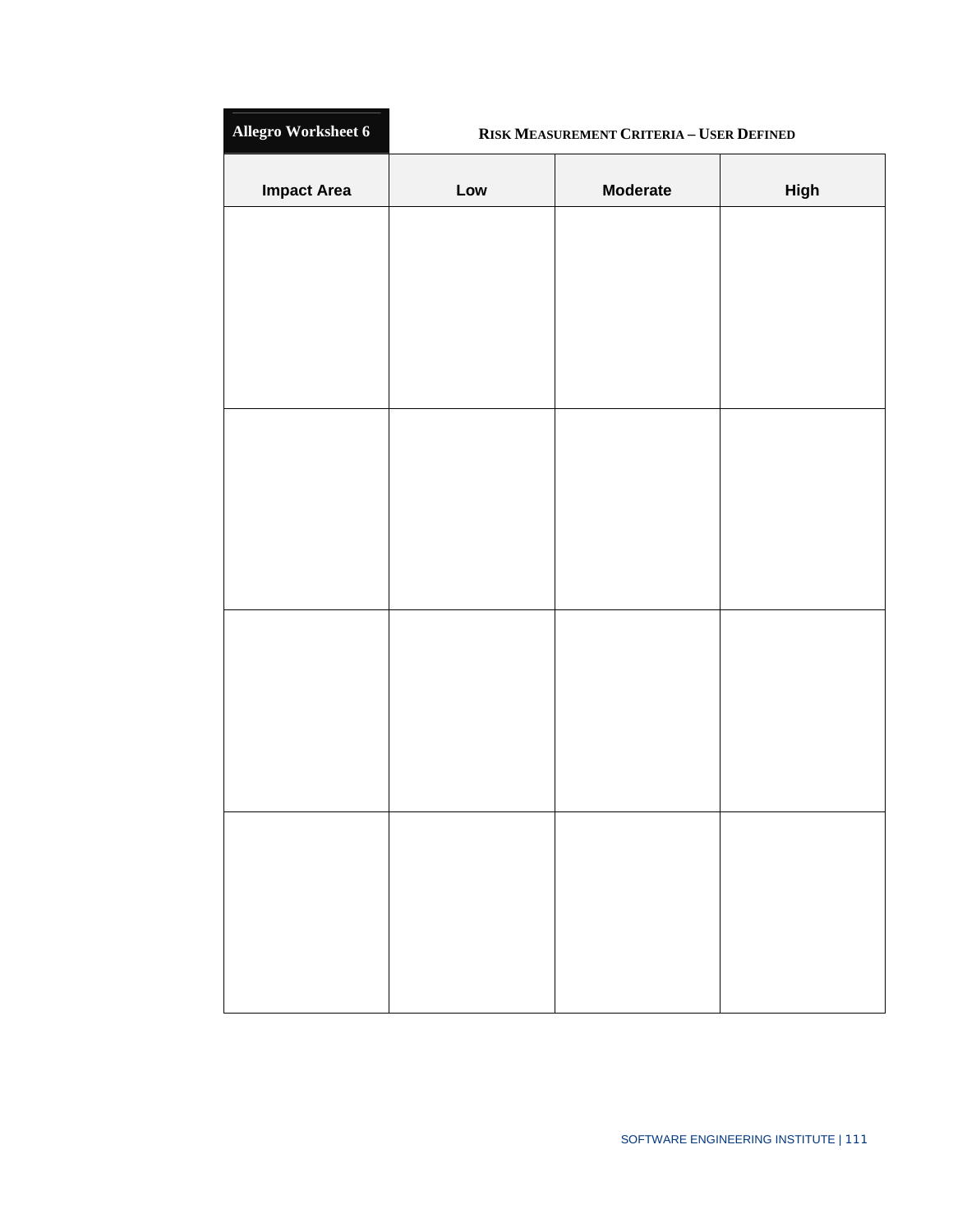| Allegro Worksheet 6 | RISK MEASUREMENT CRITERIA - USER DEFINED |  |  |  |  |
|---------------------|------------------------------------------|--|--|--|--|
| <b>Impact Area</b>  | High<br>Low<br>Moderate                  |  |  |  |  |
|                     |                                          |  |  |  |  |
|                     |                                          |  |  |  |  |
|                     |                                          |  |  |  |  |
|                     |                                          |  |  |  |  |
|                     |                                          |  |  |  |  |
|                     |                                          |  |  |  |  |
|                     |                                          |  |  |  |  |
|                     |                                          |  |  |  |  |
|                     |                                          |  |  |  |  |
|                     |                                          |  |  |  |  |
|                     |                                          |  |  |  |  |
|                     |                                          |  |  |  |  |
|                     |                                          |  |  |  |  |
|                     |                                          |  |  |  |  |
|                     |                                          |  |  |  |  |
|                     |                                          |  |  |  |  |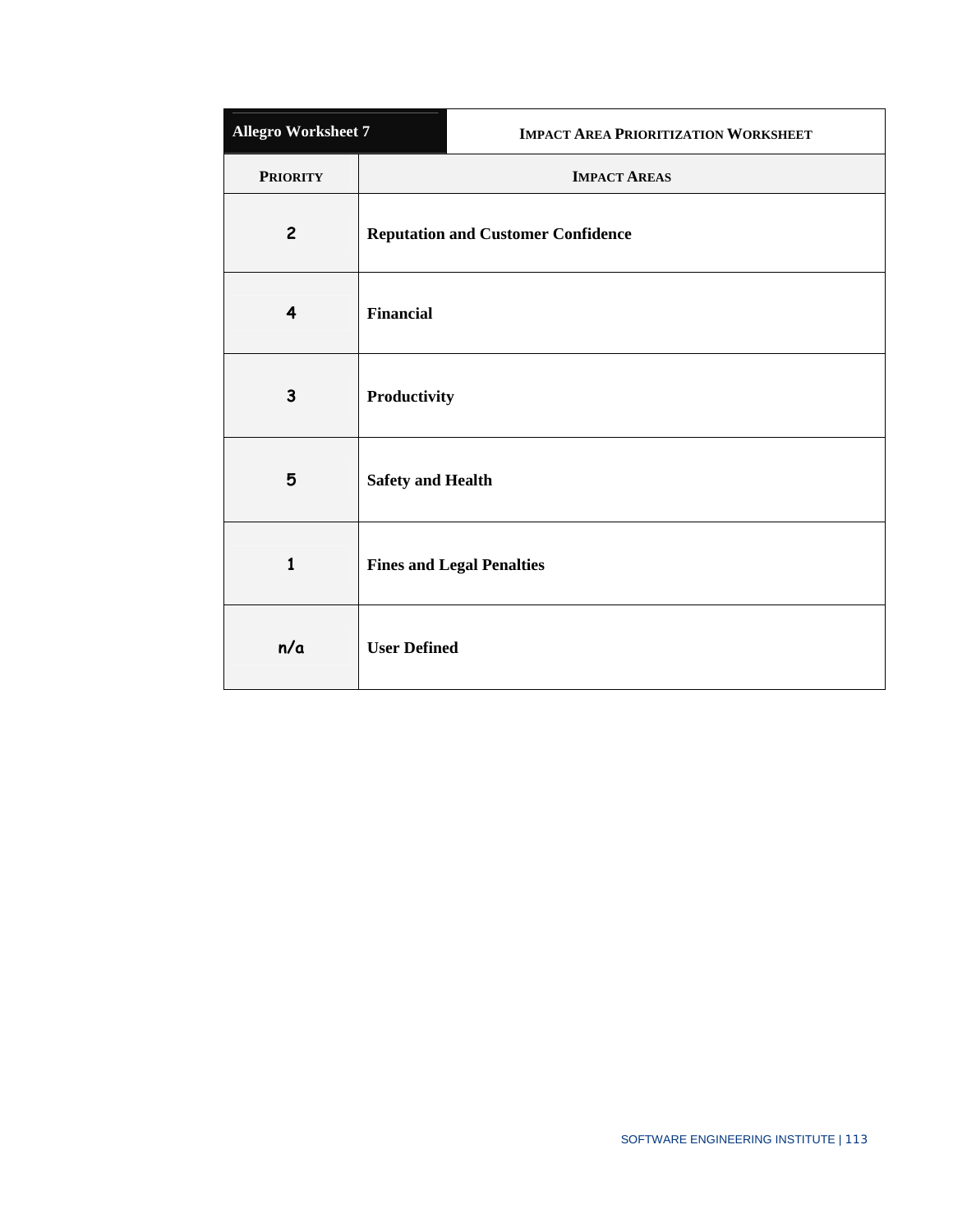| <b>Allegro Worksheet 7</b> |                          | <b>IMPACT AREA PRIORITIZATION WORKSHEET</b> |
|----------------------------|--------------------------|---------------------------------------------|
| <b>PRIORITY</b>            |                          | <b>IMPACT AREAS</b>                         |
| $\mathbf{2}$               |                          | <b>Reputation and Customer Confidence</b>   |
| 4                          | <b>Financial</b>         |                                             |
| $\mathbf{3}$               | Productivity             |                                             |
| 5                          | <b>Safety and Health</b> |                                             |
| $\mathbf{1}$               |                          | <b>Fines and Legal Penalties</b>            |
| n/a                        | <b>User Defined</b>      |                                             |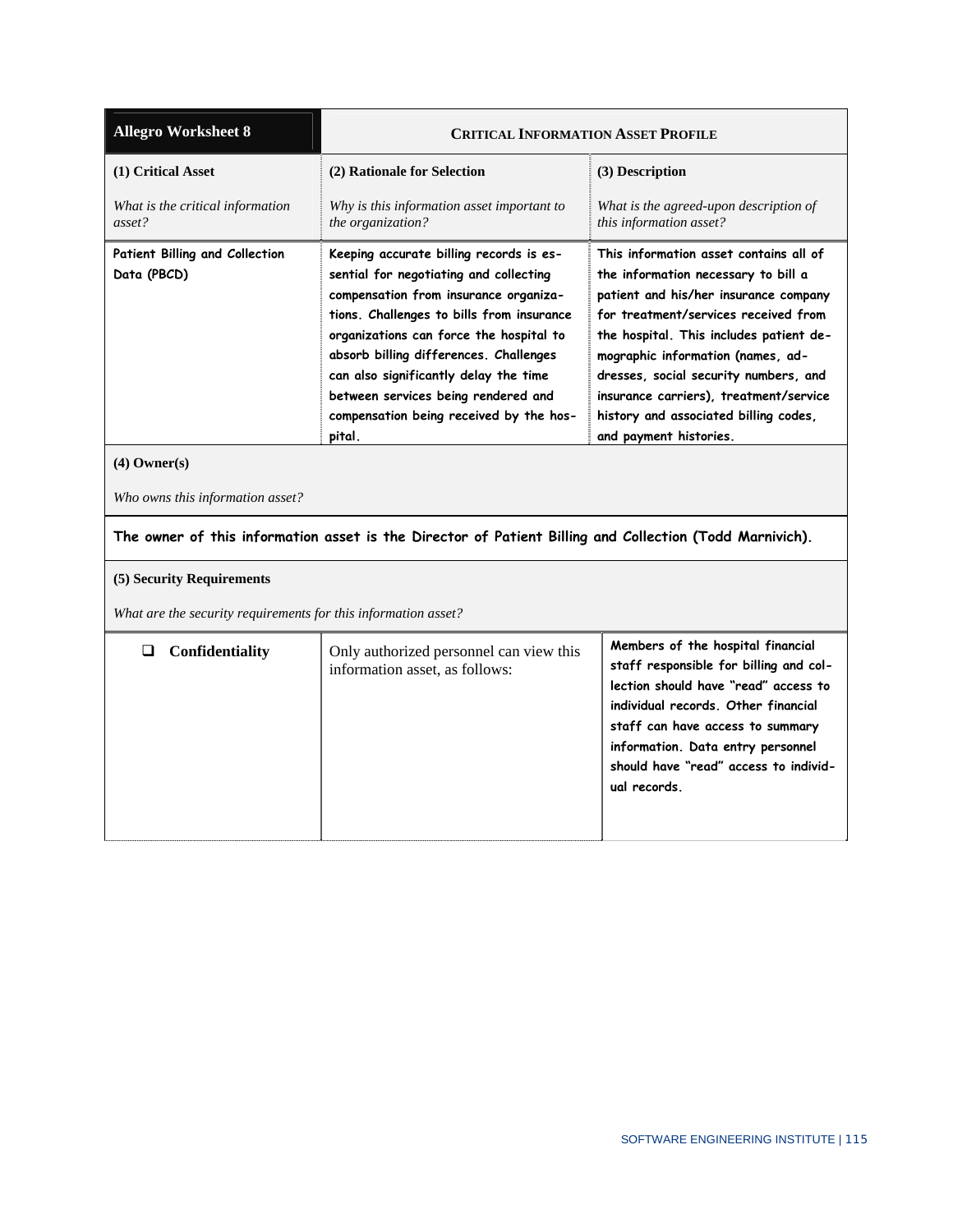| <b>Allegro Worksheet 8</b>                    | <b>CRITICAL INFORMATION ASSET PROFILE</b>                                                                                                                                                                                                                                                                                                                                                         |                                                                                                                                                                                                                                                                                                                                                                                                      |  |
|-----------------------------------------------|---------------------------------------------------------------------------------------------------------------------------------------------------------------------------------------------------------------------------------------------------------------------------------------------------------------------------------------------------------------------------------------------------|------------------------------------------------------------------------------------------------------------------------------------------------------------------------------------------------------------------------------------------------------------------------------------------------------------------------------------------------------------------------------------------------------|--|
| (1) Critical Asset                            | (2) Rationale for Selection                                                                                                                                                                                                                                                                                                                                                                       | (3) Description                                                                                                                                                                                                                                                                                                                                                                                      |  |
| What is the critical information<br>asset?    | Why is this information asset important to<br><i>the organization?</i>                                                                                                                                                                                                                                                                                                                            | What is the agreed-upon description of<br><i>this information asset?</i>                                                                                                                                                                                                                                                                                                                             |  |
| Patient Billing and Collection<br>Data (PBCD) | Keeping accurate billing records is es-<br>sential for negotiating and collecting<br>compensation from insurance organiza-<br>tions. Challenges to bills from insurance<br>organizations can force the hospital to<br>absorb billing differences. Challenges<br>can also significantly delay the time<br>between services being rendered and<br>compensation being received by the hos-<br>pital. | This information asset contains all of<br>the information necessary to bill a<br>patient and his/her insurance company<br>for treatment/services received from<br>the hospital. This includes patient de-<br>mographic information (names, ad-<br>dresses, social security numbers, and<br>insurance carriers), treatment/service<br>history and associated billing codes,<br>and payment histories. |  |

# **(4) Owner(s)**

*Who owns this information asset?*

**The owner of this information asset is the Director of Patient Billing and Collection (Todd Marnivich).**

## **(5) Security Requirements**

*What are the security requirements for this information asset?*

| <b>Confidentiality</b> | Only authorized personnel can view this<br>information asset, as follows: | Members of the hospital financial<br>staff responsible for billing and col-<br>lection should have "read" access to<br>individual records. Other financial<br>staff can have access to summary<br>information. Data entry personnel<br>should have "read" access to individ-<br>ual records. |
|------------------------|---------------------------------------------------------------------------|----------------------------------------------------------------------------------------------------------------------------------------------------------------------------------------------------------------------------------------------------------------------------------------------|
|------------------------|---------------------------------------------------------------------------|----------------------------------------------------------------------------------------------------------------------------------------------------------------------------------------------------------------------------------------------------------------------------------------------|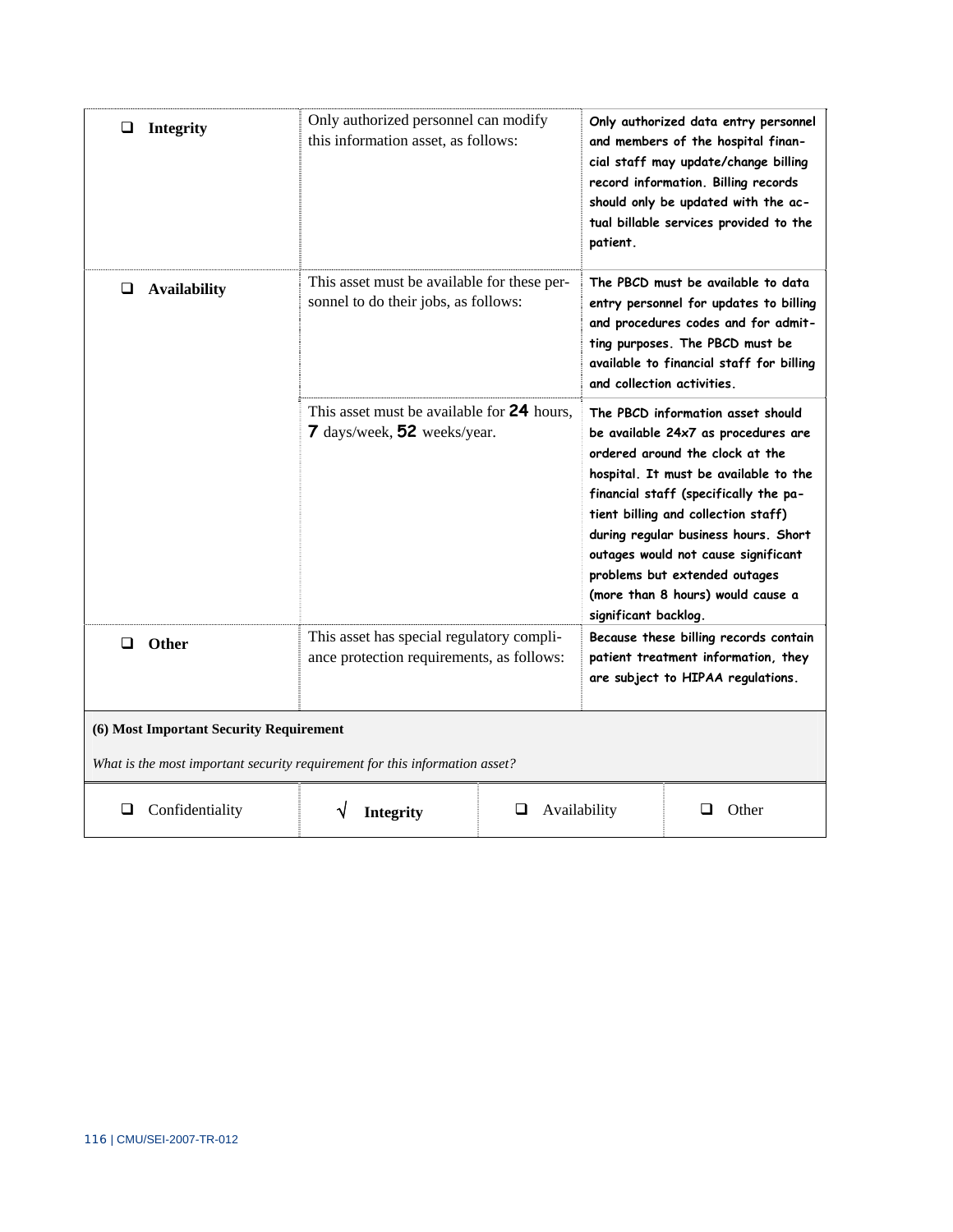| <b>Integrity</b><br>⊔                                                       | Only authorized personnel can modify<br>this information asset, as follows:            |                   | patient.                                                                                                                                                                                                                                                                                                                                                                                                          | Only authorized data entry personnel<br>and members of the hospital finan-<br>cial staff may update/change billing<br>record information. Billing records<br>should only be updated with the ac-<br>tual billable services provided to the |
|-----------------------------------------------------------------------------|----------------------------------------------------------------------------------------|-------------------|-------------------------------------------------------------------------------------------------------------------------------------------------------------------------------------------------------------------------------------------------------------------------------------------------------------------------------------------------------------------------------------------------------------------|--------------------------------------------------------------------------------------------------------------------------------------------------------------------------------------------------------------------------------------------|
| <b>Availability</b><br>◻                                                    | This asset must be available for these per-<br>sonnel to do their jobs, as follows:    |                   | and collection activities.                                                                                                                                                                                                                                                                                                                                                                                        | The PBCD must be available to data<br>entry personnel for updates to billing<br>and procedures codes and for admit-<br>ting purposes. The PBCD must be<br>available to financial staff for billing                                         |
|                                                                             | This asset must be available for <b>24</b> hours,<br>7 days/week, 52 weeks/year.       |                   | The PBCD information asset should<br>be available 24x7 as procedures are<br>ordered around the clock at the<br>hospital. It must be available to the<br>financial staff (specifically the pa-<br>tient billing and collection staff)<br>during regular business hours. Short<br>outages would not cause significant<br>problems but extended outages<br>(more than 8 hours) would cause a<br>significant backlog. |                                                                                                                                                                                                                                            |
| Other<br>$\Box$                                                             | This asset has special regulatory compli-<br>ance protection requirements, as follows: |                   |                                                                                                                                                                                                                                                                                                                                                                                                                   | Because these billing records contain<br>patient treatment information, they<br>are subject to HIPAA regulations.                                                                                                                          |
| (6) Most Important Security Requirement                                     |                                                                                        |                   |                                                                                                                                                                                                                                                                                                                                                                                                                   |                                                                                                                                                                                                                                            |
| What is the most important security requirement for this information asset? |                                                                                        |                   |                                                                                                                                                                                                                                                                                                                                                                                                                   |                                                                                                                                                                                                                                            |
| Confidentiality<br>⊔                                                        | <b>Integrity</b>                                                                       | Availability<br>u |                                                                                                                                                                                                                                                                                                                                                                                                                   | Other<br>⊔                                                                                                                                                                                                                                 |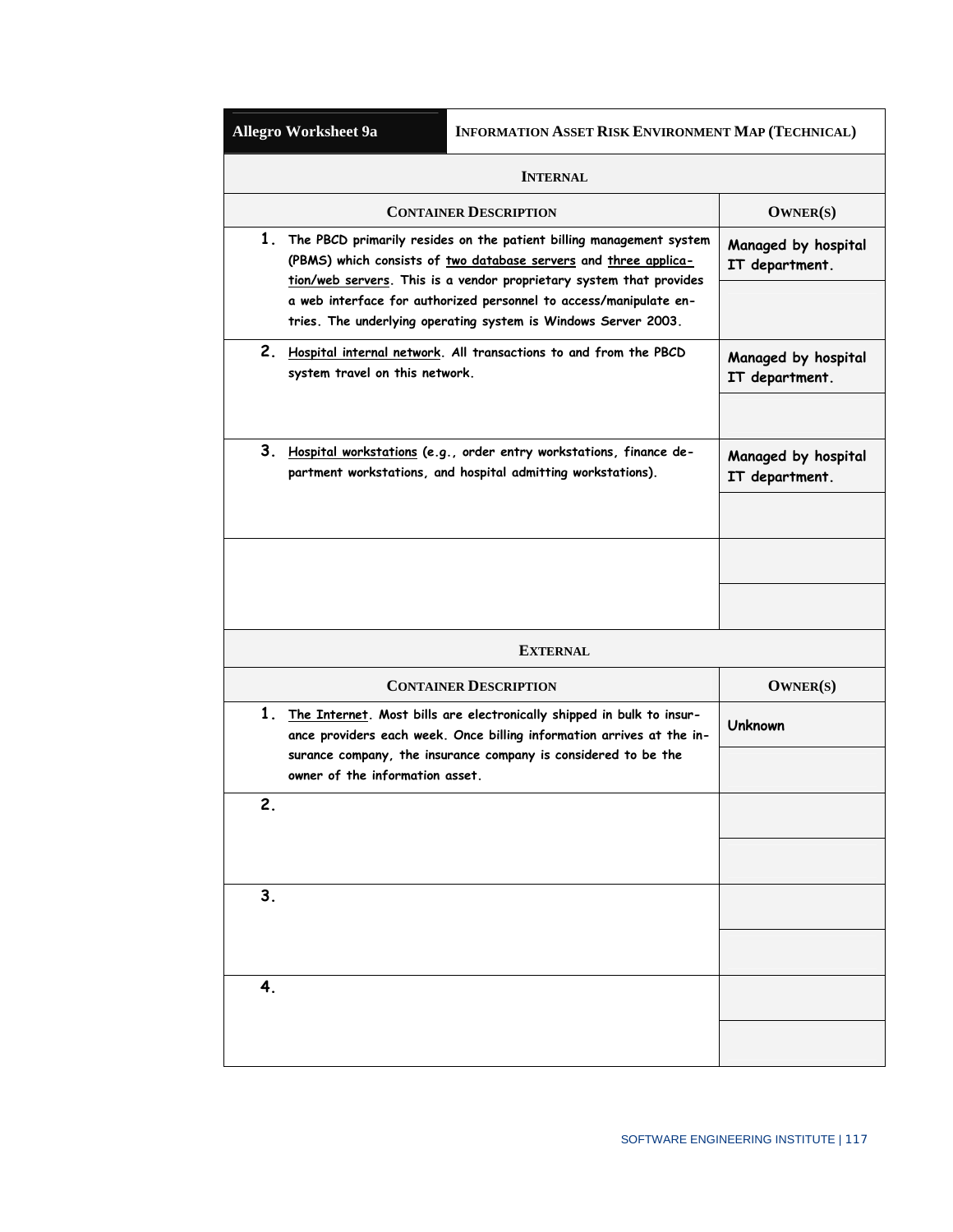| <b>Allegro Worksheet 9a</b>     | <b>INFORMATION ASSET RISK ENVIRONMENT MAP (TECHNICAL)</b>                                                                                                                                                                                                                                                                                                                                         |                                       |  |  |  |  |
|---------------------------------|---------------------------------------------------------------------------------------------------------------------------------------------------------------------------------------------------------------------------------------------------------------------------------------------------------------------------------------------------------------------------------------------------|---------------------------------------|--|--|--|--|
|                                 | <b>INTERNAL</b>                                                                                                                                                                                                                                                                                                                                                                                   |                                       |  |  |  |  |
|                                 | <b>CONTAINER DESCRIPTION</b>                                                                                                                                                                                                                                                                                                                                                                      | <b>OWNER(S)</b>                       |  |  |  |  |
|                                 | 1. The PBCD primarily resides on the patient billing management system<br>Managed by hospital<br>(PBMS) which consists of two database servers and three applica-<br>IT department.<br>tion/web servers. This is a vendor proprietary system that provides<br>a web interface for authorized personnel to access/manipulate en-<br>tries. The underlying operating system is Windows Server 2003. |                                       |  |  |  |  |
|                                 | 2. Hospital internal network. All transactions to and from the PBCD<br>Managed by hospital<br>system travel on this network.<br>IT department.                                                                                                                                                                                                                                                    |                                       |  |  |  |  |
|                                 | 3. Hospital workstations (e.g., order entry workstations, finance de-<br>partment workstations, and hospital admitting workstations).                                                                                                                                                                                                                                                             | Managed by hospital<br>IT department. |  |  |  |  |
|                                 | <b>EXTERNAL</b>                                                                                                                                                                                                                                                                                                                                                                                   |                                       |  |  |  |  |
|                                 | <b>CONTAINER DESCRIPTION</b>                                                                                                                                                                                                                                                                                                                                                                      | <b>OWNER(S)</b>                       |  |  |  |  |
| owner of the information asset. | 1. The Internet. Most bills are electronically shipped in bulk to insur-<br>ance providers each week. Once billing information arrives at the in-<br>surance company, the insurance company is considered to be the                                                                                                                                                                               | <b>Unknown</b>                        |  |  |  |  |
| 2.                              |                                                                                                                                                                                                                                                                                                                                                                                                   |                                       |  |  |  |  |
| 3.                              |                                                                                                                                                                                                                                                                                                                                                                                                   |                                       |  |  |  |  |
| 4.                              |                                                                                                                                                                                                                                                                                                                                                                                                   |                                       |  |  |  |  |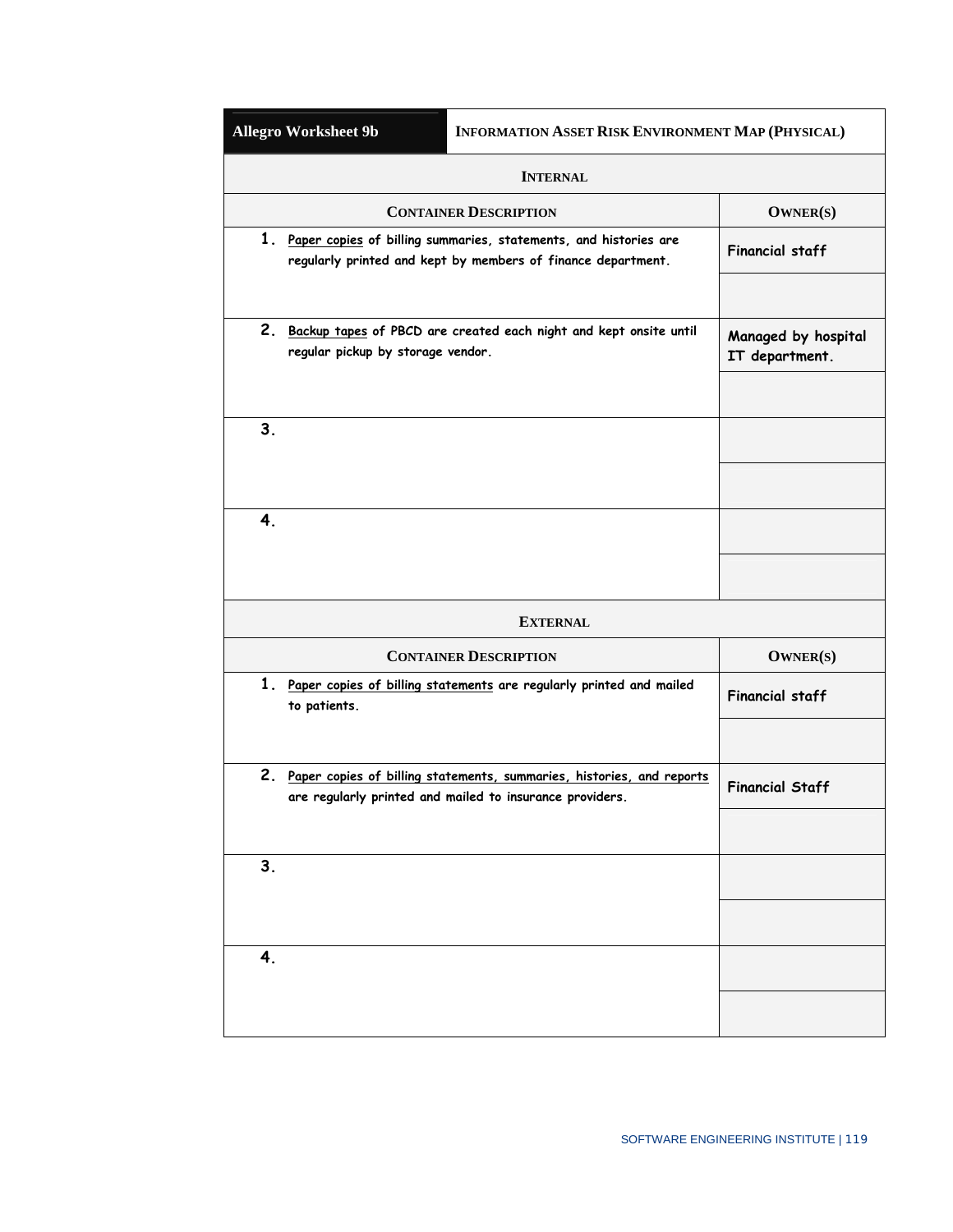| <b>Allegro Worksheet 9b</b><br><b>INFORMATION ASSET RISK ENVIRONMENT MAP (PHYSICAL)</b>                                              |                                       |
|--------------------------------------------------------------------------------------------------------------------------------------|---------------------------------------|
| <b>INTERNAL</b>                                                                                                                      |                                       |
| <b>CONTAINER DESCRIPTION</b>                                                                                                         | <b>OWNER(S)</b>                       |
| 1. Paper copies of billing summaries, statements, and histories are<br>regularly printed and kept by members of finance department.  | <b>Financial staff</b>                |
| 2. Backup tapes of PBCD are created each night and kept onsite until<br>regular pickup by storage vendor.                            | Managed by hospital<br>IT department. |
| 3 <sub>1</sub>                                                                                                                       |                                       |
| 4.                                                                                                                                   |                                       |
| <b>EXTERNAL</b>                                                                                                                      |                                       |
| <b>CONTAINER DESCRIPTION</b>                                                                                                         | <b>OWNER(S)</b>                       |
| 1. Paper copies of billing statements are regularly printed and mailed<br>to patients.                                               | <b>Financial staff</b>                |
| 2. Paper copies of billing statements, summaries, histories, and reports<br>are regularly printed and mailed to insurance providers. | <b>Financial Staff</b>                |
| 3.                                                                                                                                   |                                       |
| 4.                                                                                                                                   |                                       |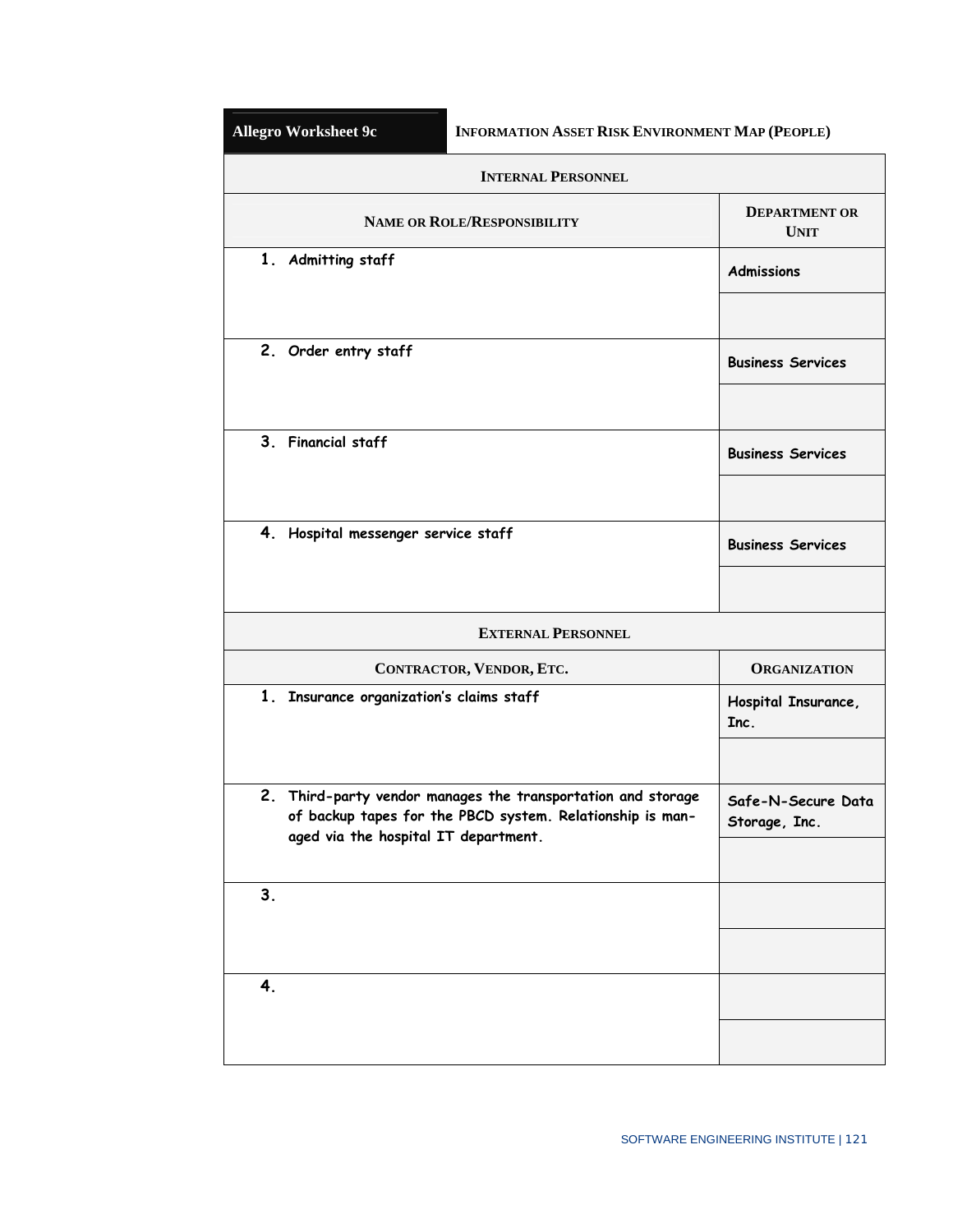| <b>Allegro Worksheet 9c</b><br><b>INFORMATION ASSET RISK ENVIRONMENT MAP (PEOPLE)</b>                                     |                                     |  |  |  |  |  |  |
|---------------------------------------------------------------------------------------------------------------------------|-------------------------------------|--|--|--|--|--|--|
| <b>INTERNAL PERSONNEL</b>                                                                                                 |                                     |  |  |  |  |  |  |
| <b>NAME OR ROLE/RESPONSIBILITY</b>                                                                                        | <b>DEPARTMENT OR</b><br><b>UNIT</b> |  |  |  |  |  |  |
| 1. Admitting staff                                                                                                        | <b>Admissions</b>                   |  |  |  |  |  |  |
|                                                                                                                           |                                     |  |  |  |  |  |  |
| 2. Order entry staff                                                                                                      | <b>Business Services</b>            |  |  |  |  |  |  |
|                                                                                                                           |                                     |  |  |  |  |  |  |
| 3. Financial staff                                                                                                        | <b>Business Services</b>            |  |  |  |  |  |  |
|                                                                                                                           |                                     |  |  |  |  |  |  |
| 4. Hospital messenger service staff                                                                                       | <b>Business Services</b>            |  |  |  |  |  |  |
|                                                                                                                           |                                     |  |  |  |  |  |  |
| <b>EXTERNAL PERSONNEL</b>                                                                                                 |                                     |  |  |  |  |  |  |
| CONTRACTOR, VENDOR, ETC.                                                                                                  | <b>ORGANIZATION</b>                 |  |  |  |  |  |  |
| 1. Insurance organization's claims staff                                                                                  | Hospital Insurance,<br>Inc.         |  |  |  |  |  |  |
|                                                                                                                           |                                     |  |  |  |  |  |  |
| 2. Third-party vendor manages the transportation and storage<br>of backup tapes for the PBCD system. Relationship is man- | Safe-N-Secure Data<br>Storage, Inc. |  |  |  |  |  |  |
| aged via the hospital IT department.                                                                                      |                                     |  |  |  |  |  |  |
| 3.                                                                                                                        |                                     |  |  |  |  |  |  |
|                                                                                                                           |                                     |  |  |  |  |  |  |
| 4.                                                                                                                        |                                     |  |  |  |  |  |  |
|                                                                                                                           |                                     |  |  |  |  |  |  |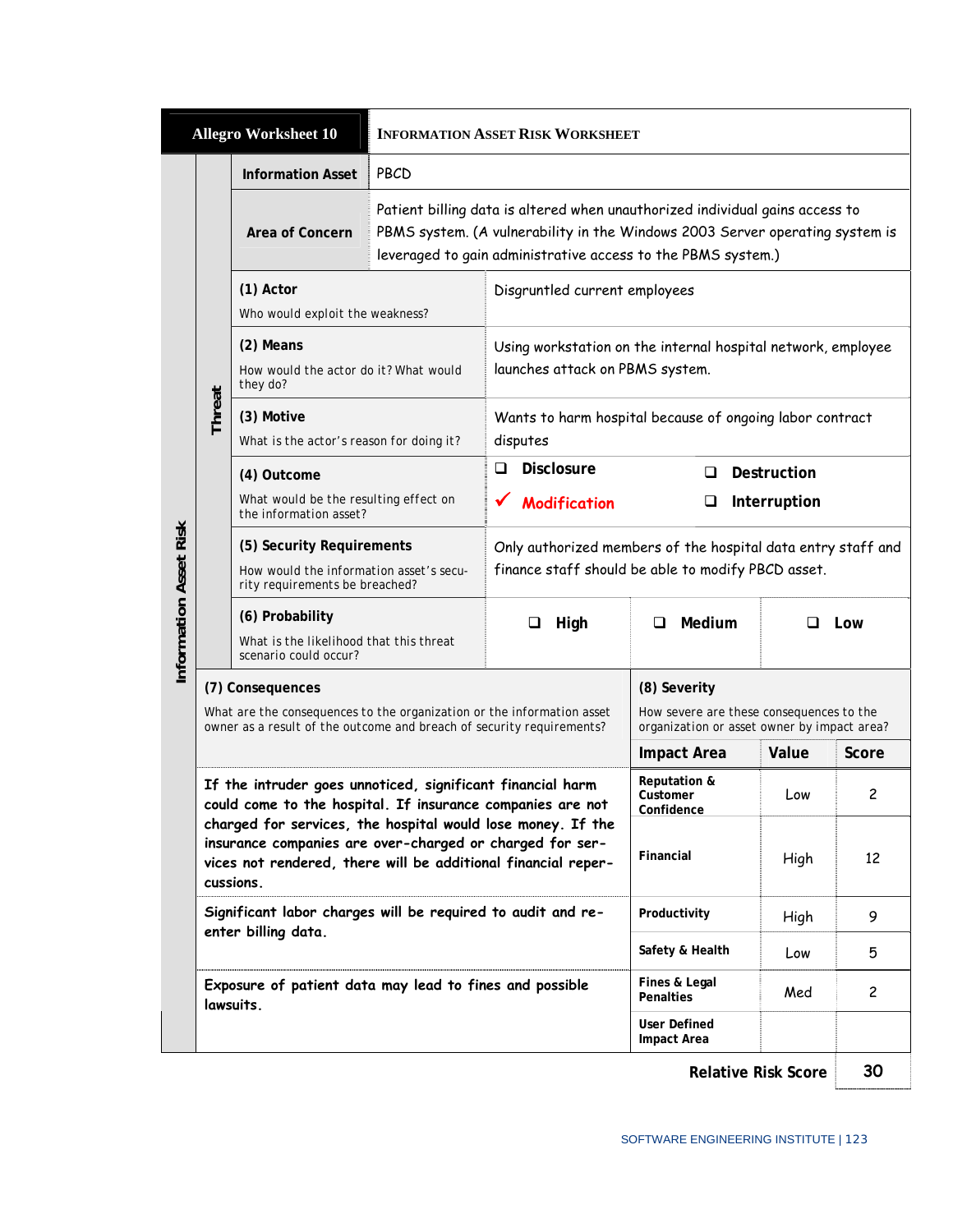|                        |        | <b>Allegro Worksheet 10</b>                                                                                                                                                                           |      | <b>INFORMATION ASSET RISK WORKSHEET</b>                                                                                                                                                                                      |                                                                                                         |                             |                |  |  |
|------------------------|--------|-------------------------------------------------------------------------------------------------------------------------------------------------------------------------------------------------------|------|------------------------------------------------------------------------------------------------------------------------------------------------------------------------------------------------------------------------------|---------------------------------------------------------------------------------------------------------|-----------------------------|----------------|--|--|
|                        |        | <b>Information Asset</b>                                                                                                                                                                              | PBCD |                                                                                                                                                                                                                              |                                                                                                         |                             |                |  |  |
|                        |        | Area of Concern                                                                                                                                                                                       |      | Patient billing data is altered when unauthorized individual gains access to<br>PBMS system. (A vulnerability in the Windows 2003 Server operating system is<br>leveraged to gain administrative access to the PBMS system.) |                                                                                                         |                             |                |  |  |
|                        |        | $(1)$ Actor<br>Who would exploit the weakness?                                                                                                                                                        |      | Disgruntled current employees                                                                                                                                                                                                |                                                                                                         |                             |                |  |  |
|                        |        | (2) Means<br>How would the actor do it? What would<br>they do?                                                                                                                                        |      | Using workstation on the internal hospital network, employee<br>launches attack on PBMS system.                                                                                                                              |                                                                                                         |                             |                |  |  |
|                        | Threat | (3) Motive<br>What is the actor's reason for doing it?                                                                                                                                                |      | Wants to harm hospital because of ongoing labor contract<br>disputes                                                                                                                                                         |                                                                                                         |                             |                |  |  |
| Information Asset Risk |        | (4) Outcome<br>What would be the resulting effect on<br>the information asset?                                                                                                                        |      | <b>Disclosure</b><br>❏<br>✔<br>Modification                                                                                                                                                                                  | ⊔<br>❏                                                                                                  | Destruction<br>Interruption |                |  |  |
|                        |        | (5) Security Requirements<br>How would the information asset's secu-<br>rity requirements be breached?                                                                                                |      | Only authorized members of the hospital data entry staff and<br>finance staff should be able to modify PBCD asset.                                                                                                           |                                                                                                         |                             |                |  |  |
|                        |        | (6) Probability<br>What is the likelihood that this threat<br>scenario could occur?                                                                                                                   |      | High<br>⊔                                                                                                                                                                                                                    | Medium<br>ப                                                                                             | ப                           | Low            |  |  |
|                        |        | (7) Consequences<br>What are the consequences to the organization or the information asset<br>owner as a result of the outcome and breach of security requirements?                                   |      |                                                                                                                                                                                                                              | (8) Severity<br>How severe are these consequences to the<br>organization or asset owner by impact area? |                             |                |  |  |
|                        |        |                                                                                                                                                                                                       |      |                                                                                                                                                                                                                              | <b>Impact Area</b>                                                                                      | Value                       | Score          |  |  |
|                        |        | If the intruder goes unnoticed, significant financial harm<br>could come to the hospital. If insurance companies are not                                                                              |      |                                                                                                                                                                                                                              | Reputation &<br>Customer<br>Confidence                                                                  | Low                         | 2              |  |  |
|                        |        | charged for services, the hospital would lose money. If the<br>insurance companies are over-charged or charged for ser-<br>vices not rendered, there will be additional financial reper-<br>cussions. |      | Financial                                                                                                                                                                                                                    | High                                                                                                    | 12                          |                |  |  |
|                        |        | Significant labor charges will be required to audit and re-<br>enter billing data.                                                                                                                    |      |                                                                                                                                                                                                                              | Productivity                                                                                            | High                        | 9              |  |  |
|                        |        |                                                                                                                                                                                                       |      |                                                                                                                                                                                                                              | Safety & Health                                                                                         | Low                         | 5              |  |  |
|                        |        | Exposure of patient data may lead to fines and possible<br>lawsuits.                                                                                                                                  |      |                                                                                                                                                                                                                              | Fines & Legal<br>Penalties                                                                              | Med                         | $\overline{c}$ |  |  |
|                        |        |                                                                                                                                                                                                       |      |                                                                                                                                                                                                                              | User Defined<br>Impact Area                                                                             |                             |                |  |  |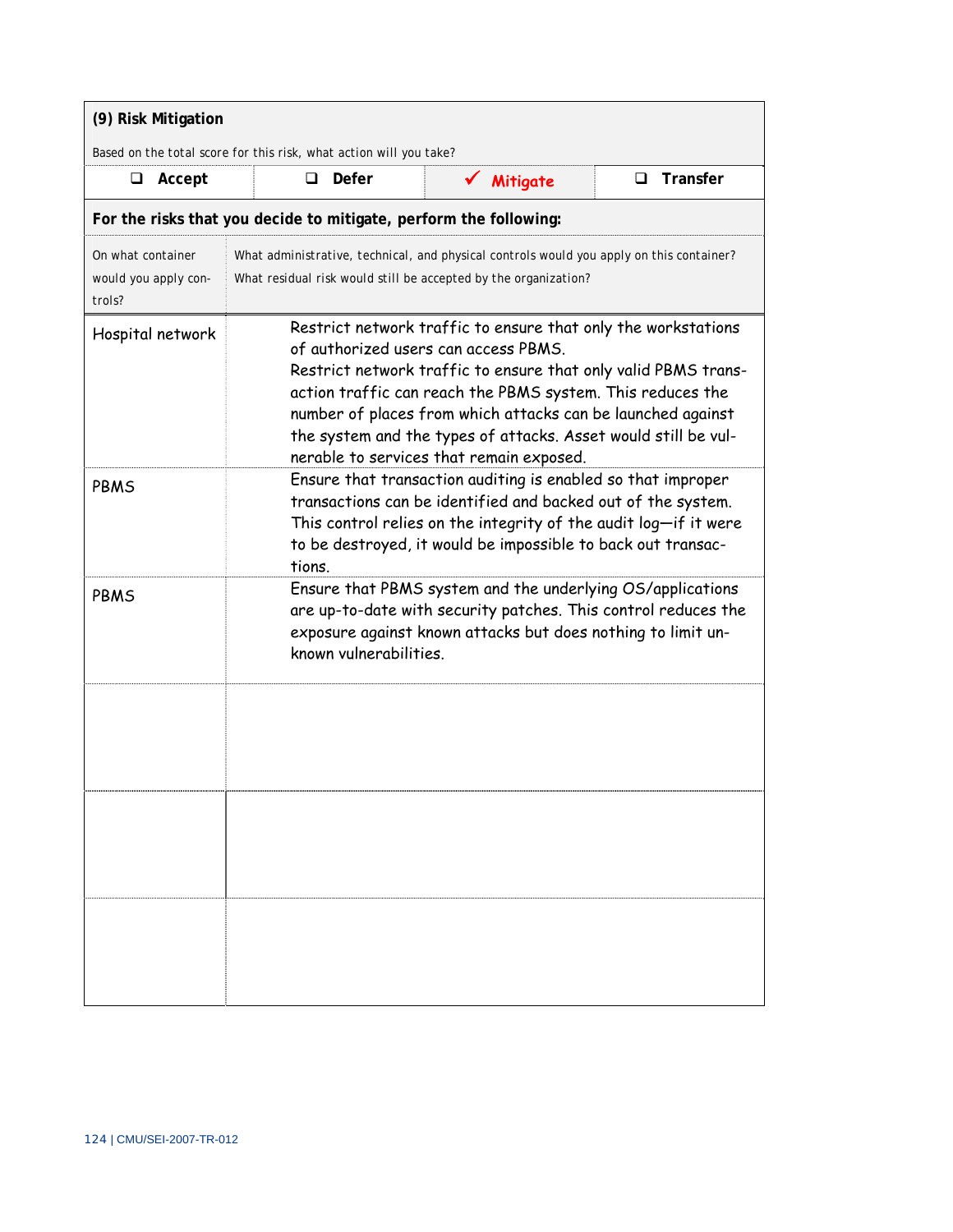| (9) Risk Mitigation                                               |                                                                                                                                                                                                                                                                            |                                                                                                                                                                                                                                                                                                                                                                            |               |  |  |  |  |
|-------------------------------------------------------------------|----------------------------------------------------------------------------------------------------------------------------------------------------------------------------------------------------------------------------------------------------------------------------|----------------------------------------------------------------------------------------------------------------------------------------------------------------------------------------------------------------------------------------------------------------------------------------------------------------------------------------------------------------------------|---------------|--|--|--|--|
|                                                                   | Based on the total score for this risk, what action will you take?                                                                                                                                                                                                         |                                                                                                                                                                                                                                                                                                                                                                            |               |  |  |  |  |
| $\Box$<br>Accept                                                  | Defer<br>ப                                                                                                                                                                                                                                                                 | Mitigate                                                                                                                                                                                                                                                                                                                                                                   | Transfer<br>◻ |  |  |  |  |
| For the risks that you decide to mitigate, perform the following: |                                                                                                                                                                                                                                                                            |                                                                                                                                                                                                                                                                                                                                                                            |               |  |  |  |  |
| On what container<br>would you apply con-<br>trols?               | What administrative, technical, and physical controls would you apply on this container?<br>What residual risk would still be accepted by the organization?                                                                                                                |                                                                                                                                                                                                                                                                                                                                                                            |               |  |  |  |  |
| Hospital network                                                  | of authorized users can access PBMS.                                                                                                                                                                                                                                       | Restrict network traffic to ensure that only the workstations<br>Restrict network traffic to ensure that only valid PBMS trans-<br>action traffic can reach the PBMS system. This reduces the<br>number of places from which attacks can be launched against<br>the system and the types of attacks. Asset would still be vul-<br>nerable to services that remain exposed. |               |  |  |  |  |
| PBMS                                                              | Ensure that transaction auditing is enabled so that improper<br>transactions can be identified and backed out of the system.<br>This control relies on the integrity of the audit log-if it were<br>to be destroyed, it would be impossible to back out transac-<br>tions. |                                                                                                                                                                                                                                                                                                                                                                            |               |  |  |  |  |
| PBMS                                                              | known vulnerabilities.                                                                                                                                                                                                                                                     | Ensure that PBMS system and the underlying OS/applications<br>are up-to-date with security patches. This control reduces the<br>exposure against known attacks but does nothing to limit un-                                                                                                                                                                               |               |  |  |  |  |
|                                                                   |                                                                                                                                                                                                                                                                            |                                                                                                                                                                                                                                                                                                                                                                            |               |  |  |  |  |
|                                                                   |                                                                                                                                                                                                                                                                            |                                                                                                                                                                                                                                                                                                                                                                            |               |  |  |  |  |
|                                                                   |                                                                                                                                                                                                                                                                            |                                                                                                                                                                                                                                                                                                                                                                            |               |  |  |  |  |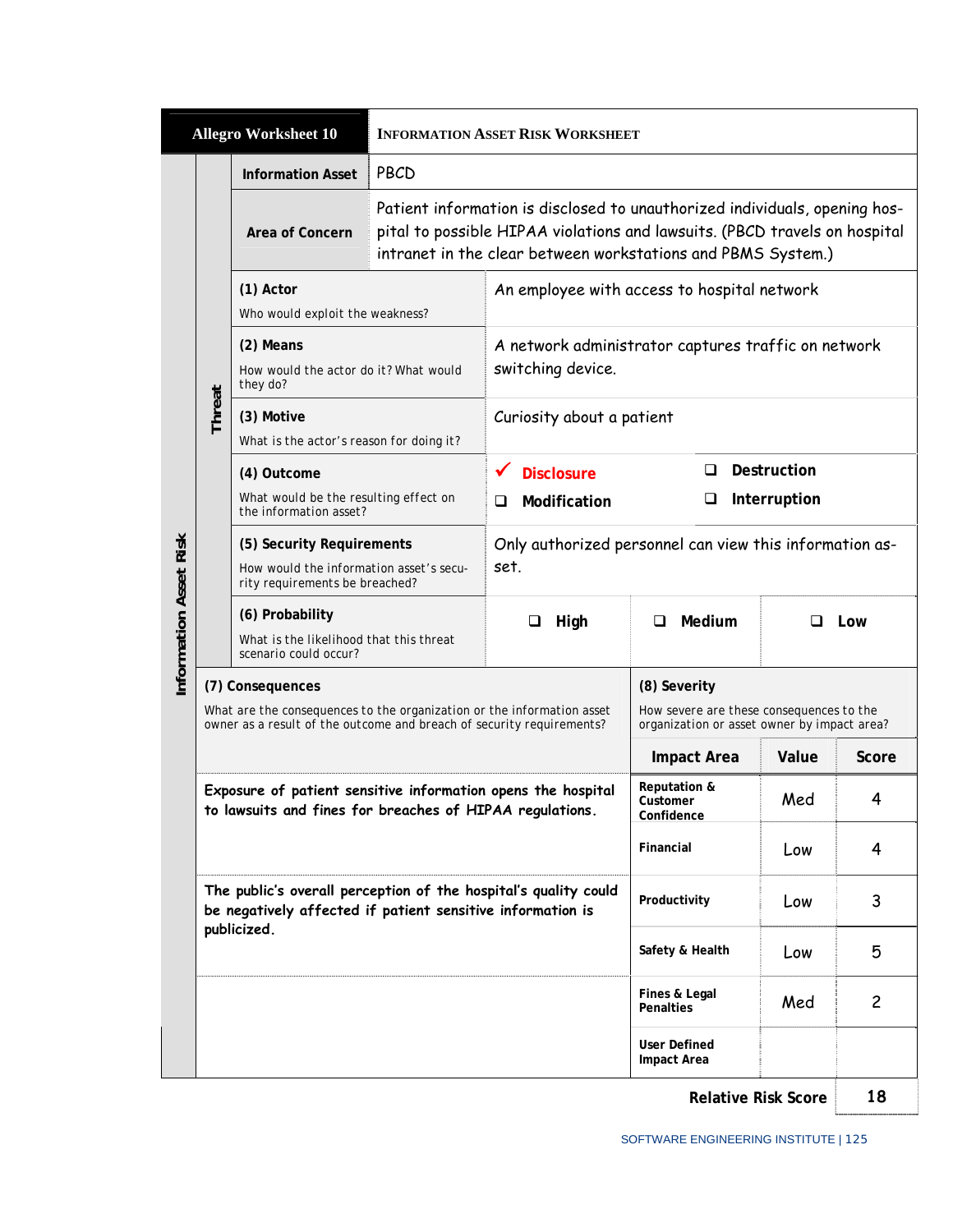|                        |        | <b>Allegro Worksheet 10</b>                                                                                                                     |      | <b>INFORMATION ASSET RISK WORKSHEET</b>                                                                                                                                                                                  |                                                                                         |       |                |
|------------------------|--------|-------------------------------------------------------------------------------------------------------------------------------------------------|------|--------------------------------------------------------------------------------------------------------------------------------------------------------------------------------------------------------------------------|-----------------------------------------------------------------------------------------|-------|----------------|
|                        |        | <b>Information Asset</b>                                                                                                                        | PBCD |                                                                                                                                                                                                                          |                                                                                         |       |                |
|                        |        | Area of Concern                                                                                                                                 |      | Patient information is disclosed to unauthorized individuals, opening hos-<br>pital to possible HIPAA violations and lawsuits. (PBCD travels on hospital<br>intranet in the clear between workstations and PBMS System.) |                                                                                         |       |                |
|                        |        | $(1)$ Actor<br>Who would exploit the weakness?                                                                                                  |      | An employee with access to hospital network                                                                                                                                                                              |                                                                                         |       |                |
|                        |        | (2) Means<br>How would the actor do it? What would<br>they do?                                                                                  |      | A network administrator captures traffic on network<br>switching device.                                                                                                                                                 |                                                                                         |       |                |
|                        | Threat | (3) Motive<br>What is the actor's reason for doing it?<br>(4) Outcome                                                                           |      | Curiosity about a patient                                                                                                                                                                                                |                                                                                         |       |                |
|                        |        |                                                                                                                                                 |      | Destruction<br><b>Disclosure</b><br>ப                                                                                                                                                                                    |                                                                                         |       |                |
|                        |        | What would be the resulting effect on<br>the information asset?                                                                                 |      | Interruption<br>Modification<br>⊔<br>❏                                                                                                                                                                                   |                                                                                         |       |                |
| Information Asset Risk |        | (5) Security Requirements<br>How would the information asset's secu-<br>rity requirements be breached?                                          |      | Only authorized personnel can view this information as-<br>set.                                                                                                                                                          |                                                                                         |       |                |
|                        |        | (6) Probability<br>What is the likelihood that this threat<br>scenario could occur?                                                             |      | High<br>❏                                                                                                                                                                                                                | Medium<br>◻                                                                             | ◻     | Low            |
|                        |        | (7) Consequences                                                                                                                                |      |                                                                                                                                                                                                                          | (8) Severity                                                                            |       |                |
|                        |        | What are the consequences to the organization or the information asset<br>owner as a result of the outcome and breach of security requirements? |      |                                                                                                                                                                                                                          | How severe are these consequences to the<br>organization or asset owner by impact area? |       |                |
|                        |        |                                                                                                                                                 |      |                                                                                                                                                                                                                          | <b>Impact Area</b>                                                                      | Value | Score          |
|                        |        | Exposure of patient sensitive information opens the hospital<br>to lawsuits and fines for breaches of HIPAA regulations.                        |      |                                                                                                                                                                                                                          | <b>Reputation &amp;</b><br>Customer<br>Confidence                                       | Med   | 4              |
|                        |        |                                                                                                                                                 |      |                                                                                                                                                                                                                          | Financial                                                                               | Low   | 4              |
|                        |        | The public's overall perception of the hospital's quality could<br>be negatively affected if patient sensitive information is<br>publicized.    |      |                                                                                                                                                                                                                          | Productivity                                                                            | Low   | 3              |
|                        |        |                                                                                                                                                 |      |                                                                                                                                                                                                                          | Safety & Health                                                                         | Low   | 5              |
|                        |        |                                                                                                                                                 |      |                                                                                                                                                                                                                          | Fines & Legal<br>Penalties                                                              | Med   | $\overline{c}$ |
|                        |        |                                                                                                                                                 |      |                                                                                                                                                                                                                          | <b>User Defined</b><br>Impact Area                                                      |       |                |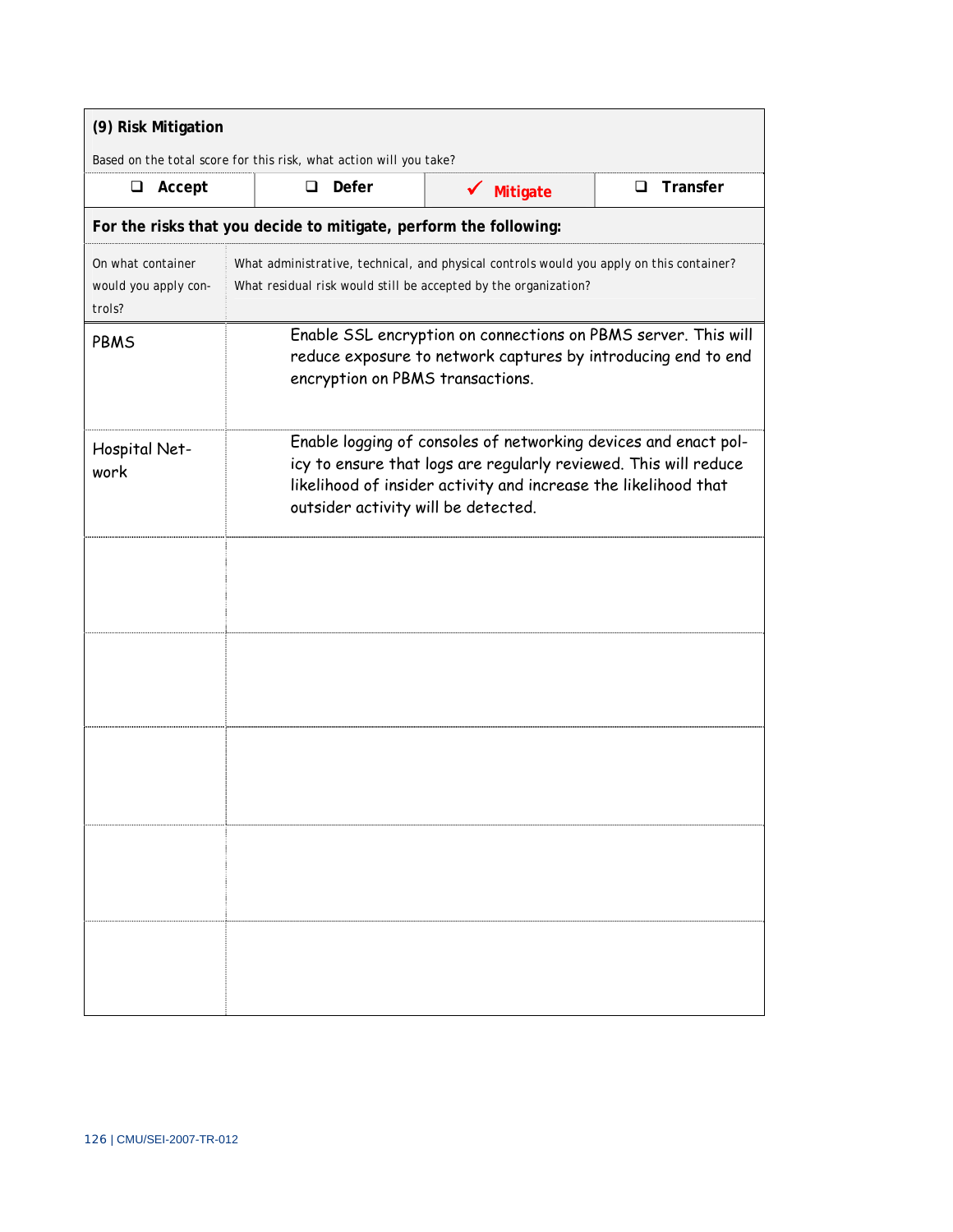| (9) Risk Mitigation                                                |   |       |                                                                                                                                                                                                                                               |               |
|--------------------------------------------------------------------|---|-------|-----------------------------------------------------------------------------------------------------------------------------------------------------------------------------------------------------------------------------------------------|---------------|
| Based on the total score for this risk, what action will you take? |   |       |                                                                                                                                                                                                                                               |               |
| Accept<br>□                                                        | ப | Defer | Mitigate                                                                                                                                                                                                                                      | Transfer<br>◻ |
|                                                                    |   |       | For the risks that you decide to mitigate, perform the following:                                                                                                                                                                             |               |
| On what container<br>would you apply con-<br>trols?                |   |       | What administrative, technical, and physical controls would you apply on this container?<br>What residual risk would still be accepted by the organization?                                                                                   |               |
| PBMS                                                               |   |       | Enable SSL encryption on connections on PBMS server. This will<br>reduce exposure to network captures by introducing end to end<br>encryption on PBMS transactions.                                                                           |               |
| Hospital Net-<br>work                                              |   |       | Enable logging of consoles of networking devices and enact pol-<br>icy to ensure that logs are regularly reviewed. This will reduce<br>likelihood of insider activity and increase the likelihood that<br>outsider activity will be detected. |               |
|                                                                    |   |       |                                                                                                                                                                                                                                               |               |
|                                                                    |   |       |                                                                                                                                                                                                                                               |               |
|                                                                    |   |       |                                                                                                                                                                                                                                               |               |
|                                                                    |   |       |                                                                                                                                                                                                                                               |               |
|                                                                    |   |       |                                                                                                                                                                                                                                               |               |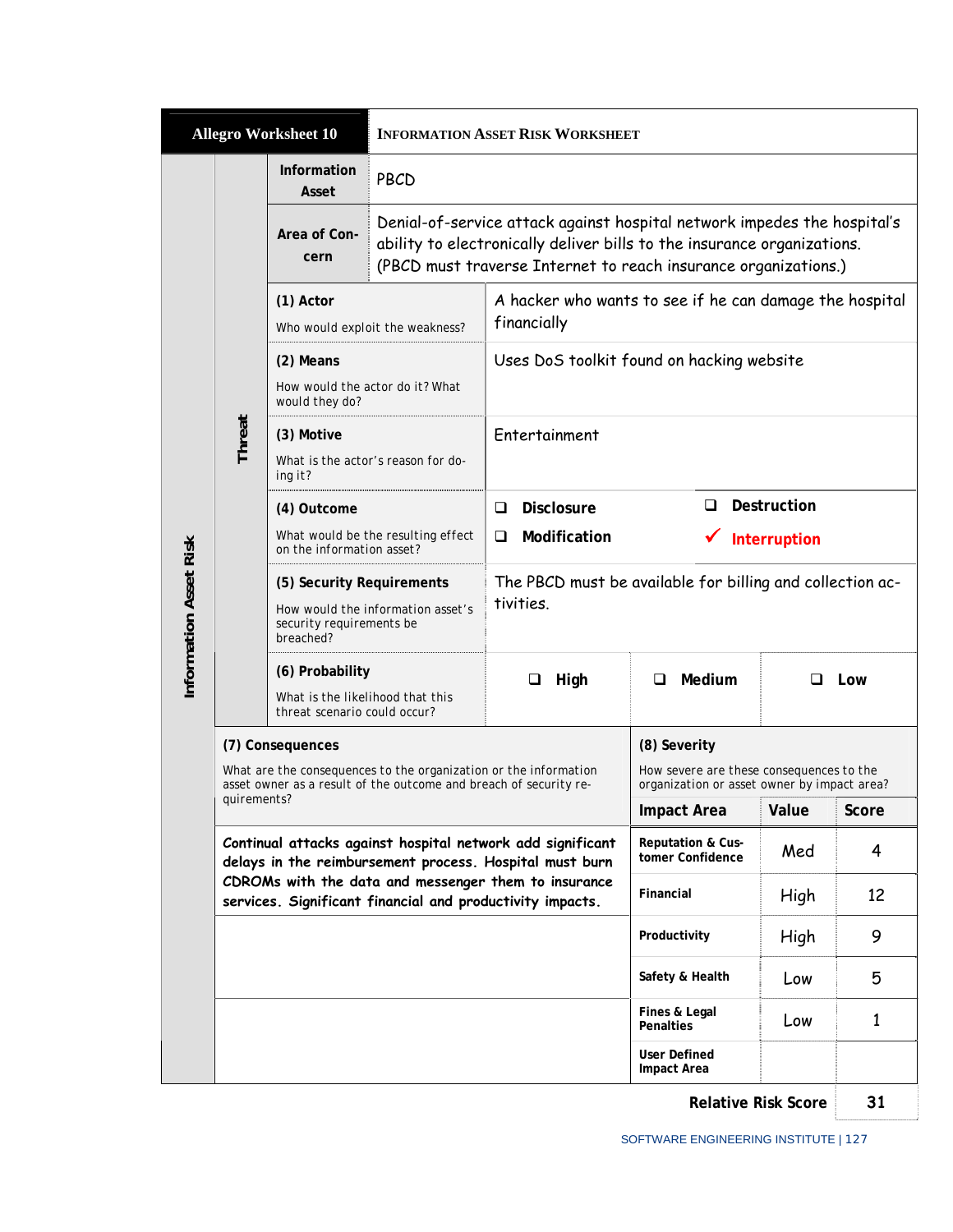|                        |             | <b>Allegro Worksheet 10</b>                                                                             |                                                                                                                                       | <b>INFORMATION ASSET RISK WORKSHEET</b>                                                                                                                                                                                |                                                                                         |             |       |  |
|------------------------|-------------|---------------------------------------------------------------------------------------------------------|---------------------------------------------------------------------------------------------------------------------------------------|------------------------------------------------------------------------------------------------------------------------------------------------------------------------------------------------------------------------|-----------------------------------------------------------------------------------------|-------------|-------|--|
|                        |             | <b>Information</b><br>Asset                                                                             | PBCD                                                                                                                                  |                                                                                                                                                                                                                        |                                                                                         |             |       |  |
|                        |             | Area of Con-<br>cern                                                                                    |                                                                                                                                       | Denial-of-service attack against hospital network impedes the hospital's<br>ability to electronically deliver bills to the insurance organizations.<br>(PBCD must traverse Internet to reach insurance organizations.) |                                                                                         |             |       |  |
|                        |             | $(1)$ Actor                                                                                             | Who would exploit the weakness?                                                                                                       | A hacker who wants to see if he can damage the hospital<br>financially                                                                                                                                                 |                                                                                         |             |       |  |
|                        |             | (2) Means<br>How would the actor do it? What<br>would they do?                                          |                                                                                                                                       | Uses DoS toolkit found on hacking website                                                                                                                                                                              |                                                                                         |             |       |  |
| Information Asset Risk | Threat      | (3) Motive<br>What is the actor's reason for do-<br>ing it?                                             |                                                                                                                                       | Entertainment                                                                                                                                                                                                          |                                                                                         |             |       |  |
|                        |             | (4) Outcome                                                                                             |                                                                                                                                       | <b>Disclosure</b><br>❏                                                                                                                                                                                                 | ப                                                                                       | Destruction |       |  |
|                        |             | What would be the resulting effect<br>on the information asset?                                         |                                                                                                                                       | Modification<br>❏                                                                                                                                                                                                      | Interruption                                                                            |             |       |  |
|                        |             | (5) Security Requirements<br>How would the information asset's<br>security requirements be<br>breached? |                                                                                                                                       | The PBCD must be available for billing and collection ac-<br>tivities.                                                                                                                                                 |                                                                                         |             |       |  |
|                        |             | (6) Probability<br>What is the likelihood that this<br>threat scenario could occur?                     |                                                                                                                                       | High<br>❏                                                                                                                                                                                                              | Medium<br>❏                                                                             | ப           | Low   |  |
|                        |             | (7) Consequences                                                                                        |                                                                                                                                       |                                                                                                                                                                                                                        | (8) Severity                                                                            |             |       |  |
|                        |             |                                                                                                         | What are the consequences to the organization or the information<br>asset owner as a result of the outcome and breach of security re- |                                                                                                                                                                                                                        | How severe are these consequences to the<br>organization or asset owner by impact area? |             |       |  |
|                        | quirements? |                                                                                                         |                                                                                                                                       |                                                                                                                                                                                                                        | Impact Area                                                                             | Value       | Score |  |
|                        |             |                                                                                                         |                                                                                                                                       | Continual attacks against hospital network add significant<br>delays in the reimbursement process. Hospital must burn                                                                                                  | Reputation & Cus-<br>tomer Confidence                                                   | Med         | 4     |  |
|                        |             |                                                                                                         |                                                                                                                                       | CDROMs with the data and messenger them to insurance<br>services. Significant financial and productivity impacts.                                                                                                      | Financial                                                                               | High        | 12    |  |
|                        |             |                                                                                                         |                                                                                                                                       |                                                                                                                                                                                                                        | Productivity                                                                            | High        | 9     |  |
|                        |             |                                                                                                         |                                                                                                                                       |                                                                                                                                                                                                                        | Safety & Health                                                                         | Low         | 5     |  |
|                        |             |                                                                                                         |                                                                                                                                       |                                                                                                                                                                                                                        | Fines & Legal<br>Penalties                                                              | Low         | 1     |  |
|                        |             |                                                                                                         |                                                                                                                                       |                                                                                                                                                                                                                        | User Defined<br>Impact Area                                                             |             |       |  |

**Relative Risk Score 31**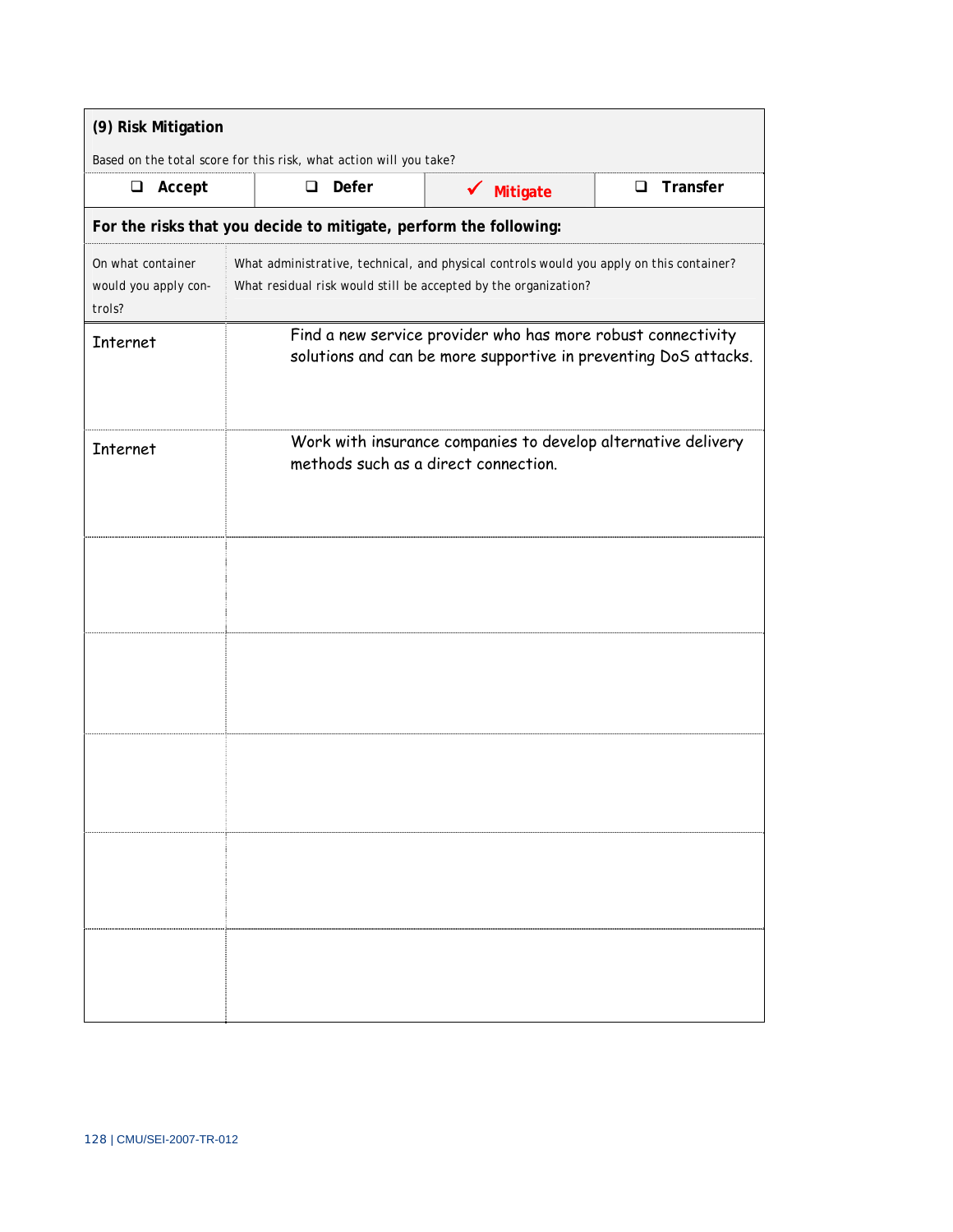| (9) Risk Mitigation                                                                    |   |                                      |  |                                                                                                                                                             |   |                                                                 |
|----------------------------------------------------------------------------------------|---|--------------------------------------|--|-------------------------------------------------------------------------------------------------------------------------------------------------------------|---|-----------------------------------------------------------------|
| Based on the total score for this risk, what action will you take?<br>Accept<br>$\Box$ | □ | Defer                                |  | ✔ Mitigate                                                                                                                                                  | □ | Transfer                                                        |
| For the risks that you decide to mitigate, perform the following:                      |   |                                      |  |                                                                                                                                                             |   |                                                                 |
| On what container<br>would you apply con-<br>trols?                                    |   |                                      |  | What administrative, technical, and physical controls would you apply on this container?<br>What residual risk would still be accepted by the organization? |   |                                                                 |
| Internet                                                                               |   |                                      |  | Find a new service provider who has more robust connectivity                                                                                                |   | solutions and can be more supportive in preventing DoS attacks. |
| <b>Internet</b>                                                                        |   | methods such as a direct connection. |  |                                                                                                                                                             |   | Work with insurance companies to develop alternative delivery   |
|                                                                                        |   |                                      |  |                                                                                                                                                             |   |                                                                 |
|                                                                                        |   |                                      |  |                                                                                                                                                             |   |                                                                 |
|                                                                                        |   |                                      |  |                                                                                                                                                             |   |                                                                 |
|                                                                                        |   |                                      |  |                                                                                                                                                             |   |                                                                 |
|                                                                                        |   |                                      |  |                                                                                                                                                             |   |                                                                 |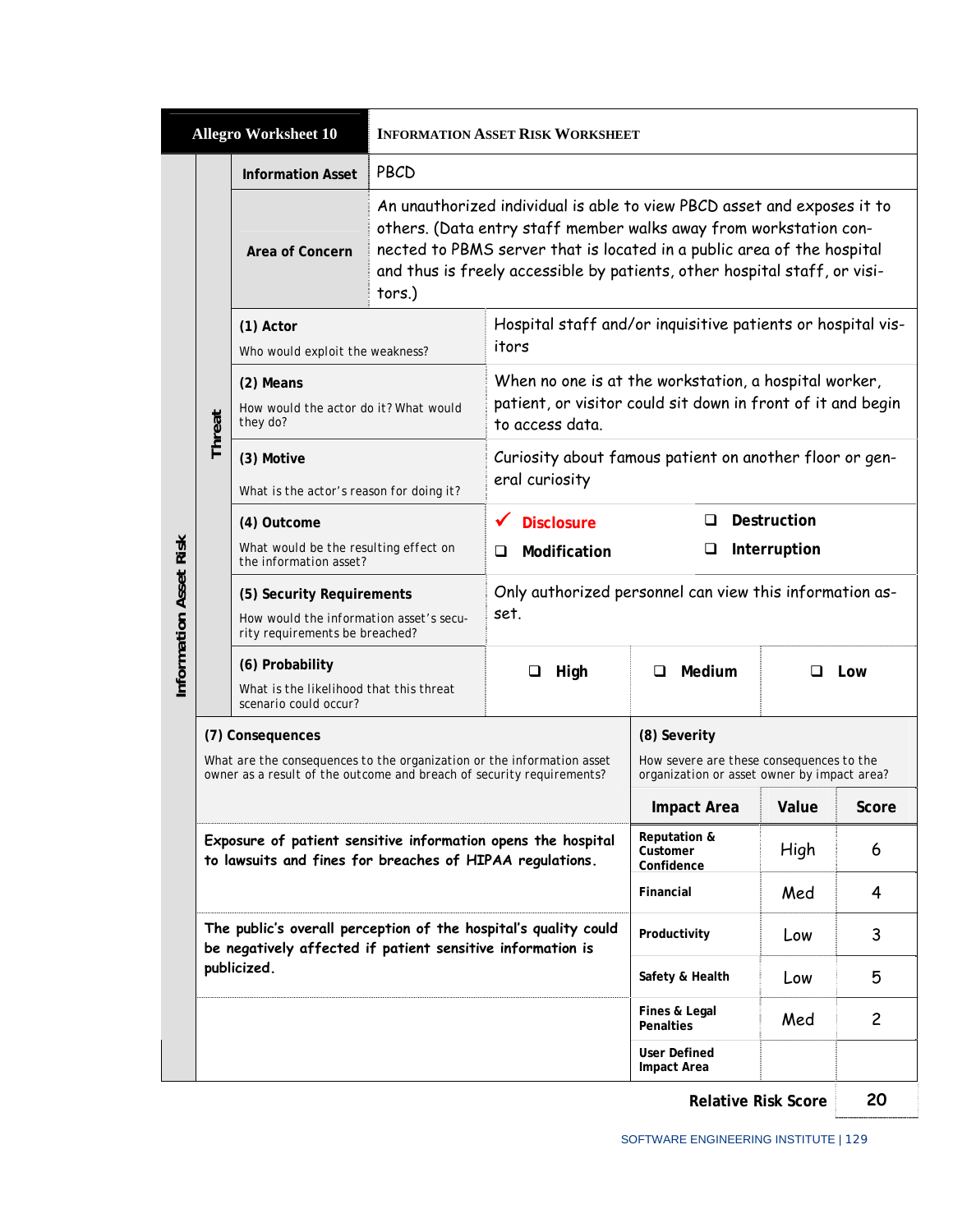|                        |        | <b>Allegro Worksheet 10</b>                                                                                                                                         |        | <b>INFORMATION ASSET RISK WORKSHEET</b>                                                                                                                                                                                                                                                             |                                        |       |              |  |
|------------------------|--------|---------------------------------------------------------------------------------------------------------------------------------------------------------------------|--------|-----------------------------------------------------------------------------------------------------------------------------------------------------------------------------------------------------------------------------------------------------------------------------------------------------|----------------------------------------|-------|--------------|--|
|                        |        | <b>Information Asset</b>                                                                                                                                            | PBCD   |                                                                                                                                                                                                                                                                                                     |                                        |       |              |  |
|                        |        | Area of Concern                                                                                                                                                     | tors.) | An unauthorized individual is able to view PBCD asset and exposes it to<br>others. (Data entry staff member walks away from workstation con-<br>nected to PBMS server that is located in a public area of the hospital<br>and thus is freely accessible by patients, other hospital staff, or visi- |                                        |       |              |  |
|                        |        | $(1)$ Actor<br>Who would exploit the weakness?                                                                                                                      |        | Hospital staff and/or inquisitive patients or hospital vis-<br>itors                                                                                                                                                                                                                                |                                        |       |              |  |
|                        | Threat | (2) Means<br>How would the actor do it? What would<br>they do?                                                                                                      |        | When no one is at the workstation, a hospital worker,<br>patient, or visitor could sit down in front of it and begin<br>to access data.                                                                                                                                                             |                                        |       |              |  |
|                        |        | (3) Motive<br>What is the actor's reason for doing it?                                                                                                              |        | Curiosity about famous patient on another floor or gen-<br>eral curiosity                                                                                                                                                                                                                           |                                        |       |              |  |
| Information Asset Risk |        | (4) Outcome<br>What would be the resulting effect on<br>the information asset?                                                                                      |        | Destruction<br><b>Disclosure</b><br>ப<br>Interruption<br>u<br>Modification<br>❏                                                                                                                                                                                                                     |                                        |       |              |  |
|                        |        | (5) Security Requirements<br>How would the information asset's secu-<br>rity requirements be breached?                                                              |        | Only authorized personnel can view this information as-<br>set.                                                                                                                                                                                                                                     |                                        |       |              |  |
|                        |        | (6) Probability<br>What is the likelihood that this threat<br>scenario could occur?                                                                                 |        | High<br>$\Box$                                                                                                                                                                                                                                                                                      | Medium<br>□                            | ◻     | Low          |  |
|                        |        | (7) Consequences<br>What are the consequences to the organization or the information asset<br>owner as a result of the outcome and breach of security requirements? |        | (8) Severity<br>How severe are these consequences to the<br>organization or asset owner by impact area?                                                                                                                                                                                             |                                        |       |              |  |
|                        |        |                                                                                                                                                                     |        |                                                                                                                                                                                                                                                                                                     | <b>Impact Area</b>                     | Value | Score        |  |
|                        |        | Exposure of patient sensitive information opens the hospital<br>to lawsuits and fines for breaches of HIPAA regulations.                                            |        |                                                                                                                                                                                                                                                                                                     | Reputation &<br>Customer<br>Confidence | High  | 6            |  |
|                        |        |                                                                                                                                                                     |        |                                                                                                                                                                                                                                                                                                     | Financial                              | Med   | 4            |  |
|                        |        | The public's overall perception of the hospital's quality could<br>be negatively affected if patient sensitive information is                                       |        |                                                                                                                                                                                                                                                                                                     | Productivity                           | Low   | 3            |  |
|                        |        | publicized.                                                                                                                                                         |        |                                                                                                                                                                                                                                                                                                     | Safety & Health                        | Low   | 5            |  |
|                        |        |                                                                                                                                                                     |        |                                                                                                                                                                                                                                                                                                     | Fines & Legal<br><b>Penalties</b>      | Med   | $\mathbf{2}$ |  |
|                        |        |                                                                                                                                                                     |        |                                                                                                                                                                                                                                                                                                     | <b>User Defined</b><br>Impact Area     |       |              |  |

**Relative Risk Score 20**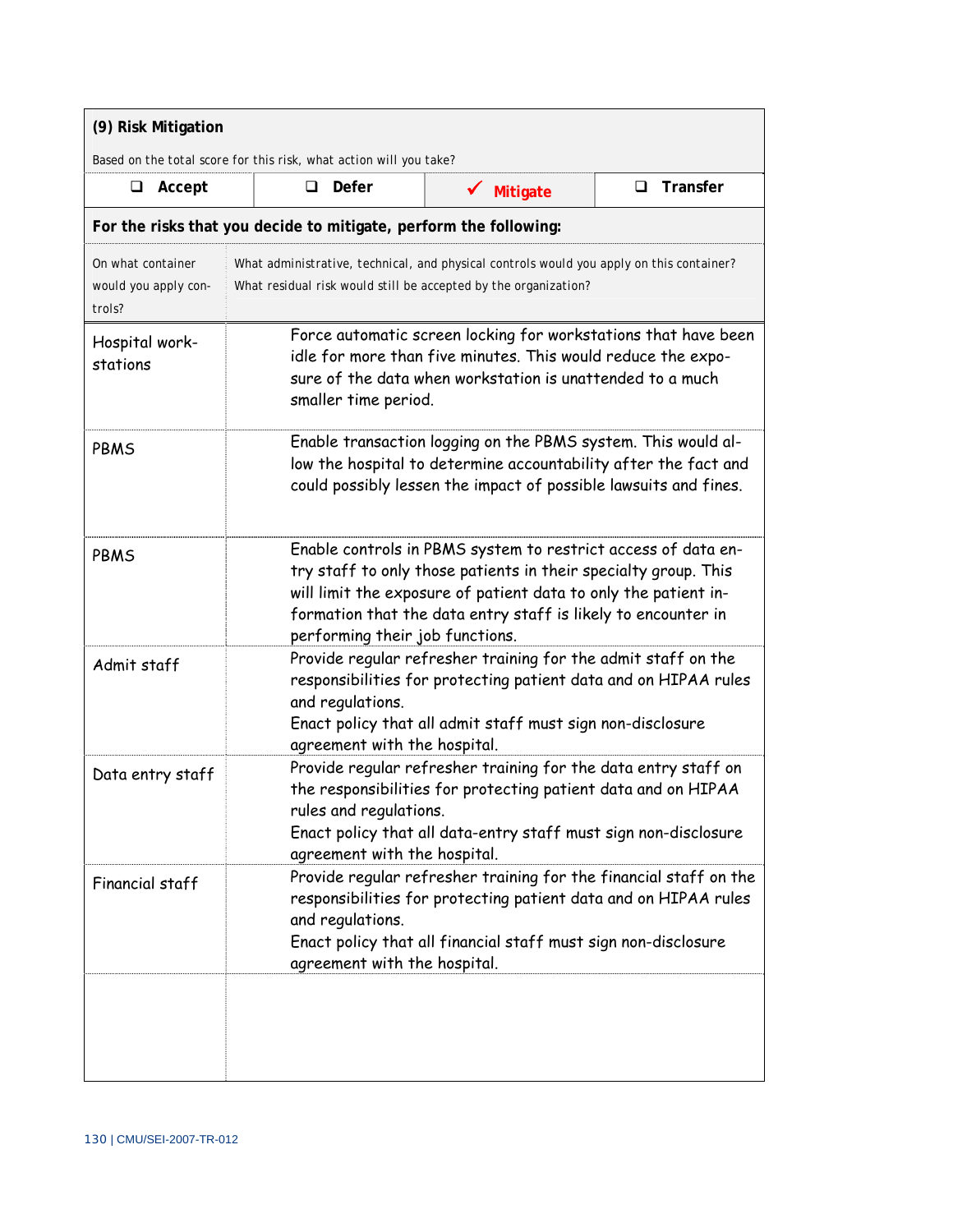| (9) Risk Mitigation                                                |                                                                                                                                                             |                                                                                                                                                                                                                                                                      |               |  |  |  |
|--------------------------------------------------------------------|-------------------------------------------------------------------------------------------------------------------------------------------------------------|----------------------------------------------------------------------------------------------------------------------------------------------------------------------------------------------------------------------------------------------------------------------|---------------|--|--|--|
| Based on the total score for this risk, what action will you take? |                                                                                                                                                             |                                                                                                                                                                                                                                                                      |               |  |  |  |
| Accept<br>❏                                                        | Defer<br>ப                                                                                                                                                  | <b>Mitigate</b>                                                                                                                                                                                                                                                      | Transfer<br>◻ |  |  |  |
|                                                                    | For the risks that you decide to mitigate, perform the following:                                                                                           |                                                                                                                                                                                                                                                                      |               |  |  |  |
| On what container<br>would you apply con-<br>trols?                | What administrative, technical, and physical controls would you apply on this container?<br>What residual risk would still be accepted by the organization? |                                                                                                                                                                                                                                                                      |               |  |  |  |
| Hospital work-<br>stations                                         | smaller time period.                                                                                                                                        | Force automatic screen locking for workstations that have been<br>idle for more than five minutes. This would reduce the expo-<br>sure of the data when workstation is unattended to a much                                                                          |               |  |  |  |
| PBMS                                                               |                                                                                                                                                             | Enable transaction logging on the PBMS system. This would al-<br>low the hospital to determine accountability after the fact and<br>could possibly lessen the impact of possible lawsuits and fines.                                                                 |               |  |  |  |
| PBMS                                                               | performing their job functions.                                                                                                                             | Enable controls in PBMS system to restrict access of data en-<br>try staff to only those patients in their specialty group. This<br>will limit the exposure of patient data to only the patient in-<br>formation that the data entry staff is likely to encounter in |               |  |  |  |
| Admit staff                                                        | and regulations.<br>agreement with the hospital.                                                                                                            | Provide regular refresher training for the admit staff on the<br>responsibilities for protecting patient data and on HIPAA rules<br>Enact policy that all admit staff must sign non-disclosure                                                                       |               |  |  |  |
| Data entry staff                                                   | rules and regulations.<br>agreement with the hospital.                                                                                                      | Provide regular refresher training for the data entry staff on<br>the responsibilities for protecting patient data and on HIPAA<br>Enact policy that all data-entry staff must sign non-disclosure                                                                   |               |  |  |  |
| Financial staff                                                    | and regulations.<br>agreement with the hospital.                                                                                                            | Provide regular refresher training for the financial staff on the<br>responsibilities for protecting patient data and on HIPAA rules<br>Enact policy that all financial staff must sign non-disclosure                                                               |               |  |  |  |
|                                                                    |                                                                                                                                                             |                                                                                                                                                                                                                                                                      |               |  |  |  |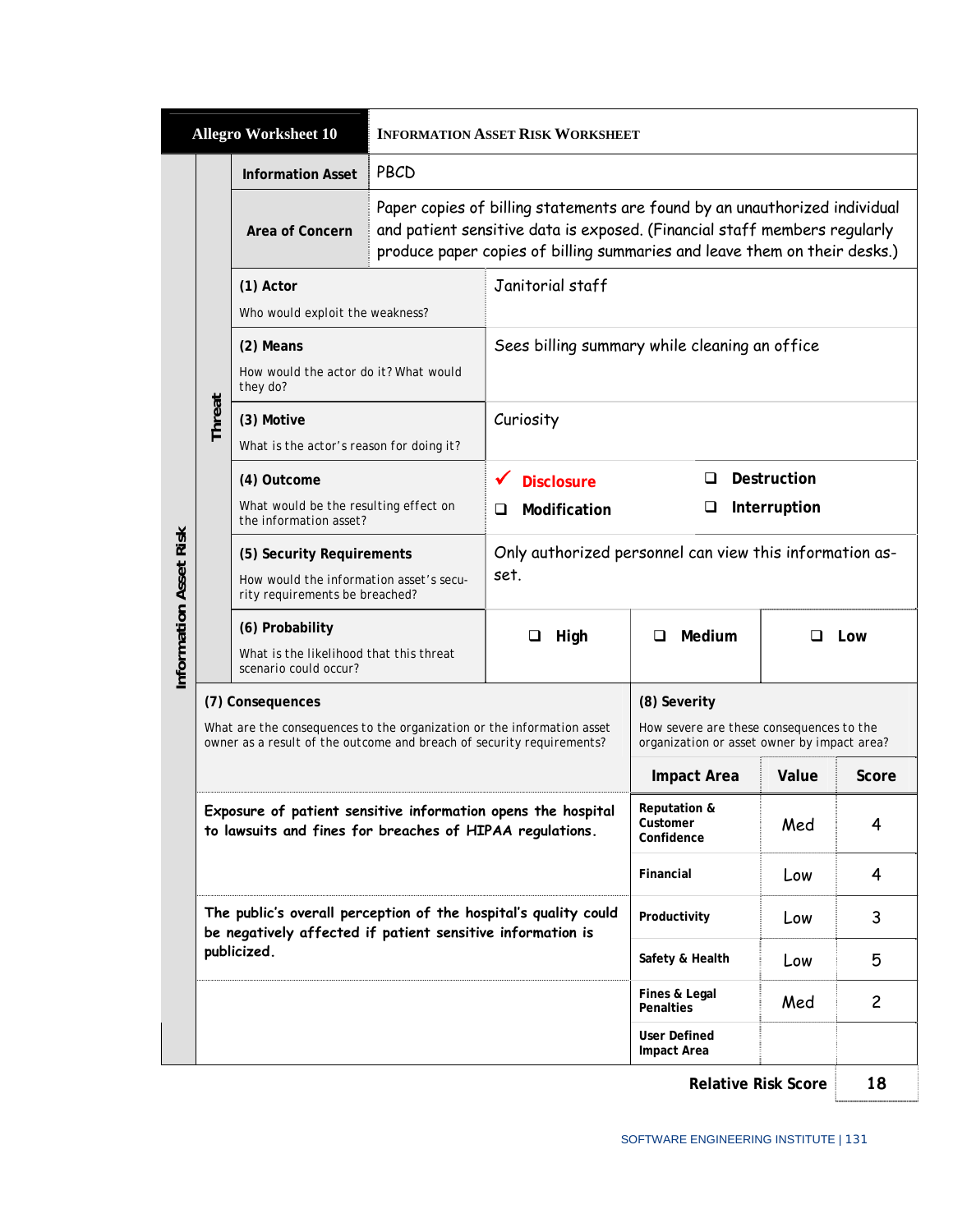|                       |                            | <b>Allegro Worksheet 10</b>                                                                                                                                         |      | <b>INFORMATION ASSET RISK WORKSHEET</b>                                                                                                                                                                                              |                                        |                             |                |
|-----------------------|----------------------------|---------------------------------------------------------------------------------------------------------------------------------------------------------------------|------|--------------------------------------------------------------------------------------------------------------------------------------------------------------------------------------------------------------------------------------|----------------------------------------|-----------------------------|----------------|
|                       |                            | <b>Information Asset</b>                                                                                                                                            | PBCD |                                                                                                                                                                                                                                      |                                        |                             |                |
|                       |                            | Area of Concern                                                                                                                                                     |      | Paper copies of billing statements are found by an unauthorized individual<br>and patient sensitive data is exposed. (Financial staff members regularly<br>produce paper copies of billing summaries and leave them on their desks.) |                                        |                             |                |
|                       |                            | $(1)$ Actor<br>Who would exploit the weakness?                                                                                                                      |      | Janitorial staff                                                                                                                                                                                                                     |                                        |                             |                |
|                       |                            | (2) Means<br>How would the actor do it? What would<br>they do?                                                                                                      |      | Sees billing summary while cleaning an office                                                                                                                                                                                        |                                        |                             |                |
|                       | Threat                     | (3) Motive<br>What is the actor's reason for doing it?                                                                                                              |      | Curiosity                                                                                                                                                                                                                            |                                        |                             |                |
| nformation Asset Risk |                            | (4) Outcome<br>What would be the resulting effect on<br>the information asset?                                                                                      |      | <b>Disclosure</b><br>Modification<br>ப                                                                                                                                                                                               | ப<br>ப                                 | Destruction<br>Interruption |                |
|                       |                            | (5) Security Requirements<br>How would the information asset's secu-<br>rity requirements be breached?                                                              |      | Only authorized personnel can view this information as-<br>set.                                                                                                                                                                      |                                        |                             |                |
|                       |                            | (6) Probability<br>What is the likelihood that this threat<br>scenario could occur?                                                                                 |      | $\Box$<br>High                                                                                                                                                                                                                       | Medium<br>◻                            | ப                           | Low            |
|                       |                            | (7) Consequences<br>What are the consequences to the organization or the information asset<br>owner as a result of the outcome and breach of security requirements? |      | (8) Severity<br>How severe are these consequences to the<br>organization or asset owner by impact area?                                                                                                                              |                                        |                             |                |
|                       |                            |                                                                                                                                                                     |      |                                                                                                                                                                                                                                      | <b>Impact Area</b>                     | Value                       | Score          |
|                       |                            | Exposure of patient sensitive information opens the hospital<br>to lawsuits and fines for breaches of HIPAA regulations.                                            |      |                                                                                                                                                                                                                                      | Reputation &<br>Customer<br>Confidence | Med                         | 4              |
|                       |                            |                                                                                                                                                                     |      |                                                                                                                                                                                                                                      | Financial                              | Low                         | 4              |
|                       |                            | The public's overall perception of the hospital's quality could<br>be negatively affected if patient sensitive information is                                       |      |                                                                                                                                                                                                                                      | Productivity                           | Low                         | 3              |
|                       |                            | publicized.                                                                                                                                                         |      |                                                                                                                                                                                                                                      | Safety & Health                        | Low                         | 5              |
|                       |                            |                                                                                                                                                                     |      |                                                                                                                                                                                                                                      | Fines & Legal<br><b>Penalties</b>      | Med                         | $\overline{c}$ |
|                       |                            |                                                                                                                                                                     |      |                                                                                                                                                                                                                                      | User Defined<br><b>Impact Area</b>     |                             |                |
|                       | <b>Relative Risk Score</b> |                                                                                                                                                                     |      |                                                                                                                                                                                                                                      |                                        |                             | 18             |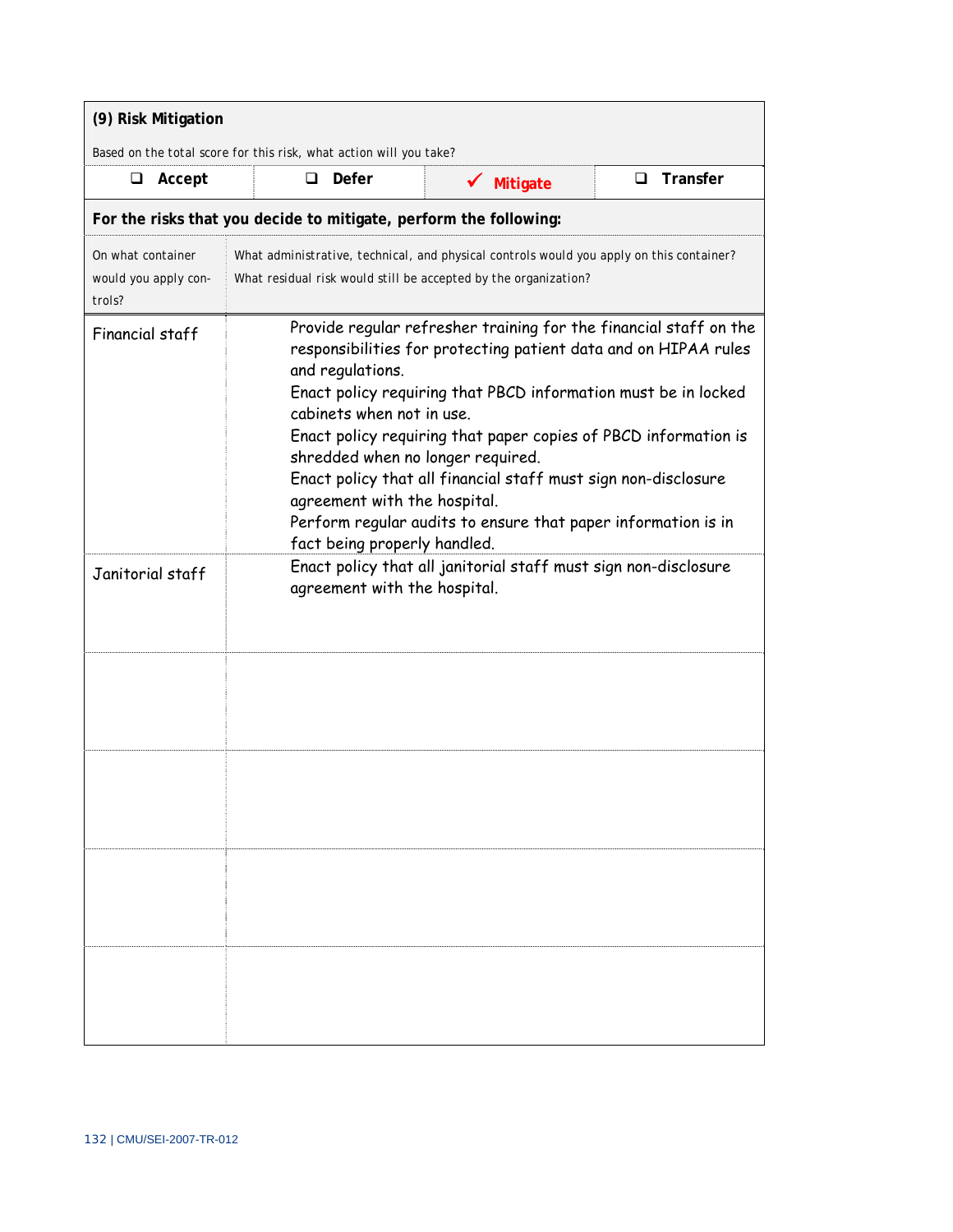| (9) Risk Mitigation                                                |                                                                                                                                                                                                                                                                                                                                                                                                                                                                                                                                                                    |                 |               |
|--------------------------------------------------------------------|--------------------------------------------------------------------------------------------------------------------------------------------------------------------------------------------------------------------------------------------------------------------------------------------------------------------------------------------------------------------------------------------------------------------------------------------------------------------------------------------------------------------------------------------------------------------|-----------------|---------------|
| Based on the total score for this risk, what action will you take? |                                                                                                                                                                                                                                                                                                                                                                                                                                                                                                                                                                    |                 |               |
| Accept<br>⊔                                                        | Defer<br>ப                                                                                                                                                                                                                                                                                                                                                                                                                                                                                                                                                         | <b>Mitigate</b> | Transfer<br>◻ |
| For the risks that you decide to mitigate, perform the following:  |                                                                                                                                                                                                                                                                                                                                                                                                                                                                                                                                                                    |                 |               |
| On what container<br>would you apply con-<br>trols?                | What administrative, technical, and physical controls would you apply on this container?<br>What residual risk would still be accepted by the organization?                                                                                                                                                                                                                                                                                                                                                                                                        |                 |               |
| Financial staff                                                    | Provide regular refresher training for the financial staff on the<br>responsibilities for protecting patient data and on HIPAA rules<br>and regulations.<br>Enact policy requiring that PBCD information must be in locked<br>cabinets when not in use.<br>Enact policy requiring that paper copies of PBCD information is<br>shredded when no longer required.<br>Enact policy that all financial staff must sign non-disclosure<br>agreement with the hospital.<br>Perform regular audits to ensure that paper information is in<br>fact being properly handled. |                 |               |
| Janitorial staff                                                   | Enact policy that all janitorial staff must sign non-disclosure<br>agreement with the hospital.                                                                                                                                                                                                                                                                                                                                                                                                                                                                    |                 |               |
|                                                                    |                                                                                                                                                                                                                                                                                                                                                                                                                                                                                                                                                                    |                 |               |
|                                                                    |                                                                                                                                                                                                                                                                                                                                                                                                                                                                                                                                                                    |                 |               |
|                                                                    |                                                                                                                                                                                                                                                                                                                                                                                                                                                                                                                                                                    |                 |               |
|                                                                    |                                                                                                                                                                                                                                                                                                                                                                                                                                                                                                                                                                    |                 |               |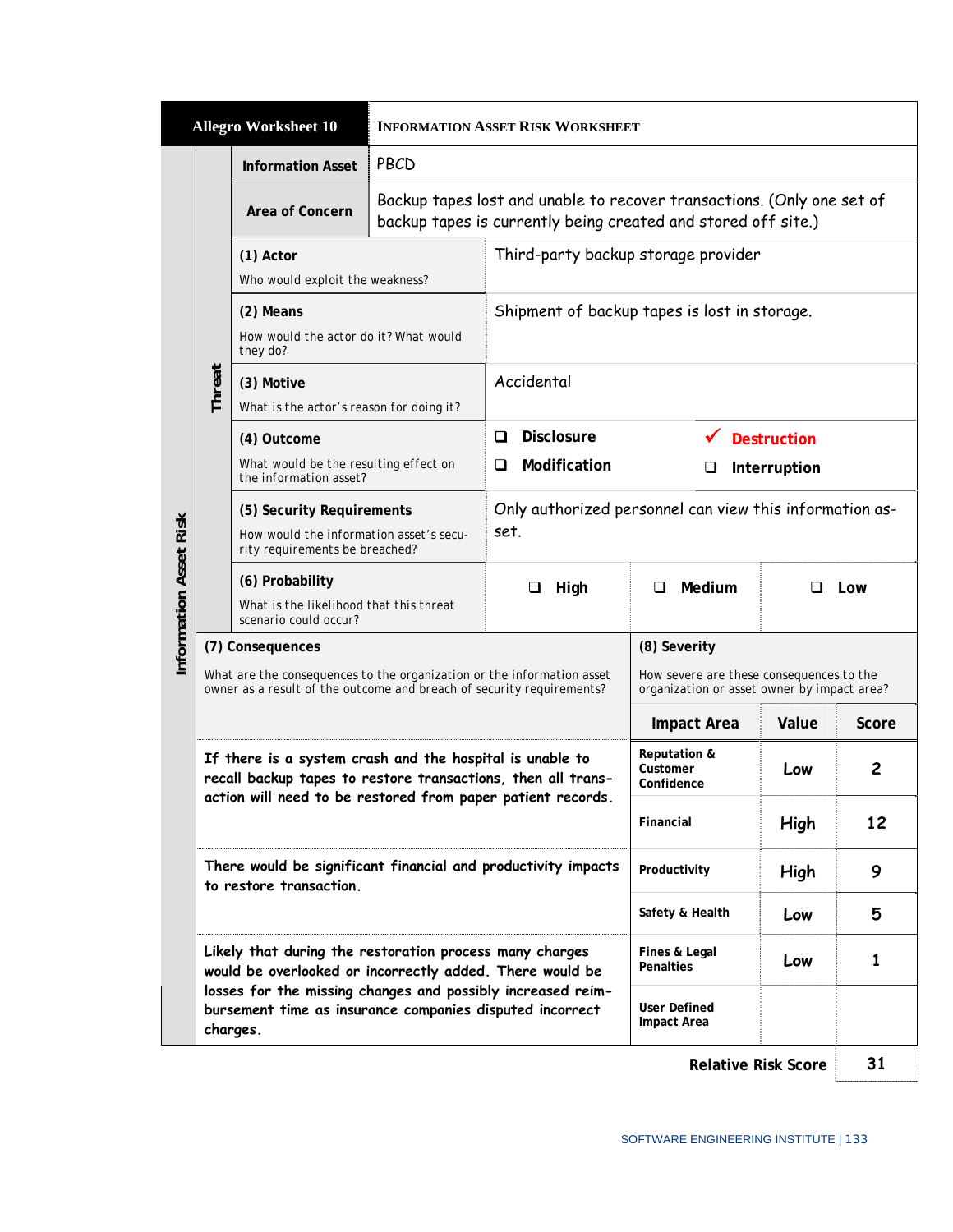| <b>Allegro Worksheet 10</b> |                                                                                                                                                                                         |                                                                                                                                                 |      | <b>INFORMATION ASSET RISK WORKSHEET</b>                                                                                                 |                                                                                         |        |       |  |
|-----------------------------|-----------------------------------------------------------------------------------------------------------------------------------------------------------------------------------------|-------------------------------------------------------------------------------------------------------------------------------------------------|------|-----------------------------------------------------------------------------------------------------------------------------------------|-----------------------------------------------------------------------------------------|--------|-------|--|
|                             |                                                                                                                                                                                         | <b>Information Asset</b>                                                                                                                        | PBCD |                                                                                                                                         |                                                                                         |        |       |  |
|                             |                                                                                                                                                                                         | Area of Concern                                                                                                                                 |      | Backup tapes lost and unable to recover transactions. (Only one set of<br>backup tapes is currently being created and stored off site.) |                                                                                         |        |       |  |
|                             |                                                                                                                                                                                         | $(1)$ Actor<br>Who would exploit the weakness?                                                                                                  |      | Third-party backup storage provider                                                                                                     |                                                                                         |        |       |  |
|                             |                                                                                                                                                                                         | (2) Means<br>How would the actor do it? What would<br>they do?                                                                                  |      | Shipment of backup tapes is lost in storage.                                                                                            |                                                                                         |        |       |  |
|                             | Threat                                                                                                                                                                                  | (3) Motive<br>What is the actor's reason for doing it?                                                                                          |      | Accidental                                                                                                                              |                                                                                         |        |       |  |
|                             |                                                                                                                                                                                         | (4) Outcome<br>What would be the resulting effect on<br>the information asset?                                                                  |      | <b>Disclosure</b><br>O<br>Modification<br>⊔                                                                                             | <b>Destruction</b><br>Interruption                                                      |        |       |  |
|                             |                                                                                                                                                                                         | (5) Security Requirements<br>How would the information asset's secu-<br>rity requirements be breached?                                          |      | Only authorized personnel can view this information as-<br>set.                                                                         |                                                                                         |        |       |  |
| Information Asset Risk      |                                                                                                                                                                                         | (6) Probability<br>What is the likelihood that this threat<br>scenario could occur?                                                             |      | $\Box$<br>High                                                                                                                          | Medium<br>□                                                                             | $\Box$ | Low   |  |
|                             |                                                                                                                                                                                         | (7) Consequences                                                                                                                                |      | (8) Severity                                                                                                                            |                                                                                         |        |       |  |
|                             |                                                                                                                                                                                         | What are the consequences to the organization or the information asset<br>owner as a result of the outcome and breach of security requirements? |      |                                                                                                                                         | How severe are these consequences to the<br>organization or asset owner by impact area? |        |       |  |
|                             |                                                                                                                                                                                         |                                                                                                                                                 |      |                                                                                                                                         | <b>Impact Area</b>                                                                      | Value  | Score |  |
|                             | If there is a system crash and the hospital is unable to<br>recall backup tapes to restore transactions, then all trans-<br>action will need to be restored from paper patient records. |                                                                                                                                                 |      |                                                                                                                                         | Reputation &<br>Customer<br>Confidence                                                  | Low    | 2     |  |
|                             |                                                                                                                                                                                         |                                                                                                                                                 |      |                                                                                                                                         | Financial                                                                               | High   | 12    |  |
|                             |                                                                                                                                                                                         | There would be significant financial and productivity impacts<br>to restore transaction.                                                        |      |                                                                                                                                         | Productivity                                                                            | High   | 9     |  |
|                             |                                                                                                                                                                                         |                                                                                                                                                 |      |                                                                                                                                         | Safety & Health                                                                         | Low    | 5     |  |
|                             |                                                                                                                                                                                         | Likely that during the restoration process many charges<br>would be overlooked or incorrectly added. There would be                             |      |                                                                                                                                         | Fines & Legal<br><b>Penalties</b>                                                       | Low    | 1     |  |
|                             | losses for the missing changes and possibly increased reim-<br>bursement time as insurance companies disputed incorrect<br>charges.                                                     |                                                                                                                                                 |      |                                                                                                                                         | User Defined<br><b>Impact Area</b>                                                      |        |       |  |
|                             | <b>Relative Risk Score</b>                                                                                                                                                              |                                                                                                                                                 |      |                                                                                                                                         |                                                                                         |        | 31    |  |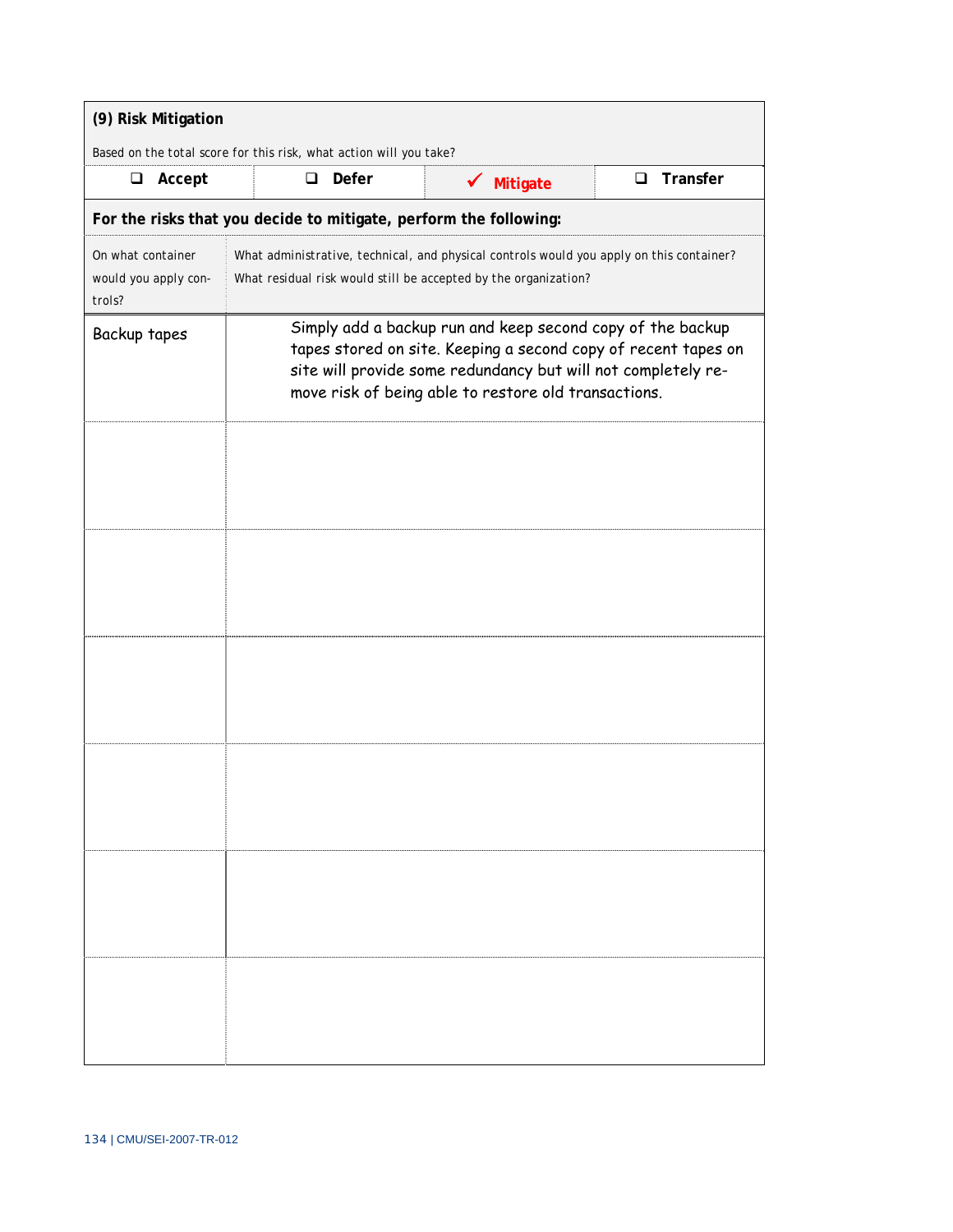| (9) Risk Mitigation                                                |                                                                                                                                                             |                                                                                                                                                                                                                                                       |          |   |          |  |  |  |
|--------------------------------------------------------------------|-------------------------------------------------------------------------------------------------------------------------------------------------------------|-------------------------------------------------------------------------------------------------------------------------------------------------------------------------------------------------------------------------------------------------------|----------|---|----------|--|--|--|
| Based on the total score for this risk, what action will you take? |                                                                                                                                                             |                                                                                                                                                                                                                                                       |          |   |          |  |  |  |
| Accept<br>$\Box$                                                   | Defer<br>□                                                                                                                                                  |                                                                                                                                                                                                                                                       | Mitigate | □ | Transfer |  |  |  |
|                                                                    | For the risks that you decide to mitigate, perform the following:                                                                                           |                                                                                                                                                                                                                                                       |          |   |          |  |  |  |
| On what container<br>would you apply con-<br>trols?                | What administrative, technical, and physical controls would you apply on this container?<br>What residual risk would still be accepted by the organization? |                                                                                                                                                                                                                                                       |          |   |          |  |  |  |
| Backup tapes                                                       |                                                                                                                                                             | Simply add a backup run and keep second copy of the backup<br>tapes stored on site. Keeping a second copy of recent tapes on<br>site will provide some redundancy but will not completely re-<br>move risk of being able to restore old transactions. |          |   |          |  |  |  |
|                                                                    |                                                                                                                                                             |                                                                                                                                                                                                                                                       |          |   |          |  |  |  |
|                                                                    |                                                                                                                                                             |                                                                                                                                                                                                                                                       |          |   |          |  |  |  |
|                                                                    |                                                                                                                                                             |                                                                                                                                                                                                                                                       |          |   |          |  |  |  |
|                                                                    |                                                                                                                                                             |                                                                                                                                                                                                                                                       |          |   |          |  |  |  |
|                                                                    |                                                                                                                                                             |                                                                                                                                                                                                                                                       |          |   |          |  |  |  |
|                                                                    |                                                                                                                                                             |                                                                                                                                                                                                                                                       |          |   |          |  |  |  |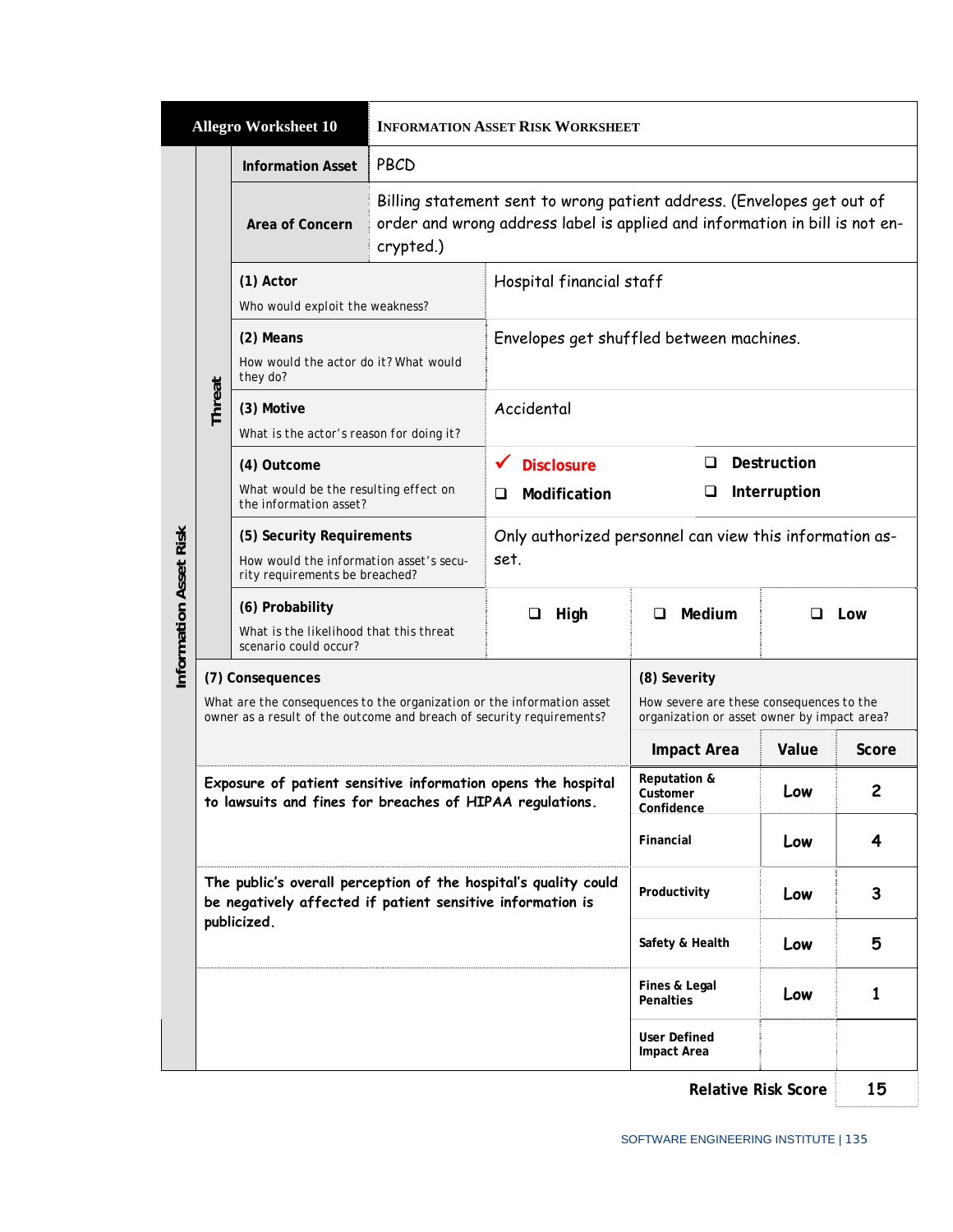| <b>Allegro Worksheet 10</b> |                                                                                                                                                                     | <b>INFORMATION ASSET RISK WORKSHEET</b>                                                                                                      |           |                                                                                                                                                       |                                                                                                         |       |       |
|-----------------------------|---------------------------------------------------------------------------------------------------------------------------------------------------------------------|----------------------------------------------------------------------------------------------------------------------------------------------|-----------|-------------------------------------------------------------------------------------------------------------------------------------------------------|---------------------------------------------------------------------------------------------------------|-------|-------|
|                             |                                                                                                                                                                     | <b>Information Asset</b>                                                                                                                     | PBCD      |                                                                                                                                                       |                                                                                                         |       |       |
|                             |                                                                                                                                                                     | Area of Concern                                                                                                                              | crypted.) | Billing statement sent to wrong patient address. (Envelopes get out of<br>order and wrong address label is applied and information in bill is not en- |                                                                                                         |       |       |
|                             |                                                                                                                                                                     | (1) Actor<br>Who would exploit the weakness?                                                                                                 |           | Hospital financial staff                                                                                                                              |                                                                                                         |       |       |
|                             |                                                                                                                                                                     | (2) Means<br>How would the actor do it? What would<br>they do?                                                                               |           | Envelopes get shuffled between machines.                                                                                                              |                                                                                                         |       |       |
|                             | Threat                                                                                                                                                              | (3) Motive<br>What is the actor's reason for doing it?                                                                                       |           | Accidental                                                                                                                                            |                                                                                                         |       |       |
|                             |                                                                                                                                                                     | (4) Outcome<br>What would be the resulting effect on<br>the information asset?                                                               |           | Destruction<br><b>Disclosure</b><br>ப<br>Interruption<br>Modification<br>⊔<br>ப                                                                       |                                                                                                         |       |       |
|                             |                                                                                                                                                                     | (5) Security Requirements<br>How would the information asset's secu-<br>rity requirements be breached?                                       |           | Only authorized personnel can view this information as-<br>set.                                                                                       |                                                                                                         |       |       |
| Information Asset Risk      |                                                                                                                                                                     | (6) Probability<br>What is the likelihood that this threat<br>scenario could occur?                                                          |           | High<br>$\Box$                                                                                                                                        | Medium<br>⊔                                                                                             | ◻     | Low   |
|                             | (7) Consequences<br>What are the consequences to the organization or the information asset<br>owner as a result of the outcome and breach of security requirements? |                                                                                                                                              |           |                                                                                                                                                       | (8) Severity<br>How severe are these consequences to the<br>organization or asset owner by impact area? |       |       |
|                             |                                                                                                                                                                     |                                                                                                                                              |           |                                                                                                                                                       | <b>Impact Area</b>                                                                                      | Value | Score |
|                             |                                                                                                                                                                     | Exposure of patient sensitive information opens the hospital<br>to lawsuits and fines for breaches of HIPAA regulations.                     |           |                                                                                                                                                       | Reputation &<br>Customer<br>Confidence                                                                  | Low   |       |
|                             |                                                                                                                                                                     |                                                                                                                                              |           |                                                                                                                                                       | Financial                                                                                               | Low   | 4     |
|                             |                                                                                                                                                                     | The public's overall perception of the hospital's quality could<br>be negatively affected if patient sensitive information is<br>publicized. |           |                                                                                                                                                       | Productivity                                                                                            | Low   | 3     |
|                             |                                                                                                                                                                     |                                                                                                                                              |           |                                                                                                                                                       | Safety & Health                                                                                         | Low   | 5     |
|                             |                                                                                                                                                                     |                                                                                                                                              |           |                                                                                                                                                       | Fines & Legal<br>Penalties                                                                              | Low   | 1     |
|                             |                                                                                                                                                                     |                                                                                                                                              |           |                                                                                                                                                       | User Defined<br>Impact Area                                                                             |       |       |

**Relative Risk Score 15**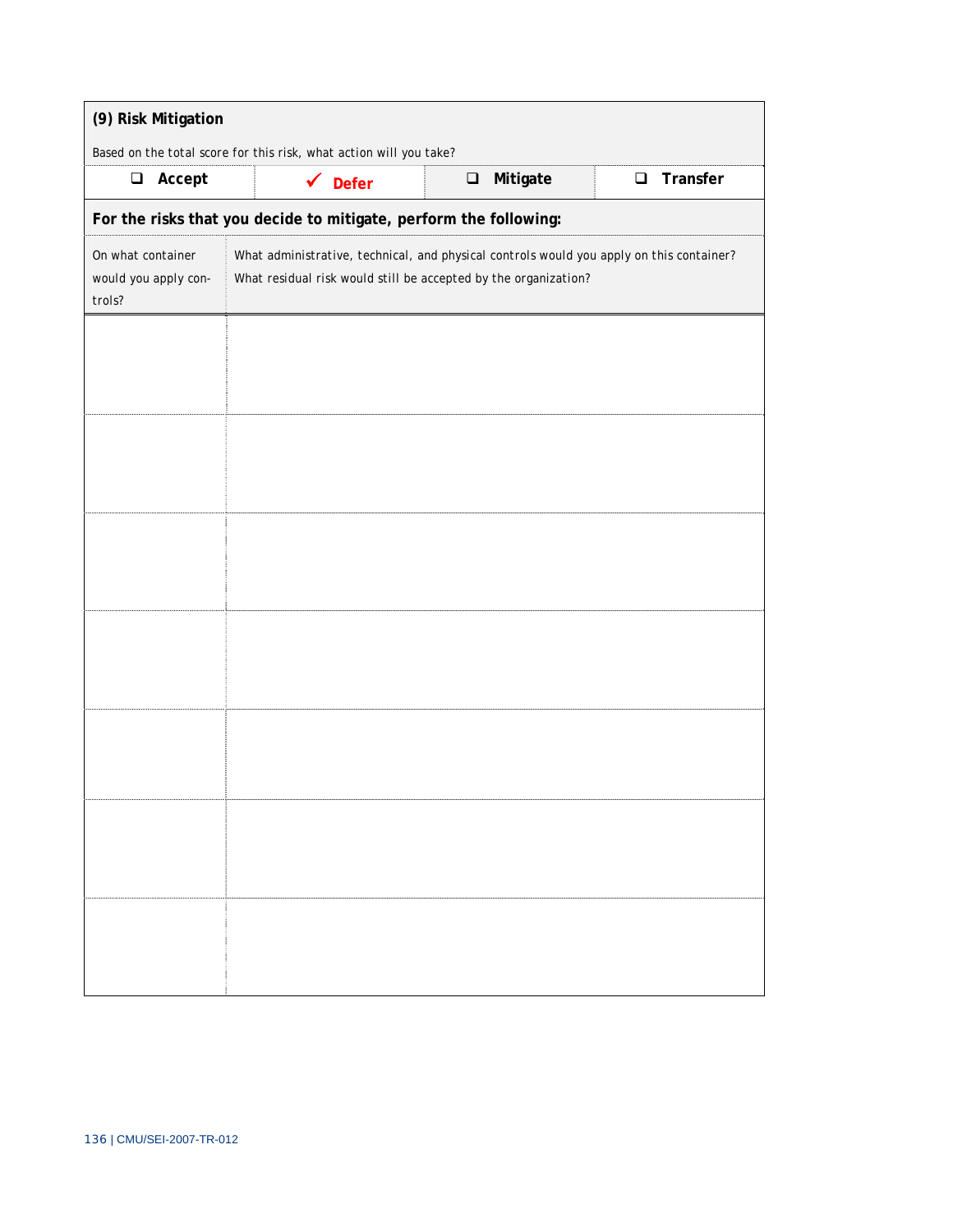| (9) Risk Mitigation<br>Based on the total score for this risk, what action will you take? |  |                            |        |                                                                                                                                                             |  |                 |
|-------------------------------------------------------------------------------------------|--|----------------------------|--------|-------------------------------------------------------------------------------------------------------------------------------------------------------------|--|-----------------|
| Accept<br>$\Box$                                                                          |  | $\sqrt{\phantom{1}}$ Defer | $\Box$ | Mitigate                                                                                                                                                    |  | $\Box$ Transfer |
| For the risks that you decide to mitigate, perform the following:                         |  |                            |        |                                                                                                                                                             |  |                 |
| On what container<br>would you apply con-<br>trols?                                       |  |                            |        | What administrative, technical, and physical controls would you apply on this container?<br>What residual risk would still be accepted by the organization? |  |                 |
|                                                                                           |  |                            |        |                                                                                                                                                             |  |                 |
|                                                                                           |  |                            |        |                                                                                                                                                             |  |                 |
|                                                                                           |  |                            |        |                                                                                                                                                             |  |                 |
|                                                                                           |  |                            |        |                                                                                                                                                             |  |                 |
|                                                                                           |  |                            |        |                                                                                                                                                             |  |                 |
|                                                                                           |  |                            |        |                                                                                                                                                             |  |                 |
|                                                                                           |  |                            |        |                                                                                                                                                             |  |                 |
|                                                                                           |  |                            |        |                                                                                                                                                             |  |                 |
|                                                                                           |  |                            |        |                                                                                                                                                             |  |                 |
|                                                                                           |  |                            |        |                                                                                                                                                             |  |                 |
|                                                                                           |  |                            |        |                                                                                                                                                             |  |                 |
|                                                                                           |  |                            |        |                                                                                                                                                             |  |                 |
|                                                                                           |  |                            |        |                                                                                                                                                             |  |                 |
|                                                                                           |  |                            |        |                                                                                                                                                             |  |                 |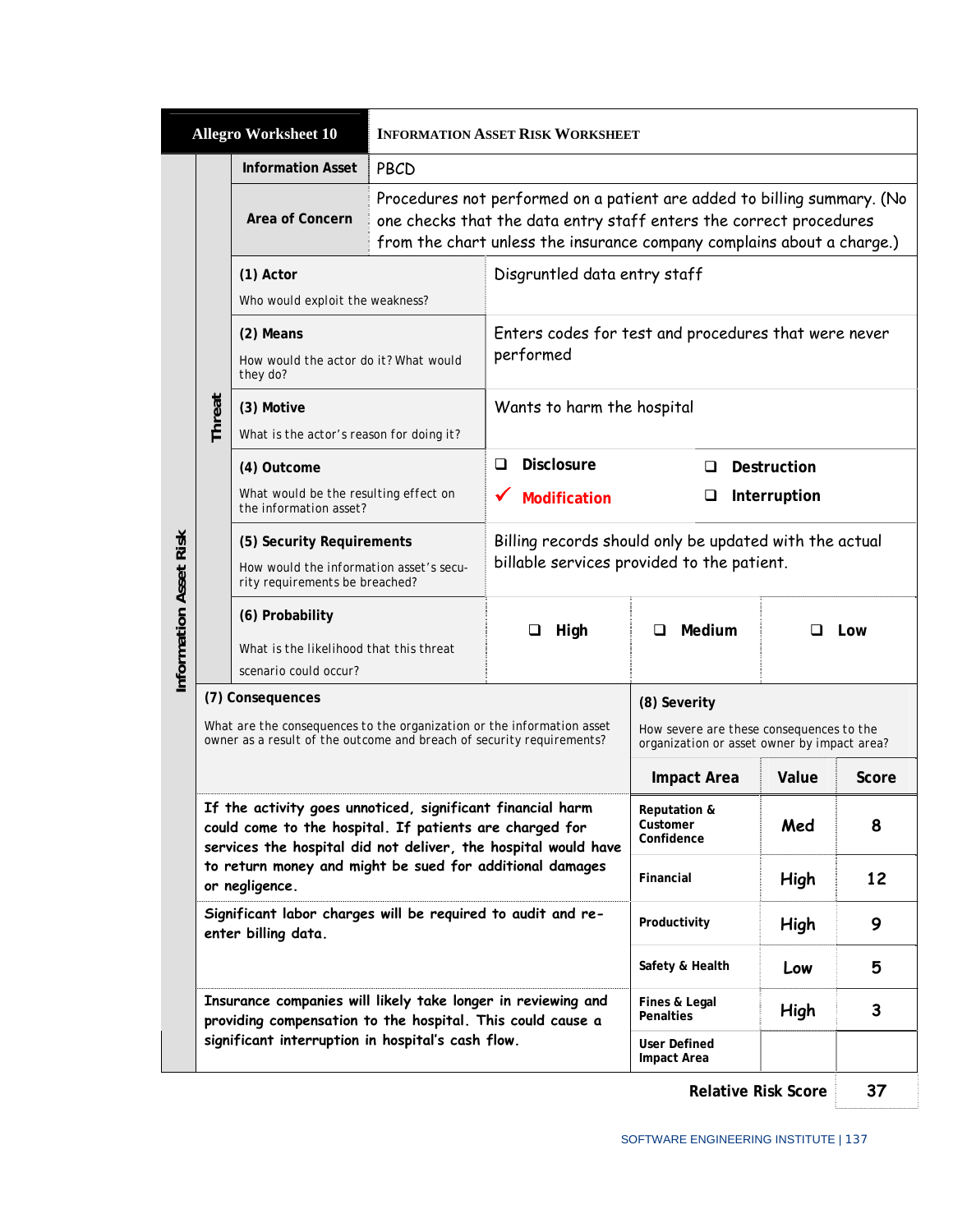| <b>Allegro Worksheet 10</b> |                                                   |                                                                                                                                                 | <b>INFORMATION ASSET RISK WORKSHEET</b> |                                                                                                                                                                                                                         |                                                                                         |              |       |  |
|-----------------------------|---------------------------------------------------|-------------------------------------------------------------------------------------------------------------------------------------------------|-----------------------------------------|-------------------------------------------------------------------------------------------------------------------------------------------------------------------------------------------------------------------------|-----------------------------------------------------------------------------------------|--------------|-------|--|
|                             |                                                   | <b>Information Asset</b>                                                                                                                        | PBCD                                    |                                                                                                                                                                                                                         |                                                                                         |              |       |  |
|                             |                                                   | Area of Concern                                                                                                                                 |                                         | Procedures not performed on a patient are added to billing summary. (No<br>one checks that the data entry staff enters the correct procedures<br>from the chart unless the insurance company complains about a charge.) |                                                                                         |              |       |  |
|                             |                                                   | $(1)$ Actor<br>Who would exploit the weakness?                                                                                                  |                                         | Disgruntled data entry staff                                                                                                                                                                                            |                                                                                         |              |       |  |
|                             |                                                   | (2) Means<br>How would the actor do it? What would<br>they do?                                                                                  |                                         | Enters codes for test and procedures that were never<br>performed                                                                                                                                                       |                                                                                         |              |       |  |
|                             | Threat                                            | (3) Motive<br>What is the actor's reason for doing it?                                                                                          |                                         | Wants to harm the hospital                                                                                                                                                                                              |                                                                                         |              |       |  |
|                             |                                                   | (4) Outcome                                                                                                                                     |                                         | <b>Disclosure</b><br>□                                                                                                                                                                                                  | Destruction<br>$\Box$                                                                   |              |       |  |
|                             |                                                   | What would be the resulting effect on<br>the information asset?                                                                                 |                                         | <b>Modification</b>                                                                                                                                                                                                     |                                                                                         | Interruption |       |  |
|                             |                                                   | (5) Security Requirements<br>How would the information asset's secu-<br>rity requirements be breached?                                          |                                         | Billing records should only be updated with the actual<br>billable services provided to the patient.                                                                                                                    |                                                                                         |              |       |  |
| nformation Asset Risk       |                                                   | (6) Probability<br>What is the likelihood that this threat<br>scenario could occur?                                                             |                                         | High<br>⊔                                                                                                                                                                                                               | Medium<br>◻                                                                             | ◻            | Low   |  |
|                             |                                                   | (7) Consequences                                                                                                                                |                                         |                                                                                                                                                                                                                         | (8) Severity                                                                            |              |       |  |
|                             |                                                   | What are the consequences to the organization or the information asset<br>owner as a result of the outcome and breach of security requirements? |                                         |                                                                                                                                                                                                                         | How severe are these consequences to the<br>organization or asset owner by impact area? |              |       |  |
|                             |                                                   |                                                                                                                                                 |                                         |                                                                                                                                                                                                                         | <b>Impact Area</b>                                                                      | Value        | Score |  |
|                             |                                                   | If the activity goes unnoticed, significant financial harm<br>could come to the hospital. If patients are charged for                           |                                         | services the hospital did not deliver, the hospital would have                                                                                                                                                          | Reputation &<br>Customer<br>Confidence                                                  | Med          | 8     |  |
|                             |                                                   | to return money and might be sued for additional damages<br>or negligence.                                                                      |                                         |                                                                                                                                                                                                                         | Financial                                                                               | High         | 12    |  |
|                             |                                                   | Significant labor charges will be required to audit and re-<br>enter billing data.                                                              |                                         |                                                                                                                                                                                                                         | Productivity                                                                            | High         | 9     |  |
|                             |                                                   |                                                                                                                                                 |                                         |                                                                                                                                                                                                                         | Safety & Health                                                                         | Low          | 5     |  |
|                             |                                                   | Insurance companies will likely take longer in reviewing and<br>providing compensation to the hospital. This could cause a                      |                                         |                                                                                                                                                                                                                         | Fines & Legal<br><b>Penalties</b>                                                       | High         | 3     |  |
|                             | significant interruption in hospital's cash flow. |                                                                                                                                                 |                                         |                                                                                                                                                                                                                         | User Defined<br>Impact Area                                                             |              |       |  |

**Relative Risk Score 37**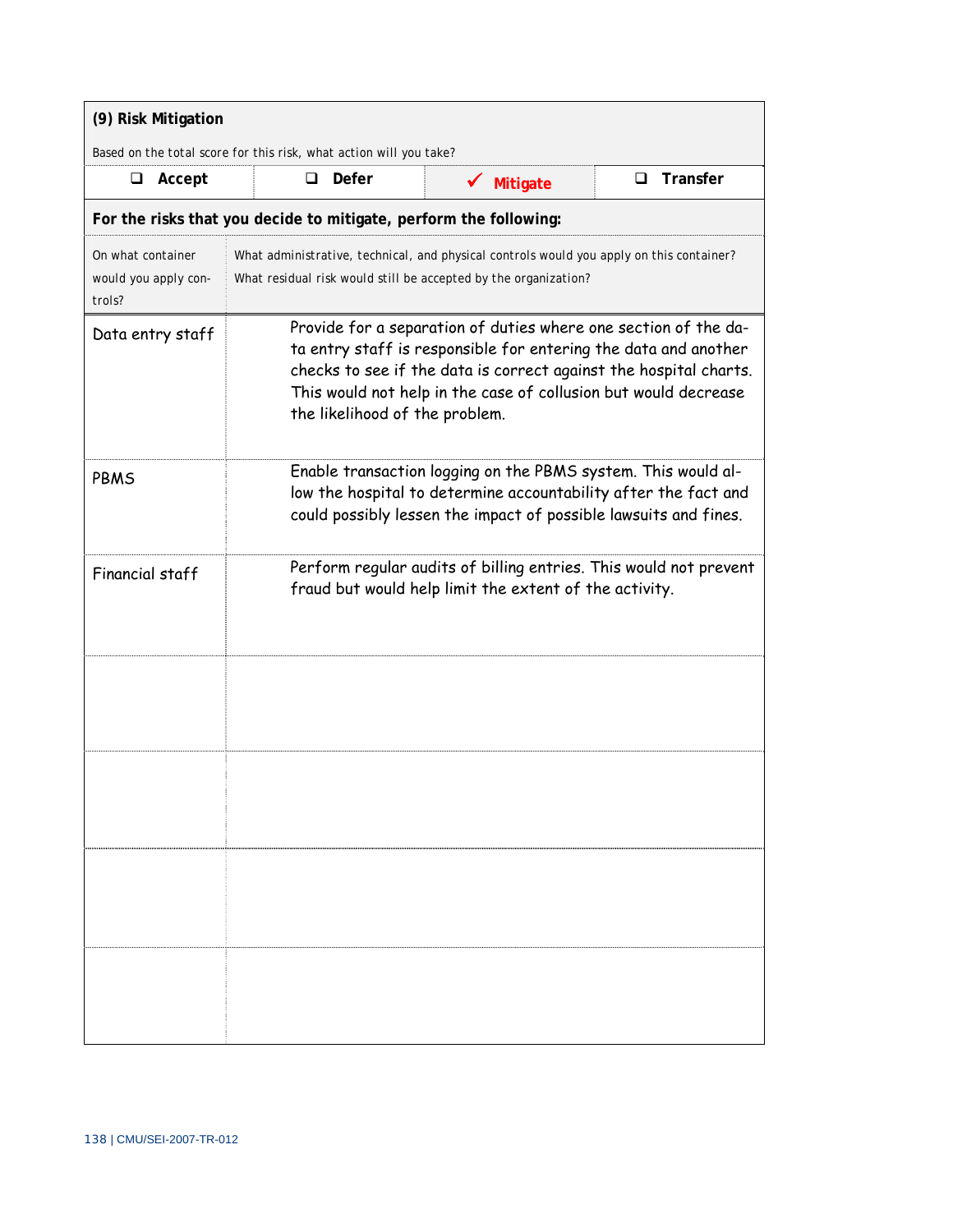| (9) Risk Mitigation                                                |                                                                                                                                                                                                                                                                                                              |                 |               |  |  |  |  |
|--------------------------------------------------------------------|--------------------------------------------------------------------------------------------------------------------------------------------------------------------------------------------------------------------------------------------------------------------------------------------------------------|-----------------|---------------|--|--|--|--|
| Based on the total score for this risk, what action will you take? |                                                                                                                                                                                                                                                                                                              |                 |               |  |  |  |  |
| $\Box$<br>Accept                                                   | Defer<br>◻                                                                                                                                                                                                                                                                                                   | <b>Mitigate</b> | Transfer<br>◻ |  |  |  |  |
|                                                                    | For the risks that you decide to mitigate, perform the following:                                                                                                                                                                                                                                            |                 |               |  |  |  |  |
| On what container<br>would you apply con-<br>trols?                | What administrative, technical, and physical controls would you apply on this container?<br>What residual risk would still be accepted by the organization?                                                                                                                                                  |                 |               |  |  |  |  |
| Data entry staff                                                   | Provide for a separation of duties where one section of the da-<br>ta entry staff is responsible for entering the data and another<br>checks to see if the data is correct against the hospital charts.<br>This would not help in the case of collusion but would decrease<br>the likelihood of the problem. |                 |               |  |  |  |  |
| PBMS                                                               | Enable transaction logging on the PBMS system. This would al-<br>low the hospital to determine accountability after the fact and<br>could possibly lessen the impact of possible lawsuits and fines.                                                                                                         |                 |               |  |  |  |  |
| Financial staff                                                    | Perform regular audits of billing entries. This would not prevent<br>fraud but would help limit the extent of the activity.                                                                                                                                                                                  |                 |               |  |  |  |  |
|                                                                    |                                                                                                                                                                                                                                                                                                              |                 |               |  |  |  |  |
|                                                                    |                                                                                                                                                                                                                                                                                                              |                 |               |  |  |  |  |
|                                                                    |                                                                                                                                                                                                                                                                                                              |                 |               |  |  |  |  |
|                                                                    |                                                                                                                                                                                                                                                                                                              |                 |               |  |  |  |  |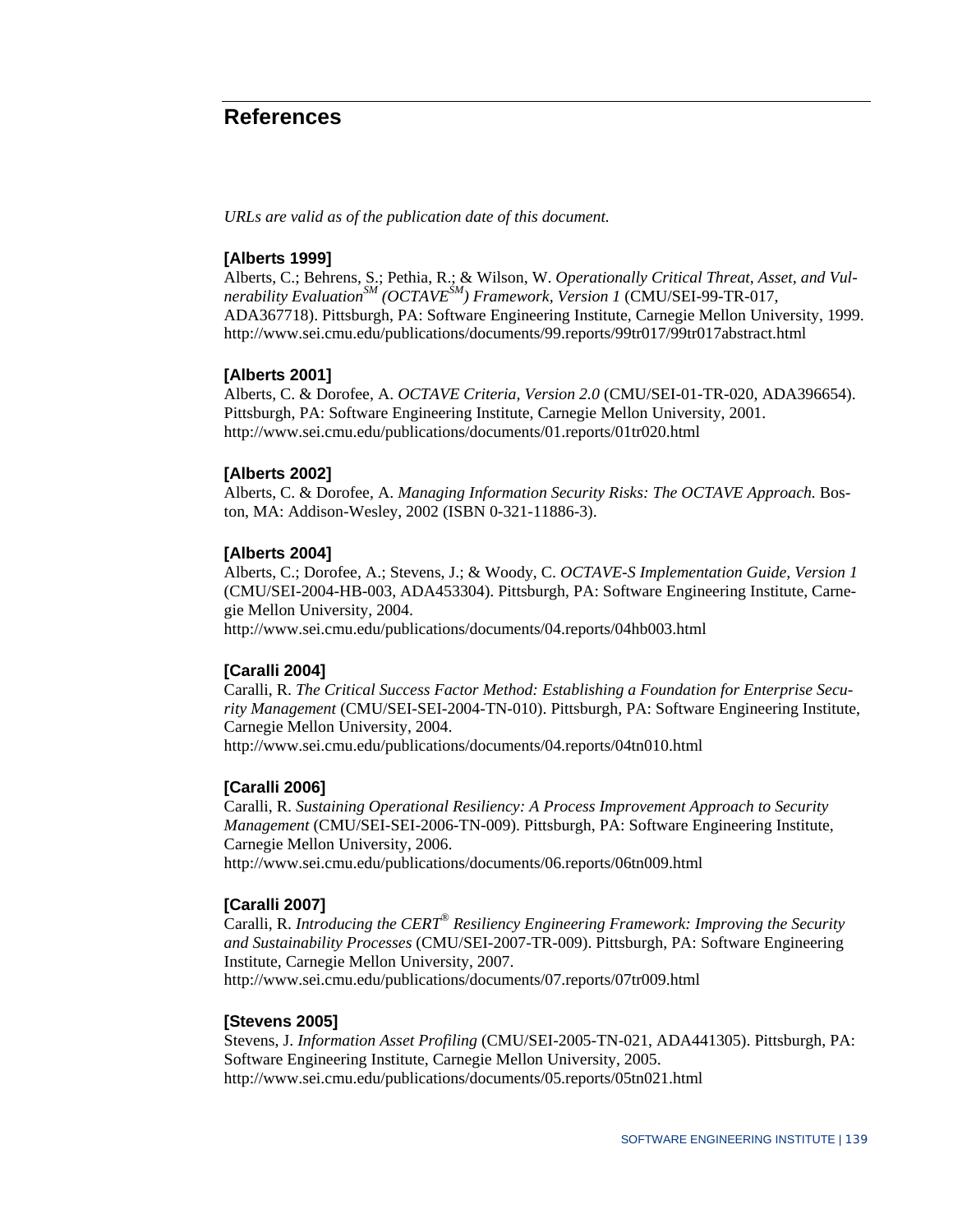# **References**

*URLs are valid as of the publication date of this document.* 

### **[Alberts 1999]**

Alberts, C.; Behrens, S.; Pethia, R.; & Wilson, W. *Operationally Critical Threat, Asset, and Vulnerability EvaluationSM (OCTAVESM) Framework, Version 1* (CMU/SEI-99-TR-017, ADA367718). Pittsburgh, PA: Software Engineering Institute, Carnegie Mellon University, 1999. <http://www.sei.cmu.edu/publications/documents/99.reports/99tr017/99tr017abstract.html>

### **[Alberts 2001]**

Alberts, C. & Dorofee, A. *OCTAVE Criteria, Version 2.0* (CMU/SEI-01-TR-020, ADA396654). Pittsburgh, PA: Software Engineering Institute, Carnegie Mellon University, 2001. <http://www.sei.cmu.edu/publications/documents/01.reports/01tr020.html>

#### **[Alberts 2002]**

Alberts, C. & Dorofee, A. *Managing Information Security Risks: The OCTAVE Approach.* Boston, MA: Addison-Wesley, 2002 (ISBN 0-321-11886-3).

#### **[Alberts 2004]**

Alberts, C.; Dorofee, A.; Stevens, J.; & Woody, C. *OCTAVE-S Implementation Guide, Version 1*  (CMU/SEI-2004-HB-003, ADA453304). Pittsburgh, PA: Software Engineering Institute, Carnegie Mellon University, 2004.

<http://www.sei.cmu.edu/publications/documents/04.reports/04hb003.html>

### **[Caralli 2004]**

Caralli, R. *The Critical Success Factor Method: Establishing a Foundation for Enterprise Security Management* (CMU/SEI-SEI-2004-TN-010). Pittsburgh, PA: Software Engineering Institute, Carnegie Mellon University, 2004. <http://www.sei.cmu.edu/publications/documents/04.reports/04tn010.html>

#### **[Caralli 2006]**

Caralli, R. *Sustaining Operational Resiliency: A Process Improvement Approach to Security Management* (CMU/SEI-SEI-2006-TN-009). Pittsburgh, PA: Software Engineering Institute, Carnegie Mellon University, 2006. <http://www.sei.cmu.edu/publications/documents/06.reports/06tn009.html>

#### **[Caralli 2007]**

Caralli, R. *Introducing the CERT® Resiliency Engineering Framework: Improving the Security and Sustainability Processes* (CMU/SEI-2007-TR-009). Pittsburgh, PA: Software Engineering Institute, Carnegie Mellon University, 2007.

<http://www.sei.cmu.edu/publications/documents/07.reports/07tr009.html>

#### **[Stevens 2005]**

Stevens, J. *Information Asset Profiling* (CMU/SEI-2005-TN-021, ADA441305). Pittsburgh, PA: Software Engineering Institute, Carnegie Mellon University, 2005. <http://www.sei.cmu.edu/publications/documents/05.reports/05tn021.html>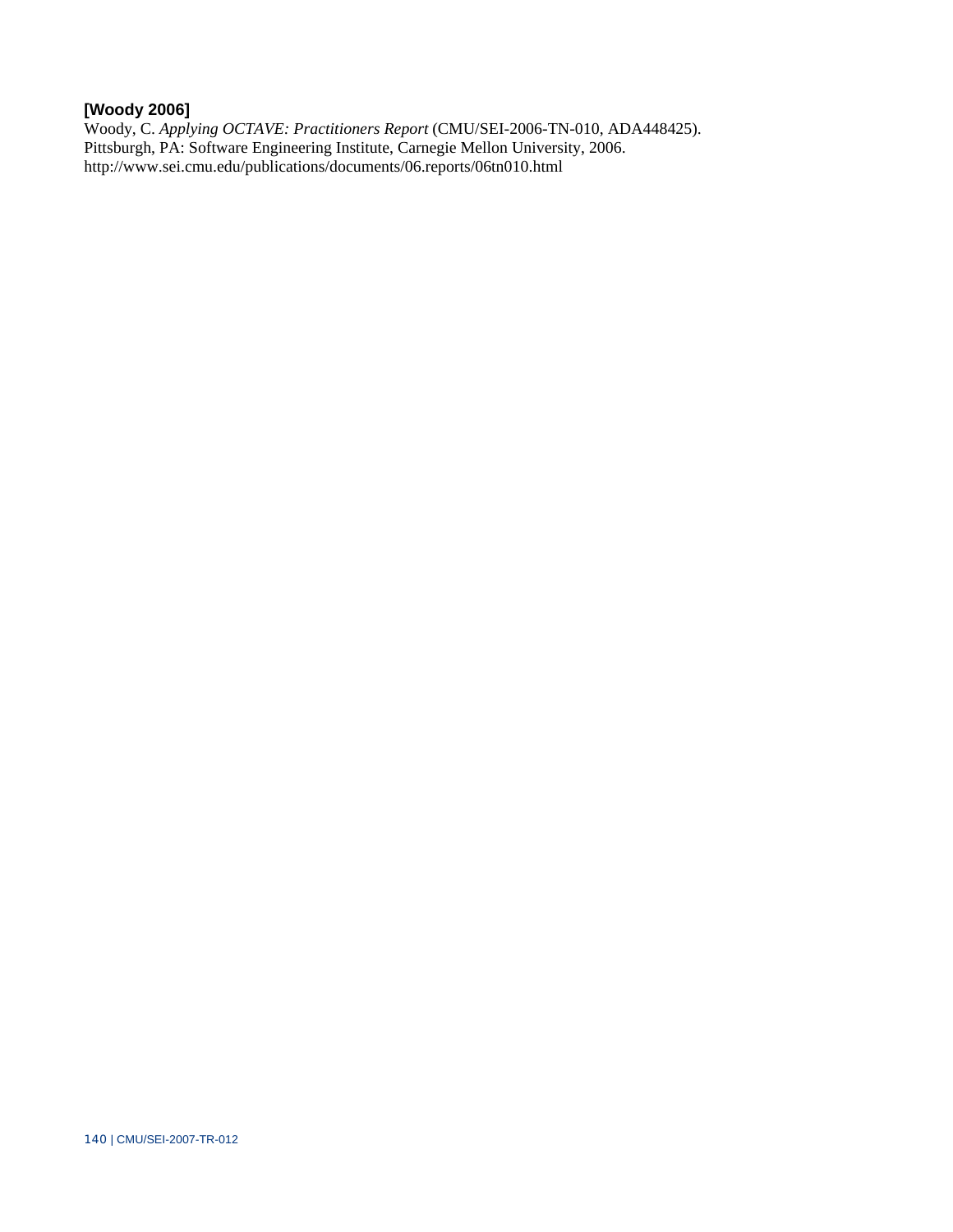## **[Woody 2006]**

Woody, C. *Applying OCTAVE: Practitioners Report* (CMU/SEI-2006-TN-010, ADA448425). Pittsburgh, PA: Software Engineering Institute, Carnegie Mellon University, 2006. <http://www.sei.cmu.edu/publications/documents/06.reports/06tn010.html>